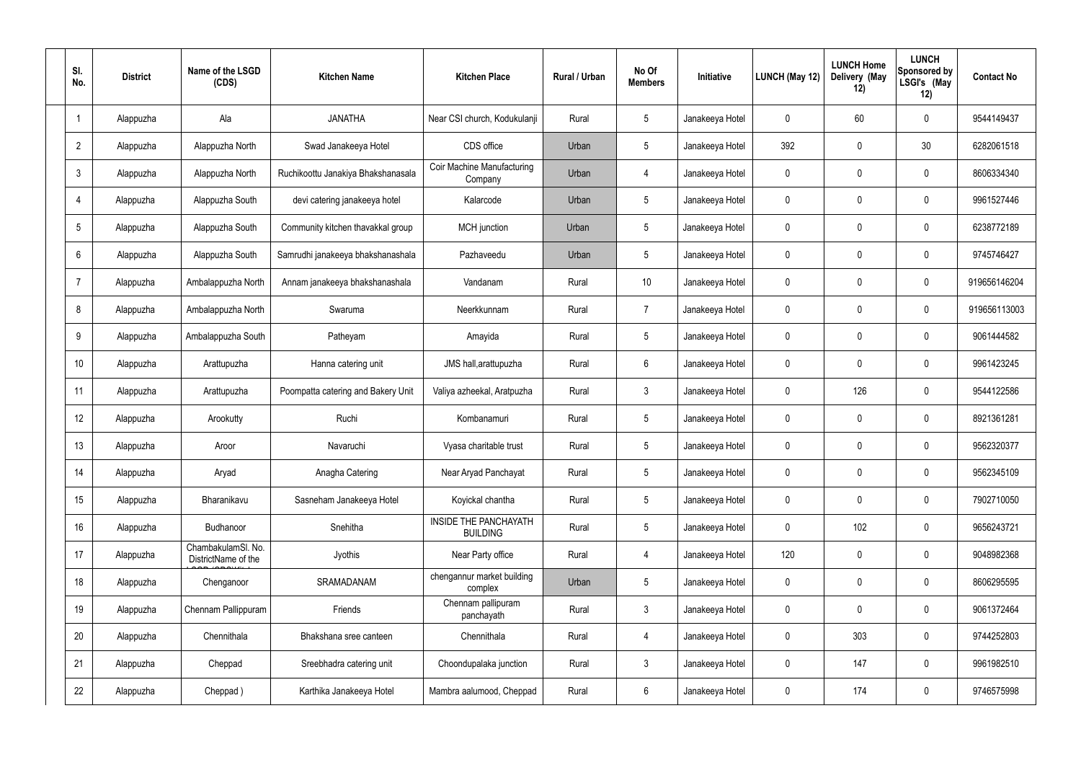| SI.<br>No.      | <b>District</b> | Name of the LSGD<br>(CDS)                 | <b>Kitchen Name</b>                | <b>Kitchen Place</b>                            | Rural / Urban | No Of<br><b>Members</b> | Initiative      | <b>LUNCH (May 12)</b> | <b>LUNCH Home</b><br>Delivery (May<br>12) | <b>LUNCH</b><br>Sponsored by<br>LSGI's (May<br>12) | <b>Contact No</b> |
|-----------------|-----------------|-------------------------------------------|------------------------------------|-------------------------------------------------|---------------|-------------------------|-----------------|-----------------------|-------------------------------------------|----------------------------------------------------|-------------------|
|                 | Alappuzha       | Ala                                       | <b>JANATHA</b>                     | Near CSI church, Kodukulanji                    | Rural         | $5\phantom{.0}$         | Janakeeya Hotel | 0                     | 60                                        | $\mathbf 0$                                        | 9544149437        |
| $\overline{2}$  | Alappuzha       | Alappuzha North                           | Swad Janakeeya Hotel               | CDS office                                      | Urban         | $5\phantom{.0}$         | Janakeeya Hotel | 392                   | 0                                         | 30                                                 | 6282061518        |
| $\mathbf{3}$    | Alappuzha       | Alappuzha North                           | Ruchikoottu Janakiya Bhakshanasala | Coir Machine Manufacturing<br>Company           | Urban         | 4                       | Janakeeya Hotel | $\mathbf 0$           | 0                                         | $\mathbf 0$                                        | 8606334340        |
| $\overline{4}$  | Alappuzha       | Alappuzha South                           | devi catering janakeeya hotel      | Kalarcode                                       | Urban         | $5\phantom{.0}$         | Janakeeya Hotel | $\mathbf 0$           | 0                                         | $\mathbf 0$                                        | 9961527446        |
| $5\phantom{.0}$ | Alappuzha       | Alappuzha South                           | Community kitchen thavakkal group  | <b>MCH</b> junction                             | Urban         | $5\phantom{.0}$         | Janakeeya Hotel | $\mathbf 0$           | 0                                         | $\mathbf 0$                                        | 6238772189        |
| 6               | Alappuzha       | Alappuzha South                           | Samrudhi janakeeya bhakshanashala  | Pazhaveedu                                      | Urban         | $5\phantom{.0}$         | Janakeeya Hotel | $\mathbf 0$           | 0                                         | $\mathbf 0$                                        | 9745746427        |
| -7              | Alappuzha       | Ambalappuzha North                        | Annam janakeeya bhakshanashala     | Vandanam                                        | Rural         | 10 <sup>°</sup>         | Janakeeya Hotel | $\mathbf 0$           | 0                                         | $\mathbf 0$                                        | 919656146204      |
| 8               | Alappuzha       | Ambalappuzha North                        | Swaruma                            | Neerkkunnam                                     | Rural         | $\overline{7}$          | Janakeeya Hotel | $\mathbf 0$           | 0                                         | $\mathbf 0$                                        | 919656113003      |
| 9               | Alappuzha       | Ambalappuzha South                        | Patheyam                           | Amayida                                         | Rural         | $5\phantom{.0}$         | Janakeeya Hotel | $\mathbf 0$           | 0                                         | $\mathbf 0$                                        | 9061444582        |
| 10              | Alappuzha       | Arattupuzha                               | Hanna catering unit                | JMS hall, arattupuzha                           | Rural         | $6\phantom{.}6$         | Janakeeya Hotel | $\mathbf 0$           | $\mathbf 0$                               | $\mathbf 0$                                        | 9961423245        |
| 11              | Alappuzha       | Arattupuzha                               | Poompatta catering and Bakery Unit | Valiya azheekal, Aratpuzha                      | Rural         | $\mathbf{3}$            | Janakeeya Hotel | $\mathbf 0$           | 126                                       | $\mathbf 0$                                        | 9544122586        |
| 12              | Alappuzha       | Arookutty                                 | Ruchi                              | Kombanamuri                                     | Rural         | $5\phantom{.0}$         | Janakeeya Hotel | $\mathbf 0$           | $\mathbf 0$                               | $\mathbf 0$                                        | 8921361281        |
| 13              | Alappuzha       | Aroor                                     | Navaruchi                          | Vyasa charitable trust                          | Rural         | $5\phantom{.0}$         | Janakeeya Hotel | 0                     | $\mathbf 0$                               | 0                                                  | 9562320377        |
| 14              | Alappuzha       | Aryad                                     | Anagha Catering                    | Near Aryad Panchayat                            | Rural         | $5\phantom{.0}$         | Janakeeya Hotel | $\mathbf 0$           | $\mathbf 0$                               | $\mathbf 0$                                        | 9562345109        |
| 15              | Alappuzha       | Bharanikavu                               | Sasneham Janakeeya Hotel           | Koyickal chantha                                | Rural         | $5\phantom{.0}$         | Janakeeya Hotel | $\mathbf 0$           | $\mathbf 0$                               | $\mathbf 0$                                        | 7902710050        |
| 16              | Alappuzha       | Budhanoor                                 | Snehitha                           | <b>INSIDE THE PANCHAYATH</b><br><b>BUILDING</b> | Rural         | $5\phantom{.0}$         | Janakeeya Hotel | $\mathbf 0$           | 102                                       | $\mathbf 0$                                        | 9656243721        |
| 17              | Alappuzha       | ChambakulamSl. No.<br>DistrictName of the | Jyothis                            | Near Party office                               | Rural         | $\overline{4}$          | Janakeeya Hotel | 120                   | 0                                         | $\mathbf 0$                                        | 9048982368        |
| 18              | Alappuzha       | Chenganoor                                | SRAMADANAM                         | chengannur market building<br>complex           | Urban         | $5\phantom{.0}$         | Janakeeya Hotel | $\mathbf 0$           | 0                                         | $\mathbf 0$                                        | 8606295595        |
| 19              | Alappuzha       | Chennam Pallippuram                       | Friends                            | Chennam pallipuram<br>panchayath                | Rural         | $\mathbf{3}$            | Janakeeya Hotel | $\mathbf 0$           | 0                                         | $\mathbf 0$                                        | 9061372464        |
| 20              | Alappuzha       | Chennithala                               | Bhakshana sree canteen             | Chennithala                                     | Rural         | $\overline{4}$          | Janakeeya Hotel | 0                     | 303                                       | $\mathbf 0$                                        | 9744252803        |
| 21              | Alappuzha       | Cheppad                                   | Sreebhadra catering unit           | Choondupalaka junction                          | Rural         | $\mathbf{3}$            | Janakeeya Hotel | $\mathbf 0$           | 147                                       | $\mathbf 0$                                        | 9961982510        |
| 22              | Alappuzha       | Cheppad)                                  | Karthika Janakeeya Hotel           | Mambra aalumood, Cheppad                        | Rural         | $6\,$                   | Janakeeya Hotel | 0                     | 174                                       | $\mathbf 0$                                        | 9746575998        |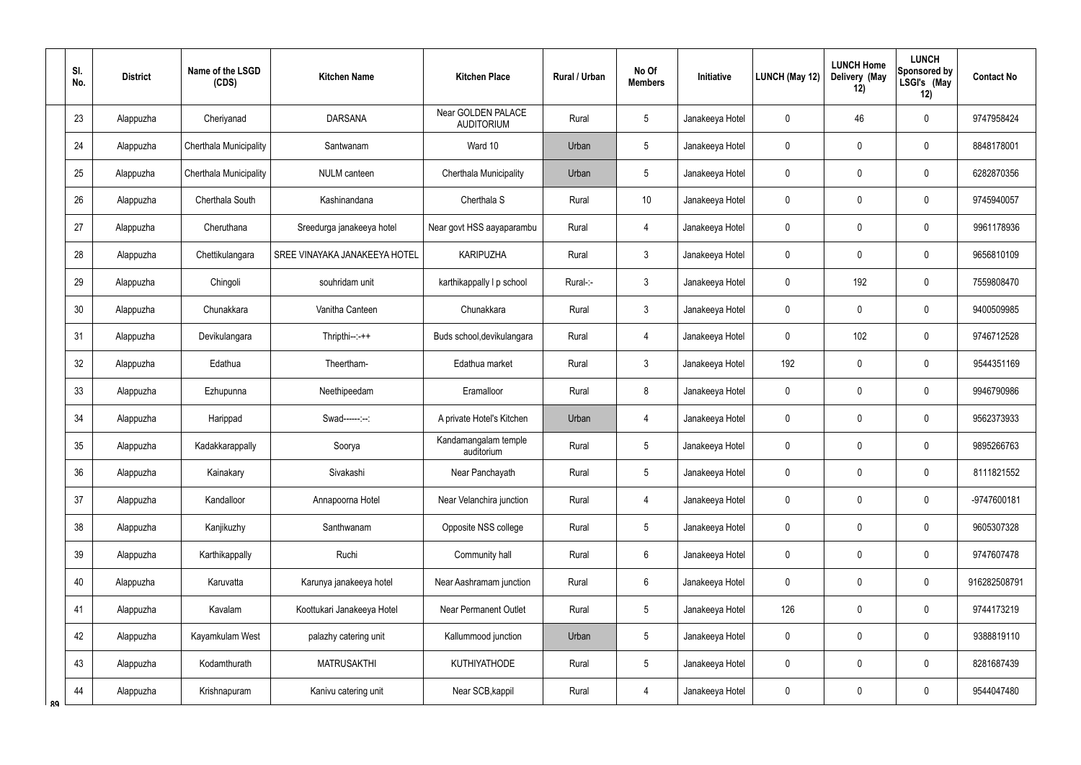|    | SI.<br>No.      | <b>District</b> | Name of the LSGD<br>(CDS) | <b>Kitchen Name</b>           | <b>Kitchen Place</b>                           | <b>Rural / Urban</b> | No Of<br><b>Members</b> | Initiative      | LUNCH (May 12) | <b>LUNCH Home</b><br>Delivery (May<br>12) | <b>LUNCH</b><br>Sponsored by<br>LSGI's (May<br>12) | <b>Contact No</b> |
|----|-----------------|-----------------|---------------------------|-------------------------------|------------------------------------------------|----------------------|-------------------------|-----------------|----------------|-------------------------------------------|----------------------------------------------------|-------------------|
|    | 23              | Alappuzha       | Cheriyanad                | <b>DARSANA</b>                | <b>Near GOLDEN PALACE</b><br><b>AUDITORIUM</b> | Rural                | 5                       | Janakeeya Hotel | 0              | 46                                        | $\mathbf 0$                                        | 9747958424        |
|    | 24              | Alappuzha       | Cherthala Municipality    | Santwanam                     | Ward 10                                        | Urban                | 5                       | Janakeeya Hotel | 0              | 0                                         | $\pmb{0}$                                          | 8848178001        |
|    | 25              | Alappuzha       | Cherthala Municipality    | NULM canteen                  | Cherthala Municipality                         | Urban                | 5                       | Janakeeya Hotel | 0              | 0                                         | $\pmb{0}$                                          | 6282870356        |
|    | 26              | Alappuzha       | Cherthala South           | Kashinandana                  | Cherthala S                                    | Rural                | 10                      | Janakeeya Hotel | 0              | 0                                         | $\mathbf 0$                                        | 9745940057        |
|    | 27              | Alappuzha       | Cheruthana                | Sreedurga janakeeya hotel     | Near govt HSS aayaparambu                      | Rural                | $\overline{4}$          | Janakeeya Hotel | 0              | 0                                         | $\mathbf 0$                                        | 9961178936        |
|    | 28              | Alappuzha       | Chettikulangara           | SREE VINAYAKA JANAKEEYA HOTEL | <b>KARIPUZHA</b>                               | Rural                | $\mathfrak{Z}$          | Janakeeya Hotel | 0              | 0                                         | $\mathbf 0$                                        | 9656810109        |
|    | 29              | Alappuzha       | Chingoli                  | souhridam unit                | karthikappally I p school                      | Rural-:-             | $\mathfrak{Z}$          | Janakeeya Hotel | 0              | 192                                       | $\mathbf 0$                                        | 7559808470        |
|    | 30 <sup>°</sup> | Alappuzha       | Chunakkara                | Vanitha Canteen               | Chunakkara                                     | Rural                | $\mathfrak{Z}$          | Janakeeya Hotel | 0              | 0                                         | $\mathbf 0$                                        | 9400509985        |
|    | 31              | Alappuzha       | Devikulangara             | $Thripthi--++$                | Buds school, devikulangara                     | Rural                | $\overline{4}$          | Janakeeya Hotel | 0              | 102                                       | $\mathbf 0$                                        | 9746712528        |
|    | 32              | Alappuzha       | Edathua                   | Theertham-                    | Edathua market                                 | Rural                | $\mathfrak{Z}$          | Janakeeya Hotel | 192            | $\mathbf 0$                               | $\mathbf 0$                                        | 9544351169        |
|    | 33              | Alappuzha       | Ezhupunna                 | Neethipeedam                  | Eramalloor                                     | Rural                | 8                       | Janakeeya Hotel | 0              | $\mathbf 0$                               | $\pmb{0}$                                          | 9946790986        |
|    | 34              | Alappuzha       | Harippad                  | Swad------:--:                | A private Hotel's Kitchen                      | Urban                | 4                       | Janakeeya Hotel | 0              | $\mathbf 0$                               | $\mathbf 0$                                        | 9562373933        |
|    | 35              | Alappuzha       | Kadakkarappally           | Soorya                        | Kandamangalam temple<br>auditorium             | Rural                | 5                       | Janakeeya Hotel | 0              | $\mathbf 0$                               | $\mathbf 0$                                        | 9895266763        |
|    | 36              | Alappuzha       | Kainakary                 | Sivakashi                     | Near Panchayath                                | Rural                | 5                       | Janakeeya Hotel | 0              | $\pmb{0}$                                 | $\pmb{0}$                                          | 8111821552        |
|    | 37              | Alappuzha       | Kandalloor                | Annapoorna Hotel              | Near Velanchira junction                       | Rural                | $\overline{4}$          | Janakeeya Hotel | 0              | $\pmb{0}$                                 | $\pmb{0}$                                          | -9747600181       |
|    | 38              | Alappuzha       | Kanjikuzhy                | Santhwanam                    | Opposite NSS college                           | Rural                | 5                       | Janakeeya Hotel | 0              | $\boldsymbol{0}$                          | $\pmb{0}$                                          | 9605307328        |
|    | 39              | Alappuzha       | Karthikappally            | Ruchi                         | Community hall                                 | Rural                | $6\overline{6}$         | Janakeeya Hotel | $\mathbf 0$    | $\overline{0}$                            | $\pmb{0}$                                          | 9747607478        |
|    | 40              | Alappuzha       | Karuvatta                 | Karunya janakeeya hotel       | Near Aashramam junction                        | Rural                | $6\overline{6}$         | Janakeeya Hotel | 0              | $\pmb{0}$                                 | $\pmb{0}$                                          | 916282508791      |
|    | 41              | Alappuzha       | Kavalam                   | Koottukari Janakeeya Hotel    | <b>Near Permanent Outlet</b>                   | Rural                | 5                       | Janakeeya Hotel | 126            | $\overline{0}$                            | $\pmb{0}$                                          | 9744173219        |
|    | 42              | Alappuzha       | Kayamkulam West           | palazhy catering unit         | Kallummood junction                            | Urban                | 5                       | Janakeeya Hotel | 0              | $\pmb{0}$                                 | $\pmb{0}$                                          | 9388819110        |
|    | 43              | Alappuzha       | Kodamthurath              | <b>MATRUSAKTHI</b>            | <b>KUTHIYATHODE</b>                            | Rural                | 5                       | Janakeeya Hotel | 0              | $\boldsymbol{0}$                          | $\pmb{0}$                                          | 8281687439        |
| ۵Q | 44              | Alappuzha       | Krishnapuram              | Kanivu catering unit          | Near SCB, kappil                               | Rural                | 4                       | Janakeeya Hotel | 0              | $\pmb{0}$                                 | $\pmb{0}$                                          | 9544047480        |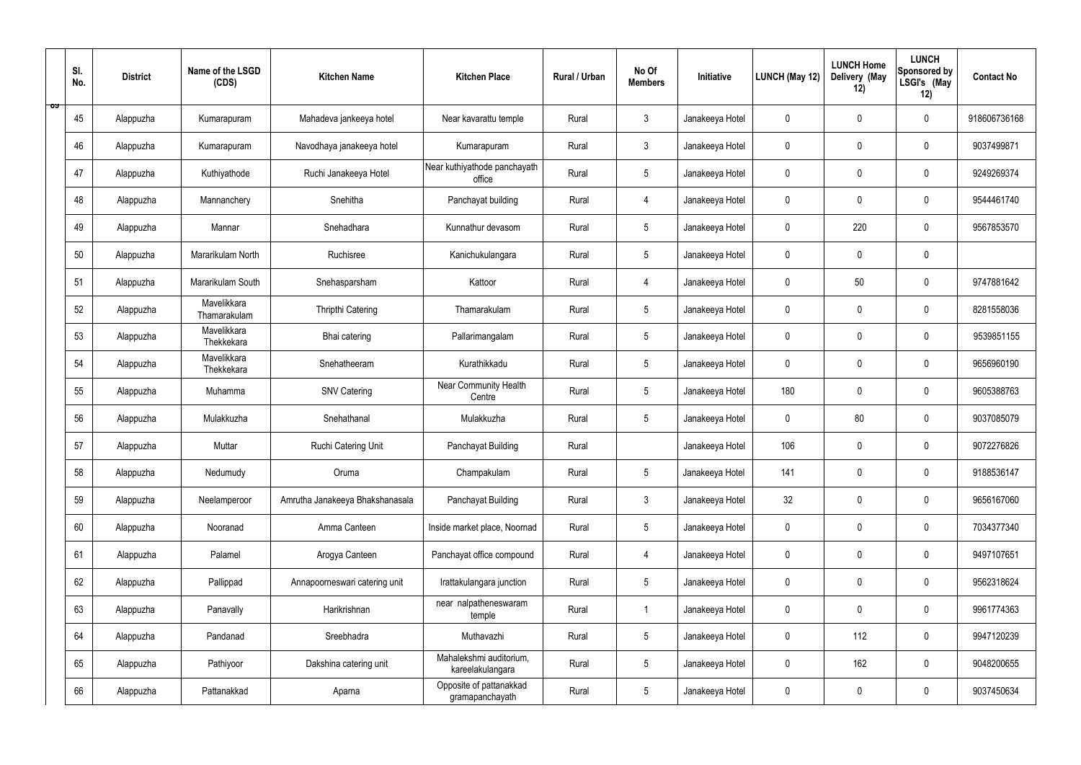|    | SI.<br>No. | <b>District</b> | Name of the LSGD<br>(CDS)   | <b>Kitchen Name</b>             | <b>Kitchen Place</b>                        | Rural / Urban | No Of<br><b>Members</b> | Initiative      | LUNCH (May 12) | <b>LUNCH Home</b><br>Delivery (May<br>12) | <b>LUNCH</b><br>Sponsored by<br>LSGI's (May<br>12) | <b>Contact No</b> |
|----|------------|-----------------|-----------------------------|---------------------------------|---------------------------------------------|---------------|-------------------------|-----------------|----------------|-------------------------------------------|----------------------------------------------------|-------------------|
| ರ್ | 45         | Alappuzha       | Kumarapuram                 | Mahadeva jankeeya hotel         | Near kavarattu temple                       | Rural         | $\mathbf{3}$            | Janakeeya Hotel | $\mathbf 0$    | $\mathbf 0$                               | $\mathbf 0$                                        | 918606736168      |
|    | 46         | Alappuzha       | Kumarapuram                 | Navodhaya janakeeya hotel       | Kumarapuram                                 | Rural         | $\mathbf{3}$            | Janakeeya Hotel | $\mathbf 0$    | $\mathbf 0$                               | $\mathbf 0$                                        | 9037499871        |
|    | 47         | Alappuzha       | Kuthiyathode                | Ruchi Janakeeya Hotel           | Near kuthiyathode panchayath<br>office      | Rural         | 5 <sup>5</sup>          | Janakeeya Hotel | $\mathbf 0$    | $\mathbf 0$                               | $\mathbf 0$                                        | 9249269374        |
|    | 48         | Alappuzha       | Mannanchery                 | Snehitha                        | Panchayat building                          | Rural         | $\overline{4}$          | Janakeeya Hotel | $\mathbf 0$    | $\mathbf 0$                               | $\mathbf 0$                                        | 9544461740        |
|    | 49         | Alappuzha       | Mannar                      | Snehadhara                      | Kunnathur devasom                           | Rural         | $5\phantom{.0}$         | Janakeeya Hotel | $\mathbf 0$    | 220                                       | $\mathbf 0$                                        | 9567853570        |
|    | 50         | Alappuzha       | Mararikulam North           | Ruchisree                       | Kanichukulangara                            | Rural         | $5\overline{)}$         | Janakeeya Hotel | $\mathbf 0$    | $\mathbf 0$                               | $\mathbf 0$                                        |                   |
|    | 51         | Alappuzha       | Mararikulam South           | Snehasparsham                   | Kattoor                                     | Rural         | 4                       | Janakeeya Hotel | $\mathbf 0$    | 50                                        | $\mathbf 0$                                        | 9747881642        |
|    | 52         | Alappuzha       | Mavelikkara<br>Thamarakulam | Thripthi Catering               | Thamarakulam                                | Rural         | $5\phantom{.0}$         | Janakeeya Hotel | $\mathbf 0$    | $\mathbf 0$                               | $\mathbf 0$                                        | 8281558036        |
|    | 53         | Alappuzha       | Mavelikkara<br>Thekkekara   | Bhai catering                   | Pallarimangalam                             | Rural         | 5 <sup>5</sup>          | Janakeeya Hotel | $\mathbf 0$    | $\mathbf 0$                               | $\mathbf 0$                                        | 9539851155        |
|    | 54         | Alappuzha       | Mavelikkara<br>Thekkekara   | Snehatheeram                    | Kurathikkadu                                | Rural         | $5\overline{)}$         | Janakeeya Hotel | $\mathbf 0$    | $\mathbf 0$                               | $\mathbf 0$                                        | 9656960190        |
|    | 55         | Alappuzha       | Muhamma                     | <b>SNV Catering</b>             | Near Community Health<br>Centre             | Rural         | $5\phantom{.0}$         | Janakeeya Hotel | 180            | $\mathbf 0$                               | $\mathbf 0$                                        | 9605388763        |
|    | 56         | Alappuzha       | Mulakkuzha                  | Snehathanal                     | Mulakkuzha                                  | Rural         | $5\phantom{.0}$         | Janakeeya Hotel | $\mathbf 0$    | 80                                        | $\mathbf 0$                                        | 9037085079        |
|    | 57         | Alappuzha       | Muttar                      | Ruchi Catering Unit             | Panchayat Building                          | Rural         |                         | Janakeeya Hotel | 106            | $\mathbf 0$                               | $\mathbf 0$                                        | 9072276826        |
|    | 58         | Alappuzha       | Nedumudy                    | Oruma                           | Champakulam                                 | Rural         | $5\phantom{.0}$         | Janakeeya Hotel | 141            | $\mathbf 0$                               | $\mathbf 0$                                        | 9188536147        |
|    | 59         | Alappuzha       | Neelamperoor                | Amrutha Janakeeya Bhakshanasala | Panchayat Building                          | Rural         | $3\phantom{a}$          | Janakeeya Hotel | 32             | $\pmb{0}$                                 | $\mathbf 0$                                        | 9656167060        |
|    | 60         | Alappuzha       | Nooranad                    | Amma Canteen                    | Inside market place, Noornad                | Rural         | 5 <sub>5</sub>          | Janakeeya Hotel | $\mathbf 0$    | $\mathbf 0$                               | $\mathbf 0$                                        | 7034377340        |
|    | 61         | Alappuzha       | Palamel                     | Arogya Canteen                  | Panchayat office compound                   | Rural         | 4                       | Janakeeya Hotel | $\mathbf 0$    | $\mathbf 0$                               | $\mathbf 0$                                        | 9497107651        |
|    | 62         | Alappuzha       | Pallippad                   | Annapoorneswari catering unit   | Irattakulangara junction                    | Rural         | 5 <sup>5</sup>          | Janakeeya Hotel | $\mathbf 0$    | $\mathbf 0$                               | $\mathbf 0$                                        | 9562318624        |
|    | 63         | Alappuzha       | Panavally                   | Harikrishnan                    | near nalpatheneswaram<br>temple             | Rural         | $\overline{1}$          | Janakeeya Hotel | $\mathbf 0$    | $\mathbf 0$                               | $\mathbf 0$                                        | 9961774363        |
|    | 64         | Alappuzha       | Pandanad                    | Sreebhadra                      | Muthavazhi                                  | Rural         | 5 <sub>5</sub>          | Janakeeya Hotel | $\mathbf 0$    | 112                                       | $\mathbf 0$                                        | 9947120239        |
|    | 65         | Alappuzha       | Pathiyoor                   | Dakshina catering unit          | Mahalekshmi auditorium,<br>kareelakulangara | Rural         | $5\phantom{.0}$         | Janakeeya Hotel | $\mathbf 0$    | 162                                       | $\mathbf 0$                                        | 9048200655        |
|    | 66         | Alappuzha       | Pattanakkad                 | Aparna                          | Opposite of pattanakkad<br>gramapanchayath  | Rural         | 5 <sub>5</sub>          | Janakeeya Hotel | $\pmb{0}$      | $\pmb{0}$                                 | $\boldsymbol{0}$                                   | 9037450634        |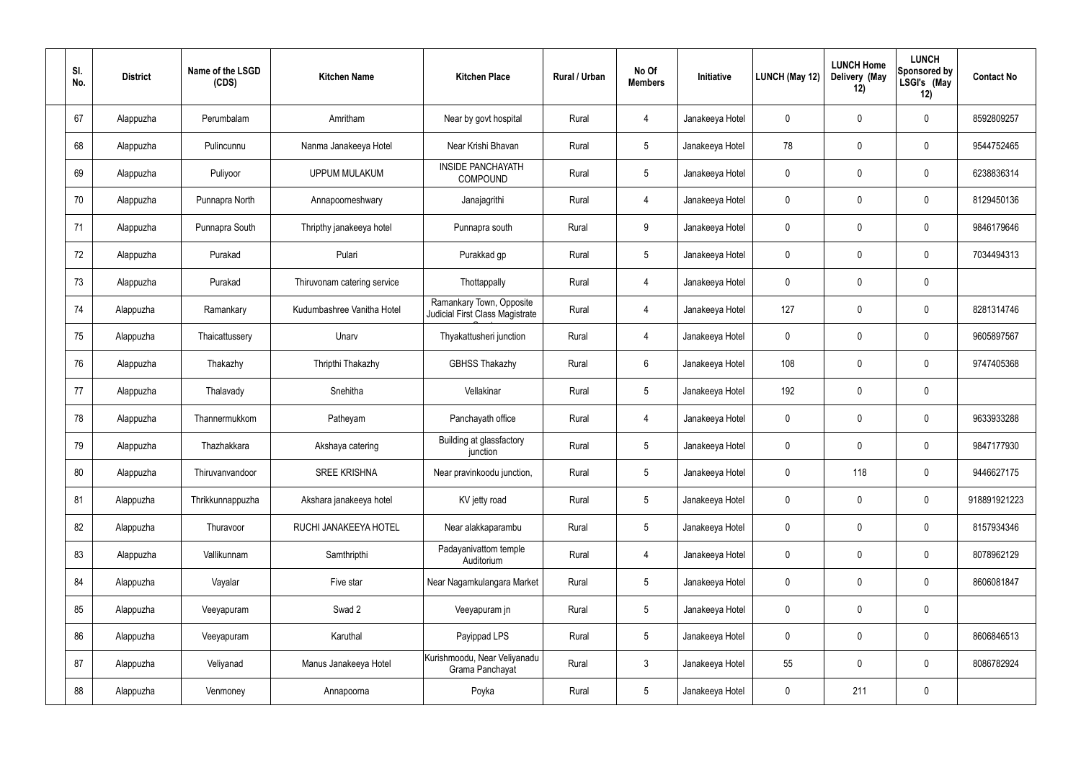| SI.<br>No. | <b>District</b> | Name of the LSGD<br>(CDS) | <b>Kitchen Name</b>         | <b>Kitchen Place</b>                                        | Rural / Urban | No Of<br><b>Members</b> | Initiative      | LUNCH (May 12) | <b>LUNCH Home</b><br>Delivery (May<br>12) | <b>LUNCH</b><br>Sponsored by<br>LSGI's (May<br>12) | <b>Contact No</b> |
|------------|-----------------|---------------------------|-----------------------------|-------------------------------------------------------------|---------------|-------------------------|-----------------|----------------|-------------------------------------------|----------------------------------------------------|-------------------|
| 67         | Alappuzha       | Perumbalam                | Amritham                    | Near by govt hospital                                       | Rural         | 4                       | Janakeeya Hotel | $\mathbf 0$    | $\mathbf 0$                               | $\mathbf 0$                                        | 8592809257        |
| 68         | Alappuzha       | Pulincunnu                | Nanma Janakeeya Hotel       | Near Krishi Bhavan                                          | Rural         | $5\phantom{.0}$         | Janakeeya Hotel | 78             | $\mathbf 0$                               | $\overline{0}$                                     | 9544752465        |
| 69         | Alappuzha       | Puliyoor                  | <b>UPPUM MULAKUM</b>        | <b>INSIDE PANCHAYATH</b><br>COMPOUND                        | Rural         | $5\phantom{.0}$         | Janakeeya Hotel | $\mathbf 0$    | $\mathbf 0$                               | $\mathbf 0$                                        | 6238836314        |
| 70         | Alappuzha       | Punnapra North            | Annapoorneshwary            | Janajagrithi                                                | Rural         | $\overline{4}$          | Janakeeya Hotel | $\mathbf 0$    | $\mathbf 0$                               | $\mathbf 0$                                        | 8129450136        |
| 71         | Alappuzha       | Punnapra South            | Thripthy janakeeya hotel    | Punnapra south                                              | Rural         | 9                       | Janakeeya Hotel | $\mathbf 0$    | $\mathbf 0$                               | $\mathbf 0$                                        | 9846179646        |
| 72         | Alappuzha       | Purakad                   | Pulari                      | Purakkad gp                                                 | Rural         | $5\overline{)}$         | Janakeeya Hotel | $\mathbf 0$    | $\mathbf 0$                               | $\mathbf 0$                                        | 7034494313        |
| 73         | Alappuzha       | Purakad                   | Thiruvonam catering service | Thottappally                                                | Rural         | $\overline{4}$          | Janakeeya Hotel | $\mathbf 0$    | $\mathbf 0$                               | $\mathbf 0$                                        |                   |
| 74         | Alappuzha       | Ramankary                 | Kudumbashree Vanitha Hotel  | Ramankary Town, Opposite<br>Judicial First Class Magistrate | Rural         | 4                       | Janakeeya Hotel | 127            | $\mathbf 0$                               | $\mathbf 0$                                        | 8281314746        |
| 75         | Alappuzha       | Thaicattussery            | Unarv                       | Thyakattusheri junction                                     | Rural         | 4                       | Janakeeya Hotel | $\mathbf 0$    | $\mathbf 0$                               | $\mathbf 0$                                        | 9605897567        |
| 76         | Alappuzha       | Thakazhy                  | Thripthi Thakazhy           | <b>GBHSS Thakazhy</b>                                       | Rural         | 6                       | Janakeeya Hotel | 108            | $\mathbf 0$                               | $\mathbf 0$                                        | 9747405368        |
| 77         | Alappuzha       | Thalavady                 | Snehitha                    | Vellakinar                                                  | Rural         | $5\phantom{.0}$         | Janakeeya Hotel | 192            | 0                                         | $\mathbf 0$                                        |                   |
| 78         | Alappuzha       | Thannermukkom             | Patheyam                    | Panchayath office                                           | Rural         | 4                       | Janakeeya Hotel | $\mathbf 0$    | $\mathbf 0$                               | $\mathbf 0$                                        | 9633933288        |
| 79         | Alappuzha       | Thazhakkara               | Akshaya catering            | Building at glassfactory<br>junction                        | Rural         | $5\phantom{.0}$         | Janakeeya Hotel | $\mathbf 0$    | $\mathbf 0$                               | $\mathbf 0$                                        | 9847177930        |
| 80         | Alappuzha       | Thiruvanvandoor           | <b>SREE KRISHNA</b>         | Near pravinkoodu junction,                                  | Rural         | 5 <sub>5</sub>          | Janakeeya Hotel | $\mathbf 0$    | 118                                       | $\mathbf 0$                                        | 9446627175        |
| 81         | Alappuzha       | Thrikkunnappuzha          | Akshara janakeeya hotel     | KV jetty road                                               | Rural         | $5\overline{)}$         | Janakeeya Hotel | $\mathbf 0$    | $\pmb{0}$                                 | $\boldsymbol{0}$                                   | 918891921223      |
| 82         | Alappuzha       | Thuravoor                 | RUCHI JANAKEEYA HOTEL       | Near alakkaparambu                                          | Rural         | $5\overline{)}$         | Janakeeya Hotel | $\pmb{0}$      | $\pmb{0}$                                 | $\pmb{0}$                                          | 8157934346        |
| 83         | Alappuzha       | Vallikunnam               | Samthripthi                 | Padayanivattom temple<br>Auditorium                         | Rural         | $\overline{4}$          | Janakeeya Hotel | $\mathbf 0$    | $\pmb{0}$                                 | $\pmb{0}$                                          | 8078962129        |
| 84         | Alappuzha       | Vayalar                   | Five star                   | Near Nagamkulangara Market                                  | Rural         | $5\overline{)}$         | Janakeeya Hotel | $\mathbf 0$    | $\pmb{0}$                                 | $\pmb{0}$                                          | 8606081847        |
| 85         | Alappuzha       | Veeyapuram                | Swad 2                      | Veeyapuram jn                                               | Rural         | $5\phantom{.0}$         | Janakeeya Hotel | $\mathbf 0$    | $\pmb{0}$                                 | $\mathbf 0$                                        |                   |
| 86         | Alappuzha       | Veeyapuram                | Karuthal                    | Payippad LPS                                                | Rural         | $5\overline{)}$         | Janakeeya Hotel | $\mathbf 0$    | $\pmb{0}$                                 | $\pmb{0}$                                          | 8606846513        |
| 87         | Alappuzha       | Veliyanad                 | Manus Janakeeya Hotel       | Kurishmoodu, Near Veliyanadu<br>Grama Panchayat             | Rural         | $\mathbf{3}$            | Janakeeya Hotel | 55             | $\pmb{0}$                                 | $\mathbf 0$                                        | 8086782924        |
| 88         | Alappuzha       | Venmoney                  | Annapoorna                  | Poyka                                                       | Rural         | 5 <sub>5</sub>          | Janakeeya Hotel | $\pmb{0}$      | 211                                       | $\pmb{0}$                                          |                   |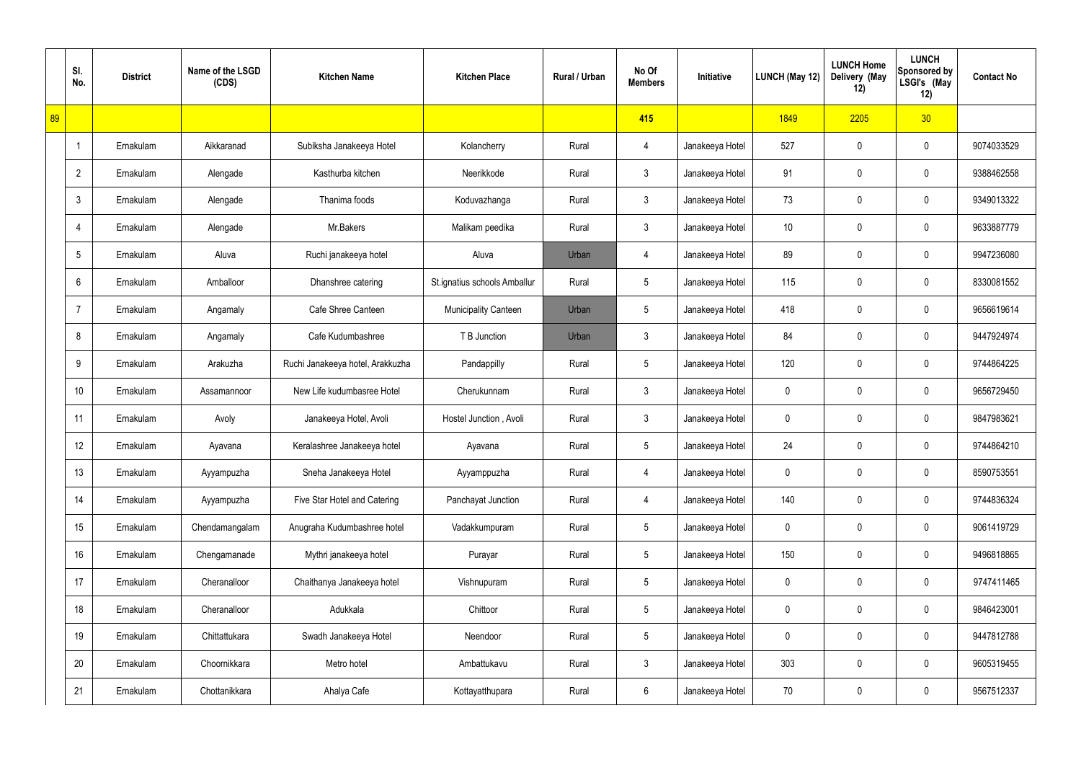|    | SI.<br>No.      | <b>District</b> | Name of the LSGD<br>(CDS) | <b>Kitchen Name</b>              | <b>Kitchen Place</b>         | Rural / Urban | No Of<br><b>Members</b> | Initiative      | LUNCH (May 12)  | <b>LUNCH Home</b><br>Delivery (May<br>12) | <b>LUNCH</b><br><b>Sponsored by</b><br>LSGI's (May<br>12) | <b>Contact No</b> |
|----|-----------------|-----------------|---------------------------|----------------------------------|------------------------------|---------------|-------------------------|-----------------|-----------------|-------------------------------------------|-----------------------------------------------------------|-------------------|
| 89 |                 |                 |                           |                                  |                              |               | 415                     |                 | 1849            | 2205                                      | 30 <sub>o</sub>                                           |                   |
|    | -1              | Ernakulam       | Aikkaranad                | Subiksha Janakeeya Hotel         | Kolancherry                  | Rural         | 4                       | Janakeeya Hotel | 527             | 0                                         | $\mathbf 0$                                               | 9074033529        |
|    | $\overline{2}$  | Ernakulam       | Alengade                  | Kasthurba kitchen                | Neerikkode                   | Rural         | $\mathfrak{Z}$          | Janakeeya Hotel | 91              | 0                                         | $\pmb{0}$                                                 | 9388462558        |
|    | 3               | Ernakulam       | Alengade                  | Thanima foods                    | Koduvazhanga                 | Rural         | $\mathbf{3}$            | Janakeeya Hotel | 73              | 0                                         | $\mathbf 0$                                               | 9349013322        |
|    | $\overline{4}$  | Ernakulam       | Alengade                  | Mr.Bakers                        | Malikam peedika              | Rural         | $\mathfrak{Z}$          | Janakeeya Hotel | 10 <sup>°</sup> | 0                                         | $\pmb{0}$                                                 | 9633887779        |
|    | 5               | Ernakulam       | Aluva                     | Ruchi janakeeya hotel            | Aluva                        | Urban         | 4                       | Janakeeya Hotel | 89              | 0                                         | 0                                                         | 9947236080        |
|    | 6               | Ernakulam       | Amballoor                 | Dhanshree catering               | St.ignatius schools Amballur | Rural         | $5\phantom{.0}$         | Janakeeya Hotel | 115             | 0                                         | $\mathbf 0$                                               | 8330081552        |
|    | $\overline{7}$  | Ernakulam       | Angamaly                  | Cafe Shree Canteen               | <b>Municipality Canteen</b>  | Urban         | $5\phantom{.0}$         | Janakeeya Hotel | 418             | 0                                         | 0                                                         | 9656619614        |
|    | 8               | Ernakulam       | Angamaly                  | Cafe Kudumbashree                | T B Junction                 | Urban         | $\mathfrak{Z}$          | Janakeeya Hotel | 84              | 0                                         | $\mathbf 0$                                               | 9447924974        |
|    | 9               | Ernakulam       | Arakuzha                  | Ruchi Janakeeya hotel, Arakkuzha | Pandappilly                  | Rural         | $5\phantom{.0}$         | Janakeeya Hotel | 120             | $\mathbf 0$                               | $\pmb{0}$                                                 | 9744864225        |
|    | 10 <sup>1</sup> | Ernakulam       | Assamannoor               | New Life kudumbasree Hotel       | Cherukunnam                  | Rural         | $\mathfrak{Z}$          | Janakeeya Hotel | 0               | $\mathbf 0$                               | $\pmb{0}$                                                 | 9656729450        |
|    | 11              | Ernakulam       | Avoly                     | Janakeeya Hotel, Avoli           | Hostel Junction, Avoli       | Rural         | $\mathfrak{Z}$          | Janakeeya Hotel | 0               | 0                                         | $\pmb{0}$                                                 | 9847983621        |
|    | 12              | Ernakulam       | Ayavana                   | Keralashree Janakeeya hotel      | Ayavana                      | Rural         | $5\phantom{.0}$         | Janakeeya Hotel | 24              | 0                                         | $\mathbf 0$                                               | 9744864210        |
|    | 13              | Ernakulam       | Ayyampuzha                | Sneha Janakeeya Hotel            | Ayyamppuzha                  | Rural         | 4                       | Janakeeya Hotel | $\pmb{0}$       | $\mathbf 0$                               | $\mathbf 0$                                               | 8590753551        |
|    | 14              | Ernakulam       | Ayyampuzha                | Five Star Hotel and Catering     | Panchayat Junction           | Rural         | $\overline{4}$          | Janakeeya Hotel | 140             | $\mathbf 0$                               | $\mathsf{0}$                                              | 9744836324        |
|    | 15              | Ernakulam       | Chendamangalam            | Anugraha Kudumbashree hotel      | Vadakkumpuram                | Rural         | $\overline{5}$          | Janakeeya Hotel | $\mathbf 0$     | $\mathbf 0$                               | $\mathsf{0}$                                              | 9061419729        |
|    | 16              | Ernakulam       | Chengamanade              | Mythri janakeeya hotel           | Purayar                      | Rural         | $5\phantom{.0}$         | Janakeeya Hotel | 150             | $\mathbf 0$                               | $\mathsf{0}$                                              | 9496818865        |
|    | 17              | Ernakulam       | Cheranalloor              | Chaithanya Janakeeya hotel       | Vishnupuram                  | Rural         | $\overline{5}$          | Janakeeya Hotel | $\mathbf 0$     | $\mathbf 0$                               | $\mathsf{0}$                                              | 9747411465        |
|    | 18              | Ernakulam       | Cheranalloor              | Adukkala                         | Chittoor                     | Rural         | $5\phantom{.0}$         | Janakeeya Hotel | $\pmb{0}$       | $\mathbf 0$                               | $\mathsf{0}$                                              | 9846423001        |
|    | 19              | Ernakulam       | Chittattukara             | Swadh Janakeeya Hotel            | Neendoor                     | Rural         | $\overline{5}$          | Janakeeya Hotel | $\mathbf 0$     | $\mathbf 0$                               | $\mathsf{0}$                                              | 9447812788        |
|    | 20              | Ernakulam       | Choornikkara              | Metro hotel                      | Ambattukavu                  | Rural         | $\mathfrak{Z}$          | Janakeeya Hotel | 303             | $\mathbf 0$                               | $\mathbf 0$                                               | 9605319455        |
|    | 21              | Ernakulam       | Chottanikkara             | Ahalya Cafe                      | Kottayatthupara              | Rural         | $6\,$                   | Janakeeya Hotel | 70              | $\pmb{0}$                                 | $\mathsf{0}$                                              | 9567512337        |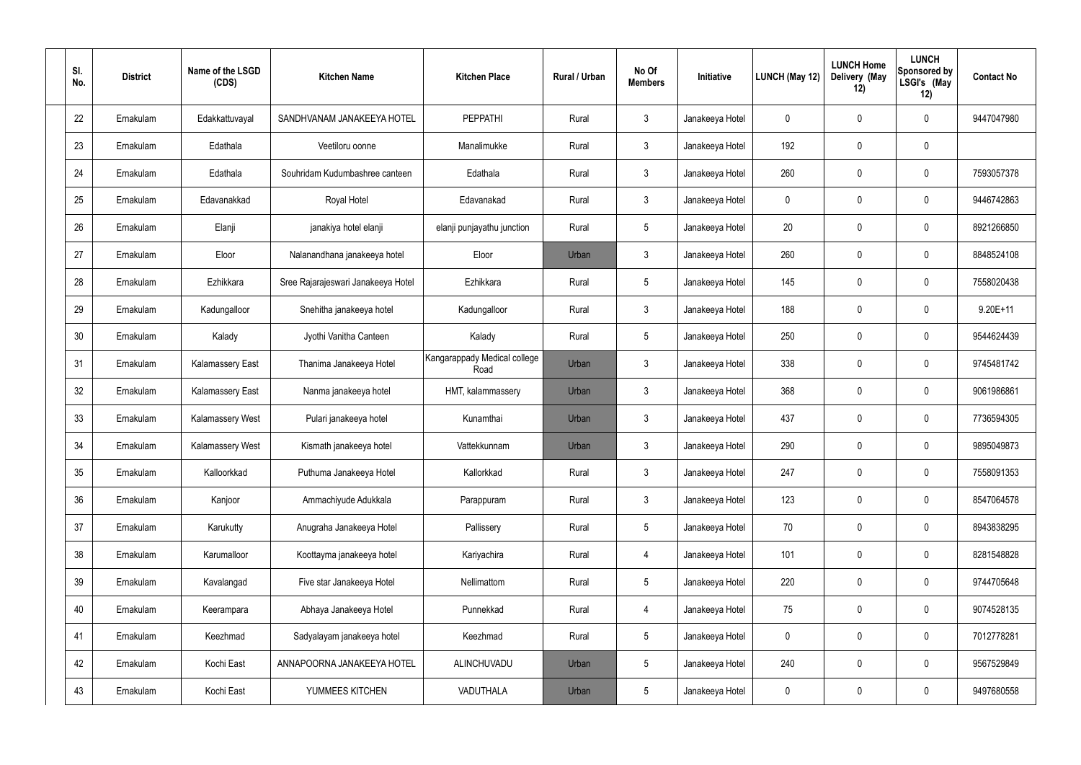| SI.<br>No. | <b>District</b> | Name of the LSGD<br>(CDS) | <b>Kitchen Name</b>                | <b>Kitchen Place</b>                 | Rural / Urban | No Of<br><b>Members</b> | Initiative      | LUNCH (May 12) | <b>LUNCH Home</b><br>Delivery (May<br>12) | <b>LUNCH</b><br>Sponsored by<br>LSGI's (May<br>12) | <b>Contact No</b> |
|------------|-----------------|---------------------------|------------------------------------|--------------------------------------|---------------|-------------------------|-----------------|----------------|-------------------------------------------|----------------------------------------------------|-------------------|
| 22         | Ernakulam       | Edakkattuvayal            | SANDHVANAM JANAKEEYA HOTEL         | <b>PEPPATHI</b>                      | Rural         | $\mathfrak{Z}$          | Janakeeya Hotel | 0              | 0                                         | $\boldsymbol{0}$                                   | 9447047980        |
| 23         | Ernakulam       | Edathala                  | Veetiloru oonne                    | Manalimukke                          | Rural         | $\mathbf{3}$            | Janakeeya Hotel | 192            | 0                                         | $\pmb{0}$                                          |                   |
| 24         | Ernakulam       | Edathala                  | Souhridam Kudumbashree canteen     | Edathala                             | Rural         | $\mathbf{3}$            | Janakeeya Hotel | 260            | 0                                         | $\boldsymbol{0}$                                   | 7593057378        |
| 25         | Ernakulam       | Edavanakkad               | Royal Hotel                        | Edavanakad                           | Rural         | $\mathfrak{Z}$          | Janakeeya Hotel | 0              | 0                                         | $\boldsymbol{0}$                                   | 9446742863        |
| 26         | Ernakulam       | Elanji                    | janakiya hotel elanji              | elanji punjayathu junction           | Rural         | $5\,$                   | Janakeeya Hotel | 20             | 0                                         | $\boldsymbol{0}$                                   | 8921266850        |
| 27         | Ernakulam       | Eloor                     | Nalanandhana janakeeya hotel       | Eloor                                | Urban         | $\mathbf{3}$            | Janakeeya Hotel | 260            | 0                                         | $\boldsymbol{0}$                                   | 8848524108        |
| 28         | Ernakulam       | Ezhikkara                 | Sree Rajarajeswari Janakeeya Hotel | Ezhikkara                            | Rural         | $5\,$                   | Janakeeya Hotel | 145            | $\boldsymbol{0}$                          | $\boldsymbol{0}$                                   | 7558020438        |
| 29         | Ernakulam       | Kadungalloor              | Snehitha janakeeya hotel           | Kadungalloor                         | Rural         | $\mathfrak{Z}$          | Janakeeya Hotel | 188            | 0                                         | $\boldsymbol{0}$                                   | $9.20E + 11$      |
| 30         | Ernakulam       | Kalady                    | Jyothi Vanitha Canteen             | Kalady                               | Rural         | $5\,$                   | Janakeeya Hotel | 250            | $\boldsymbol{0}$                          | $\boldsymbol{0}$                                   | 9544624439        |
| 31         | Ernakulam       | <b>Kalamassery East</b>   | Thanima Janakeeya Hotel            | Kangarappady Medical college<br>Road | Urban         | 3                       | Janakeeya Hotel | 338            | 0                                         | $\boldsymbol{0}$                                   | 9745481742        |
| 32         | Ernakulam       | <b>Kalamassery East</b>   | Nanma janakeeya hotel              | HMT, kalammassery                    | Urban         | $\mathbf{3}$            | Janakeeya Hotel | 368            | 0                                         | $\boldsymbol{0}$                                   | 9061986861        |
| 33         | Ernakulam       | <b>Kalamassery West</b>   | Pulari janakeeya hotel             | Kunamthai                            | Urban         | $\mathbf{3}$            | Janakeeya Hotel | 437            | 0                                         | $\boldsymbol{0}$                                   | 7736594305        |
| 34         | Ernakulam       | Kalamassery West          | Kismath janakeeya hotel            | Vattekkunnam                         | Urban         | 3                       | Janakeeya Hotel | 290            | 0                                         | $\boldsymbol{0}$                                   | 9895049873        |
| 35         | Ernakulam       | Kalloorkkad               | Puthuma Janakeeya Hotel            | Kallorkkad                           | Rural         | $\mathbf{3}$            | Janakeeya Hotel | 247            | 0                                         | $\mathbf 0$                                        | 7558091353        |
| 36         | Ernakulam       | Kanjoor                   | Ammachiyude Adukkala               | Parappuram                           | Rural         | $\mathbf{3}$            | Janakeeya Hotel | 123            | $\mathsf{0}$                              | $\mathbf 0$                                        | 8547064578        |
| 37         | Ernakulam       | Karukutty                 | Anugraha Janakeeya Hotel           | Pallissery                           | Rural         | $5\phantom{.0}$         | Janakeeya Hotel | 70             | 0                                         | $\mathbf 0$                                        | 8943838295        |
| 38         | Ernakulam       | Karumalloor               | Koottayma janakeeya hotel          | Kariyachira                          | Rural         | 4                       | Janakeeya Hotel | 101            | 0                                         | $\mathbf 0$                                        | 8281548828        |
| 39         | Ernakulam       | Kavalangad                | Five star Janakeeya Hotel          | Nellimattom                          | Rural         | $5\phantom{.0}$         | Janakeeya Hotel | 220            | 0                                         | $\mathbf 0$                                        | 9744705648        |
| 40         | Ernakulam       | Keerampara                | Abhaya Janakeeya Hotel             | Punnekkad                            | Rural         | 4                       | Janakeeya Hotel | 75             | 0                                         | $\mathbf 0$                                        | 9074528135        |
| 41         | Ernakulam       | Keezhmad                  | Sadyalayam janakeeya hotel         | Keezhmad                             | Rural         | $5\phantom{.0}$         | Janakeeya Hotel | 0              | 0                                         | $\mathbf 0$                                        | 7012778281        |
| 42         | Ernakulam       | Kochi East                | ANNAPOORNA JANAKEEYA HOTEL         | ALINCHUVADU                          | Urban         | $5\phantom{.0}$         | Janakeeya Hotel | 240            | 0                                         | $\mathbf 0$                                        | 9567529849        |
| 43         | Ernakulam       | Kochi East                | YUMMEES KITCHEN                    | VADUTHALA                            | Urban         | $5\,$                   | Janakeeya Hotel | 0              | $\pmb{0}$                                 | $\pmb{0}$                                          | 9497680558        |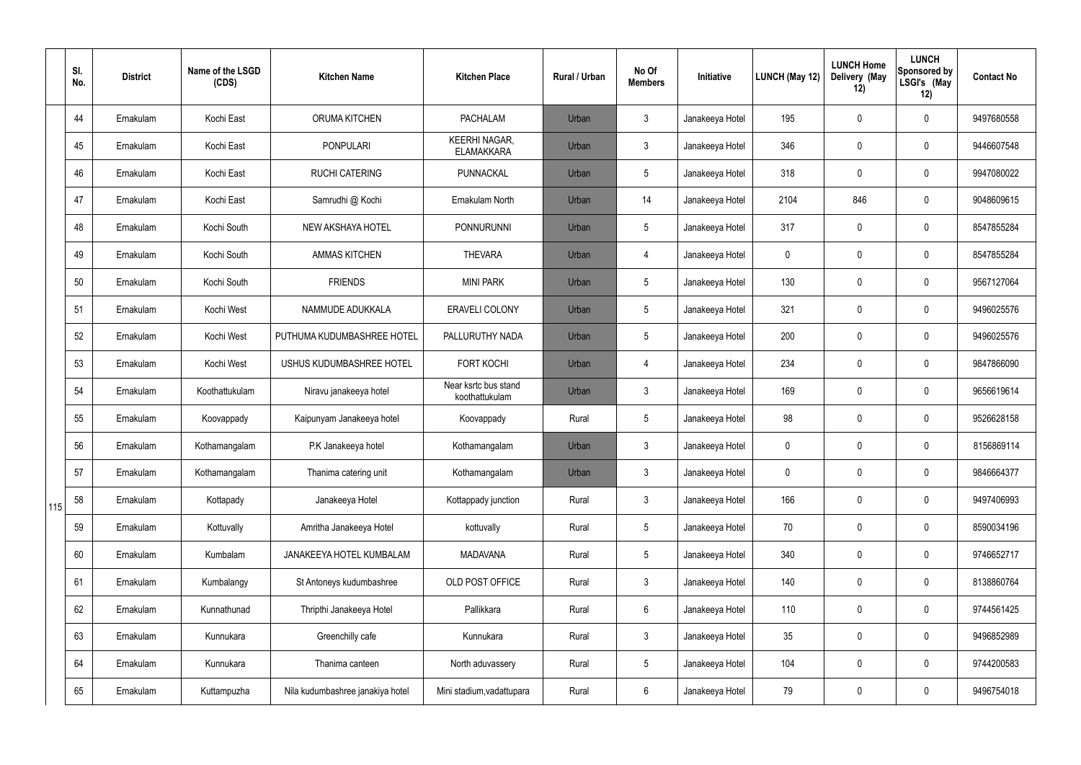|     | SI.<br>No. | <b>District</b> | Name of the LSGD<br>(CDS) | <b>Kitchen Name</b>              | <b>Kitchen Place</b>                      | Rural / Urban | No Of<br><b>Members</b> | Initiative      | <b>LUNCH (May 12)</b> | <b>LUNCH Home</b><br>Delivery (May<br>12) | <b>LUNCH</b><br><b>Sponsored by</b><br>LSGI's (May<br>12) | <b>Contact No</b> |
|-----|------------|-----------------|---------------------------|----------------------------------|-------------------------------------------|---------------|-------------------------|-----------------|-----------------------|-------------------------------------------|-----------------------------------------------------------|-------------------|
|     | 44         | Ernakulam       | Kochi East                | <b>ORUMA KITCHEN</b>             | <b>PACHALAM</b>                           | Urban         | $\mathfrak{Z}$          | Janakeeya Hotel | 195                   | 0                                         | $\pmb{0}$                                                 | 9497680558        |
|     | 45         | Ernakulam       | Kochi East                | <b>PONPULARI</b>                 | <b>KEERHI NAGAR,</b><br><b>ELAMAKKARA</b> | Urban         | $\mathbf{3}$            | Janakeeya Hotel | 346                   | 0                                         | $\pmb{0}$                                                 | 9446607548        |
|     | 46         | Ernakulam       | Kochi East                | <b>RUCHI CATERING</b>            | PUNNACKAL                                 | Urban         | $5\overline{)}$         | Janakeeya Hotel | 318                   | 0                                         | $\pmb{0}$                                                 | 9947080022        |
|     | 47         | Ernakulam       | Kochi East                | Samrudhi @ Kochi                 | Ernakulam North                           | Urban         | 14                      | Janakeeya Hotel | 2104                  | 846                                       | $\pmb{0}$                                                 | 9048609615        |
|     | 48         | Ernakulam       | Kochi South               | NEW AKSHAYA HOTEL                | PONNURUNNI                                | Urban         | $5\overline{)}$         | Janakeeya Hotel | 317                   | 0                                         | $\pmb{0}$                                                 | 8547855284        |
|     | 49         | Ernakulam       | Kochi South               | <b>AMMAS KITCHEN</b>             | <b>THEVARA</b>                            | Urban         | 4                       | Janakeeya Hotel | $\mathbf 0$           | 0                                         | $\pmb{0}$                                                 | 8547855284        |
|     | 50         | Ernakulam       | Kochi South               | <b>FRIENDS</b>                   | <b>MINI PARK</b>                          | Urban         | $5\overline{)}$         | Janakeeya Hotel | 130                   | 0                                         | $\pmb{0}$                                                 | 9567127064        |
|     | 51         | Ernakulam       | Kochi West                | NAMMUDE ADUKKALA                 | <b>ERAVELI COLONY</b>                     | Urban         | 5                       | Janakeeya Hotel | 321                   | 0                                         | 0                                                         | 9496025576        |
|     | 52         | Ernakulam       | Kochi West                | PUTHUMA KUDUMBASHREE HOTEL       | PALLURUTHY NADA                           | Urban         | $5\overline{)}$         | Janakeeya Hotel | 200                   | 0                                         | $\pmb{0}$                                                 | 9496025576        |
|     | 53         | Ernakulam       | Kochi West                | USHUS KUDUMBASHREE HOTEL         | <b>FORT KOCHI</b>                         | Urban         | 4                       | Janakeeya Hotel | 234                   | 0                                         | $\pmb{0}$                                                 | 9847866090        |
|     | 54         | Ernakulam       | Koothattukulam            | Niravu janakeeya hotel           | Near ksrtc bus stand<br>koothattukulam    | Urban         | $\mathfrak{Z}$          | Janakeeya Hotel | 169                   | 0                                         | $\pmb{0}$                                                 | 9656619614        |
|     | 55         | Ernakulam       | Koovappady                | Kaipunyam Janakeeya hotel        | Koovappady                                | Rural         | $5\overline{)}$         | Janakeeya Hotel | 98                    | 0                                         | $\pmb{0}$                                                 | 9526628158        |
|     | 56         | Ernakulam       | Kothamangalam             | P.K Janakeeya hotel              | Kothamangalam                             | Urban         | 3                       | Janakeeya Hotel | 0                     | 0                                         | 0                                                         | 8156869114        |
|     | 57         | Ernakulam       | Kothamangalam             | Thanima catering unit            | Kothamangalam                             | Urban         | 3                       | Janakeeya Hotel | 0                     | 0                                         | $\pmb{0}$                                                 | 9846664377        |
| 115 | 58         | Ernakulam       | Kottapady                 | Janakeeya Hotel                  | Kottappady junction                       | Rural         | $\mathbf{3}$            | Janakeeya Hotel | 166                   | 0                                         | $\mathbf 0$                                               | 9497406993        |
|     | 59         | Ernakulam       | Kottuvally                | Amritha Janakeeya Hotel          | kottuvally                                | Rural         | $5\overline{)}$         | Janakeeya Hotel | 70                    | 0                                         | $\pmb{0}$                                                 | 8590034196        |
|     | 60         | Ernakulam       | Kumbalam                  | JANAKEEYA HOTEL KUMBALAM         | <b>MADAVANA</b>                           | Rural         | $5\overline{)}$         | Janakeeya Hotel | 340                   | 0                                         | $\mathbf 0$                                               | 9746652717        |
|     | 61         | Ernakulam       | Kumbalangy                | St Antoneys kudumbashree         | OLD POST OFFICE                           | Rural         | $\mathbf{3}$            | Janakeeya Hotel | 140                   | 0                                         | $\pmb{0}$                                                 | 8138860764        |
|     | 62         | Ernakulam       | Kunnathunad               | Thripthi Janakeeya Hotel         | Pallikkara                                | Rural         | 6                       | Janakeeya Hotel | 110                   | 0                                         | $\mathbf 0$                                               | 9744561425        |
|     | 63         | Ernakulam       | Kunnukara                 | Greenchilly cafe                 | Kunnukara                                 | Rural         | $\mathbf{3}$            | Janakeeya Hotel | $35\,$                | 0                                         | $\pmb{0}$                                                 | 9496852989        |
|     | 64         | Ernakulam       | Kunnukara                 | Thanima canteen                  | North aduvassery                          | Rural         | $5\overline{)}$         | Janakeeya Hotel | 104                   | 0                                         | $\mathsf{0}$                                              | 9744200583        |
|     | 65         | Ernakulam       | Kuttampuzha               | Nila kudumbashree janakiya hotel | Mini stadium, vadattupara                 | Rural         | 6                       | Janakeeya Hotel | 79                    | 0                                         | 0                                                         | 9496754018        |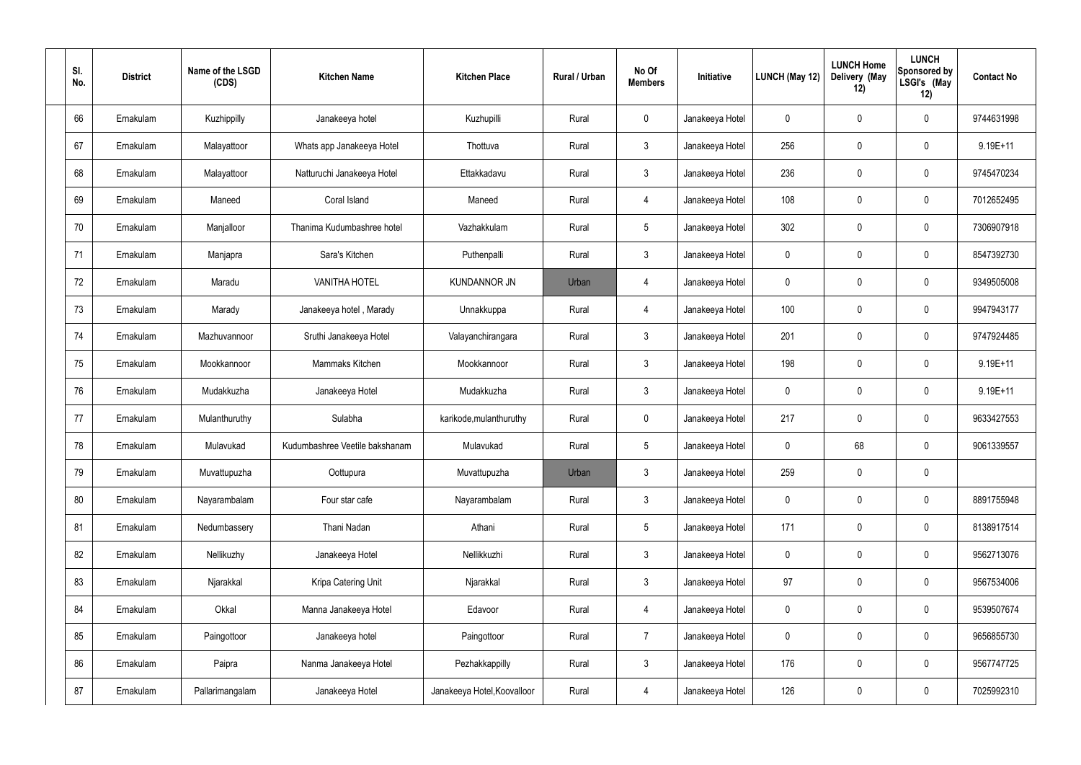| SI.<br>No. | <b>District</b> | Name of the LSGD<br>(CDS) | <b>Kitchen Name</b>            | <b>Kitchen Place</b>        | Rural / Urban | No Of<br><b>Members</b> | Initiative      | <b>LUNCH (May 12)</b> | <b>LUNCH Home</b><br>Delivery (May<br>12) | <b>LUNCH</b><br><b>Sponsored by</b><br>LSGI's (May<br>12) | <b>Contact No</b> |
|------------|-----------------|---------------------------|--------------------------------|-----------------------------|---------------|-------------------------|-----------------|-----------------------|-------------------------------------------|-----------------------------------------------------------|-------------------|
| 66         | Ernakulam       | Kuzhippilly               | Janakeeya hotel                | Kuzhupilli                  | Rural         | $\mathsf{O}$            | Janakeeya Hotel | 0                     | 0                                         | $\pmb{0}$                                                 | 9744631998        |
| 67         | Ernakulam       | Malayattoor               | Whats app Janakeeya Hotel      | Thottuva                    | Rural         | $\mathfrak{Z}$          | Janakeeya Hotel | 256                   | $\mathbf 0$                               | $\pmb{0}$                                                 | $9.19E + 11$      |
| 68         | Ernakulam       | Malayattoor               | Natturuchi Janakeeya Hotel     | Ettakkadavu                 | Rural         | $\mathbf{3}$            | Janakeeya Hotel | 236                   | 0                                         | $\pmb{0}$                                                 | 9745470234        |
| 69         | Ernakulam       | Maneed                    | Coral Island                   | Maneed                      | Rural         | $\overline{4}$          | Janakeeya Hotel | 108                   | $\mathbf 0$                               | $\mathbf 0$                                               | 7012652495        |
| 70         | Ernakulam       | Manjalloor                | Thanima Kudumbashree hotel     | Vazhakkulam                 | Rural         | $5\,$                   | Janakeeya Hotel | 302                   | 0                                         | $\pmb{0}$                                                 | 7306907918        |
| 71         | Ernakulam       | Manjapra                  | Sara's Kitchen                 | Puthenpalli                 | Rural         | $\mathfrak{Z}$          | Janakeeya Hotel | 0                     | 0                                         | $\mathbf 0$                                               | 8547392730        |
| 72         | Ernakulam       | Maradu                    | <b>VANITHA HOTEL</b>           | <b>KUNDANNOR JN</b>         | Urban         | $\overline{4}$          | Janakeeya Hotel | 0                     | 0                                         | $\mathbf 0$                                               | 9349505008        |
| 73         | Ernakulam       | Marady                    | Janakeeya hotel, Marady        | Unnakkuppa                  | Rural         | $\overline{4}$          | Janakeeya Hotel | 100                   | 0                                         | $\mathbf 0$                                               | 9947943177        |
| 74         | Ernakulam       | Mazhuvannoor              | Sruthi Janakeeya Hotel         | Valayanchirangara           | Rural         | $\mathbf{3}$            | Janakeeya Hotel | 201                   | 0                                         | $\mathbf 0$                                               | 9747924485        |
| 75         | Ernakulam       | Mookkannoor               | Mammaks Kitchen                | Mookkannoor                 | Rural         | $\mathbf{3}$            | Janakeeya Hotel | 198                   | $\mathbf 0$                               | $\pmb{0}$                                                 | $9.19E + 11$      |
| 76         | Ernakulam       | Mudakkuzha                | Janakeeya Hotel                | Mudakkuzha                  | Rural         | $\mathbf{3}$            | Janakeeya Hotel | 0                     | $\mathbf 0$                               | $\pmb{0}$                                                 | $9.19E + 11$      |
| 77         | Ernakulam       | Mulanthuruthy             | Sulabha                        | karikode, mulanthuruthy     | Rural         | $\mathbf 0$             | Janakeeya Hotel | 217                   | 0                                         | $\pmb{0}$                                                 | 9633427553        |
| 78         | Ernakulam       | Mulavukad                 | Kudumbashree Veetile bakshanam | Mulavukad                   | Rural         | $5\phantom{.0}$         | Janakeeya Hotel | 0                     | 68                                        | $\boldsymbol{0}$                                          | 9061339557        |
| 79         | Ernakulam       | Muvattupuzha              | Oottupura                      | Muvattupuzha                | Urban         | $\mathbf{3}$            | Janakeeya Hotel | 259                   | $\mathbf 0$                               | $\pmb{0}$                                                 |                   |
| 80         | Ernakulam       | Nayarambalam              | Four star cafe                 | Nayarambalam                | Rural         | $\mathbf{3}$            | Janakeeya Hotel | 0                     | $\mathbf 0$                               | $\mathbf 0$                                               | 8891755948        |
| 81         | Ernakulam       | Nedumbassery              | Thani Nadan                    | Athani                      | Rural         | $5\phantom{.0}$         | Janakeeya Hotel | 171                   | 0                                         | $\mathbf 0$                                               | 8138917514        |
| 82         | Ernakulam       | Nellikuzhy                | Janakeeya Hotel                | Nellikkuzhi                 | Rural         | $\mathbf{3}$            | Janakeeya Hotel | 0                     | $\mathbf 0$                               | $\mathbf 0$                                               | 9562713076        |
| 83         | Ernakulam       | Njarakkal                 | Kripa Catering Unit            | Njarakkal                   | Rural         | 3 <sup>1</sup>          | Janakeeya Hotel | 97                    | 0                                         | $\mathbf 0$                                               | 9567534006        |
| 84         | Ernakulam       | Okkal                     | Manna Janakeeya Hotel          | Edavoor                     | Rural         | $\overline{4}$          | Janakeeya Hotel | 0                     | $\mathbf 0$                               | $\mathbf 0$                                               | 9539507674        |
| 85         | Ernakulam       | Paingottoor               | Janakeeya hotel                | Paingottoor                 | Rural         | $\overline{7}$          | Janakeeya Hotel | 0                     | $\mathbf 0$                               | $\mathbf 0$                                               | 9656855730        |
| 86         | Ernakulam       | Paipra                    | Nanma Janakeeya Hotel          | Pezhakkappilly              | Rural         | $\mathbf{3}$            | Janakeeya Hotel | 176                   | $\mathbf 0$                               | $\mathbf 0$                                               | 9567747725        |
| 87         | Ernakulam       | Pallarimangalam           | Janakeeya Hotel                | Janakeeya Hotel, Koovalloor | Rural         | $\overline{4}$          | Janakeeya Hotel | 126                   | 0                                         | $\mathbf 0$                                               | 7025992310        |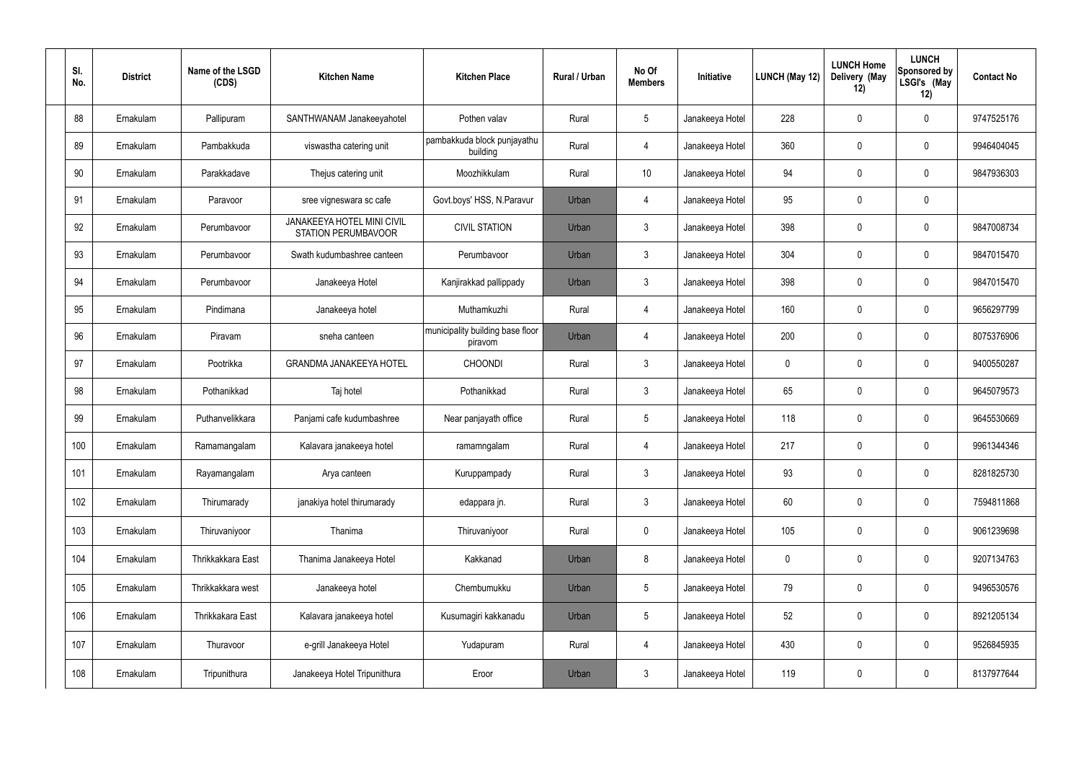| SI.<br>No. | <b>District</b> | Name of the LSGD<br>(CDS) | <b>Kitchen Name</b>                                             | <b>Kitchen Place</b>                        | Rural / Urban | No Of<br><b>Members</b> | Initiative      | LUNCH (May 12) | <b>LUNCH Home</b><br>Delivery (May<br>12) | <b>LUNCH</b><br><b>Sponsored by</b><br>LSGI's (May<br>12) | <b>Contact No</b> |
|------------|-----------------|---------------------------|-----------------------------------------------------------------|---------------------------------------------|---------------|-------------------------|-----------------|----------------|-------------------------------------------|-----------------------------------------------------------|-------------------|
| 88         | Ernakulam       | Pallipuram                | SANTHWANAM Janakeeyahotel                                       | Pothen valav                                | Rural         | $5\phantom{.0}$         | Janakeeya Hotel | 228            | 0                                         | $\pmb{0}$                                                 | 9747525176        |
| 89         | Ernakulam       | Pambakkuda                | viswastha catering unit                                         | pambakkuda block punjayathu<br>building     | Rural         | $\overline{4}$          | Janakeeya Hotel | 360            | $\mathbf 0$                               | $\pmb{0}$                                                 | 9946404045        |
| 90         | Ernakulam       | Parakkadave               | Thejus catering unit                                            | Moozhikkulam                                | Rural         | 10 <sup>°</sup>         | Janakeeya Hotel | 94             | 0                                         | $\pmb{0}$                                                 | 9847936303        |
| 91         | Ernakulam       | Paravoor                  | sree vigneswara sc cafe                                         | Govt.boys' HSS, N.Paravur                   | Urban         | $\overline{4}$          | Janakeeya Hotel | 95             | $\mathbf 0$                               | $\pmb{0}$                                                 |                   |
| 92         | Ernakulam       | Perumbavoor               | <b>JANAKEEYA HOTEL MINI CIVIL</b><br><b>STATION PERUMBAVOOR</b> | <b>CIVIL STATION</b>                        | Urban         | $\mathbf{3}$            | Janakeeya Hotel | 398            | 0                                         | $\pmb{0}$                                                 | 9847008734        |
| 93         | Ernakulam       | Perumbavoor               | Swath kudumbashree canteen                                      | Perumbavoor                                 | Urban         | $\mathbf{3}$            | Janakeeya Hotel | 304            | 0                                         | $\mathbf 0$                                               | 9847015470        |
| 94         | Ernakulam       | Perumbavoor               | Janakeeya Hotel                                                 | Kanjirakkad pallippady                      | Urban         | $\mathbf{3}$            | Janakeeya Hotel | 398            | 0                                         | $\pmb{0}$                                                 | 9847015470        |
| 95         | Ernakulam       | Pindimana                 | Janakeeya hotel                                                 | Muthamkuzhi                                 | Rural         | $\overline{4}$          | Janakeeya Hotel | 160            | 0                                         | $\mathbf 0$                                               | 9656297799        |
| 96         | Ernakulam       | Piravam                   | sneha canteen                                                   | municipality building base floor<br>piravom | Urban         | $\overline{4}$          | Janakeeya Hotel | 200            | 0                                         | $\mathbf 0$                                               | 8075376906        |
| 97         | Ernakulam       | Pootrikka                 | <b>GRANDMA JANAKEEYA HOTEL</b>                                  | <b>CHOONDI</b>                              | Rural         | $\mathfrak{Z}$          | Janakeeya Hotel | 0              | 0                                         | $\pmb{0}$                                                 | 9400550287        |
| 98         | Ernakulam       | Pothanikkad               | Taj hotel                                                       | Pothanikkad                                 | Rural         | $\mathbf{3}$            | Janakeeya Hotel | 65             | $\mathbf 0$                               | $\pmb{0}$                                                 | 9645079573        |
| 99         | Ernakulam       | Puthanvelikkara           | Panjami cafe kudumbashree                                       | Near panjayath office                       | Rural         | $5\phantom{.0}$         | Janakeeya Hotel | 118            | 0                                         | $\pmb{0}$                                                 | 9645530669        |
| 100        | Ernakulam       | Ramamangalam              | Kalavara janakeeya hotel                                        | ramamngalam                                 | Rural         | $\overline{4}$          | Janakeeya Hotel | 217            | $\mathbf 0$                               | $\mathbf 0$                                               | 9961344346        |
| 101        | Ernakulam       | Rayamangalam              | Arya canteen                                                    | Kuruppampady                                | Rural         | $\mathbf{3}$            | Janakeeya Hotel | 93             | $\mathbf 0$                               | $\mathbf 0$                                               | 8281825730        |
| 102        | Ernakulam       | Thirumarady               | janakiya hotel thirumarady                                      | edappara jn.                                | Rural         | $\mathbf{3}$            | Janakeeya Hotel | 60             | $\mathbf 0$                               | $\mathbf 0$                                               | 7594811868        |
| 103        | Ernakulam       | Thiruvaniyoor             | Thanima                                                         | Thiruvaniyoor                               | Rural         | $\mathbf 0$             | Janakeeya Hotel | 105            | 0                                         | $\mathbf 0$                                               | 9061239698        |
| 104        | Ernakulam       | Thrikkakkara East         | Thanima Janakeeya Hotel                                         | Kakkanad                                    | Urban         | 8                       | Janakeeya Hotel | 0              | 0                                         | $\mathbf 0$                                               | 9207134763        |
| 105        | Ernakulam       | Thrikkakkara west         | Janakeeya hotel                                                 | Chembumukku                                 | Urban         | $5\phantom{.0}$         | Janakeeya Hotel | 79             | $\mathbf 0$                               | $\mathbf 0$                                               | 9496530576        |
| 106        | Ernakulam       | Thrikkakara East          | Kalavara janakeeya hotel                                        | Kusumagiri kakkanadu                        | Urban         | $5\phantom{.0}$         | Janakeeya Hotel | 52             | $\mathbf 0$                               | $\mathbf 0$                                               | 8921205134        |
| 107        | Ernakulam       | Thuravoor                 | e-grill Janakeeya Hotel                                         | Yudapuram                                   | Rural         | $\overline{4}$          | Janakeeya Hotel | 430            | $\mathbf 0$                               | $\pmb{0}$                                                 | 9526845935        |
| 108        | Ernakulam       | Tripunithura              | Janakeeya Hotel Tripunithura                                    | Eroor                                       | Urban         | $\mathfrak{Z}$          | Janakeeya Hotel | 119            | 0                                         | $\mathbf 0$                                               | 8137977644        |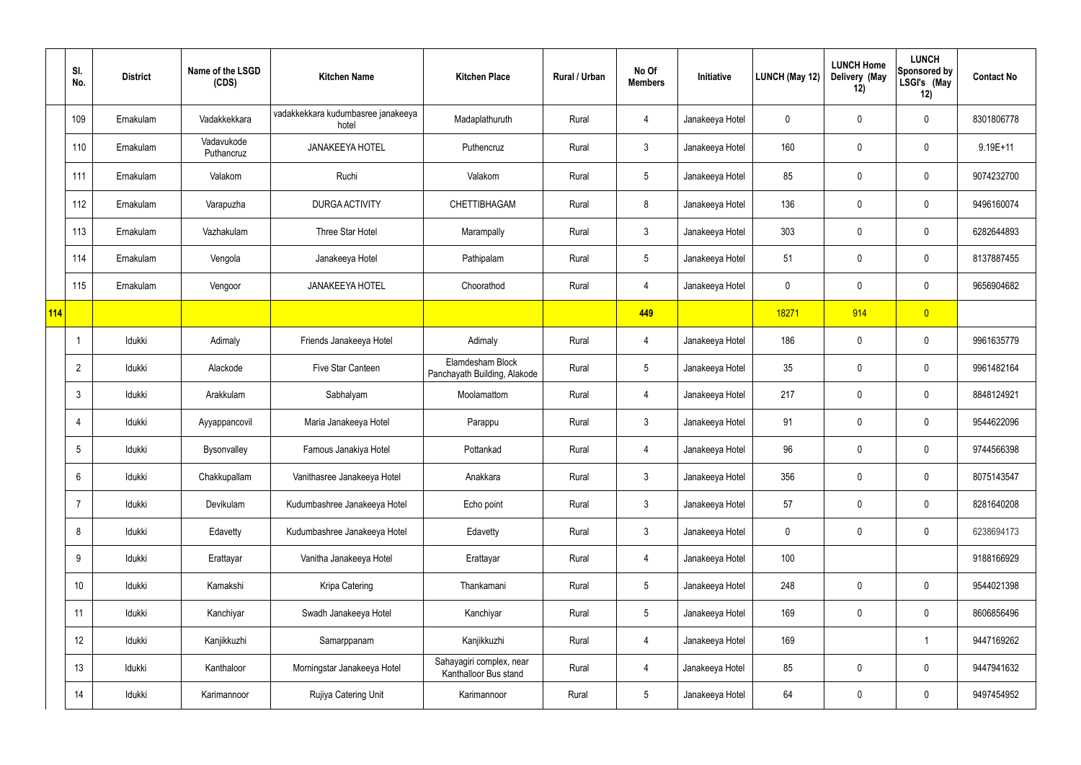|     | SI.<br>No.      | <b>District</b> | Name of the LSGD<br>(CDS) | <b>Kitchen Name</b>                         | <b>Kitchen Place</b>                              | Rural / Urban | No Of<br><b>Members</b> | Initiative      | LUNCH (May 12)   | <b>LUNCH Home</b><br>Delivery (May<br>12) | <b>LUNCH</b><br>Sponsored by<br>LSGI's (May<br>12) | <b>Contact No</b> |
|-----|-----------------|-----------------|---------------------------|---------------------------------------------|---------------------------------------------------|---------------|-------------------------|-----------------|------------------|-------------------------------------------|----------------------------------------------------|-------------------|
|     | 109             | Ernakulam       | Vadakkekkara              | vadakkekkara kudumbasree janakeeya<br>hotel | Madaplathuruth                                    | Rural         | 4                       | Janakeeya Hotel | 0                | 0                                         | $\pmb{0}$                                          | 8301806778        |
|     | 110             | Ernakulam       | Vadavukode<br>Puthancruz  | <b>JANAKEEYA HOTEL</b>                      | Puthencruz                                        | Rural         | $\mathbf{3}$            | Janakeeya Hotel | 160              | 0                                         | $\boldsymbol{0}$                                   | $9.19E + 11$      |
|     | 111             | Ernakulam       | Valakom                   | Ruchi                                       | Valakom                                           | Rural         | $5\phantom{.0}$         | Janakeeya Hotel | 85               | 0                                         | $\pmb{0}$                                          | 9074232700        |
|     | 112             | Ernakulam       | Varapuzha                 | <b>DURGA ACTIVITY</b>                       | CHETTIBHAGAM                                      | Rural         | 8                       | Janakeeya Hotel | 136              | 0                                         | $\pmb{0}$                                          | 9496160074        |
|     | 113             | Ernakulam       | Vazhakulam                | Three Star Hotel                            | Marampally                                        | Rural         | $\mathfrak{Z}$          | Janakeeya Hotel | 303              | 0                                         | $\pmb{0}$                                          | 6282644893        |
|     | 114             | Ernakulam       | Vengola                   | Janakeeya Hotel                             | Pathipalam                                        | Rural         | 5                       | Janakeeya Hotel | 51               | 0                                         | $\pmb{0}$                                          | 8137887455        |
|     | 115             | Ernakulam       | Vengoor                   | <b>JANAKEEYA HOTEL</b>                      | Choorathod                                        | Rural         | 4                       | Janakeeya Hotel | $\boldsymbol{0}$ | 0                                         | $\pmb{0}$                                          | 9656904682        |
| 114 |                 |                 |                           |                                             |                                                   |               | 449                     |                 | 18271            | 914                                       | $\overline{0}$                                     |                   |
|     | $\overline{1}$  | Idukki          | Adimaly                   | Friends Janakeeya Hotel                     | Adimaly                                           | Rural         | 4                       | Janakeeya Hotel | 186              | 0                                         | $\pmb{0}$                                          | 9961635779        |
|     | $\overline{2}$  | Idukki          | Alackode                  | Five Star Canteen                           | Elamdesham Block<br>Panchayath Building, Alakode  | Rural         | 5                       | Janakeeya Hotel | 35               | 0                                         | $\pmb{0}$                                          | 9961482164        |
|     | $\mathfrak{Z}$  | Idukki          | Arakkulam                 | Sabhalyam                                   | Moolamattom                                       | Rural         | 4                       | Janakeeya Hotel | 217              | 0                                         | $\pmb{0}$                                          | 8848124921        |
|     | $\overline{4}$  | Idukki          | Ayyappancovil             | Maria Janakeeya Hotel                       | Parappu                                           | Rural         | $\mathfrak{Z}$          | Janakeeya Hotel | 91               | 0                                         | $\pmb{0}$                                          | 9544622096        |
|     | $5\phantom{.0}$ | Idukki          | Bysonvalley               | Famous Janakiya Hotel                       | Pottankad                                         | Rural         |                         | Janakeeya Hotel | 96               | 0                                         | $\mathbf 0$                                        | 9744566398        |
|     | $6\,$           | Idukki          | Chakkupallam              | Vanithasree Janakeeya Hotel                 | Anakkara                                          | Rural         | $\mathfrak{Z}$          | Janakeeya Hotel | 356              | 0                                         | $\pmb{0}$                                          | 8075143547        |
|     | $\overline{7}$  | Idukki          | Devikulam                 | Kudumbashree Janakeeya Hotel                | Echo point                                        | Rural         | $\mathfrak{Z}$          | Janakeeya Hotel | 57               | 0                                         | $\pmb{0}$                                          | 8281640208        |
|     | 8               | Idukki          | Edavetty                  | Kudumbashree Janakeeya Hotel                | Edavetty                                          | Rural         | $\mathbf{3}$            | Janakeeya Hotel | $\mathbf 0$      | 0                                         | $\mathsf{0}$                                       | 6238694173        |
|     | $9\,$           | Idukki          | Erattayar                 | Vanitha Janakeeya Hotel                     | Erattayar                                         | Rural         | 4                       | Janakeeya Hotel | 100              |                                           |                                                    | 9188166929        |
|     | 10              | Idukki          | Kamakshi                  | Kripa Catering                              | Thankamani                                        | Rural         | $5\phantom{.0}$         | Janakeeya Hotel | 248              | 0                                         | $\pmb{0}$                                          | 9544021398        |
|     | 11              | Idukki          | Kanchiyar                 | Swadh Janakeeya Hotel                       | Kanchiyar                                         | Rural         | $5\phantom{.0}$         | Janakeeya Hotel | 169              | 0                                         | $\mathbf 0$                                        | 8606856496        |
|     | 12              | Idukki          | Kanjikkuzhi               | Samarppanam                                 | Kanjikkuzhi                                       | Rural         | 4                       | Janakeeya Hotel | 169              |                                           | $\mathbf{1}$                                       | 9447169262        |
|     | 13              | Idukki          | Kanthaloor                | Morningstar Janakeeya Hotel                 | Sahayagiri complex, near<br>Kanthalloor Bus stand | Rural         | 4                       | Janakeeya Hotel | 85               | 0                                         | $\mathbf 0$                                        | 9447941632        |
|     | 14              | Idukki          | Karimannoor               | Rujiya Catering Unit                        | Karimannoor                                       | Rural         | $5\phantom{.0}$         | Janakeeya Hotel | 64               | 0                                         | $\mathsf{0}$                                       | 9497454952        |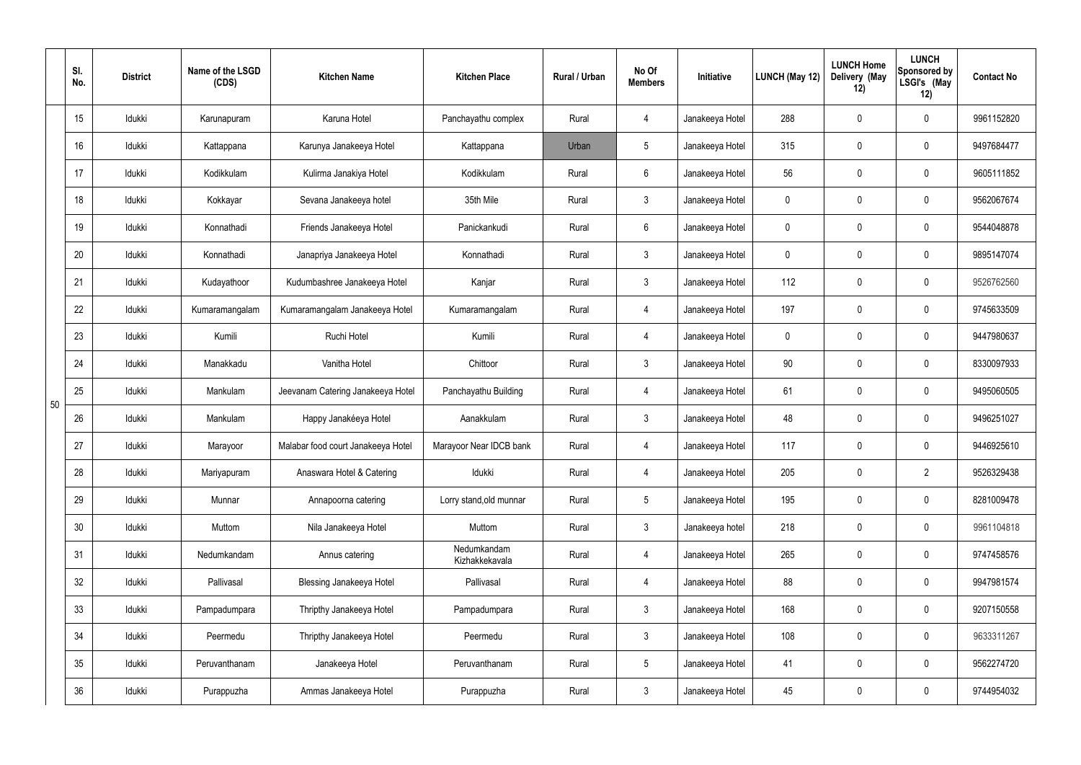|    | SI.<br>No. | <b>District</b> | Name of the LSGD<br>(CDS) | <b>Kitchen Name</b>                | <b>Kitchen Place</b>          | <b>Rural / Urban</b> | No Of<br><b>Members</b> | <b>Initiative</b> | <b>LUNCH (May 12)</b> | <b>LUNCH Home</b><br>Delivery (May<br>12) | <b>LUNCH</b><br>Sponsored by<br>LSGI's (May<br>12) | <b>Contact No</b> |
|----|------------|-----------------|---------------------------|------------------------------------|-------------------------------|----------------------|-------------------------|-------------------|-----------------------|-------------------------------------------|----------------------------------------------------|-------------------|
|    | 15         | Idukki          | Karunapuram               | Karuna Hotel                       | Panchayathu complex           | Rural                | 4                       | Janakeeya Hotel   | 288                   | 0                                         | $\mathbf 0$                                        | 9961152820        |
|    | 16         | Idukki          | Kattappana                | Karunya Janakeeya Hotel            | Kattappana                    | Urban                | $5\phantom{.0}$         | Janakeeya Hotel   | 315                   | 0                                         | $\mathbf 0$                                        | 9497684477        |
|    | 17         | Idukki          | Kodikkulam                | Kulirma Janakiya Hotel             | Kodikkulam                    | Rural                | 6                       | Janakeeya Hotel   | 56                    | 0                                         | $\pmb{0}$                                          | 9605111852        |
|    | 18         | Idukki          | Kokkayar                  | Sevana Janakeeya hotel             | 35th Mile                     | Rural                | $\mathfrak{Z}$          | Janakeeya Hotel   | $\mathbf 0$           | 0                                         | $\mathbf 0$                                        | 9562067674        |
|    | 19         | Idukki          | Konnathadi                | Friends Janakeeya Hotel            | Panickankudi                  | Rural                | $6\overline{6}$         | Janakeeya Hotel   | 0                     | 0                                         | $\pmb{0}$                                          | 9544048878        |
|    | 20         | Idukki          | Konnathadi                | Janapriya Janakeeya Hotel          | Konnathadi                    | Rural                | $\mathfrak{Z}$          | Janakeeya Hotel   | $\mathbf 0$           | 0                                         | $\mathbf 0$                                        | 9895147074        |
|    | 21         | Idukki          | Kudayathoor               | Kudumbashree Janakeeya Hotel       | Kanjar                        | Rural                | $\mathfrak{Z}$          | Janakeeya Hotel   | 112                   | 0                                         | $\pmb{0}$                                          | 9526762560        |
|    | 22         | Idukki          | Kumaramangalam            | Kumaramangalam Janakeeya Hotel     | Kumaramangalam                | Rural                | 4                       | Janakeeya Hotel   | 197                   | 0                                         | $\mathbf 0$                                        | 9745633509        |
|    | 23         | Idukki          | Kumili                    | Ruchi Hotel                        | Kumili                        | Rural                | 4                       | Janakeeya Hotel   | 0                     | 0                                         | 0                                                  | 9447980637        |
|    | 24         | Idukki          | Manakkadu                 | Vanitha Hotel                      | Chittoor                      | Rural                | $\mathfrak{Z}$          | Janakeeya Hotel   | 90                    | 0                                         | $\mathbf 0$                                        | 8330097933        |
| 50 | 25         | Idukki          | Mankulam                  | Jeevanam Catering Janakeeya Hotel  | Panchayathu Building          | Rural                | 4                       | Janakeeya Hotel   | 61                    | 0                                         | 0                                                  | 9495060505        |
|    | 26         | Idukki          | Mankulam                  | Happy Janakéeya Hotel              | Aanakkulam                    | Rural                | $\mathfrak{Z}$          | Janakeeya Hotel   | 48                    | 0                                         | $\mathbf 0$                                        | 9496251027        |
|    | 27         | Idukki          | Marayoor                  | Malabar food court Janakeeya Hotel | Marayoor Near IDCB bank       | Rural                | $\overline{4}$          | Janakeeya Hotel   | 117                   | 0                                         | $\mathbf 0$                                        | 9446925610        |
|    | 28         | Idukki          | Mariyapuram               | Anaswara Hotel & Catering          | Idukki                        | Rural                | $\overline{4}$          | Janakeeya Hotel   | 205                   | 0                                         | $\overline{2}$                                     | 9526329438        |
|    | 29         | Idukki          | Munnar                    | Annapoorna catering                | Lorry stand, old munnar       | Rural                | $5\phantom{.0}$         | Janakeeya Hotel   | 195                   | $\mathbf 0$                               | $\pmb{0}$                                          | 8281009478        |
|    | 30         | Idukki          | Muttom                    | Nila Janakeeya Hotel               | Muttom                        | Rural                | $\mathfrak{Z}$          | Janakeeya hotel   | 218                   | 0                                         | $\mathbf 0$                                        | 9961104818        |
|    | 31         | Idukki          | Nedumkandam               | Annus catering                     | Nedumkandam<br>Kizhakkekavala | Rural                | $\overline{4}$          | Janakeeya Hotel   | 265                   | $\mathbf 0$                               | $\mathsf{0}$                                       | 9747458576        |
|    | 32         | Idukki          | Pallivasal                | <b>Blessing Janakeeya Hotel</b>    | Pallivasal                    | Rural                | 4                       | Janakeeya Hotel   | 88                    | 0                                         | $\mathbf 0$                                        | 9947981574        |
|    | 33         | Idukki          | Pampadumpara              | Thripthy Janakeeya Hotel           | Pampadumpara                  | Rural                | $\mathbf{3}$            | Janakeeya Hotel   | 168                   | $\mathbf 0$                               | $\mathbf 0$                                        | 9207150558        |
|    | 34         | Idukki          | Peermedu                  | Thripthy Janakeeya Hotel           | Peermedu                      | Rural                | $\mathbf{3}$            | Janakeeya Hotel   | 108                   | $\mathbf 0$                               | $\mathbf 0$                                        | 9633311267        |
|    | 35         | Idukki          | Peruvanthanam             | Janakeeya Hotel                    | Peruvanthanam                 | Rural                | $5\phantom{.0}$         | Janakeeya Hotel   | 41                    | $\mathbf 0$                               | $\mathsf{0}$                                       | 9562274720        |
|    | 36         | Idukki          | Purappuzha                | Ammas Janakeeya Hotel              | Purappuzha                    | Rural                | $\mathfrak{Z}$          | Janakeeya Hotel   | 45                    | 0                                         | $\pmb{0}$                                          | 9744954032        |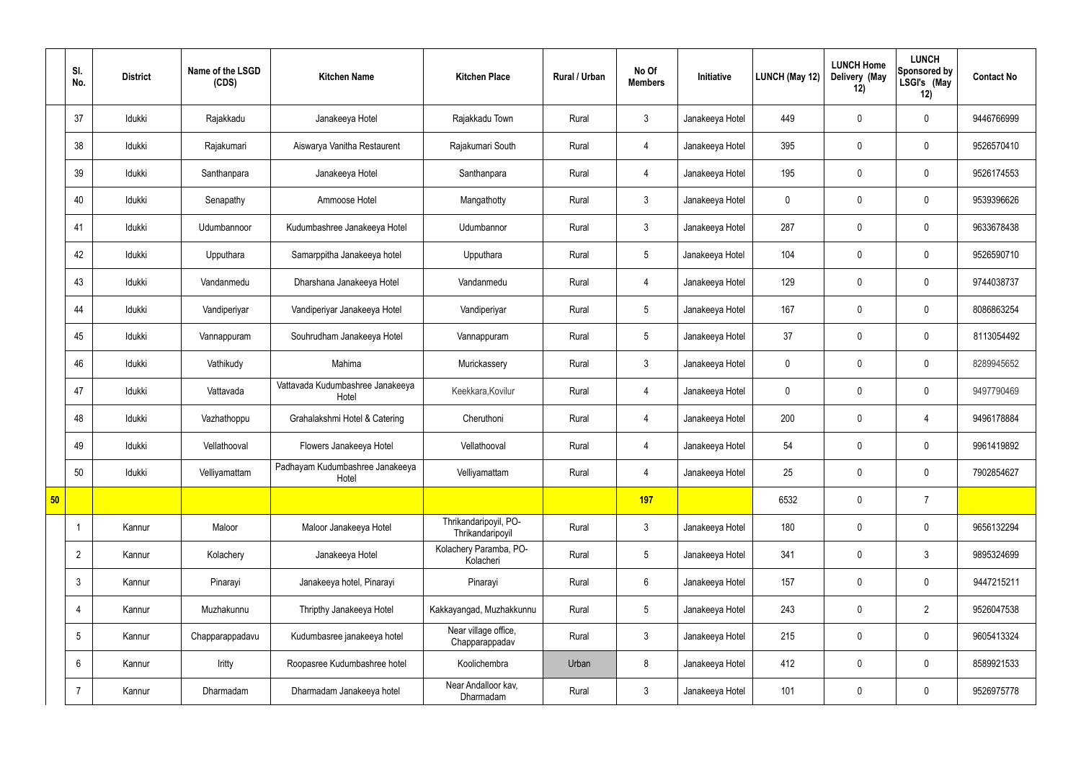|    | SI.<br>No.      | <b>District</b> | Name of the LSGD<br>(CDS) | <b>Kitchen Name</b>                       | <b>Kitchen Place</b>                      | Rural / Urban | No Of<br><b>Members</b> | Initiative      | LUNCH (May 12) | <b>LUNCH Home</b><br>Delivery (May<br>12) | <b>LUNCH</b><br>Sponsored by<br>LSGI's (May<br>12) | <b>Contact No</b> |
|----|-----------------|-----------------|---------------------------|-------------------------------------------|-------------------------------------------|---------------|-------------------------|-----------------|----------------|-------------------------------------------|----------------------------------------------------|-------------------|
|    | 37              | Idukki          | Rajakkadu                 | Janakeeya Hotel                           | Rajakkadu Town                            | Rural         | $\mathbf{3}$            | Janakeeya Hotel | 449            | $\mathbf 0$                               | $\mathbf 0$                                        | 9446766999        |
|    | 38              | Idukki          | Rajakumari                | Aiswarya Vanitha Restaurent               | Rajakumari South                          | Rural         | $\overline{4}$          | Janakeeya Hotel | 395            | $\mathbf 0$                               | $\mathbf 0$                                        | 9526570410        |
|    | 39              | Idukki          | Santhanpara               | Janakeeya Hotel                           | Santhanpara                               | Rural         | $\overline{4}$          | Janakeeya Hotel | 195            | $\mathbf 0$                               | $\mathbf 0$                                        | 9526174553        |
|    | 40              | Idukki          | Senapathy                 | Ammoose Hotel                             | Mangathotty                               | Rural         | $\mathbf{3}$            | Janakeeya Hotel | $\mathbf 0$    | $\mathbf 0$                               | $\mathbf 0$                                        | 9539396626        |
|    | 41              | Idukki          | Udumbannoor               | Kudumbashree Janakeeya Hotel              | Udumbannor                                | Rural         | $\mathfrak{Z}$          | Janakeeya Hotel | 287            | $\mathbf 0$                               | $\mathbf 0$                                        | 9633678438        |
|    | 42              | Idukki          | Upputhara                 | Samarppitha Janakeeya hotel               | Upputhara                                 | Rural         | $5\phantom{.0}$         | Janakeeya Hotel | 104            | $\mathbf 0$                               | $\mathbf 0$                                        | 9526590710        |
|    | 43              | Idukki          | Vandanmedu                | Dharshana Janakeeya Hotel                 | Vandanmedu                                | Rural         | $\overline{4}$          | Janakeeya Hotel | 129            | $\mathbf 0$                               | $\mathbf 0$                                        | 9744038737        |
|    | 44              | Idukki          | Vandiperiyar              | Vandiperiyar Janakeeya Hotel              | Vandiperiyar                              | Rural         | $5\phantom{.0}$         | Janakeeya Hotel | 167            | $\mathbf 0$                               | $\mathbf 0$                                        | 8086863254        |
|    | 45              | Idukki          | Vannappuram               | Souhrudham Janakeeya Hotel                | Vannappuram                               | Rural         | $5\phantom{.0}$         | Janakeeya Hotel | 37             | $\mathbf 0$                               | $\mathbf 0$                                        | 8113054492        |
|    | 46              | Idukki          | Vathikudy                 | Mahima                                    | Murickassery                              | Rural         | $\mathbf{3}$            | Janakeeya Hotel | $\mathbf 0$    | $\mathbf 0$                               | $\mathbf 0$                                        | 8289945652        |
|    | 47              | Idukki          | Vattavada                 | Vattavada Kudumbashree Janakeeya<br>Hotel | Keekkara, Kovilur                         | Rural         | 4                       | Janakeeya Hotel | $\mathbf 0$    | $\pmb{0}$                                 | $\mathbf 0$                                        | 9497790469        |
|    | 48              | Idukki          | Vazhathoppu               | Grahalakshmi Hotel & Catering             | Cheruthoni                                | Rural         | 4                       | Janakeeya Hotel | 200            | $\mathbf 0$                               | $\overline{4}$                                     | 9496178884        |
|    | 49              | Idukki          | Vellathooval              | Flowers Janakeeya Hotel                   | Vellathooval                              | Rural         | 4                       | Janakeeya Hotel | 54             | $\mathbf 0$                               | $\mathbf 0$                                        | 9961419892        |
|    | 50              | Idukki          | Velliyamattam             | Padhayam Kudumbashree Janakeeya<br>Hotel  | Velliyamattam                             | Rural         | 4                       | Janakeeya Hotel | 25             | $\pmb{0}$                                 | $\mathbf 0$                                        | 7902854627        |
| 50 |                 |                 |                           |                                           |                                           |               | 197                     |                 | 6532           | $\pmb{0}$                                 | $\overline{7}$                                     |                   |
|    |                 | Kannur          | Maloor                    | Maloor Janakeeya Hotel                    | Thrikandaripoyil, PO-<br>Thrikandaripoyil | Rural         | $\mathfrak{Z}$          | Janakeeya Hotel | 180            | $\pmb{0}$                                 | $\mathbf 0$                                        | 9656132294        |
|    | $\overline{2}$  | Kannur          | Kolachery                 | Janakeeya Hotel                           | Kolachery Paramba, PO-<br>Kolacheri       | Rural         | $5\phantom{.0}$         | Janakeeya Hotel | 341            | $\pmb{0}$                                 | $\mathfrak{Z}$                                     | 9895324699        |
|    | $\mathbf{3}$    | Kannur          | Pinarayi                  | Janakeeya hotel, Pinarayi                 | Pinarayi                                  | Rural         | $6\phantom{.}6$         | Janakeeya Hotel | 157            | $\pmb{0}$                                 | $\mathbf 0$                                        | 9447215211        |
|    | $\overline{4}$  | Kannur          | Muzhakunnu                | Thripthy Janakeeya Hotel                  | Kakkayangad, Muzhakkunnu                  | Rural         | $5\phantom{.0}$         | Janakeeya Hotel | 243            | $\pmb{0}$                                 | $\overline{2}$                                     | 9526047538        |
|    | $5\phantom{.0}$ | Kannur          | Chapparappadavu           | Kudumbasree janakeeya hotel               | Near village office,<br>Chapparappadav    | Rural         | $\mathbf{3}$            | Janakeeya Hotel | 215            | $\pmb{0}$                                 | $\mathbf 0$                                        | 9605413324        |
|    | 6               | Kannur          | Iritty                    | Roopasree Kudumbashree hotel              | Koolichembra                              | Urban         | 8                       | Janakeeya Hotel | 412            | $\pmb{0}$                                 | $\mathbf 0$                                        | 8589921533        |
|    | $\overline{7}$  | Kannur          | Dharmadam                 | Dharmadam Janakeeya hotel                 | Near Andalloor kav,<br>Dharmadam          | Rural         | $\mathbf{3}$            | Janakeeya Hotel | 101            | $\pmb{0}$                                 | $\mathbf 0$                                        | 9526975778        |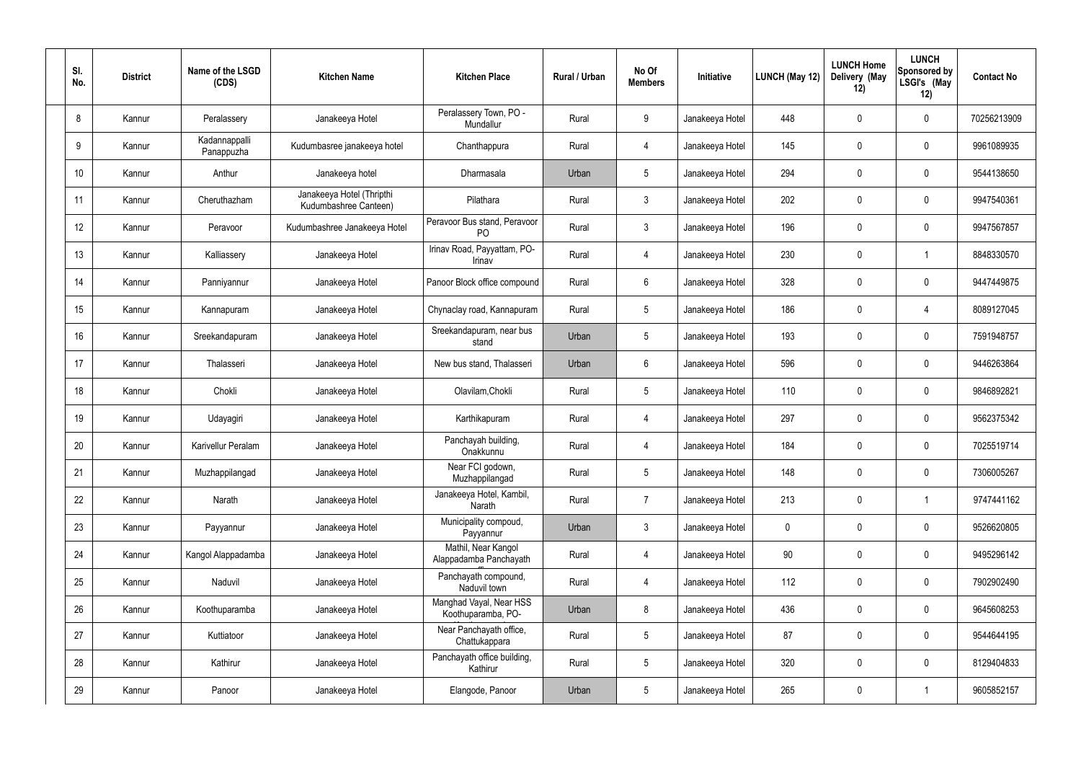| SI.<br>No. | <b>District</b> | Name of the LSGD<br>(CDS)   | <b>Kitchen Name</b>                                | <b>Kitchen Place</b>                           | Rural / Urban | No Of<br><b>Members</b> | Initiative      | <b>LUNCH (May 12)</b> | <b>LUNCH Home</b><br>Delivery (May<br>12) | <b>LUNCH</b><br>Sponsored by<br>LSGI's (May<br>12) | <b>Contact No</b> |
|------------|-----------------|-----------------------------|----------------------------------------------------|------------------------------------------------|---------------|-------------------------|-----------------|-----------------------|-------------------------------------------|----------------------------------------------------|-------------------|
| 8          | Kannur          | Peralassery                 | Janakeeya Hotel                                    | Peralassery Town, PO -<br>Mundallur            | Rural         | 9                       | Janakeeya Hotel | 448                   | 0                                         | $\mathbf 0$                                        | 70256213909       |
| 9          | Kannur          | Kadannappalli<br>Panappuzha | Kudumbasree janakeeya hotel                        | Chanthappura                                   | Rural         | $\overline{4}$          | Janakeeya Hotel | 145                   | 0                                         | $\pmb{0}$                                          | 9961089935        |
| 10         | Kannur          | Anthur                      | Janakeeya hotel                                    | Dharmasala                                     | Urban         | $5\phantom{.0}$         | Janakeeya Hotel | 294                   | $\boldsymbol{0}$                          | $\mathbf 0$                                        | 9544138650        |
| 11         | Kannur          | Cheruthazham                | Janakeeya Hotel (Thripthi<br>Kudumbashree Canteen) | Pilathara                                      | Rural         | $\mathbf{3}$            | Janakeeya Hotel | 202                   | $\boldsymbol{0}$                          | $\pmb{0}$                                          | 9947540361        |
| 12         | Kannur          | Peravoor                    | Kudumbashree Janakeeya Hotel                       | Peravoor Bus stand, Peravoor<br>P <sub>O</sub> | Rural         | $\mathbf{3}$            | Janakeeya Hotel | 196                   | $\boldsymbol{0}$                          | $\mathbf 0$                                        | 9947567857        |
| 13         | Kannur          | Kalliassery                 | Janakeeya Hotel                                    | Irinav Road, Payyattam, PO-<br>Irinav          | Rural         | $\overline{4}$          | Janakeeya Hotel | 230                   | $\boldsymbol{0}$                          |                                                    | 8848330570        |
| 14         | Kannur          | Panniyannur                 | Janakeeya Hotel                                    | Panoor Block office compound                   | Rural         | $6\phantom{.}6$         | Janakeeya Hotel | 328                   | $\boldsymbol{0}$                          | $\mathbf 0$                                        | 9447449875        |
| 15         | Kannur          | Kannapuram                  | Janakeeya Hotel                                    | Chynaclay road, Kannapuram                     | Rural         | $5\phantom{.0}$         | Janakeeya Hotel | 186                   | $\boldsymbol{0}$                          | 4                                                  | 8089127045        |
| 16         | Kannur          | Sreekandapuram              | Janakeeya Hotel                                    | Sreekandapuram, near bus<br>stand              | Urban         | $5\phantom{.0}$         | Janakeeya Hotel | 193                   | 0                                         | $\mathbf 0$                                        | 7591948757        |
| 17         | Kannur          | Thalasseri                  | Janakeeya Hotel                                    | New bus stand, Thalasseri                      | Urban         | $6\phantom{.}6$         | Janakeeya Hotel | 596                   | 0                                         | $\mathbf 0$                                        | 9446263864        |
| 18         | Kannur          | Chokli                      | Janakeeya Hotel                                    | Olavilam, Chokli                               | Rural         | $5\,$                   | Janakeeya Hotel | 110                   | $\boldsymbol{0}$                          | $\mathbf 0$                                        | 9846892821        |
| 19         | Kannur          | Udayagiri                   | Janakeeya Hotel                                    | Karthikapuram                                  | Rural         | 4                       | Janakeeya Hotel | 297                   | 0                                         | $\pmb{0}$                                          | 9562375342        |
| 20         | Kannur          | Karivellur Peralam          | Janakeeya Hotel                                    | Panchayah building,<br>Onakkunnu               | Rural         | 4                       | Janakeeya Hotel | 184                   | 0                                         | $\mathbf 0$                                        | 7025519714        |
| 21         | Kannur          | Muzhappilangad              | Janakeeya Hotel                                    | Near FCI godown,<br>Muzhappilangad             | Rural         | $5\overline{)}$         | Janakeeya Hotel | 148                   | $\pmb{0}$                                 | $\mathbf 0$                                        | 7306005267        |
| 22         | Kannur          | Narath                      | Janakeeya Hotel                                    | Janakeeya Hotel, Kambil,<br>Narath             | Rural         | $\overline{7}$          | Janakeeya Hotel | 213                   | 0                                         | $\overline{1}$                                     | 9747441162        |
| 23         | Kannur          | Payyannur                   | Janakeeya Hotel                                    | Municipality compoud,<br>Payyannur             | Urban         | 3 <sup>1</sup>          | Janakeeya Hotel | $\pmb{0}$             | 0                                         | $\mathbf 0$                                        | 9526620805        |
| 24         | Kannur          | Kangol Alappadamba          | Janakeeya Hotel                                    | Mathil, Near Kangol<br>Alappadamba Panchayath  | Rural         | $\overline{4}$          | Janakeeya Hotel | 90                    | 0                                         | $\mathbf 0$                                        | 9495296142        |
| 25         | Kannur          | Naduvil                     | Janakeeya Hotel                                    | Panchayath compound,<br>Naduvil town           | Rural         | $\overline{4}$          | Janakeeya Hotel | 112                   | 0                                         | $\mathbf 0$                                        | 7902902490        |
| 26         | Kannur          | Koothuparamba               | Janakeeya Hotel                                    | Manghad Vayal, Near HSS<br>Koothuparamba, PO-  | Urban         | 8                       | Janakeeya Hotel | 436                   | 0                                         | $\mathbf 0$                                        | 9645608253        |
| 27         | Kannur          | Kuttiatoor                  | Janakeeya Hotel                                    | Near Panchayath office,<br>Chattukappara       | Rural         | $5\,$                   | Janakeeya Hotel | 87                    | $\pmb{0}$                                 | $\mathbf 0$                                        | 9544644195        |
| 28         | Kannur          | Kathirur                    | Janakeeya Hotel                                    | Panchayath office building,<br>Kathirur        | Rural         | $5\,$                   | Janakeeya Hotel | 320                   | $\pmb{0}$                                 | $\mathbf 0$                                        | 8129404833        |
| 29         | Kannur          | Panoor                      | Janakeeya Hotel                                    | Elangode, Panoor                               | Urban         | $\sqrt{5}$              | Janakeeya Hotel | 265                   | $\pmb{0}$                                 | $\overline{1}$                                     | 9605852157        |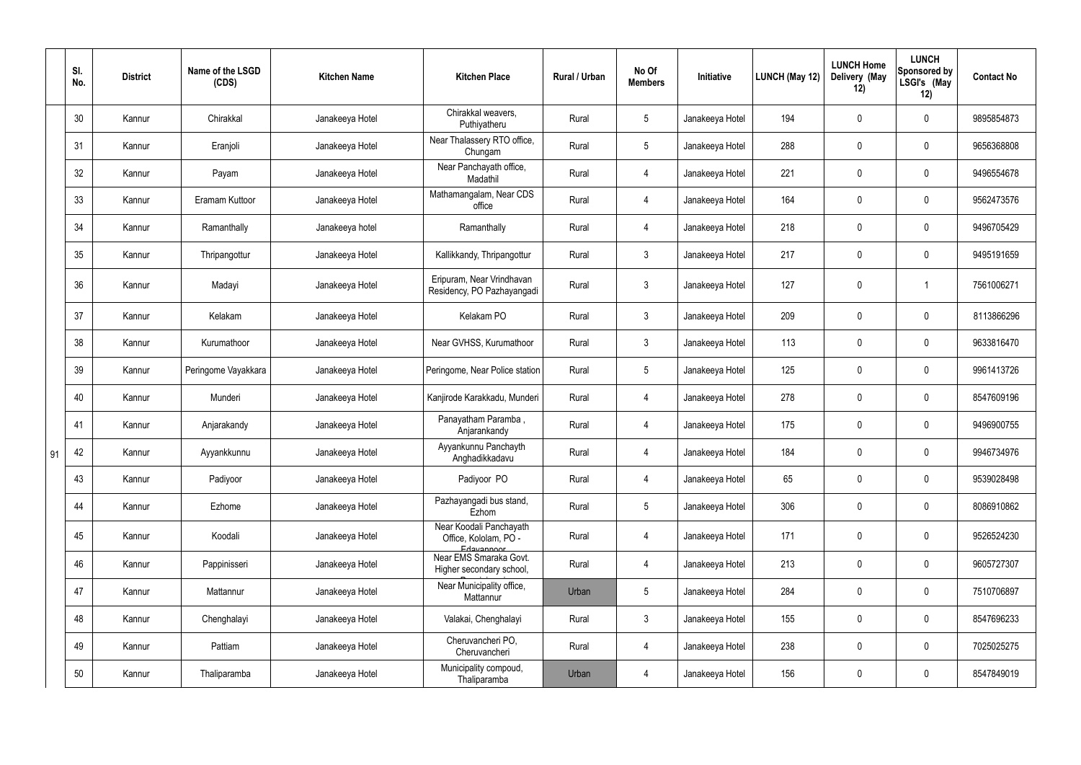|    | SI.<br>No. | <b>District</b> | Name of the LSGD<br>(CDS) | <b>Kitchen Name</b> | <b>Kitchen Place</b>                                           | Rural / Urban | No Of<br><b>Members</b> | Initiative      | <b>LUNCH (May 12)</b> | <b>LUNCH Home</b><br>Delivery (May<br>12) | <b>LUNCH</b><br><b>Sponsored by</b><br>LSGI's (May<br>12) | <b>Contact No</b> |
|----|------------|-----------------|---------------------------|---------------------|----------------------------------------------------------------|---------------|-------------------------|-----------------|-----------------------|-------------------------------------------|-----------------------------------------------------------|-------------------|
|    | 30         | Kannur          | Chirakkal                 | Janakeeya Hotel     | Chirakkal weavers,<br>Puthiyatheru                             | Rural         | $5\phantom{.0}$         | Janakeeya Hotel | 194                   | $\mathbf 0$                               | $\mathbf 0$                                               | 9895854873        |
|    | 31         | Kannur          | Eranjoli                  | Janakeeya Hotel     | Near Thalassery RTO office,<br>Chungam                         | Rural         | $5\phantom{.0}$         | Janakeeya Hotel | 288                   | 0                                         | $\boldsymbol{0}$                                          | 9656368808        |
|    | 32         | Kannur          | Payam                     | Janakeeya Hotel     | Near Panchayath office,<br>Madathil                            | Rural         | $\overline{4}$          | Janakeeya Hotel | 221                   | 0                                         | $\boldsymbol{0}$                                          | 9496554678        |
|    | 33         | Kannur          | Eramam Kuttoor            | Janakeeya Hotel     | Mathamangalam, Near CDS<br>office                              | Rural         | 4                       | Janakeeya Hotel | 164                   | $\boldsymbol{0}$                          | $\boldsymbol{0}$                                          | 9562473576        |
|    | 34         | Kannur          | Ramanthally               | Janakeeya hotel     | Ramanthally                                                    | Rural         | $\overline{4}$          | Janakeeya Hotel | 218                   | $\boldsymbol{0}$                          | $\boldsymbol{0}$                                          | 9496705429        |
|    | $35\,$     | Kannur          | Thripangottur             | Janakeeya Hotel     | Kallikkandy, Thripangottur                                     | Rural         | $\mathbf{3}$            | Janakeeya Hotel | 217                   | $\boldsymbol{0}$                          | $\pmb{0}$                                                 | 9495191659        |
|    | 36         | Kannur          | Madayi                    | Janakeeya Hotel     | Eripuram, Near Vrindhavan<br>Residency, PO Pazhayangadi        | Rural         | $\mathbf{3}$            | Janakeeya Hotel | 127                   | $\boldsymbol{0}$                          | -1                                                        | 7561006271        |
|    | 37         | Kannur          | Kelakam                   | Janakeeya Hotel     | Kelakam PO                                                     | Rural         | $\mathbf{3}$            | Janakeeya Hotel | 209                   | $\boldsymbol{0}$                          | $\boldsymbol{0}$                                          | 8113866296        |
|    | 38         | Kannur          | Kurumathoor               | Janakeeya Hotel     | Near GVHSS, Kurumathoor                                        | Rural         | $\mathbf{3}$            | Janakeeya Hotel | 113                   | $\boldsymbol{0}$                          | $\boldsymbol{0}$                                          | 9633816470        |
|    | 39         | Kannur          | Peringome Vayakkara       | Janakeeya Hotel     | Peringome, Near Police station                                 | Rural         | $5\phantom{.0}$         | Janakeeya Hotel | 125                   | $\boldsymbol{0}$                          | $\boldsymbol{0}$                                          | 9961413726        |
|    | 40         | Kannur          | Munderi                   | Janakeeya Hotel     | Kanjirode Karakkadu, Munderi                                   | Rural         | $\overline{4}$          | Janakeeya Hotel | 278                   | $\boldsymbol{0}$                          | $\mathbf 0$                                               | 8547609196        |
|    | 41         | Kannur          | Anjarakandy               | Janakeeya Hotel     | Panayatham Paramba,<br>Anjarankandy                            | Rural         | 4                       | Janakeeya Hotel | 175                   | 0                                         | $\boldsymbol{0}$                                          | 9496900755        |
| 91 | 42         | Kannur          | Ayyankkunnu               | Janakeeya Hotel     | Ayyankunnu Panchayth<br>Anghadikkadavu                         | Rural         | 4                       | Janakeeya Hotel | 184                   | 0                                         | 0                                                         | 9946734976        |
|    | 43         | Kannur          | Padiyoor                  | Janakeeya Hotel     | Padiyoor PO                                                    | Rural         | 4                       | Janakeeya Hotel | 65                    | 0                                         | $\mathbf 0$                                               | 9539028498        |
|    | 44         | Kannur          | Ezhome                    | Janakeeya Hotel     | Pazhayangadi bus stand,<br>Ezhom                               | Rural         | $5\phantom{.0}$         | Janakeeya Hotel | 306                   | $\pmb{0}$                                 | $\mathbf 0$                                               | 8086910862        |
|    | 45         | Kannur          | Koodali                   | Janakeeya Hotel     | Near Koodali Panchayath<br>Office, Kololam, PO -<br>Edavannoor | Rural         | $\overline{4}$          | Janakeeya Hotel | 171                   | 0                                         | $\pmb{0}$                                                 | 9526524230        |
|    | 46         | Kannur          | Pappinisseri              | Janakeeya Hotel     | Near EMS Smaraka Govt.<br>Higher secondary school,             | Rural         | $\overline{4}$          | Janakeeya Hotel | 213                   | 0                                         | $\mathbf 0$                                               | 9605727307        |
|    | 47         | Kannur          | Mattannur                 | Janakeeya Hotel     | Near Municipality office,<br>Mattannur                         | Urban         | $5\phantom{.0}$         | Janakeeya Hotel | 284                   | 0                                         | $\pmb{0}$                                                 | 7510706897        |
|    | 48         | Kannur          | Chenghalayi               | Janakeeya Hotel     | Valakai, Chenghalayi                                           | Rural         | $\mathbf{3}$            | Janakeeya Hotel | 155                   | 0                                         | $\mathbf 0$                                               | 8547696233        |
|    | 49         | Kannur          | Pattiam                   | Janakeeya Hotel     | Cheruvancheri PO,<br>Cheruvancheri                             | Rural         | $\overline{4}$          | Janakeeya Hotel | 238                   | 0                                         | $\pmb{0}$                                                 | 7025025275        |
|    | 50         | Kannur          | Thaliparamba              | Janakeeya Hotel     | Municipality compoud,<br>Thaliparamba                          | Urban         | 4                       | Janakeeya Hotel | 156                   | 0                                         | $\pmb{0}$                                                 | 8547849019        |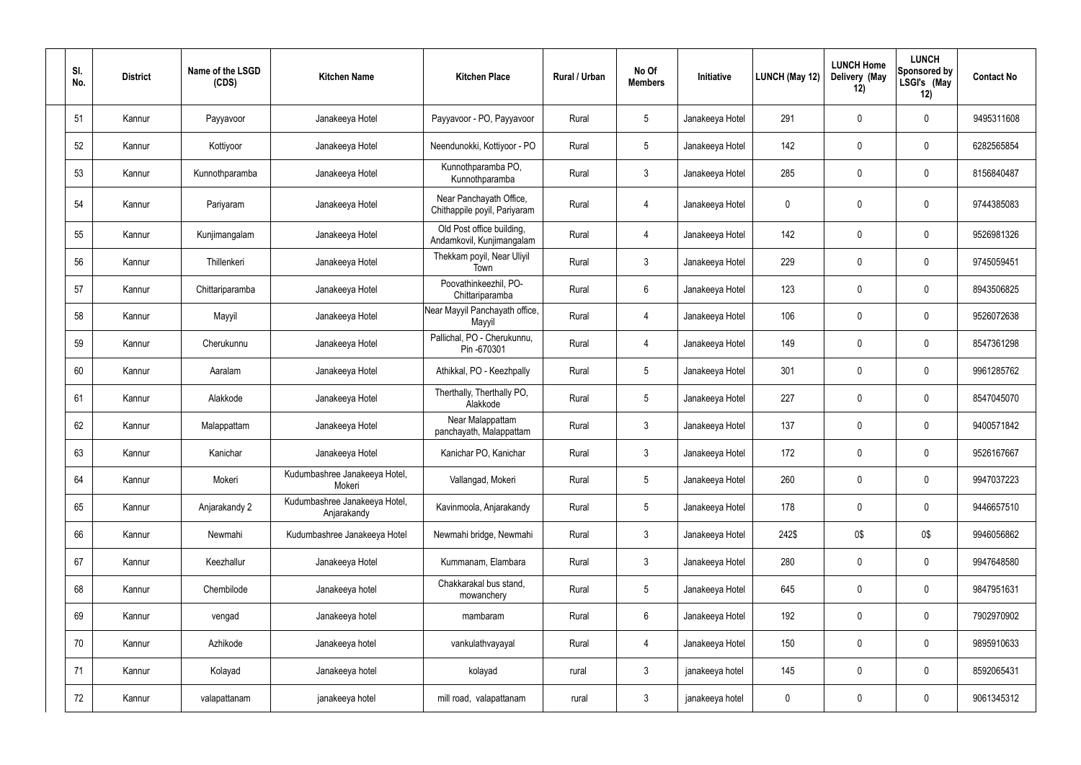| SI.<br>No. | <b>District</b> | Name of the LSGD<br>(CDS) | <b>Kitchen Name</b>                          | <b>Kitchen Place</b>                                    | Rural / Urban | No Of<br><b>Members</b> | Initiative      | LUNCH (May 12) | <b>LUNCH Home</b><br>Delivery (May<br>12) | <b>LUNCH</b><br>Sponsored by<br>LSGI's (May<br>12) | <b>Contact No</b> |
|------------|-----------------|---------------------------|----------------------------------------------|---------------------------------------------------------|---------------|-------------------------|-----------------|----------------|-------------------------------------------|----------------------------------------------------|-------------------|
| 51         | Kannur          | Payyavoor                 | Janakeeya Hotel                              | Payyavoor - PO, Payyavoor                               | Rural         | $5\phantom{.0}$         | Janakeeya Hotel | 291            | 0                                         | $\mathbf 0$                                        | 9495311608        |
| 52         | Kannur          | Kottiyoor                 | Janakeeya Hotel                              | Neendunokki, Kottiyoor - PO                             | Rural         | $5\phantom{.0}$         | Janakeeya Hotel | 142            | $\mathbf 0$                               | $\overline{0}$                                     | 6282565854        |
| 53         | Kannur          | Kunnothparamba            | Janakeeya Hotel                              | Kunnothparamba PO,<br>Kunnothparamba                    | Rural         | $\mathbf{3}$            | Janakeeya Hotel | 285            | $\mathbf 0$                               | $\mathbf 0$                                        | 8156840487        |
| 54         | Kannur          | Pariyaram                 | Janakeeya Hotel                              | Near Panchayath Office,<br>Chithappile poyil, Pariyaram | Rural         | 4                       | Janakeeya Hotel | $\mathbf 0$    | 0                                         | $\mathbf 0$                                        | 9744385083        |
| 55         | Kannur          | Kunjimangalam             | Janakeeya Hotel                              | Old Post office building,<br>Andamkovil, Kunjimangalam  | Rural         | 4                       | Janakeeya Hotel | 142            | 0                                         | $\mathbf 0$                                        | 9526981326        |
| 56         | Kannur          | Thillenkeri               | Janakeeya Hotel                              | Thekkam poyil, Near Uliyil<br>Town                      | Rural         | $\mathbf{3}$            | Janakeeya Hotel | 229            | 0                                         | $\mathbf 0$                                        | 9745059451        |
| 57         | Kannur          | Chittariparamba           | Janakeeya Hotel                              | Poovathinkeezhil, PO-<br>Chittariparamba                | Rural         | 6                       | Janakeeya Hotel | 123            | 0                                         | $\mathbf 0$                                        | 8943506825        |
| 58         | Kannur          | Mayyil                    | Janakeeya Hotel                              | Near Mayyil Panchayath office,<br>Mayyil                | Rural         | $\overline{4}$          | Janakeeya Hotel | 106            | 0                                         | $\mathbf 0$                                        | 9526072638        |
| 59         | Kannur          | Cherukunnu                | Janakeeya Hotel                              | Pallichal, PO - Cherukunnu,<br>Pin -670301              | Rural         | 4                       | Janakeeya Hotel | 149            | 0                                         | $\mathbf 0$                                        | 8547361298        |
| 60         | Kannur          | Aaralam                   | Janakeeya Hotel                              | Athikkal, PO - Keezhpally                               | Rural         | $5\overline{)}$         | Janakeeya Hotel | 301            | 0                                         | $\mathbf 0$                                        | 9961285762        |
| 61         | Kannur          | Alakkode                  | Janakeeya Hotel                              | Therthally, Therthally PO,<br>Alakkode                  | Rural         | $5\phantom{.0}$         | Janakeeya Hotel | 227            | 0                                         | $\mathbf 0$                                        | 8547045070        |
| 62         | Kannur          | Malappattam               | Janakeeya Hotel                              | Near Malappattam<br>panchayath, Malappattam             | Rural         | $\mathbf{3}$            | Janakeeya Hotel | 137            | 0                                         | $\mathbf 0$                                        | 9400571842        |
| 63         | Kannur          | Kanichar                  | Janakeeya Hotel                              | Kanichar PO, Kanichar                                   | Rural         | 3                       | Janakeeya Hotel | 172            | 0                                         | 0                                                  | 9526167667        |
| 64         | Kannur          | Mokeri                    | Kudumbashree Janakeeya Hotel,<br>Mokeri      | Vallangad, Mokeri                                       | Rural         | $5\phantom{.0}$         | Janakeeya Hotel | 260            | 0                                         | $\mathbf 0$                                        | 9947037223        |
| 65         | Kannur          | Anjarakandy 2             | Kudumbashree Janakeeya Hotel,<br>Anjarakandy | Kavinmoola, Anjarakandy                                 | Rural         | $5\overline{)}$         | Janakeeya Hotel | 178            | 0                                         | $\mathbf 0$                                        | 9446657510        |
| 66         | Kannur          | Newmahi                   | Kudumbashree Janakeeya Hotel                 | Newmahi bridge, Newmahi                                 | Rural         | $\mathbf{3}$            | Janakeeya Hotel | 242\$          | 0\$                                       | 0\$                                                | 9946056862        |
| 67         | Kannur          | Keezhallur                | Janakeeya Hotel                              | Kummanam, Elambara                                      | Rural         | 3                       | Janakeeya Hotel | 280            | 0                                         | $\mathbf 0$                                        | 9947648580        |
| 68         | Kannur          | Chembilode                | Janakeeya hotel                              | Chakkarakal bus stand,<br>mowanchery                    | Rural         | $5\phantom{.0}$         | Janakeeya Hotel | 645            | 0                                         | $\mathbf 0$                                        | 9847951631        |
| 69         | Kannur          | vengad                    | Janakeeya hotel                              | mambaram                                                | Rural         | 6                       | Janakeeya Hotel | 192            | 0                                         | $\mathbf 0$                                        | 7902970902        |
| 70         | Kannur          | Azhikode                  | Janakeeya hotel                              | vankulathvayayal                                        | Rural         | 4                       | Janakeeya Hotel | 150            | 0                                         | $\mathbf 0$                                        | 9895910633        |
| 71         | Kannur          | Kolayad                   | Janakeeya hotel                              | kolayad                                                 | rural         | $\mathbf{3}$            | janakeeya hotel | 145            | 0                                         | $\boldsymbol{0}$                                   | 8592065431        |
| 72         | Kannur          | valapattanam              | janakeeya hotel                              | mill road, valapattanam                                 | rural         | $\mathbf{3}$            | janakeeya hotel | $\pmb{0}$      | 0                                         | $\overline{0}$                                     | 9061345312        |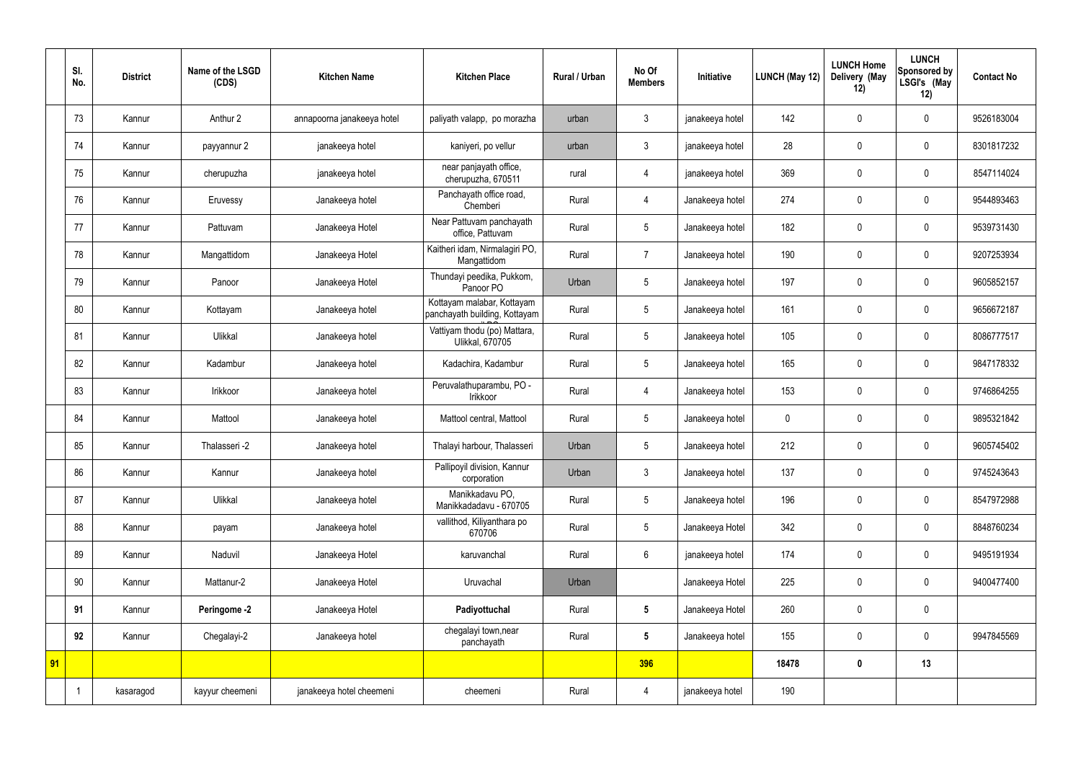|    | SI.<br>No. | <b>District</b> | Name of the LSGD<br>(CDS) | <b>Kitchen Name</b>        | <b>Kitchen Place</b>                                        | <b>Rural / Urban</b> | No Of<br><b>Members</b> | Initiative      | LUNCH (May 12) | <b>LUNCH Home</b><br>Delivery (May<br>12) | <b>LUNCH</b><br>Sponsored by<br>LSGI's (May<br>12) | <b>Contact No</b> |
|----|------------|-----------------|---------------------------|----------------------------|-------------------------------------------------------------|----------------------|-------------------------|-----------------|----------------|-------------------------------------------|----------------------------------------------------|-------------------|
|    | 73         | Kannur          | Anthur 2                  | annapoorna janakeeya hotel | paliyath valapp, po morazha                                 | urban                | $\mathfrak{Z}$          | janakeeya hotel | 142            | $\pmb{0}$                                 | $\mathbf 0$                                        | 9526183004        |
|    | 74         | Kannur          | payyannur 2               | janakeeya hotel            | kaniyeri, po vellur                                         | urban                | $\mathfrak{Z}$          | janakeeya hotel | 28             | $\mathbf 0$                               | $\mathbf 0$                                        | 8301817232        |
|    | 75         | Kannur          | cherupuzha                | janakeeya hotel            | near panjayath office,<br>cherupuzha, 670511                | rural                | 4                       | janakeeya hotel | 369            | $\pmb{0}$                                 | $\mathbf 0$                                        | 8547114024        |
|    | 76         | Kannur          | Eruvessy                  | Janakeeya hotel            | Panchayath office road,<br>Chemberi                         | Rural                | 4                       | Janakeeya hotel | 274            | $\mathbf 0$                               | $\mathbf 0$                                        | 9544893463        |
|    | 77         | Kannur          | Pattuvam                  | Janakeeya Hotel            | Near Pattuvam panchayath<br>office, Pattuvam                | Rural                | 5                       | Janakeeya hotel | 182            | $\mathbf 0$                               | $\mathbf 0$                                        | 9539731430        |
|    | 78         | Kannur          | Mangattidom               | Janakeeya Hotel            | Kaitheri idam, Nirmalagiri PO,<br>Mangattidom               | Rural                | $\overline{7}$          | Janakeeya hotel | 190            | $\mathbf 0$                               | $\mathbf 0$                                        | 9207253934        |
|    | 79         | Kannur          | Panoor                    | Janakeeya Hotel            | Thundayi peedika, Pukkom,<br>Panoor PO                      | Urban                | 5                       | Janakeeya hotel | 197            | $\pmb{0}$                                 | $\mathbf 0$                                        | 9605852157        |
|    | 80         | Kannur          | Kottayam                  | Janakeeya hotel            | Kottayam malabar, Kottayam<br>panchayath building, Kottayam | Rural                | 5                       | Janakeeya hotel | 161            | $\mathbf 0$                               | $\mathbf 0$                                        | 9656672187        |
|    | 81         | Kannur          | Ulikkal                   | Janakeeya hotel            | Vattiyam thodu (po) Mattara,<br>Ulikkal, 670705             | Rural                | 5                       | Janakeeya hotel | 105            | $\pmb{0}$                                 | $\mathbf 0$                                        | 8086777517        |
|    | 82         | Kannur          | Kadambur                  | Janakeeya hotel            | Kadachira, Kadambur                                         | Rural                | 5                       | Janakeeya hotel | 165            | $\mathbf 0$                               | $\mathbf 0$                                        | 9847178332        |
|    | 83         | Kannur          | Irikkoor                  | Janakeeya hotel            | Peruvalathuparambu, PO -<br>Irikkoor                        | Rural                | $\overline{4}$          | Janakeeya hotel | 153            | $\pmb{0}$                                 | $\mathbf 0$                                        | 9746864255        |
|    | 84         | Kannur          | Mattool                   | Janakeeya hotel            | Mattool central, Mattool                                    | Rural                | 5                       | Janakeeya hotel | $\mathbf 0$    | $\mathbf 0$                               | $\mathbf 0$                                        | 9895321842        |
|    | 85         | Kannur          | Thalasseri -2             | Janakeeya hotel            | Thalayi harbour, Thalasseri                                 | Urban                | 5                       | Janakeeya hotel | 212            | $\mathbf 0$                               | $\mathbf 0$                                        | 9605745402        |
|    | 86         | Kannur          | Kannur                    | Janakeeya hotel            | Pallipoyil division, Kannur<br>corporation                  | Urban                | $\mathbf{3}$            | Janakeeya hotel | 137            | $\pmb{0}$                                 | $\mathbf 0$                                        | 9745243643        |
|    | 87         | Kannur          | Ulikkal                   | Janakeeya hotel            | Manikkadavu PO,<br>Manikkadadavu - 670705                   | Rural                | 5                       | Janakeeya hotel | 196            | $\pmb{0}$                                 | $\mathbf 0$                                        | 8547972988        |
|    | 88         | Kannur          | payam                     | Janakeeya hotel            | vallithod, Kiliyanthara po<br>670706                        | Rural                | $5\overline{)}$         | Janakeeya Hotel | 342            | $\pmb{0}$                                 | $\mathbf 0$                                        | 8848760234        |
|    | 89         | Kannur          | Naduvil                   | Janakeeya Hotel            | karuvanchal                                                 | Rural                | $6\overline{6}$         | janakeeya hotel | 174            | $\pmb{0}$                                 | $\mathbf 0$                                        | 9495191934        |
|    | 90         | Kannur          | Mattanur-2                | Janakeeya Hotel            | Uruvachal                                                   | Urban                |                         | Janakeeya Hotel | 225            | $\pmb{0}$                                 | $\mathbf 0$                                        | 9400477400        |
|    | 91         | Kannur          | Peringome -2              | Janakeeya Hotel            | Padiyottuchal                                               | Rural                | $5\phantom{.0}$         | Janakeeya Hotel | 260            | $\pmb{0}$                                 | $\mathbf 0$                                        |                   |
|    | 92         | Kannur          | Chegalayi-2               | Janakeeya hotel            | chegalayi town, near<br>panchayath                          | Rural                | $5\phantom{.0}$         | Janakeeya hotel | 155            | $\pmb{0}$                                 | $\mathbf 0$                                        | 9947845569        |
| 91 |            |                 |                           |                            |                                                             |                      | 396                     |                 | 18478          | $\pmb{0}$                                 | 13                                                 |                   |
|    |            | kasaragod       | kayyur cheemeni           | janakeeya hotel cheemeni   | cheemeni                                                    | Rural                | 4                       | janakeeya hotel | 190            |                                           |                                                    |                   |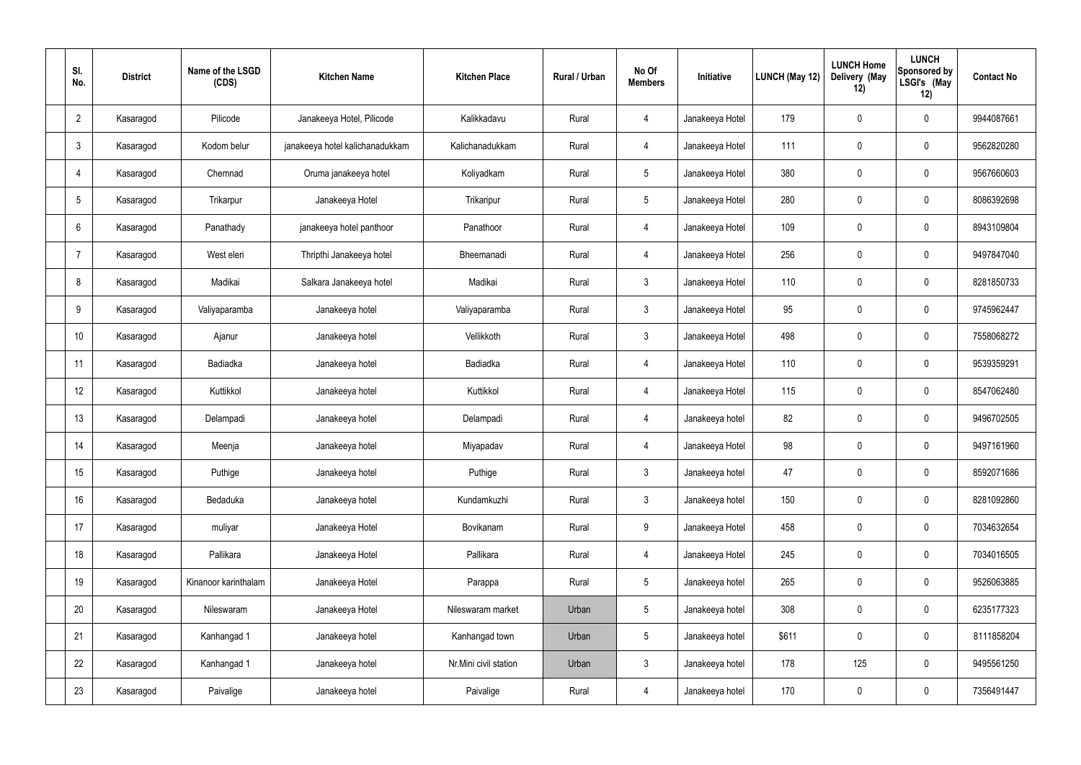| SI.<br>No.      | <b>District</b> | Name of the LSGD<br>(CDS) | <b>Kitchen Name</b>             | <b>Kitchen Place</b>  | Rural / Urban | No Of<br><b>Members</b> | Initiative      | LUNCH (May 12) | <b>LUNCH Home</b><br>Delivery (May<br>12) | <b>LUNCH</b><br>Sponsored by<br>LSGI's (May<br>12) | <b>Contact No</b> |
|-----------------|-----------------|---------------------------|---------------------------------|-----------------------|---------------|-------------------------|-----------------|----------------|-------------------------------------------|----------------------------------------------------|-------------------|
| $\overline{2}$  | Kasaragod       | Pilicode                  | Janakeeya Hotel, Pilicode       | Kalikkadavu           | Rural         | 4                       | Janakeeya Hotel | 179            | $\pmb{0}$                                 | $\mathbf 0$                                        | 9944087661        |
| 3               | Kasaragod       | Kodom belur               | janakeeya hotel kalichanadukkam | Kalichanadukkam       | Rural         | 4                       | Janakeeya Hotel | 111            | $\pmb{0}$                                 | $\mathbf 0$                                        | 9562820280        |
| 4               | Kasaragod       | Chemnad                   | Oruma janakeeya hotel           | Koliyadkam            | Rural         | $5\phantom{.0}$         | Janakeeya Hotel | 380            | $\mathbf 0$                               | $\mathbf 0$                                        | 9567660603        |
| 5               | Kasaragod       | Trikarpur                 | Janakeeya Hotel                 | Trikaripur            | Rural         | $5\phantom{.0}$         | Janakeeya Hotel | 280            | $\mathbf 0$                               | $\mathbf 0$                                        | 8086392698        |
| 6               | Kasaragod       | Panathady                 | janakeeya hotel panthoor        | Panathoor             | Rural         | 4                       | Janakeeya Hotel | 109            | $\mathbf 0$                               | $\mathbf 0$                                        | 8943109804        |
| -7              | Kasaragod       | West eleri                | Thripthi Janakeeya hotel        | Bheemanadi            | Rural         | 4                       | Janakeeya Hotel | 256            | $\mathbf 0$                               | $\mathbf 0$                                        | 9497847040        |
| 8               | Kasaragod       | Madikai                   | Salkara Janakeeya hotel         | Madikai               | Rural         | $\mathfrak{Z}$          | Janakeeya Hotel | 110            | $\mathbf 0$                               | $\mathbf 0$                                        | 8281850733        |
| 9               | Kasaragod       | Valiyaparamba             | Janakeeya hotel                 | Valiyaparamba         | Rural         | $\mathbf{3}$            | Janakeeya Hotel | 95             | $\pmb{0}$                                 | $\mathbf 0$                                        | 9745962447        |
| 10 <sup>°</sup> | Kasaragod       | Ajanur                    | Janakeeya hotel                 | Vellikkoth            | Rural         | $\mathfrak{Z}$          | Janakeeya Hotel | 498            | $\pmb{0}$                                 | $\mathbf 0$                                        | 7558068272        |
| 11              | Kasaragod       | Badiadka                  | Janakeeya hotel                 | Badiadka              | Rural         | $\overline{4}$          | Janakeeya Hotel | 110            | $\pmb{0}$                                 | $\mathbf 0$                                        | 9539359291        |
| 12              | Kasaragod       | Kuttikkol                 | Janakeeya hotel                 | Kuttikkol             | Rural         | 4                       | Janakeeya Hotel | 115            | $\pmb{0}$                                 | $\mathbf 0$                                        | 8547062480        |
| 13              | Kasaragod       | Delampadi                 | Janakeeya hotel                 | Delampadi             | Rural         | $\overline{4}$          | Janakeeya hotel | 82             | $\pmb{0}$                                 | $\mathbf 0$                                        | 9496702505        |
| 14              | Kasaragod       | Meenja                    | Janakeeya hotel                 | Miyapadav             | Rural         | 4                       | Janakeeya Hotel | 98             | $\mathbf 0$                               | $\mathbf 0$                                        | 9497161960        |
| 15              | Kasaragod       | Puthige                   | Janakeeya hotel                 | Puthige               | Rural         | $\mathbf{3}$            | Janakeeya hotel | 47             | $\pmb{0}$                                 | $\mathbf 0$                                        | 8592071686        |
| 16              | Kasaragod       | Bedaduka                  | Janakeeya hotel                 | Kundamkuzhi           | Rural         | $\mathbf{3}$            | Janakeeya hotel | 150            | $\pmb{0}$                                 | $\mathbf 0$                                        | 8281092860        |
| 17              | Kasaragod       | muliyar                   | Janakeeya Hotel                 | Bovikanam             | Rural         | 9                       | Janakeeya Hotel | 458            | $\pmb{0}$                                 | $\mathbf 0$                                        | 7034632654        |
| 18              | Kasaragod       | Pallikara                 | Janakeeya Hotel                 | Pallikara             | Rural         | $\overline{4}$          | Janakeeya Hotel | 245            | $\pmb{0}$                                 | $\mathbf 0$                                        | 7034016505        |
| 19              | Kasaragod       | Kinanoor karinthalam      | Janakeeya Hotel                 | Parappa               | Rural         | $5\phantom{.0}$         | Janakeeya hotel | 265            | $\pmb{0}$                                 | $\mathbf 0$                                        | 9526063885        |
| 20              | Kasaragod       | Nileswaram                | Janakeeya Hotel                 | Nileswaram market     | Urban         | $5\phantom{.0}$         | Janakeeya hotel | 308            | $\pmb{0}$                                 | $\mathbf 0$                                        | 6235177323        |
| 21              | Kasaragod       | Kanhangad 1               | Janakeeya hotel                 | Kanhangad town        | Urban         | $5\phantom{.0}$         | Janakeeya hotel | \$611          | $\pmb{0}$                                 | $\pmb{0}$                                          | 8111858204        |
| 22              | Kasaragod       | Kanhangad 1               | Janakeeya hotel                 | Nr.Mini civil station | Urban         | $\mathfrak{Z}$          | Janakeeya hotel | 178            | 125                                       | $\mathbf 0$                                        | 9495561250        |
| 23              | Kasaragod       | Paivalige                 | Janakeeya hotel                 | Paivalige             | Rural         | 4                       | Janakeeya hotel | 170            | $\pmb{0}$                                 | $\boldsymbol{0}$                                   | 7356491447        |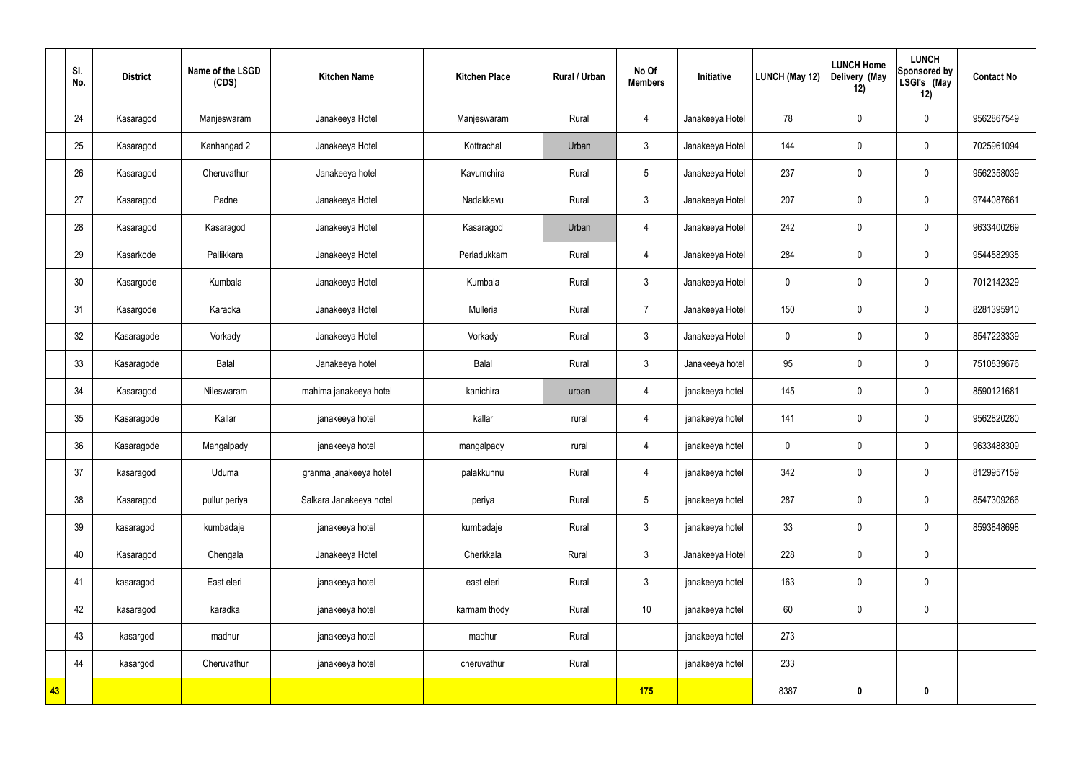|    | SI.<br>No. | <b>District</b> | Name of the LSGD<br>(CDS) | <b>Kitchen Name</b>     | <b>Kitchen Place</b> | Rural / Urban | No Of<br><b>Members</b> | Initiative      | LUNCH (May 12)   | <b>LUNCH Home</b><br>Delivery (May<br>12) | <b>LUNCH</b><br>Sponsored by<br>LSGI's (May<br>12) | <b>Contact No</b> |
|----|------------|-----------------|---------------------------|-------------------------|----------------------|---------------|-------------------------|-----------------|------------------|-------------------------------------------|----------------------------------------------------|-------------------|
|    | 24         | Kasaragod       | Manjeswaram               | Janakeeya Hotel         | Manjeswaram          | Rural         | 4                       | Janakeeya Hotel | 78               | $\pmb{0}$                                 | $\mathbf 0$                                        | 9562867549        |
|    | 25         | Kasaragod       | Kanhangad 2               | Janakeeya Hotel         | Kottrachal           | Urban         | $\mathfrak{Z}$          | Janakeeya Hotel | 144              | $\pmb{0}$                                 | $\mathbf 0$                                        | 7025961094        |
|    | 26         | Kasaragod       | Cheruvathur               | Janakeeya hotel         | Kavumchira           | Rural         | $5\phantom{.0}$         | Janakeeya Hotel | 237              | $\pmb{0}$                                 | $\mathbf 0$                                        | 9562358039        |
|    | 27         | Kasaragod       | Padne                     | Janakeeya Hotel         | Nadakkavu            | Rural         | $\mathfrak{Z}$          | Janakeeya Hotel | 207              | $\pmb{0}$                                 | $\mathbf 0$                                        | 9744087661        |
|    | 28         | Kasaragod       | Kasaragod                 | Janakeeya Hotel         | Kasaragod            | Urban         | 4                       | Janakeeya Hotel | 242              | $\pmb{0}$                                 | $\mathbf 0$                                        | 9633400269        |
|    | 29         | Kasarkode       | Pallikkara                | Janakeeya Hotel         | Perladukkam          | Rural         | $\overline{4}$          | Janakeeya Hotel | 284              | $\pmb{0}$                                 | $\mathbf 0$                                        | 9544582935        |
|    | 30         | Kasargode       | Kumbala                   | Janakeeya Hotel         | Kumbala              | Rural         | $\mathfrak{Z}$          | Janakeeya Hotel | $\boldsymbol{0}$ | $\pmb{0}$                                 | $\mathbf 0$                                        | 7012142329        |
|    | 31         | Kasargode       | Karadka                   | Janakeeya Hotel         | Mulleria             | Rural         | $\overline{7}$          | Janakeeya Hotel | 150              | $\pmb{0}$                                 | $\mathbf 0$                                        | 8281395910        |
|    | 32         | Kasaragode      | Vorkady                   | Janakeeya Hotel         | Vorkady              | Rural         | $\mathfrak{Z}$          | Janakeeya Hotel | $\boldsymbol{0}$ | $\pmb{0}$                                 | $\mathbf 0$                                        | 8547223339        |
|    | 33         | Kasaragode      | Balal                     | Janakeeya hotel         | Balal                | Rural         | $\mathbf{3}$            | Janakeeya hotel | 95               | $\pmb{0}$                                 | $\mathbf 0$                                        | 7510839676        |
|    | 34         | Kasaragod       | Nileswaram                | mahima janakeeya hotel  | kanichira            | urban         | $\overline{4}$          | janakeeya hotel | 145              | $\pmb{0}$                                 | $\mathbf 0$                                        | 8590121681        |
|    | 35         | Kasaragode      | Kallar                    | janakeeya hotel         | kallar               | rural         | $\overline{4}$          | janakeeya hotel | 141              | $\pmb{0}$                                 | $\mathbf 0$                                        | 9562820280        |
|    | 36         | Kasaragode      | Mangalpady                | janakeeya hotel         | mangalpady           | rural         | 4                       | janakeeya hotel | $\mathbf 0$      | $\mathbf 0$                               | $\mathbf 0$                                        | 9633488309        |
|    | 37         | kasaragod       | Uduma                     | granma janakeeya hotel  | palakkunnu           | Rural         | 4                       | janakeeya hotel | 342              | $\pmb{0}$                                 | $\mathbf 0$                                        | 8129957159        |
|    | 38         | Kasaragod       | pullur periya             | Salkara Janakeeya hotel | periya               | Rural         | $5\overline{)}$         | janakeeya hotel | 287              | $\pmb{0}$                                 | $\mathbf 0$                                        | 8547309266        |
|    | 39         | kasaragod       | kumbadaje                 | janakeeya hotel         | kumbadaje            | Rural         | $\mathbf{3}$            | janakeeya hotel | 33               | $\pmb{0}$                                 | $\mathbf 0$                                        | 8593848698        |
|    | 40         | Kasaragod       | Chengala                  | Janakeeya Hotel         | Cherkkala            | Rural         | $\mathbf{3}$            | Janakeeya Hotel | 228              | $\pmb{0}$                                 | $\mathbf 0$                                        |                   |
|    | 41         | kasaragod       | East eleri                | janakeeya hotel         | east eleri           | Rural         | $\mathbf{3}$            | janakeeya hotel | 163              | $\pmb{0}$                                 | $\mathbf 0$                                        |                   |
|    | 42         | kasaragod       | karadka                   | janakeeya hotel         | karmam thody         | Rural         | 10                      | janakeeya hotel | 60               | $\pmb{0}$                                 | $\mathbf 0$                                        |                   |
|    | 43         | kasargod        | madhur                    | janakeeya hotel         | madhur               | Rural         |                         | janakeeya hotel | 273              |                                           |                                                    |                   |
|    | 44         | kasargod        | Cheruvathur               | janakeeya hotel         | cheruvathur          | Rural         |                         | janakeeya hotel | 233              |                                           |                                                    |                   |
| 43 |            |                 |                           |                         |                      |               | 175                     |                 | 8387             | $\boldsymbol{0}$                          | $\bf{0}$                                           |                   |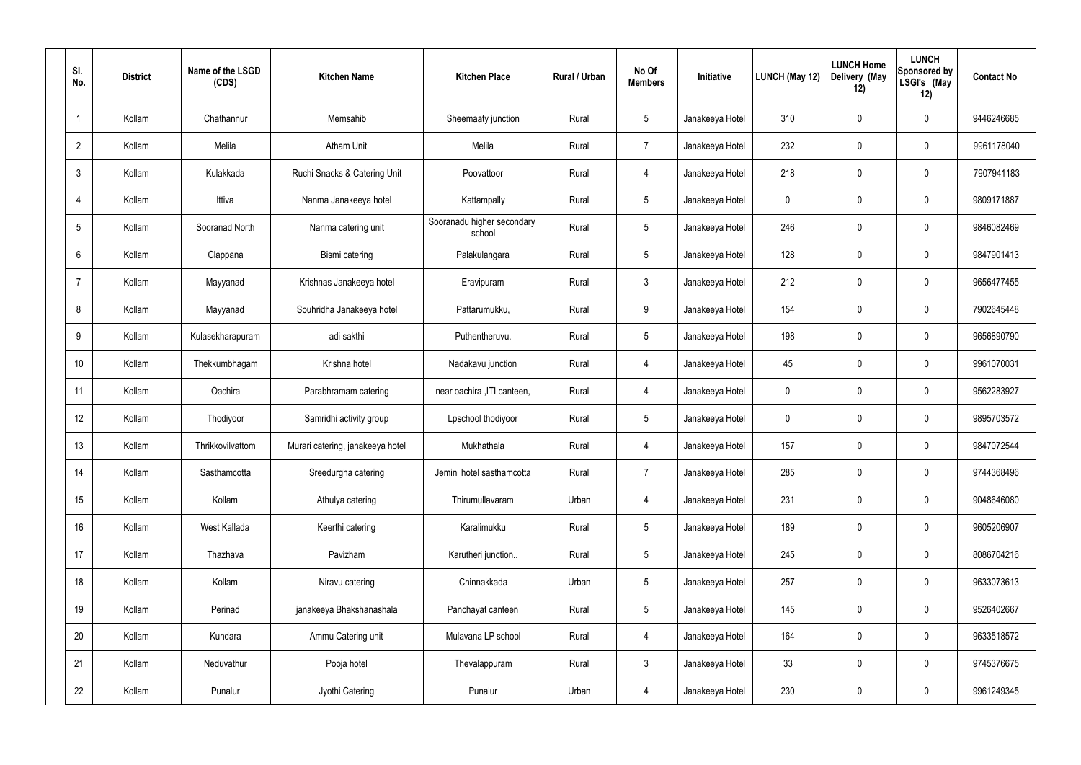| SI.<br>No.      | <b>District</b> | Name of the LSGD<br>(CDS) | <b>Kitchen Name</b>              | <b>Kitchen Place</b>                 | Rural / Urban | No Of<br><b>Members</b> | Initiative      | LUNCH (May 12) | <b>LUNCH Home</b><br>Delivery (May<br>12) | <b>LUNCH</b><br>Sponsored by<br>LSGI's (May<br>12) | <b>Contact No</b> |
|-----------------|-----------------|---------------------------|----------------------------------|--------------------------------------|---------------|-------------------------|-----------------|----------------|-------------------------------------------|----------------------------------------------------|-------------------|
|                 | Kollam          | Chathannur                | Memsahib                         | Sheemaaty junction                   | Rural         | $5\,$                   | Janakeeya Hotel | 310            | $\mathbf 0$                               | $\boldsymbol{0}$                                   | 9446246685        |
| $\overline{2}$  | Kollam          | Melila                    | <b>Atham Unit</b>                | Melila                               | Rural         | $\overline{7}$          | Janakeeya Hotel | 232            | $\mathbf 0$                               | $\mathbf 0$                                        | 9961178040        |
| 3               | Kollam          | Kulakkada                 | Ruchi Snacks & Catering Unit     | Poovattoor                           | Rural         | 4                       | Janakeeya Hotel | 218            | $\mathbf 0$                               | $\boldsymbol{0}$                                   | 7907941183        |
|                 | Kollam          | Ittiva                    | Nanma Janakeeya hotel            | Kattampally                          | Rural         | $5\phantom{.0}$         | Janakeeya Hotel | $\mathbf 0$    | 0                                         | $\mathbf 0$                                        | 9809171887        |
| $5\phantom{.0}$ | Kollam          | Sooranad North            | Nanma catering unit              | Sooranadu higher secondary<br>school | Rural         | $5\phantom{.0}$         | Janakeeya Hotel | 246            | $\mathbf 0$                               | $\mathbf 0$                                        | 9846082469        |
| 6               | Kollam          | Clappana                  | Bismi catering                   | Palakulangara                        | Rural         | $5\overline{)}$         | Janakeeya Hotel | 128            | $\mathbf 0$                               | $\mathbf 0$                                        | 9847901413        |
|                 | Kollam          | Mayyanad                  | Krishnas Janakeeya hotel         | Eravipuram                           | Rural         | $\mathbf{3}$            | Janakeeya Hotel | 212            | $\mathbf 0$                               | $\boldsymbol{0}$                                   | 9656477455        |
| 8               | Kollam          | Mayyanad                  | Souhridha Janakeeya hotel        | Pattarumukku,                        | Rural         | 9                       | Janakeeya Hotel | 154            | $\mathbf 0$                               | $\mathbf 0$                                        | 7902645448        |
| 9               | Kollam          | Kulasekharapuram          | adi sakthi                       | Puthentheruvu.                       | Rural         | $5\phantom{.0}$         | Janakeeya Hotel | 198            | $\mathbf 0$                               | $\boldsymbol{0}$                                   | 9656890790        |
| 10              | Kollam          | Thekkumbhagam             | Krishna hotel                    | Nadakavu junction                    | Rural         | 4                       | Janakeeya Hotel | 45             | $\mathbf 0$                               | $\mathbf 0$                                        | 9961070031        |
| 11              | Kollam          | Oachira                   | Parabhramam catering             | near oachira , ITI canteen,          | Rural         | 4                       | Janakeeya Hotel | $\mathbf 0$    | $\mathbf 0$                               | $\boldsymbol{0}$                                   | 9562283927        |
| 12              | Kollam          | Thodiyoor                 | Samridhi activity group          | Lpschool thodiyoor                   | Rural         | $5\overline{)}$         | Janakeeya Hotel | $\mathbf 0$    | $\mathbf 0$                               | $\boldsymbol{0}$                                   | 9895703572        |
| 13              | Kollam          | Thrikkovilvattom          | Murari catering, janakeeya hotel | Mukhathala                           | Rural         | 4                       | Janakeeya Hotel | 157            | $\mathbf 0$                               | $\boldsymbol{0}$                                   | 9847072544        |
| 14              | Kollam          | Sasthamcotta              | Sreedurgha catering              | Jemini hotel sasthamcotta            | Rural         | $\overline{7}$          | Janakeeya Hotel | 285            | 0                                         | $\mathbf 0$                                        | 9744368496        |
| 15              | Kollam          | Kollam                    | Athulya catering                 | Thirumullavaram                      | Urban         | $\overline{4}$          | Janakeeya Hotel | 231            | 0                                         | $\mathbf 0$                                        | 9048646080        |
| 16              | Kollam          | West Kallada              | Keerthi catering                 | Karalimukku                          | Rural         | $5\phantom{.0}$         | Janakeeya Hotel | 189            | 0                                         | $\mathbf 0$                                        | 9605206907        |
| 17              | Kollam          | Thazhava                  | Pavizham                         | Karutheri junction                   | Rural         | $5\phantom{.0}$         | Janakeeya Hotel | 245            | 0                                         | $\mathbf 0$                                        | 8086704216        |
| 18              | Kollam          | Kollam                    | Niravu catering                  | Chinnakkada                          | Urban         | $5\phantom{.0}$         | Janakeeya Hotel | 257            | $\pmb{0}$                                 | $\mathbf 0$                                        | 9633073613        |
| 19              | Kollam          | Perinad                   | janakeeya Bhakshanashala         | Panchayat canteen                    | Rural         | $5\phantom{.0}$         | Janakeeya Hotel | 145            | 0                                         | $\mathbf 0$                                        | 9526402667        |
| 20              | Kollam          | Kundara                   | Ammu Catering unit               | Mulavana LP school                   | Rural         | $\overline{4}$          | Janakeeya Hotel | 164            | $\pmb{0}$                                 | $\pmb{0}$                                          | 9633518572        |
| 21              | Kollam          | Neduvathur                | Pooja hotel                      | Thevalappuram                        | Rural         | $\mathbf{3}$            | Janakeeya Hotel | 33             | 0                                         | $\mathbf 0$                                        | 9745376675        |
| 22              | Kollam          | Punalur                   | Jyothi Catering                  | Punalur                              | Urban         | $\overline{4}$          | Janakeeya Hotel | 230            | $\pmb{0}$                                 | $\pmb{0}$                                          | 9961249345        |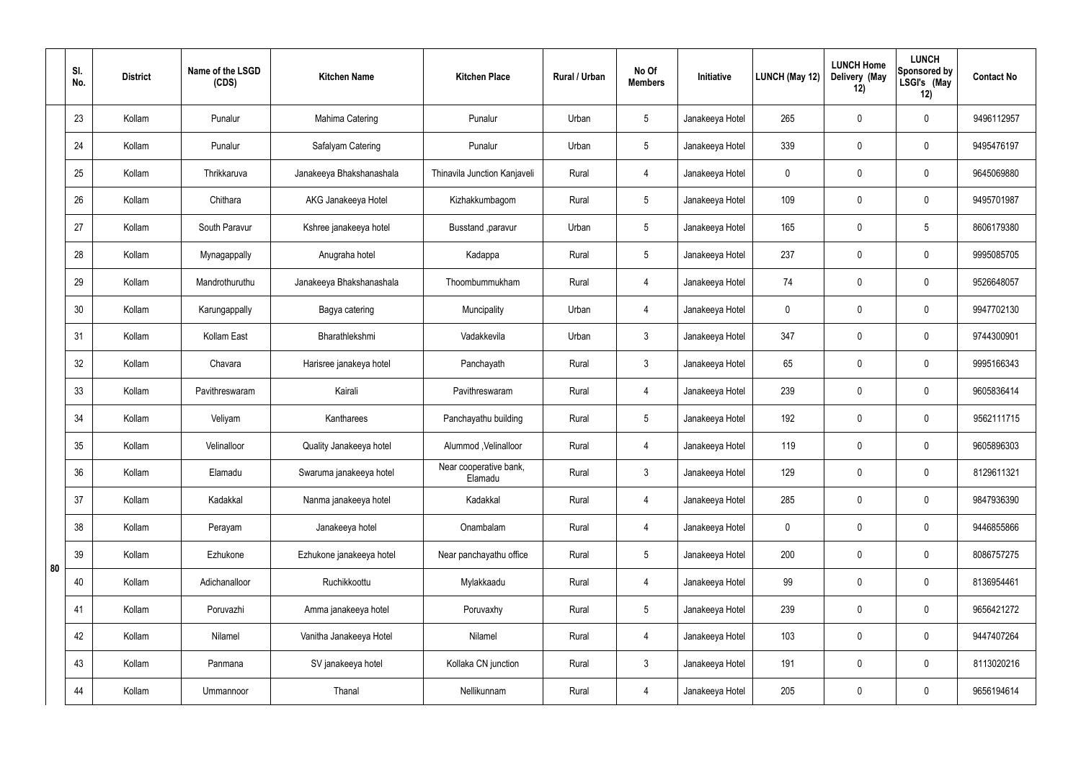|    | SI.<br>No. | <b>District</b> | Name of the LSGD<br>(CDS) | <b>Kitchen Name</b>      | <b>Kitchen Place</b>              | Rural / Urban | No Of<br><b>Members</b> | Initiative      | LUNCH (May 12) | <b>LUNCH Home</b><br>Delivery (May<br>12) | <b>LUNCH</b><br>Sponsored by<br>LSGI's (May<br>12) | <b>Contact No</b> |
|----|------------|-----------------|---------------------------|--------------------------|-----------------------------------|---------------|-------------------------|-----------------|----------------|-------------------------------------------|----------------------------------------------------|-------------------|
|    | 23         | Kollam          | Punalur                   | Mahima Catering          | Punalur                           | Urban         | $5\overline{)}$         | Janakeeya Hotel | 265            | $\mathbf 0$                               | $\mathbf 0$                                        | 9496112957        |
|    | 24         | Kollam          | Punalur                   | Safalyam Catering        | Punalur                           | Urban         | $5\overline{)}$         | Janakeeya Hotel | 339            | $\mathbf 0$                               | $\mathbf 0$                                        | 9495476197        |
|    | 25         | Kollam          | Thrikkaruva               | Janakeeya Bhakshanashala | Thinavila Junction Kanjaveli      | Rural         | $\overline{4}$          | Janakeeya Hotel | $\mathbf 0$    | $\mathbf 0$                               | $\mathbf 0$                                        | 9645069880        |
|    | 26         | Kollam          | Chithara                  | AKG Janakeeya Hotel      | Kizhakkumbagom                    | Rural         | $5\overline{)}$         | Janakeeya Hotel | 109            | $\mathbf 0$                               | $\mathbf 0$                                        | 9495701987        |
|    | 27         | Kollam          | South Paravur             | Kshree janakeeya hotel   | Busstand , paravur                | Urban         | $5\overline{)}$         | Janakeeya Hotel | 165            | $\mathbf 0$                               | $5\phantom{.0}$                                    | 8606179380        |
|    | 28         | Kollam          | Mynagappally              | Anugraha hotel           | Kadappa                           | Rural         | $5\overline{)}$         | Janakeeya Hotel | 237            | $\mathbf 0$                               | $\mathbf 0$                                        | 9995085705        |
|    | 29         | Kollam          | Mandrothuruthu            | Janakeeya Bhakshanashala | Thoombummukham                    | Rural         | 4                       | Janakeeya Hotel | 74             | $\mathbf 0$                               | $\mathbf 0$                                        | 9526648057        |
|    | 30         | Kollam          | Karungappally             | Bagya catering           | Muncipality                       | Urban         | $\overline{4}$          | Janakeeya Hotel | $\mathbf 0$    | $\mathbf 0$                               | $\mathbf 0$                                        | 9947702130        |
|    | 31         | Kollam          | Kollam East               | Bharathlekshmi           | Vadakkevila                       | Urban         | $\mathbf{3}$            | Janakeeya Hotel | 347            | $\mathbf 0$                               | $\mathbf 0$                                        | 9744300901        |
|    | 32         | Kollam          | Chavara                   | Harisree janakeya hotel  | Panchayath                        | Rural         | $\mathbf{3}$            | Janakeeya Hotel | 65             | $\mathbf 0$                               | $\mathbf 0$                                        | 9995166343        |
|    | 33         | Kollam          | Pavithreswaram            | Kairali                  | Pavithreswaram                    | Rural         | 4                       | Janakeeya Hotel | 239            | 0                                         | $\mathbf 0$                                        | 9605836414        |
|    | 34         | Kollam          | Veliyam                   | Kantharees               | Panchayathu building              | Rural         | $5\phantom{.0}$         | Janakeeya Hotel | 192            | $\mathbf 0$                               | $\mathbf 0$                                        | 9562111715        |
|    | 35         | Kollam          | Velinalloor               | Quality Janakeeya hotel  | Alummod, Velinalloor              | Rural         | 4                       | Janakeeya Hotel | 119            | $\mathbf 0$                               | $\mathbf 0$                                        | 9605896303        |
|    | 36         | Kollam          | Elamadu                   | Swaruma janakeeya hotel  | Near cooperative bank,<br>Elamadu | Rural         | $\mathbf{3}$            | Janakeeya Hotel | 129            | $\pmb{0}$                                 | $\mathbf 0$                                        | 8129611321        |
|    | 37         | Kollam          | Kadakkal                  | Nanma janakeeya hotel    | Kadakkal                          | Rural         | $\overline{4}$          | Janakeeya Hotel | 285            | 0                                         | $\mathbf 0$                                        | 9847936390        |
|    | 38         | Kollam          | Perayam                   | Janakeeya hotel          | Onambalam                         | Rural         | $\overline{4}$          | Janakeeya Hotel | $\mathbf 0$    | 0                                         | $\mathbf 0$                                        | 9446855866        |
| 80 | 39         | Kollam          | Ezhukone                  | Ezhukone janakeeya hotel | Near panchayathu office           | Rural         | $5\overline{)}$         | Janakeeya Hotel | 200            | 0                                         | $\mathbf 0$                                        | 8086757275        |
|    | 40         | Kollam          | Adichanalloor             | Ruchikkoottu             | Mylakkaadu                        | Rural         | $\overline{4}$          | Janakeeya Hotel | 99             | 0                                         | $\mathbf 0$                                        | 8136954461        |
|    | 41         | Kollam          | Poruvazhi                 | Amma janakeeya hotel     | Poruvaxhy                         | Rural         | $5\overline{)}$         | Janakeeya Hotel | 239            | 0                                         | $\mathbf 0$                                        | 9656421272        |
|    | 42         | Kollam          | Nilamel                   | Vanitha Janakeeya Hotel  | Nilamel                           | Rural         | $\overline{4}$          | Janakeeya Hotel | 103            | 0                                         | $\mathbf 0$                                        | 9447407264        |
|    | 43         | Kollam          | Panmana                   | SV janakeeya hotel       | Kollaka CN junction               | Rural         | $\mathbf{3}$            | Janakeeya Hotel | 191            | 0                                         | $\mathbf 0$                                        | 8113020216        |
|    | 44         | Kollam          | Ummannoor                 | Thanal                   | Nellikunnam                       | Rural         | 4                       | Janakeeya Hotel | 205            | 0                                         | $\boldsymbol{0}$                                   | 9656194614        |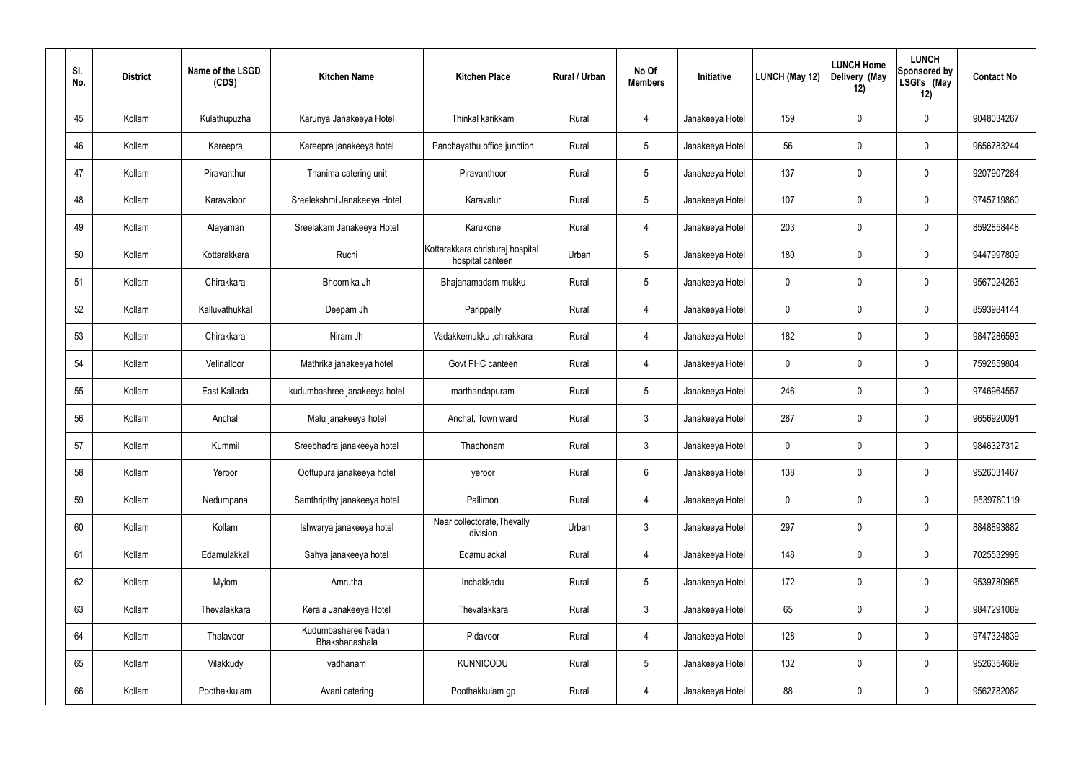| SI.<br>No. | <b>District</b> | Name of the LSGD<br>(CDS) | <b>Kitchen Name</b>                   | <b>Kitchen Place</b>                                 | Rural / Urban | No Of<br><b>Members</b> | Initiative      | <b>LUNCH (May 12)</b> | <b>LUNCH Home</b><br>Delivery (May<br>12) | <b>LUNCH</b><br>Sponsored by<br>LSGI's (May<br>12) | <b>Contact No</b> |
|------------|-----------------|---------------------------|---------------------------------------|------------------------------------------------------|---------------|-------------------------|-----------------|-----------------------|-------------------------------------------|----------------------------------------------------|-------------------|
| 45         | Kollam          | Kulathupuzha              | Karunya Janakeeya Hotel               | Thinkal karikkam                                     | Rural         | $\overline{4}$          | Janakeeya Hotel | 159                   | $\mathbf 0$                               | $\mathbf 0$                                        | 9048034267        |
| 46         | Kollam          | Kareepra                  | Kareepra janakeeya hotel              | Panchayathu office junction                          | Rural         | $5\phantom{.0}$         | Janakeeya Hotel | 56                    | 0                                         | $\mathbf 0$                                        | 9656783244        |
| 47         | Kollam          | Piravanthur               | Thanima catering unit                 | Piravanthoor                                         | Rural         | $5\phantom{.0}$         | Janakeeya Hotel | 137                   | 0                                         | $\mathbf 0$                                        | 9207907284        |
| 48         | Kollam          | Karavaloor                | Sreelekshmi Janakeeya Hotel           | Karavalur                                            | Rural         | $5\phantom{.0}$         | Janakeeya Hotel | 107                   | 0                                         | $\mathbf 0$                                        | 9745719860        |
| 49         | Kollam          | Alayaman                  | Sreelakam Janakeeya Hotel             | Karukone                                             | Rural         | $\overline{4}$          | Janakeeya Hotel | 203                   | $\mathbf 0$                               | $\mathbf 0$                                        | 8592858448        |
| 50         | Kollam          | Kottarakkara              | Ruchi                                 | Kottarakkara christuraj hospital<br>hospital canteen | Urban         | $5\phantom{.0}$         | Janakeeya Hotel | 180                   | 0                                         | $\mathbf 0$                                        | 9447997809        |
| 51         | Kollam          | Chirakkara                | Bhoomika Jh                           | Bhajanamadam mukku                                   | Rural         | $5\phantom{.0}$         | Janakeeya Hotel | $\mathbf 0$           | 0                                         | $\mathbf 0$                                        | 9567024263        |
| 52         | Kollam          | Kalluvathukkal            | Deepam Jh                             | Parippally                                           | Rural         | 4                       | Janakeeya Hotel | $\mathbf 0$           | 0                                         | $\mathbf 0$                                        | 8593984144        |
| 53         | Kollam          | Chirakkara                | Niram Jh                              | Vadakkemukku ,chirakkara                             | Rural         | $\overline{4}$          | Janakeeya Hotel | 182                   | $\mathbf 0$                               | $\mathbf 0$                                        | 9847286593        |
| 54         | Kollam          | Velinalloor               | Mathrika janakeeya hotel              | Govt PHC canteen                                     | Rural         | 4                       | Janakeeya Hotel | $\mathbf 0$           | 0                                         | $\mathbf 0$                                        | 7592859804        |
| 55         | Kollam          | East Kallada              | kudumbashree janakeeya hotel          | marthandapuram                                       | Rural         | $5\phantom{.0}$         | Janakeeya Hotel | 246                   | 0                                         | $\mathbf 0$                                        | 9746964557        |
| 56         | Kollam          | Anchal                    | Malu janakeeya hotel                  | Anchal, Town ward                                    | Rural         | $\mathbf{3}$            | Janakeeya Hotel | 287                   | 0                                         | $\mathbf 0$                                        | 9656920091        |
| 57         | Kollam          | Kummil                    | Sreebhadra janakeeya hotel            | Thachonam                                            | Rural         | $\mathbf{3}$            | Janakeeya Hotel | 0                     | $\mathbf 0$                               | $\mathbf 0$                                        | 9846327312        |
| 58         | Kollam          | Yeroor                    | Oottupura janakeeya hotel             | yeroor                                               | Rural         | $6\phantom{.}6$         | Janakeeya Hotel | 138                   | 0                                         | $\mathbf 0$                                        | 9526031467        |
| 59         | Kollam          | Nedumpana                 | Samthripthy janakeeya hotel           | Pallimon                                             | Rural         | $\overline{4}$          | Janakeeya Hotel | $\mathbf 0$           | $\mathsf{0}$                              | $\mathbf 0$                                        | 9539780119        |
| 60         | Kollam          | Kollam                    | Ishwarya janakeeya hotel              | Near collectorate, Thevally<br>division              | Urban         | $\mathfrak{Z}$          | Janakeeya Hotel | 297                   | 0                                         | $\mathbf 0$                                        | 8848893882        |
| 61         | Kollam          | Edamulakkal               | Sahya janakeeya hotel                 | Edamulackal                                          | Rural         | $\overline{4}$          | Janakeeya Hotel | 148                   | 0                                         | $\mathbf 0$                                        | 7025532998        |
| 62         | Kollam          | Mylom                     | Amrutha                               | Inchakkadu                                           | Rural         | $5\phantom{.0}$         | Janakeeya Hotel | 172                   | $\pmb{0}$                                 | $\mathbf 0$                                        | 9539780965        |
| 63         | Kollam          | Thevalakkara              | Kerala Janakeeya Hotel                | Thevalakkara                                         | Rural         | $\mathfrak{Z}$          | Janakeeya Hotel | 65                    | 0                                         | $\mathbf 0$                                        | 9847291089        |
| 64         | Kollam          | Thalavoor                 | Kudumbasheree Nadan<br>Bhakshanashala | Pidavoor                                             | Rural         | $\overline{4}$          | Janakeeya Hotel | 128                   | $\pmb{0}$                                 | $\mathbf 0$                                        | 9747324839        |
| 65         | Kollam          | Vilakkudy                 | vadhanam                              | <b>KUNNICODU</b>                                     | Rural         | $5\phantom{.0}$         | Janakeeya Hotel | 132                   | 0                                         | $\mathbf 0$                                        | 9526354689        |
| 66         | Kollam          | Poothakkulam              | Avani catering                        | Poothakkulam gp                                      | Rural         | $\overline{4}$          | Janakeeya Hotel | 88                    | $\pmb{0}$                                 | $\mathbf 0$                                        | 9562782082        |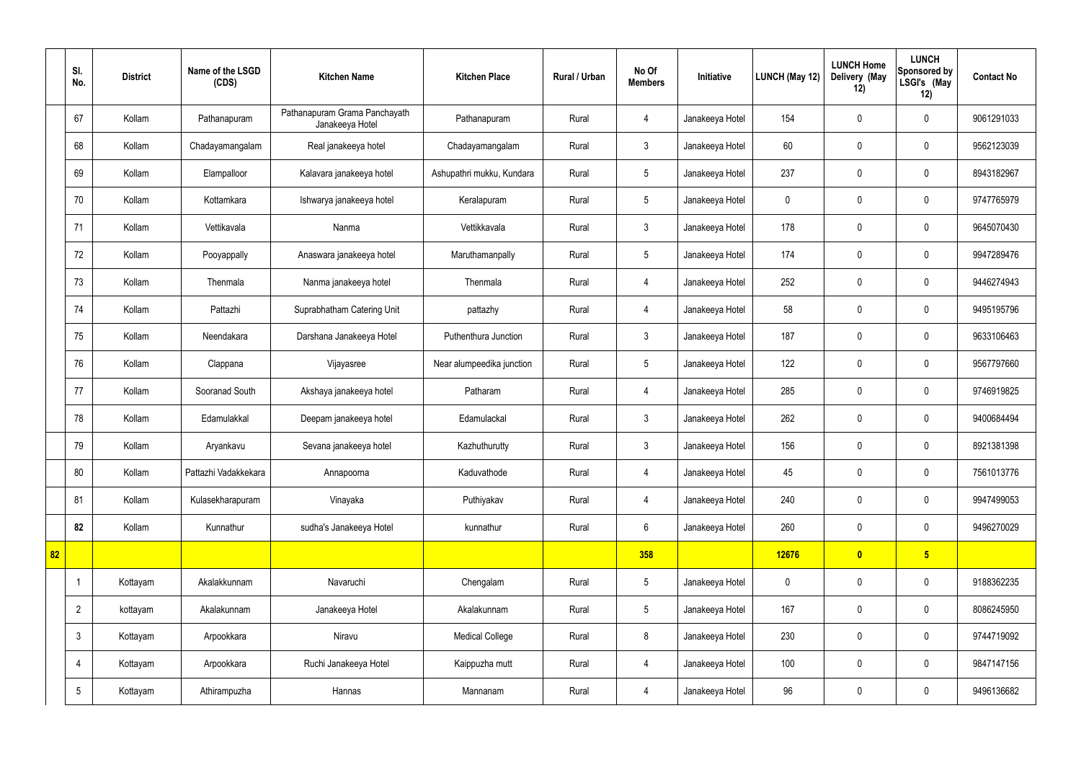|    | SI.<br>No.      | <b>District</b> | Name of the LSGD<br>(CDS) | <b>Kitchen Name</b>                              | <b>Kitchen Place</b>      | Rural / Urban | No Of<br><b>Members</b> | Initiative      | LUNCH (May 12) | <b>LUNCH Home</b><br>Delivery (May<br>12) | <b>LUNCH</b><br>Sponsored by<br>LSGI's (May<br>12) | <b>Contact No</b> |
|----|-----------------|-----------------|---------------------------|--------------------------------------------------|---------------------------|---------------|-------------------------|-----------------|----------------|-------------------------------------------|----------------------------------------------------|-------------------|
|    | 67              | Kollam          | Pathanapuram              | Pathanapuram Grama Panchayath<br>Janakeeya Hotel | Pathanapuram              | Rural         | 4                       | Janakeeya Hotel | 154            | $\pmb{0}$                                 | $\mathbf 0$                                        | 9061291033        |
|    | 68              | Kollam          | Chadayamangalam           | Real janakeeya hotel                             | Chadayamangalam           | Rural         | $\mathbf{3}$            | Janakeeya Hotel | 60             | $\mathbf 0$                               | $\mathbf 0$                                        | 9562123039        |
|    | 69              | Kollam          | Elampalloor               | Kalavara janakeeya hotel                         | Ashupathri mukku, Kundara | Rural         | $5\phantom{.0}$         | Janakeeya Hotel | 237            | $\mathbf 0$                               | $\mathbf 0$                                        | 8943182967        |
|    | 70              | Kollam          | Kottamkara                | Ishwarya janakeeya hotel                         | Keralapuram               | Rural         | 5                       | Janakeeya Hotel | $\mathbf 0$    | $\mathbf 0$                               | $\mathbf 0$                                        | 9747765979        |
|    | 71              | Kollam          | Vettikavala               | Nanma                                            | Vettikkavala              | Rural         | $\mathbf{3}$            | Janakeeya Hotel | 178            | $\mathbf 0$                               | $\mathbf 0$                                        | 9645070430        |
|    | 72              | Kollam          | Pooyappally               | Anaswara janakeeya hotel                         | Maruthamanpally           | Rural         | $5\overline{)}$         | Janakeeya Hotel | 174            | $\mathbf 0$                               | $\mathbf 0$                                        | 9947289476        |
|    | 73              | Kollam          | Thenmala                  | Nanma janakeeya hotel                            | Thenmala                  | Rural         | 4                       | Janakeeya Hotel | 252            | $\mathbf 0$                               | $\mathbf 0$                                        | 9446274943        |
|    | 74              | Kollam          | Pattazhi                  | Suprabhatham Catering Unit                       | pattazhy                  | Rural         | 4                       | Janakeeya Hotel | 58             | $\mathbf 0$                               | $\mathbf 0$                                        | 9495195796        |
|    | 75              | Kollam          | Neendakara                | Darshana Janakeeya Hotel                         | Puthenthura Junction      | Rural         | $\mathfrak{Z}$          | Janakeeya Hotel | 187            | $\pmb{0}$                                 | $\mathbf 0$                                        | 9633106463        |
|    | 76              | Kollam          | Clappana                  | Vijayasree                                       | Near alumpeedika junction | Rural         | $5\phantom{.0}$         | Janakeeya Hotel | 122            | $\pmb{0}$                                 | $\mathbf 0$                                        | 9567797660        |
|    | 77              | Kollam          | Sooranad South            | Akshaya janakeeya hotel                          | Patharam                  | Rural         | $\overline{4}$          | Janakeeya Hotel | 285            | $\pmb{0}$                                 | $\mathbf 0$                                        | 9746919825        |
|    | 78              | Kollam          | Edamulakkal               | Deepam janakeeya hotel                           | Edamulackal               | Rural         | $\mathbf{3}$            | Janakeeya Hotel | 262            | $\mathbf 0$                               | $\mathbf 0$                                        | 9400684494        |
|    | 79              | Kollam          | Aryankavu                 | Sevana janakeeya hotel                           | Kazhuthurutty             | Rural         | 3                       | Janakeeya Hotel | 156            | $\mathbf 0$                               | $\mathbf 0$                                        | 8921381398        |
|    | 80              | Kollam          | Pattazhi Vadakkekara      | Annapoorna                                       | Kaduvathode               | Rural         | 4                       | Janakeeya Hotel | 45             | $\pmb{0}$                                 | $\mathbf 0$                                        | 7561013776        |
|    | 81              | Kollam          | Kulasekharapuram          | Vinayaka                                         | Puthiyakav                | Rural         | 4                       | Janakeeya Hotel | 240            | $\pmb{0}$                                 | $\mathbf 0$                                        | 9947499053        |
|    | 82              | Kollam          | Kunnathur                 | sudha's Janakeeya Hotel                          | kunnathur                 | Rural         | $6\overline{6}$         | Janakeeya Hotel | 260            | $\pmb{0}$                                 | $\mathbf 0$                                        | 9496270029        |
| 82 |                 |                 |                           |                                                  |                           |               | 358                     |                 | 12676          | $\bullet$                                 | $5\overline{)}$                                    |                   |
|    | $\mathbf 1$     | Kottayam        | Akalakkunnam              | Navaruchi                                        | Chengalam                 | Rural         | $5\phantom{.0}$         | Janakeeya Hotel | $\pmb{0}$      | $\pmb{0}$                                 | $\mathbf 0$                                        | 9188362235        |
|    | $\overline{2}$  | kottayam        | Akalakunnam               | Janakeeya Hotel                                  | Akalakunnam               | Rural         | $5\phantom{.0}$         | Janakeeya Hotel | 167            | $\pmb{0}$                                 | $\mathbf 0$                                        | 8086245950        |
|    | $\mathfrak{Z}$  | Kottayam        | Arpookkara                | Niravu                                           | <b>Medical College</b>    | Rural         | 8                       | Janakeeya Hotel | 230            | $\pmb{0}$                                 | $\mathbf 0$                                        | 9744719092        |
|    | $\overline{4}$  | Kottayam        | Arpookkara                | Ruchi Janakeeya Hotel                            | Kaippuzha mutt            | Rural         | 4                       | Janakeeya Hotel | 100            | $\pmb{0}$                                 | $\mathbf 0$                                        | 9847147156        |
|    | $5\phantom{.0}$ | Kottayam        | Athirampuzha              | Hannas                                           | Mannanam                  | Rural         | 4                       | Janakeeya Hotel | 96             | $\pmb{0}$                                 | $\boldsymbol{0}$                                   | 9496136682        |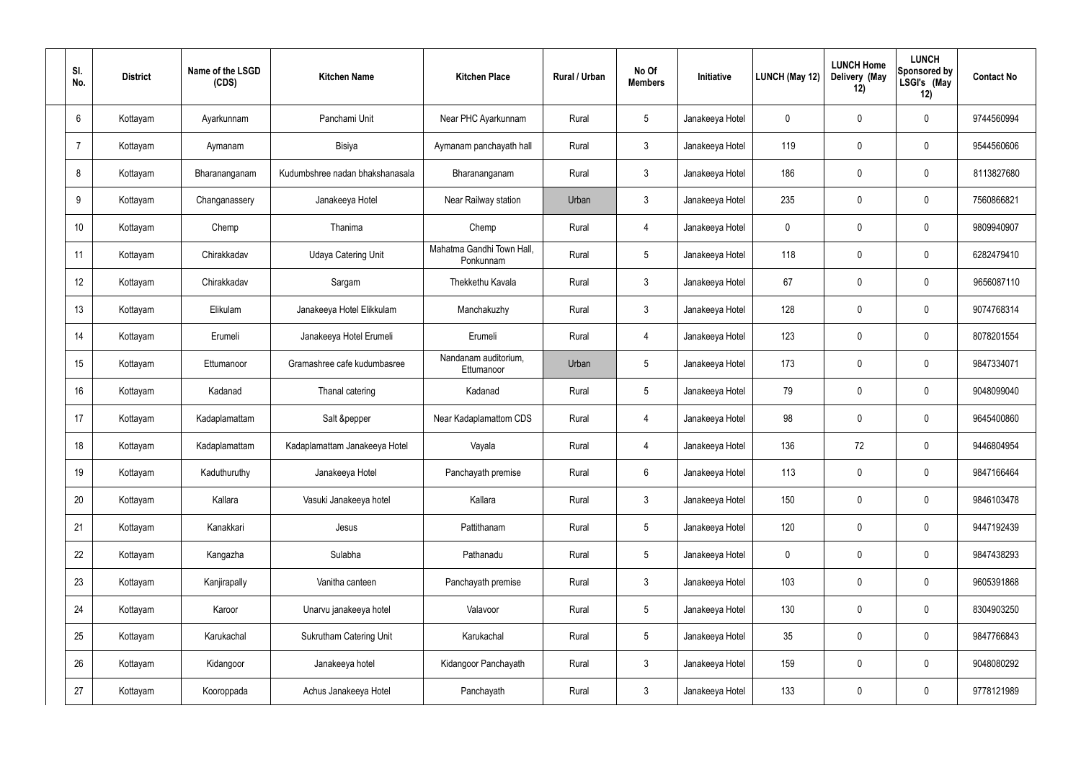| SI.<br>No. | <b>District</b> | Name of the LSGD<br>(CDS) | <b>Kitchen Name</b>             | <b>Kitchen Place</b>                   | Rural / Urban | No Of<br><b>Members</b> | Initiative      | LUNCH (May 12) | <b>LUNCH Home</b><br>Delivery (May<br>12) | <b>LUNCH</b><br>Sponsored by<br>LSGI's (May<br>12) | <b>Contact No</b> |
|------------|-----------------|---------------------------|---------------------------------|----------------------------------------|---------------|-------------------------|-----------------|----------------|-------------------------------------------|----------------------------------------------------|-------------------|
| 6          | Kottayam        | Ayarkunnam                | Panchami Unit                   | Near PHC Ayarkunnam                    | Rural         | $5\phantom{.0}$         | Janakeeya Hotel | 0              | 0                                         | $\boldsymbol{0}$                                   | 9744560994        |
| 7          | Kottayam        | Aymanam                   | <b>Bisiya</b>                   | Aymanam panchayath hall                | Rural         | $\mathbf{3}$            | Janakeeya Hotel | 119            | $\mathbf 0$                               | $\mathbf 0$                                        | 9544560606        |
| 8          | Kottayam        | Bharananganam             | Kudumbshree nadan bhakshanasala | Bharananganam                          | Rural         | $\mathbf{3}$            | Janakeeya Hotel | 186            | $\mathbf 0$                               | $\mathbf 0$                                        | 8113827680        |
| 9          | Kottayam        | Changanassery             | Janakeeya Hotel                 | Near Railway station                   | Urban         | $\mathbf{3}$            | Janakeeya Hotel | 235            | $\mathbf 0$                               | $\mathbf 0$                                        | 7560866821        |
| 10         | Kottayam        | Chemp                     | Thanima                         | Chemp                                  | Rural         | 4                       | Janakeeya Hotel | $\mathbf 0$    | $\mathbf 0$                               | $\mathbf 0$                                        | 9809940907        |
| 11         | Kottayam        | Chirakkadav               | <b>Udaya Catering Unit</b>      | Mahatma Gandhi Town Hall,<br>Ponkunnam | Rural         | $5\phantom{.0}$         | Janakeeya Hotel | 118            | $\mathbf 0$                               | $\mathbf 0$                                        | 6282479410        |
| 12         | Kottayam        | Chirakkadav               | Sargam                          | Thekkethu Kavala                       | Rural         | $\mathbf{3}$            | Janakeeya Hotel | 67             | $\mathbf 0$                               | $\boldsymbol{0}$                                   | 9656087110        |
| 13         | Kottayam        | Elikulam                  | Janakeeya Hotel Elikkulam       | Manchakuzhy                            | Rural         | $\mathbf{3}$            | Janakeeya Hotel | 128            | 0                                         | $\mathbf 0$                                        | 9074768314        |
| 14         | Kottayam        | Erumeli                   | Janakeeya Hotel Erumeli         | Erumeli                                | Rural         | 4                       | Janakeeya Hotel | 123            | $\mathbf 0$                               | $\boldsymbol{0}$                                   | 8078201554        |
| 15         | Kottayam        | Ettumanoor                | Gramashree cafe kudumbasree     | Nandanam auditorium,<br>Ettumanoor     | Urban         | $5\phantom{.0}$         | Janakeeya Hotel | 173            | 0                                         | $\mathbf 0$                                        | 9847334071        |
| 16         | Kottayam        | Kadanad                   | Thanal catering                 | Kadanad                                | Rural         | $5\phantom{.0}$         | Janakeeya Hotel | 79             | $\mathbf 0$                               | $\mathbf 0$                                        | 9048099040        |
| 17         | Kottayam        | Kadaplamattam             | Salt &pepper                    | Near Kadaplamattom CDS                 | Rural         | 4                       | Janakeeya Hotel | 98             | $\mathbf 0$                               | $\boldsymbol{0}$                                   | 9645400860        |
| 18         | Kottayam        | Kadaplamattam             | Kadaplamattam Janakeeya Hotel   | Vayala                                 | Rural         | 4                       | Janakeeya Hotel | 136            | 72                                        | $\boldsymbol{0}$                                   | 9446804954        |
| 19         | Kottayam        | Kaduthuruthy              | Janakeeya Hotel                 | Panchayath premise                     | Rural         | $6\phantom{.}$          | Janakeeya Hotel | 113            | 0                                         | $\mathbf 0$                                        | 9847166464        |
| 20         | Kottayam        | Kallara                   | Vasuki Janakeeya hotel          | Kallara                                | Rural         | $\mathbf{3}$            | Janakeeya Hotel | 150            | 0                                         | $\mathbf 0$                                        | 9846103478        |
| 21         | Kottayam        | Kanakkari                 | Jesus                           | Pattithanam                            | Rural         | $5\phantom{.0}$         | Janakeeya Hotel | 120            | 0                                         | $\mathbf 0$                                        | 9447192439        |
| 22         | Kottayam        | Kangazha                  | Sulabha                         | Pathanadu                              | Rural         | $5\phantom{.0}$         | Janakeeya Hotel | $\pmb{0}$      | 0                                         | $\mathbf 0$                                        | 9847438293        |
| 23         | Kottayam        | Kanjirapally              | Vanitha canteen                 | Panchayath premise                     | Rural         | $\mathfrak{Z}$          | Janakeeya Hotel | 103            | $\pmb{0}$                                 | $\mathbf 0$                                        | 9605391868        |
| 24         | Kottayam        | Karoor                    | Unarvu janakeeya hotel          | Valavoor                               | Rural         | $5\,$                   | Janakeeya Hotel | 130            | 0                                         | $\mathbf 0$                                        | 8304903250        |
| 25         | Kottayam        | Karukachal                | <b>Sukrutham Catering Unit</b>  | Karukachal                             | Rural         | $5\phantom{.0}$         | Janakeeya Hotel | 35             | $\pmb{0}$                                 | $\mathbf 0$                                        | 9847766843        |
| 26         | Kottayam        | Kidangoor                 | Janakeeya hotel                 | Kidangoor Panchayath                   | Rural         | $\mathbf{3}$            | Janakeeya Hotel | 159            | 0                                         | $\mathbf 0$                                        | 9048080292        |
| 27         | Kottayam        | Kooroppada                | Achus Janakeeya Hotel           | Panchayath                             | Rural         | $\mathfrak{Z}$          | Janakeeya Hotel | 133            | $\pmb{0}$                                 | $\pmb{0}$                                          | 9778121989        |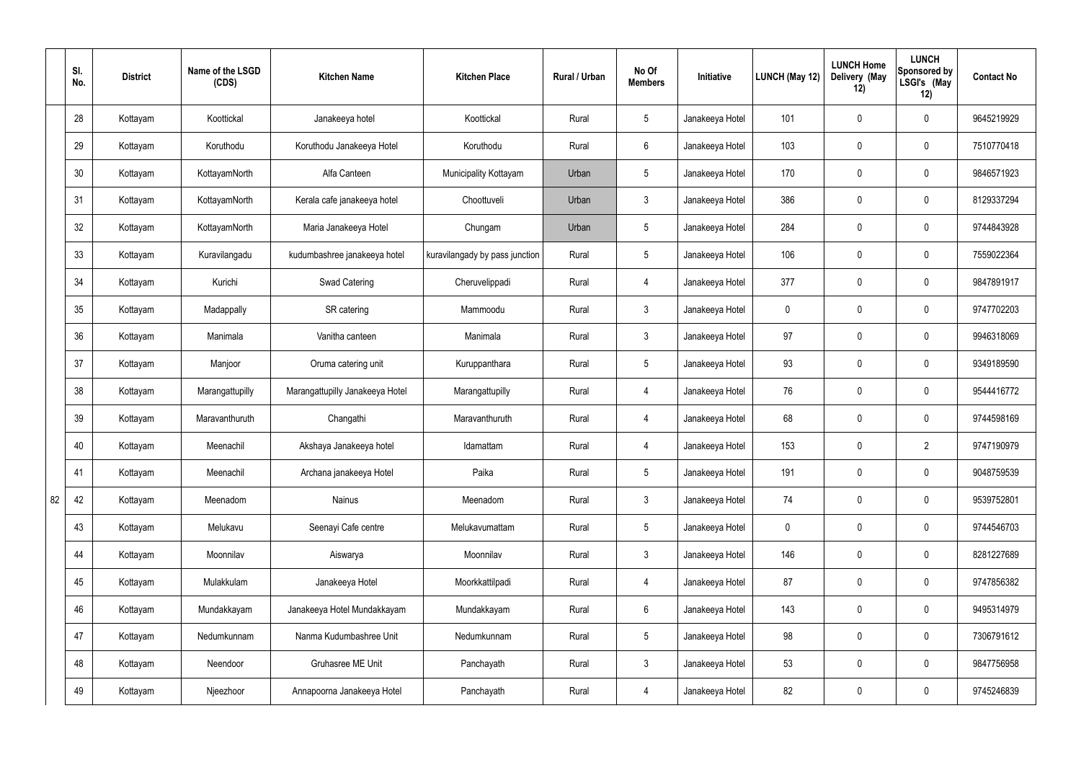|    | SI.<br>No. | <b>District</b> | Name of the LSGD<br>(CDS) | <b>Kitchen Name</b>             | <b>Kitchen Place</b>           | Rural / Urban | No Of<br><b>Members</b> | Initiative      | <b>LUNCH (May 12)</b> | <b>LUNCH Home</b><br>Delivery (May<br>12) | <b>LUNCH</b><br>Sponsored by<br>LSGI's (May<br>12) | <b>Contact No</b> |
|----|------------|-----------------|---------------------------|---------------------------------|--------------------------------|---------------|-------------------------|-----------------|-----------------------|-------------------------------------------|----------------------------------------------------|-------------------|
|    | 28         | Kottayam        | Koottickal                | Janakeeya hotel                 | Koottickal                     | Rural         | $5\overline{)}$         | Janakeeya Hotel | 101                   | $\mathbf 0$                               | $\mathbf 0$                                        | 9645219929        |
|    | 29         | Kottayam        | Koruthodu                 | Koruthodu Janakeeya Hotel       | Koruthodu                      | Rural         | $6\overline{6}$         | Janakeeya Hotel | 103                   | $\mathbf 0$                               | $\mathbf 0$                                        | 7510770418        |
|    | 30         | Kottayam        | KottayamNorth             | Alfa Canteen                    | Municipality Kottayam          | Urban         | $5\overline{)}$         | Janakeeya Hotel | 170                   | $\mathbf 0$                               | $\mathbf 0$                                        | 9846571923        |
|    | 31         | Kottayam        | KottayamNorth             | Kerala cafe janakeeya hotel     | Choottuveli                    | Urban         | $\mathbf{3}$            | Janakeeya Hotel | 386                   | $\mathbf 0$                               | $\mathbf 0$                                        | 8129337294        |
|    | 32         | Kottayam        | KottayamNorth             | Maria Janakeeya Hotel           | Chungam                        | Urban         | $5\overline{)}$         | Janakeeya Hotel | 284                   | $\mathbf 0$                               | $\mathbf 0$                                        | 9744843928        |
|    | 33         | Kottayam        | Kuravilangadu             | kudumbashree janakeeya hotel    | kuravilangady by pass junction | Rural         | $5\overline{)}$         | Janakeeya Hotel | 106                   | $\mathbf 0$                               | $\mathbf 0$                                        | 7559022364        |
|    | 34         | Kottayam        | Kurichi                   | Swad Catering                   | Cheruvelippadi                 | Rural         | 4                       | Janakeeya Hotel | 377                   | $\mathbf 0$                               | $\mathbf 0$                                        | 9847891917        |
|    | 35         | Kottayam        | Madappally                | SR catering                     | Mammoodu                       | Rural         | $\mathbf{3}$            | Janakeeya Hotel | $\mathbf 0$           | $\mathbf 0$                               | $\mathbf 0$                                        | 9747702203        |
|    | 36         | Kottayam        | Manimala                  | Vanitha canteen                 | Manimala                       | Rural         | $\mathbf{3}$            | Janakeeya Hotel | 97                    | $\mathbf 0$                               | $\mathbf 0$                                        | 9946318069        |
|    | 37         | Kottayam        | Manjoor                   | Oruma catering unit             | Kuruppanthara                  | Rural         | $5\overline{)}$         | Janakeeya Hotel | 93                    | $\mathbf 0$                               | $\mathbf 0$                                        | 9349189590        |
|    | 38         | Kottayam        | Marangattupilly           | Marangattupilly Janakeeya Hotel | Marangattupilly                | Rural         | 4                       | Janakeeya Hotel | 76                    | 0                                         | $\mathbf 0$                                        | 9544416772        |
|    | 39         | Kottayam        | Maravanthuruth            | Changathi                       | Maravanthuruth                 | Rural         | 4                       | Janakeeya Hotel | 68                    | $\mathbf 0$                               | $\mathbf 0$                                        | 9744598169        |
|    | 40         | Kottayam        | Meenachil                 | Akshaya Janakeeya hotel         | Idamattam                      | Rural         | $\overline{4}$          | Janakeeya Hotel | 153                   | $\mathbf 0$                               | $\overline{2}$                                     | 9747190979        |
|    | 41         | Kottayam        | Meenachil                 | Archana janakeeya Hotel         | Paika                          | Rural         | 5 <sup>5</sup>          | Janakeeya Hotel | 191                   | 0                                         | $\mathbf 0$                                        | 9048759539        |
| 82 | 42         | Kottayam        | Meenadom                  | Nainus                          | Meenadom                       | Rural         | $\mathbf{3}$            | Janakeeya Hotel | 74                    | 0                                         | $\mathbf 0$                                        | 9539752801        |
|    | 43         | Kottayam        | Melukavu                  | Seenayi Cafe centre             | Melukavumattam                 | Rural         | $5\overline{)}$         | Janakeeya Hotel | $\mathbf 0$           | 0                                         | $\mathbf 0$                                        | 9744546703        |
|    | 44         | Kottayam        | Moonnilav                 | Aiswarya                        | Moonnilav                      | Rural         | $\mathbf{3}$            | Janakeeya Hotel | 146                   | $\pmb{0}$                                 | $\mathbf 0$                                        | 8281227689        |
|    | 45         | Kottayam        | Mulakkulam                | Janakeeya Hotel                 | Moorkkattilpadi                | Rural         | $\overline{4}$          | Janakeeya Hotel | 87                    | $\pmb{0}$                                 | $\mathbf 0$                                        | 9747856382        |
|    | 46         | Kottayam        | Mundakkayam               | Janakeeya Hotel Mundakkayam     | Mundakkayam                    | Rural         | $6\phantom{.}6$         | Janakeeya Hotel | 143                   | $\pmb{0}$                                 | $\mathbf 0$                                        | 9495314979        |
|    | 47         | Kottayam        | Nedumkunnam               | Nanma Kudumbashree Unit         | Nedumkunnam                    | Rural         | 5 <sub>5</sub>          | Janakeeya Hotel | 98                    | $\pmb{0}$                                 | $\mathbf 0$                                        | 7306791612        |
|    | 48         | Kottayam        | Neendoor                  | Gruhasree ME Unit               | Panchayath                     | Rural         | $\mathbf{3}$            | Janakeeya Hotel | 53                    | $\pmb{0}$                                 | $\mathbf 0$                                        | 9847756958        |
|    | 49         | Kottayam        | Njeezhoor                 | Annapoorna Janakeeya Hotel      | Panchayath                     | Rural         | $\overline{4}$          | Janakeeya Hotel | 82                    | $\pmb{0}$                                 | $\boldsymbol{0}$                                   | 9745246839        |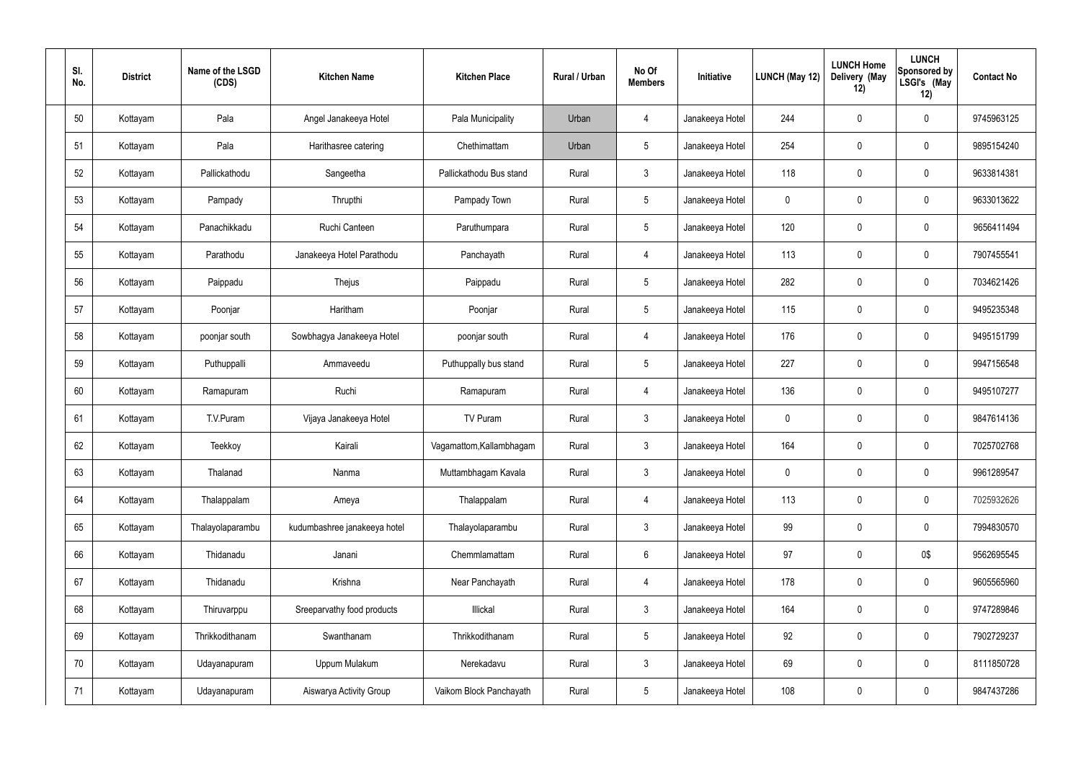| SI.<br>No. | <b>District</b> | Name of the LSGD<br>(CDS) | <b>Kitchen Name</b>          | <b>Kitchen Place</b>     | Rural / Urban | No Of<br><b>Members</b> | Initiative      | <b>LUNCH (May 12)</b> | <b>LUNCH Home</b><br>Delivery (May<br>12) | <b>LUNCH</b><br>Sponsored by<br>LSGI's (May<br>12) | <b>Contact No</b> |
|------------|-----------------|---------------------------|------------------------------|--------------------------|---------------|-------------------------|-----------------|-----------------------|-------------------------------------------|----------------------------------------------------|-------------------|
| 50         | Kottayam        | Pala                      | Angel Janakeeya Hotel        | Pala Municipality        | Urban         | 4                       | Janakeeya Hotel | 244                   | 0                                         | $\pmb{0}$                                          | 9745963125        |
| 51         | Kottayam        | Pala                      | Harithasree catering         | Chethimattam             | Urban         | $5\phantom{.0}$         | Janakeeya Hotel | 254                   | 0                                         | $\mathbf 0$                                        | 9895154240        |
| 52         | Kottayam        | Pallickathodu             | Sangeetha                    | Pallickathodu Bus stand  | Rural         | $\mathbf{3}$            | Janakeeya Hotel | 118                   | 0                                         | $\pmb{0}$                                          | 9633814381        |
| 53         | Kottayam        | Pampady                   | Thrupthi                     | Pampady Town             | Rural         | $5\,$                   | Janakeeya Hotel | $\mathbf 0$           | 0                                         | $\mathbf 0$                                        | 9633013622        |
| 54         | Kottayam        | Panachikkadu              | Ruchi Canteen                | Paruthumpara             | Rural         | $5\phantom{.0}$         | Janakeeya Hotel | 120                   | $\pmb{0}$                                 | $\mathbf 0$                                        | 9656411494        |
| 55         | Kottayam        | Parathodu                 | Janakeeya Hotel Parathodu    | Panchayath               | Rural         | 4                       | Janakeeya Hotel | 113                   | 0                                         | $\mathbf 0$                                        | 7907455541        |
| 56         | Kottayam        | Paippadu                  | Thejus                       | Paippadu                 | Rural         | $5\phantom{.0}$         | Janakeeya Hotel | 282                   | $\pmb{0}$                                 | $\mathbf 0$                                        | 7034621426        |
| 57         | Kottayam        | Poonjar                   | Haritham                     | Poonjar                  | Rural         | $5\,$                   | Janakeeya Hotel | 115                   | 0                                         | $\mathbf 0$                                        | 9495235348        |
| 58         | Kottayam        | poonjar south             | Sowbhagya Janakeeya Hotel    | poonjar south            | Rural         | $\overline{4}$          | Janakeeya Hotel | 176                   | 0                                         | $\mathbf 0$                                        | 9495151799        |
| 59         | Kottayam        | Puthuppalli               | Ammaveedu                    | Puthuppally bus stand    | Rural         | $5\,$                   | Janakeeya Hotel | 227                   | $\mathbf 0$                               | $\mathbf 0$                                        | 9947156548        |
| 60         | Kottayam        | Ramapuram                 | Ruchi                        | Ramapuram                | Rural         | $\overline{4}$          | Janakeeya Hotel | 136                   | $\pmb{0}$                                 | $\pmb{0}$                                          | 9495107277        |
| 61         | Kottayam        | T.V.Puram                 | Vijaya Janakeeya Hotel       | TV Puram                 | Rural         | $\mathbf{3}$            | Janakeeya Hotel | $\mathbf 0$           | 0                                         | $\mathbf 0$                                        | 9847614136        |
| 62         | Kottayam        | Teekkoy                   | Kairali                      | Vagamattom, Kallambhagam | Rural         | $\mathfrak{Z}$          | Janakeeya Hotel | 164                   | $\boldsymbol{0}$                          | $\mathbf 0$                                        | 7025702768        |
| 63         | Kottayam        | Thalanad                  | Nanma                        | Muttambhagam Kavala      | Rural         | $\mathbf{3}$            | Janakeeya Hotel | $\pmb{0}$             | 0                                         | $\mathbf 0$                                        | 9961289547        |
| 64         | Kottayam        | Thalappalam               | Ameya                        | Thalappalam              | Rural         | $\overline{4}$          | Janakeeya Hotel | 113                   | 0                                         | $\mathbf 0$                                        | 7025932626        |
| 65         | Kottayam        | Thalayolaparambu          | kudumbashree janakeeya hotel | Thalayolaparambu         | Rural         | $\mathbf{3}$            | Janakeeya Hotel | 99                    | 0                                         | $\mathbf 0$                                        | 7994830570        |
| 66         | Kottayam        | Thidanadu                 | Janani                       | Chemmlamattam            | Rural         | $6\phantom{.}$          | Janakeeya Hotel | 97                    | 0                                         | 0\$                                                | 9562695545        |
| 67         | Kottayam        | Thidanadu                 | Krishna                      | Near Panchayath          | Rural         | $\overline{4}$          | Janakeeya Hotel | 178                   | 0                                         | $\mathbf 0$                                        | 9605565960        |
| 68         | Kottayam        | Thiruvarppu               | Sreeparvathy food products   | Illickal                 | Rural         | $\mathbf{3}$            | Janakeeya Hotel | 164                   | 0                                         | $\mathbf 0$                                        | 9747289846        |
| 69         | Kottayam        | Thrikkodithanam           | Swanthanam                   | Thrikkodithanam          | Rural         | $5\phantom{.0}$         | Janakeeya Hotel | 92                    | 0                                         | $\mathbf 0$                                        | 7902729237        |
| 70         | Kottayam        | Udayanapuram              | Uppum Mulakum                | Nerekadavu               | Rural         | $\mathbf{3}$            | Janakeeya Hotel | 69                    | $\mathbf 0$                               | $\mathbf 0$                                        | 8111850728        |
| 71         | Kottayam        | Udayanapuram              | Aiswarya Activity Group      | Vaikom Block Panchayath  | Rural         | $5\phantom{.0}$         | Janakeeya Hotel | 108                   | 0                                         | $\pmb{0}$                                          | 9847437286        |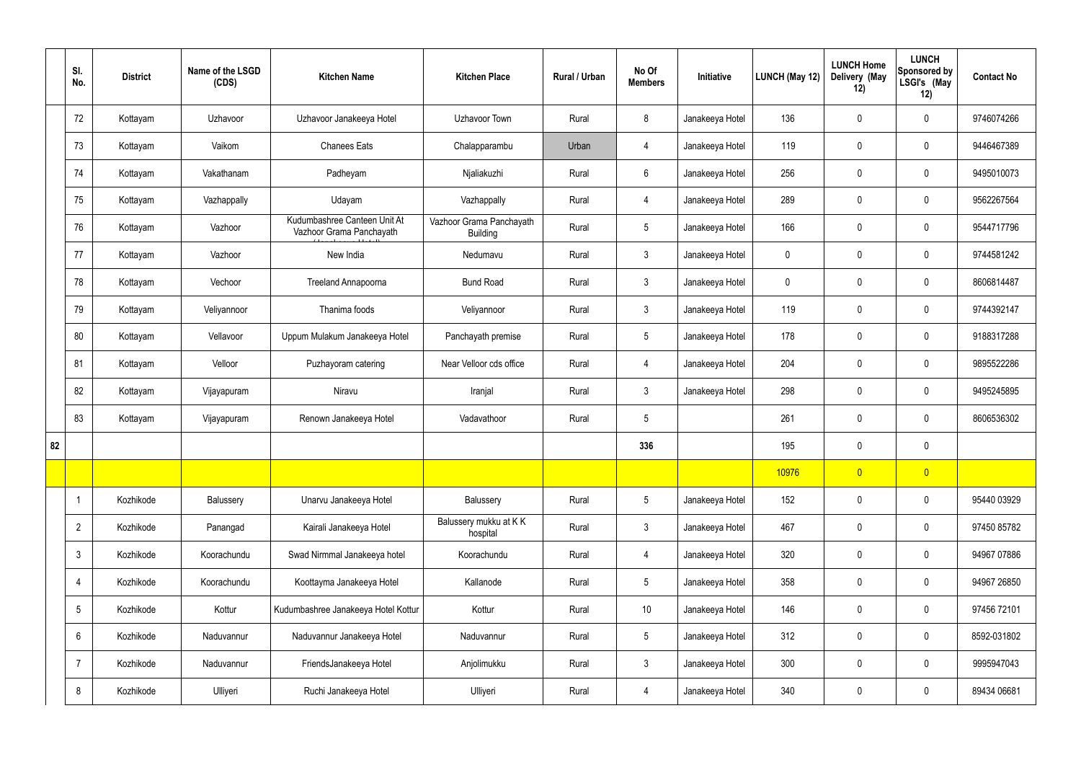|    | SI.<br>No.     | <b>District</b> | Name of the LSGD<br>(CDS) | <b>Kitchen Name</b>                                      | <b>Kitchen Place</b>                        | Rural / Urban | No Of<br><b>Members</b> | Initiative      | LUNCH (May 12) | <b>LUNCH Home</b><br>Delivery (May<br>12) | <b>LUNCH</b><br>Sponsored by<br>LSGI's (May<br>12) | <b>Contact No</b> |
|----|----------------|-----------------|---------------------------|----------------------------------------------------------|---------------------------------------------|---------------|-------------------------|-----------------|----------------|-------------------------------------------|----------------------------------------------------|-------------------|
|    | 72             | Kottayam        | Uzhavoor                  | Uzhavoor Janakeeya Hotel                                 | Uzhavoor Town                               | Rural         | 8                       | Janakeeya Hotel | 136            | $\mathbf 0$                               | $\pmb{0}$                                          | 9746074266        |
|    | 73             | Kottayam        | Vaikom                    | <b>Chanees Eats</b>                                      | Chalapparambu                               | Urban         | 4                       | Janakeeya Hotel | 119            | $\mathbf 0$                               | $\pmb{0}$                                          | 9446467389        |
|    | 74             | Kottayam        | Vakathanam                | Padheyam                                                 | Njaliakuzhi                                 | Rural         | $6\phantom{.}6$         | Janakeeya Hotel | 256            | $\mathbf 0$                               | $\pmb{0}$                                          | 9495010073        |
|    | 75             | Kottayam        | Vazhappally               | Udayam                                                   | Vazhappally                                 | Rural         | $\overline{4}$          | Janakeeya Hotel | 289            | $\mathbf 0$                               | $\pmb{0}$                                          | 9562267564        |
|    | 76             | Kottayam        | Vazhoor                   | Kudumbashree Canteen Unit At<br>Vazhoor Grama Panchayath | Vazhoor Grama Panchayath<br><b>Building</b> | Rural         | $\overline{5}$          | Janakeeya Hotel | 166            | $\mathbf 0$                               | $\pmb{0}$                                          | 9544717796        |
|    | 77             | Kottayam        | Vazhoor                   | New India                                                | Nedumavu                                    | Rural         | $\mathfrak{Z}$          | Janakeeya Hotel | 0              | $\mathbf 0$                               | $\pmb{0}$                                          | 9744581242        |
|    | 78             | Kottayam        | Vechoor                   | Treeland Annapoorna                                      | <b>Bund Road</b>                            | Rural         | $\mathbf{3}$            | Janakeeya Hotel | 0              | $\mathbf 0$                               | $\pmb{0}$                                          | 8606814487        |
|    | 79             | Kottayam        | Velivannoor               | Thanima foods                                            | Veliyannoor                                 | Rural         | $\mathfrak{Z}$          | Janakeeya Hotel | 119            | $\mathbf 0$                               | $\pmb{0}$                                          | 9744392147        |
|    | 80             | Kottayam        | Vellavoor                 | Uppum Mulakum Janakeeya Hotel                            | Panchayath premise                          | Rural         | $5\,$                   | Janakeeya Hotel | 178            | $\mathbf 0$                               | $\pmb{0}$                                          | 9188317288        |
|    | 81             | Kottayam        | Velloor                   | Puzhayoram catering                                      | Near Velloor cds office                     | Rural         | 4                       | Janakeeya Hotel | 204            | 0                                         | $\mathbf 0$                                        | 9895522286        |
|    | 82             | Kottayam        | Vijayapuram               | Niravu                                                   | Iranjal                                     | Rural         | $\mathfrak{Z}$          | Janakeeya Hotel | 298            | $\mathbf 0$                               | $\pmb{0}$                                          | 9495245895        |
|    | 83             | Kottayam        | Vijayapuram               | Renown Janakeeya Hotel                                   | Vadavathoor                                 | Rural         | $5\overline{)}$         |                 | 261            | 0                                         | $\mathbf 0$                                        | 8606536302        |
| 82 |                |                 |                           |                                                          |                                             |               | 336                     |                 | 195            | 0                                         | $\pmb{0}$                                          |                   |
|    |                |                 |                           |                                                          |                                             |               |                         |                 | 10976          | $\overline{0}$                            | $\overline{0}$                                     |                   |
|    | $\overline{1}$ | Kozhikode       | Balussery                 | Unarvu Janakeeya Hotel                                   | Balussery                                   | Rural         | $5\overline{)}$         | Janakeeya Hotel | 152            | 0                                         | $\mathbf 0$                                        | 95440 03929       |
|    | $\overline{2}$ | Kozhikode       | Panangad                  | Kairali Janakeeya Hotel                                  | Balussery mukku at KK<br>hospital           | Rural         | $\mathbf{3}$            | Janakeeya Hotel | 467            | 0                                         | $\mathbf 0$                                        | 97450 85782       |
|    | $\mathfrak{Z}$ | Kozhikode       | Koorachundu               | Swad Nirmmal Janakeeya hotel                             | Koorachundu                                 | Rural         | 4                       | Janakeeya Hotel | 320            | $\mathbf 0$                               | $\mathbf 0$                                        | 94967 07886       |
|    | $\overline{4}$ | Kozhikode       | Koorachundu               | Koottayma Janakeeya Hotel                                | Kallanode                                   | Rural         | $5\overline{)}$         | Janakeeya Hotel | 358            | 0                                         | $\mathbf 0$                                        | 94967 26850       |
|    | 5              | Kozhikode       | Kottur                    | Kudumbashree Janakeeya Hotel Kottur                      | Kottur                                      | Rural         | 10 <sup>°</sup>         | Janakeeya Hotel | 146            | $\mathbf 0$                               | $\mathbf 0$                                        | 97456 72101       |
|    | 6              | Kozhikode       | Naduvannur                | Naduvannur Janakeeya Hotel                               | Naduvannur                                  | Rural         | $5\overline{)}$         | Janakeeya Hotel | 312            | 0                                         | $\mathbf 0$                                        | 8592-031802       |
|    | $\overline{7}$ | Kozhikode       | Naduvannur                | FriendsJanakeeya Hotel                                   | Anjolimukku                                 | Rural         | $\mathbf{3}$            | Janakeeya Hotel | 300            | 0                                         | $\mathbf 0$                                        | 9995947043        |
|    | 8              | Kozhikode       | Ulliyeri                  | Ruchi Janakeeya Hotel                                    | Ulliyeri                                    | Rural         | 4                       | Janakeeya Hotel | 340            | 0                                         | $\mathbf 0$                                        | 89434 06681       |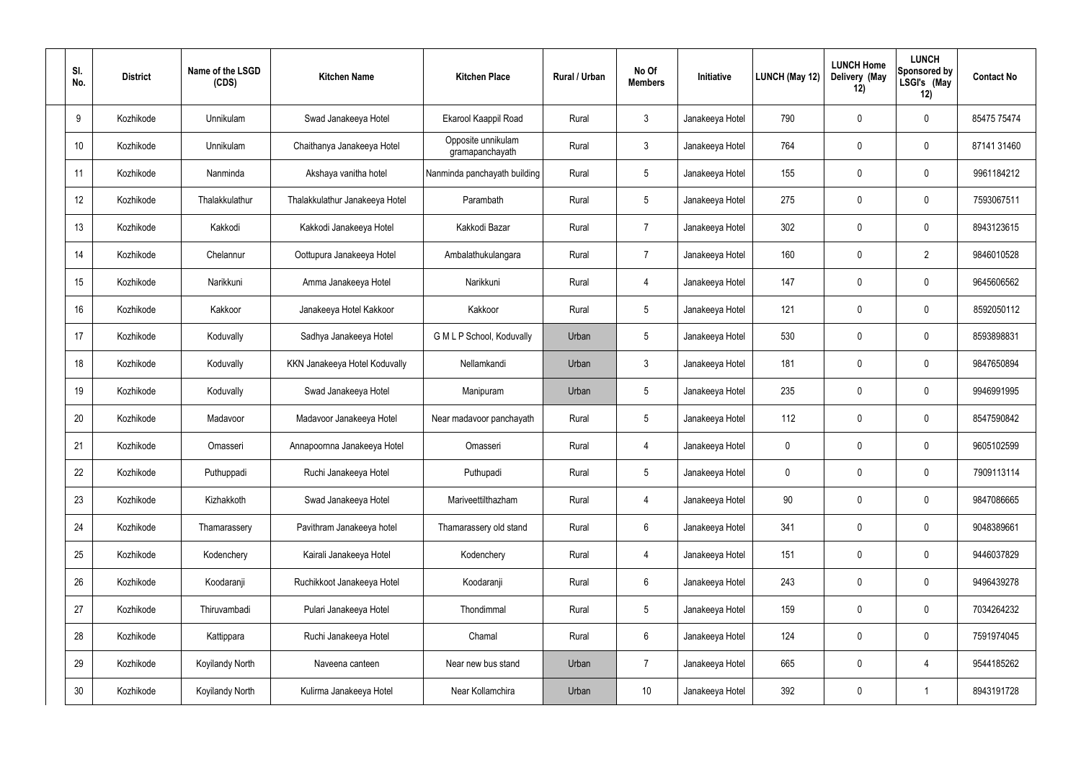| SI.<br>No.      | <b>District</b> | Name of the LSGD<br>(CDS) | <b>Kitchen Name</b>            | <b>Kitchen Place</b>                  | Rural / Urban | No Of<br><b>Members</b> | Initiative      | <b>LUNCH (May 12)</b> | <b>LUNCH Home</b><br>Delivery (May<br>12) | <b>LUNCH</b><br><b>Sponsored by</b><br>LSGI's (May<br>12) | <b>Contact No</b> |
|-----------------|-----------------|---------------------------|--------------------------------|---------------------------------------|---------------|-------------------------|-----------------|-----------------------|-------------------------------------------|-----------------------------------------------------------|-------------------|
| 9               | Kozhikode       | Unnikulam                 | Swad Janakeeya Hotel           | Ekarool Kaappil Road                  | Rural         | $\mathbf{3}$            | Janakeeya Hotel | 790                   | 0                                         | 0                                                         | 85475 75474       |
| 10              | Kozhikode       | Unnikulam                 | Chaithanya Janakeeya Hotel     | Opposite unnikulam<br>gramapanchayath | Rural         | $\mathbf{3}$            | Janakeeya Hotel | 764                   | 0                                         | 0                                                         | 87141 31460       |
| 11              | Kozhikode       | Nanminda                  | Akshaya vanitha hotel          | Nanminda panchayath building          | Rural         | $5\phantom{.0}$         | Janakeeya Hotel | 155                   | 0                                         | 0                                                         | 9961184212        |
| 12              | Kozhikode       | Thalakkulathur            | Thalakkulathur Janakeeya Hotel | Parambath                             | Rural         | $5\phantom{.0}$         | Janakeeya Hotel | 275                   | 0                                         | 0                                                         | 7593067511        |
| 13              | Kozhikode       | Kakkodi                   | Kakkodi Janakeeya Hotel        | Kakkodi Bazar                         | Rural         | 7                       | Janakeeya Hotel | 302                   | 0                                         | 0                                                         | 8943123615        |
| 14              | Kozhikode       | Chelannur                 | Oottupura Janakeeya Hotel      | Ambalathukulangara                    | Rural         | $\overline{7}$          | Janakeeya Hotel | 160                   | 0                                         | $\overline{2}$                                            | 9846010528        |
| 15              | Kozhikode       | Narikkuni                 | Amma Janakeeya Hotel           | Narikkuni                             | Rural         | $\overline{4}$          | Janakeeya Hotel | 147                   | 0                                         | 0                                                         | 9645606562        |
| 16              | Kozhikode       | Kakkoor                   | Janakeeya Hotel Kakkoor        | Kakkoor                               | Rural         | $5\phantom{.0}$         | Janakeeya Hotel | 121                   | 0                                         | 0                                                         | 8592050112        |
| 17              | Kozhikode       | Koduvally                 | Sadhya Janakeeya Hotel         | G M L P School, Koduvally             | Urban         | $5\phantom{.0}$         | Janakeeya Hotel | 530                   | 0                                         | 0                                                         | 8593898831        |
| 18              | Kozhikode       | Koduvally                 | KKN Janakeeya Hotel Koduvally  | Nellamkandi                           | Urban         | $\mathbf{3}$            | Janakeeya Hotel | 181                   | 0                                         | 0                                                         | 9847650894        |
| 19              | Kozhikode       | Koduvally                 | Swad Janakeeya Hotel           | Manipuram                             | Urban         | $5\phantom{.0}$         | Janakeeya Hotel | 235                   | $\boldsymbol{0}$                          | 0                                                         | 9946991995        |
| 20              | Kozhikode       | Madavoor                  | Madavoor Janakeeya Hotel       | Near madavoor panchayath              | Rural         | $5\phantom{.0}$         | Janakeeya Hotel | 112                   | 0                                         | 0                                                         | 8547590842        |
| 21              | Kozhikode       | Omasseri                  | Annapoornna Janakeeya Hotel    | Omasseri                              | Rural         | 4                       | Janakeeya Hotel | 0                     | 0                                         | 0                                                         | 9605102599        |
| 22              | Kozhikode       | Puthuppadi                | Ruchi Janakeeya Hotel          | Puthupadi                             | Rural         | $5\phantom{.0}$         | Janakeeya Hotel | 0                     | $\mathbf 0$                               | 0                                                         | 7909113114        |
| 23              | Kozhikode       | Kizhakkoth                | Swad Janakeeya Hotel           | Mariveettilthazham                    | Rural         | $\overline{4}$          | Janakeeya Hotel | 90                    | $\mathbf 0$                               | 0                                                         | 9847086665        |
| 24              | Kozhikode       | Thamarassery              | Pavithram Janakeeya hotel      | Thamarassery old stand                | Rural         | $6\phantom{.}6$         | Janakeeya Hotel | 341                   | $\mathbf 0$                               | 0                                                         | 9048389661        |
| 25              | Kozhikode       | Kodenchery                | Kairali Janakeeya Hotel        | Kodenchery                            | Rural         | $\overline{4}$          | Janakeeya Hotel | 151                   | $\mathbf 0$                               | 0                                                         | 9446037829        |
| 26              | Kozhikode       | Koodaranji                | Ruchikkoot Janakeeya Hotel     | Koodaranji                            | Rural         | $6\phantom{.}6$         | Janakeeya Hotel | 243                   | $\mathbf 0$                               | 0                                                         | 9496439278        |
| 27              | Kozhikode       | Thiruvambadi              | Pulari Janakeeya Hotel         | Thondimmal                            | Rural         | $5\phantom{.0}$         | Janakeeya Hotel | 159                   | $\mathbf 0$                               | 0                                                         | 7034264232        |
| 28              | Kozhikode       | Kattippara                | Ruchi Janakeeya Hotel          | Chamal                                | Rural         | $6\phantom{.}6$         | Janakeeya Hotel | 124                   | $\mathbf 0$                               | 0                                                         | 7591974045        |
| 29              | Kozhikode       | <b>Koyilandy North</b>    | Naveena canteen                | Near new bus stand                    | Urban         | 7                       | Janakeeya Hotel | 665                   | $\mathbf 0$                               | 4                                                         | 9544185262        |
| 30 <sup>°</sup> | Kozhikode       | Koyilandy North           | Kulirma Janakeeya Hotel        | Near Kollamchira                      | Urban         | 10 <sup>°</sup>         | Janakeeya Hotel | 392                   | $\boldsymbol{0}$                          |                                                           | 8943191728        |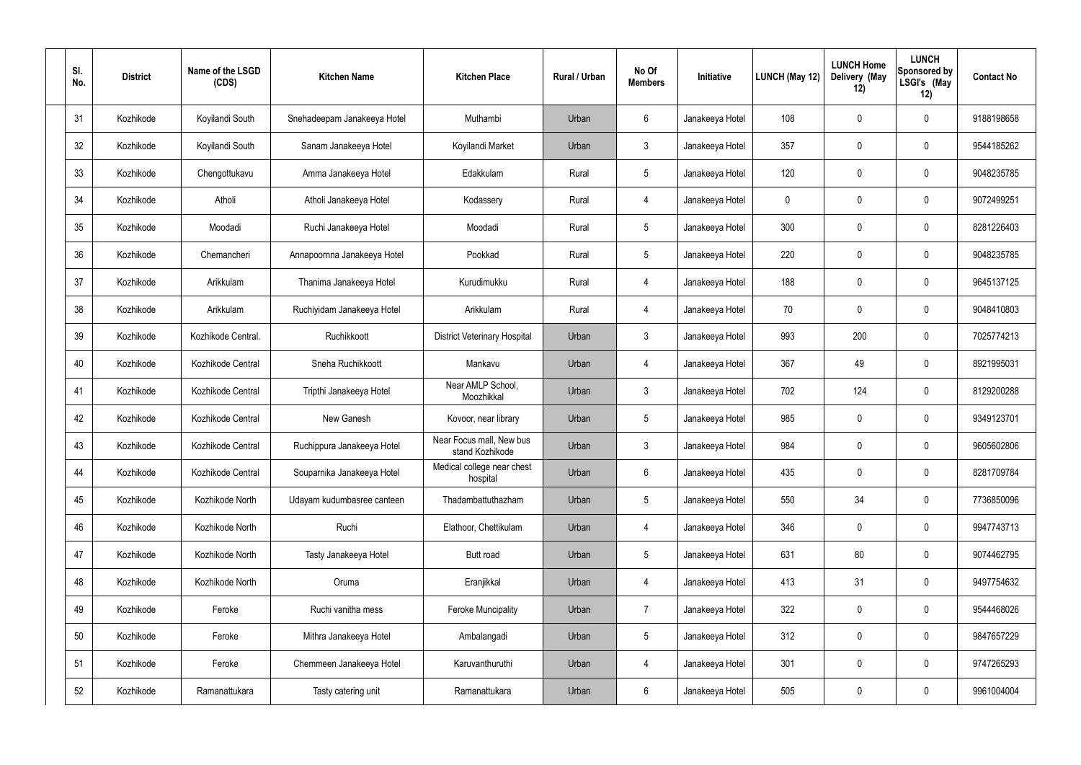| SI.<br>No. | <b>District</b> | Name of the LSGD<br>(CDS) | <b>Kitchen Name</b>         | <b>Kitchen Place</b>                        | Rural / Urban | No Of<br><b>Members</b> | Initiative      | LUNCH (May 12) | <b>LUNCH Home</b><br>Delivery (May<br>12) | <b>LUNCH</b><br>Sponsored by<br>LSGI's (May<br>12) | <b>Contact No</b> |
|------------|-----------------|---------------------------|-----------------------------|---------------------------------------------|---------------|-------------------------|-----------------|----------------|-------------------------------------------|----------------------------------------------------|-------------------|
| 31         | Kozhikode       | Koyilandi South           | Snehadeepam Janakeeya Hotel | Muthambi                                    | Urban         | $6\phantom{.}$          | Janakeeya Hotel | 108            | 0                                         | $\boldsymbol{0}$                                   | 9188198658        |
| 32         | Kozhikode       | Koyilandi South           | Sanam Janakeeya Hotel       | Koyilandi Market                            | Urban         | $\mathbf{3}$            | Janakeeya Hotel | 357            | 0                                         | $\pmb{0}$                                          | 9544185262        |
| 33         | Kozhikode       | Chengottukavu             | Amma Janakeeya Hotel        | Edakkulam                                   | Rural         | $5\phantom{.0}$         | Janakeeya Hotel | 120            | 0                                         | $\boldsymbol{0}$                                   | 9048235785        |
| 34         | Kozhikode       | Atholi                    | Atholi Janakeeya Hotel      | Kodassery                                   | Rural         | 4                       | Janakeeya Hotel | 0              | 0                                         | $\pmb{0}$                                          | 9072499251        |
| 35         | Kozhikode       | Moodadi                   | Ruchi Janakeeya Hotel       | Moodadi                                     | Rural         | $5\phantom{.0}$         | Janakeeya Hotel | 300            | 0                                         | $\boldsymbol{0}$                                   | 8281226403        |
| 36         | Kozhikode       | Chemancheri               | Annapoornna Janakeeya Hotel | Pookkad                                     | Rural         | $5\phantom{.0}$         | Janakeeya Hotel | 220            | $\boldsymbol{0}$                          | $\pmb{0}$                                          | 9048235785        |
| 37         | Kozhikode       | Arikkulam                 | Thanima Janakeeya Hotel     | Kurudimukku                                 | Rural         | 4                       | Janakeeya Hotel | 188            | $\boldsymbol{0}$                          | $\boldsymbol{0}$                                   | 9645137125        |
| 38         | Kozhikode       | Arikkulam                 | Ruchiyidam Janakeeya Hotel  | Arikkulam                                   | Rural         | 4                       | Janakeeya Hotel | 70             | 0                                         | $\pmb{0}$                                          | 9048410803        |
| 39         | Kozhikode       | Kozhikode Central.        | Ruchikkoott                 | <b>District Veterinary Hospital</b>         | Urban         | $\mathfrak{Z}$          | Janakeeya Hotel | 993            | 200                                       | $\boldsymbol{0}$                                   | 7025774213        |
| 40         | Kozhikode       | Kozhikode Central         | Sneha Ruchikkoott           | Mankavu                                     | Urban         | $\overline{4}$          | Janakeeya Hotel | 367            | 49                                        | $\boldsymbol{0}$                                   | 8921995031        |
| 41         | Kozhikode       | Kozhikode Central         | Tripthi Janakeeya Hotel     | Near AMLP School,<br>Moozhikkal             | Urban         | $\mathbf{3}$            | Janakeeya Hotel | 702            | 124                                       | $\boldsymbol{0}$                                   | 8129200288        |
| 42         | Kozhikode       | Kozhikode Central         | New Ganesh                  | Kovoor, near library                        | Urban         | $5\phantom{.0}$         | Janakeeya Hotel | 985            | 0                                         | $\boldsymbol{0}$                                   | 9349123701        |
| 43         | Kozhikode       | Kozhikode Central         | Ruchippura Janakeeya Hotel  | Near Focus mall, New bus<br>stand Kozhikode | Urban         | 3                       | Janakeeya Hotel | 984            | $\mathbf 0$                               | 0                                                  | 9605602806        |
| 44         | Kozhikode       | Kozhikode Central         | Souparnika Janakeeya Hotel  | Medical college near chest<br>hospital      | Urban         | 6                       | Janakeeya Hotel | 435            | 0                                         | $\pmb{0}$                                          | 8281709784        |
| 45         | Kozhikode       | Kozhikode North           | Udayam kudumbasree canteen  | Thadambattuthazham                          | Urban         | $5\phantom{.0}$         | Janakeeya Hotel | 550            | 34                                        | $\mathbf 0$                                        | 7736850096        |
| 46         | Kozhikode       | Kozhikode North           | Ruchi                       | Elathoor, Chettikulam                       | Urban         | $\overline{4}$          | Janakeeya Hotel | 346            | 0                                         | $\mathbf 0$                                        | 9947743713        |
| 47         | Kozhikode       | Kozhikode North           | Tasty Janakeeya Hotel       | Butt road                                   | Urban         | $5\phantom{.0}$         | Janakeeya Hotel | 631            | 80                                        | $\mathbf 0$                                        | 9074462795        |
| 48         | Kozhikode       | Kozhikode North           | Oruma                       | Eranjikkal                                  | Urban         | $\overline{4}$          | Janakeeya Hotel | 413            | 31                                        | $\mathbf 0$                                        | 9497754632        |
| 49         | Kozhikode       | Feroke                    | Ruchi vanitha mess          | <b>Feroke Muncipality</b>                   | Urban         | $\overline{7}$          | Janakeeya Hotel | 322            | 0                                         | $\mathbf 0$                                        | 9544468026        |
| 50         | Kozhikode       | Feroke                    | Mithra Janakeeya Hotel      | Ambalangadi                                 | Urban         | $5\phantom{.0}$         | Janakeeya Hotel | 312            | 0                                         | $\mathbf 0$                                        | 9847657229        |
| 51         | Kozhikode       | Feroke                    | Chemmeen Janakeeya Hotel    | Karuvanthuruthi                             | Urban         | 4                       | Janakeeya Hotel | 301            | 0                                         | $\pmb{0}$                                          | 9747265293        |
| 52         | Kozhikode       | Ramanattukara             | Tasty catering unit         | Ramanattukara                               | Urban         | 6                       | Janakeeya Hotel | 505            | $\pmb{0}$                                 | $\pmb{0}$                                          | 9961004004        |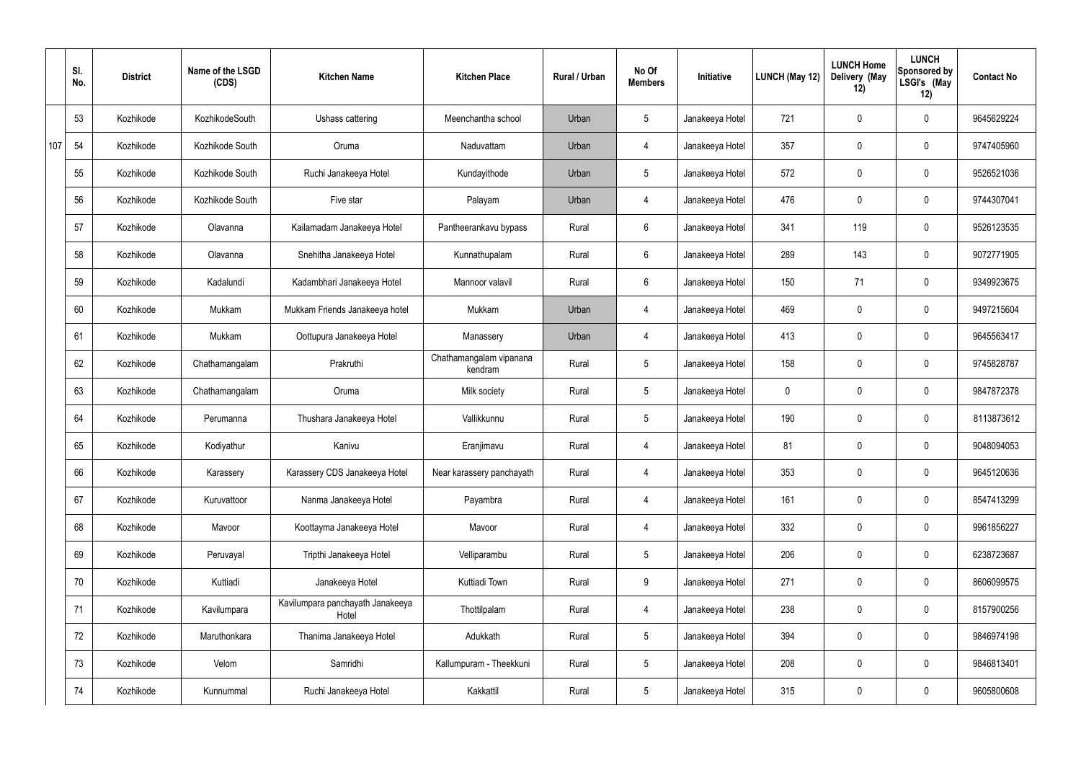|     | SI.<br>No. | <b>District</b> | Name of the LSGD<br>(CDS) | <b>Kitchen Name</b>                       | <b>Kitchen Place</b>               | Rural / Urban | No Of<br><b>Members</b> | Initiative      | LUNCH (May 12) | <b>LUNCH Home</b><br>Delivery (May<br>12) | <b>LUNCH</b><br>Sponsored by<br>LSGI's (May<br>12) | <b>Contact No</b> |
|-----|------------|-----------------|---------------------------|-------------------------------------------|------------------------------------|---------------|-------------------------|-----------------|----------------|-------------------------------------------|----------------------------------------------------|-------------------|
|     | 53         | Kozhikode       | KozhikodeSouth            | Ushass cattering                          | Meenchantha school                 | Urban         | $5\phantom{.0}$         | Janakeeya Hotel | 721            | $\mathbf 0$                               | $\mathbf 0$                                        | 9645629224        |
| 107 | 54         | Kozhikode       | Kozhikode South           | Oruma                                     | Naduvattam                         | Urban         | $\overline{4}$          | Janakeeya Hotel | 357            | 0                                         | $\mathbf 0$                                        | 9747405960        |
|     | 55         | Kozhikode       | Kozhikode South           | Ruchi Janakeeya Hotel                     | Kundayithode                       | Urban         | $5\phantom{.0}$         | Janakeeya Hotel | 572            | $\mathbf 0$                               | $\mathbf 0$                                        | 9526521036        |
|     | 56         | Kozhikode       | Kozhikode South           | Five star                                 | Palayam                            | Urban         | $\overline{4}$          | Janakeeya Hotel | 476            | 0                                         | $\mathbf 0$                                        | 9744307041        |
|     | 57         | Kozhikode       | Olavanna                  | Kailamadam Janakeeya Hotel                | Pantheerankavu bypass              | Rural         | $6\phantom{.}6$         | Janakeeya Hotel | 341            | 119                                       | $\mathbf 0$                                        | 9526123535        |
|     | 58         | Kozhikode       | Olavanna                  | Snehitha Janakeeya Hotel                  | Kunnathupalam                      | Rural         | $6\phantom{.}6$         | Janakeeya Hotel | 289            | 143                                       | $\mathbf 0$                                        | 9072771905        |
|     | 59         | Kozhikode       | Kadalundi                 | Kadambhari Janakeeya Hotel                | Mannoor valavil                    | Rural         | $6\overline{6}$         | Janakeeya Hotel | 150            | 71                                        | $\mathbf 0$                                        | 9349923675        |
|     | 60         | Kozhikode       | Mukkam                    | Mukkam Friends Janakeeya hotel            | Mukkam                             | Urban         | $\overline{4}$          | Janakeeya Hotel | 469            | 0                                         | $\mathbf 0$                                        | 9497215604        |
|     | 61         | Kozhikode       | Mukkam                    | Oottupura Janakeeya Hotel                 | Manassery                          | Urban         | $\overline{4}$          | Janakeeya Hotel | 413            | $\mathbf 0$                               | $\mathbf 0$                                        | 9645563417        |
|     | 62         | Kozhikode       | Chathamangalam            | Prakruthi                                 | Chathamangalam vipanana<br>kendram | Rural         | $5\phantom{.0}$         | Janakeeya Hotel | 158            | 0                                         | $\mathbf 0$                                        | 9745828787        |
|     | 63         | Kozhikode       | Chathamangalam            | Oruma                                     | Milk society                       | Rural         | $5\phantom{.0}$         | Janakeeya Hotel | $\mathbf 0$    | 0                                         | $\mathbf 0$                                        | 9847872378        |
|     | 64         | Kozhikode       | Perumanna                 | Thushara Janakeeya Hotel                  | Vallikkunnu                        | Rural         | $5\phantom{.0}$         | Janakeeya Hotel | 190            | 0                                         | $\mathbf 0$                                        | 8113873612        |
|     | 65         | Kozhikode       | Kodiyathur                | Kanivu                                    | Eranjimavu                         | Rural         | 4                       | Janakeeya Hotel | 81             | 0                                         | 0                                                  | 9048094053        |
|     | 66         | Kozhikode       | Karassery                 | Karassery CDS Janakeeya Hotel             | Near karassery panchayath          | Rural         | $\overline{4}$          | Janakeeya Hotel | 353            | $\mathbf 0$                               | $\mathbf 0$                                        | 9645120636        |
|     | 67         | Kozhikode       | Kuruvattoor               | Nanma Janakeeya Hotel                     | Payambra                           | Rural         | $\overline{4}$          | Janakeeya Hotel | 161            | $\mathbf 0$                               | $\mathbf 0$                                        | 8547413299        |
|     | 68         | Kozhikode       | Mavoor                    | Koottayma Janakeeya Hotel                 | Mavoor                             | Rural         | $\overline{4}$          | Janakeeya Hotel | 332            | 0                                         | $\mathbf 0$                                        | 9961856227        |
|     | 69         | Kozhikode       | Peruvayal                 | Tripthi Janakeeya Hotel                   | Velliparambu                       | Rural         | $5\phantom{.0}$         | Janakeeya Hotel | 206            | 0                                         | $\mathbf 0$                                        | 6238723687        |
|     | 70         | Kozhikode       | Kuttiadi                  | Janakeeya Hotel                           | Kuttiadi Town                      | Rural         | 9                       | Janakeeya Hotel | 271            | 0                                         | $\mathbf 0$                                        | 8606099575        |
|     | 71         | Kozhikode       | Kavilumpara               | Kavilumpara panchayath Janakeeya<br>Hotel | Thottilpalam                       | Rural         | $\overline{4}$          | Janakeeya Hotel | 238            | 0                                         | $\mathbf 0$                                        | 8157900256        |
|     | 72         | Kozhikode       | Maruthonkara              | Thanima Janakeeya Hotel                   | Adukkath                           | Rural         | $5\phantom{.0}$         | Janakeeya Hotel | 394            | 0                                         | $\mathbf 0$                                        | 9846974198        |
|     | 73         | Kozhikode       | Velom                     | Samridhi                                  | Kallumpuram - Theekkuni            | Rural         | $5\phantom{.0}$         | Janakeeya Hotel | 208            | 0                                         | $\mathbf 0$                                        | 9846813401        |
|     | 74         | Kozhikode       | Kunnummal                 | Ruchi Janakeeya Hotel                     | Kakkattil                          | Rural         | $5\,$                   | Janakeeya Hotel | 315            | 0                                         | $\mathbf 0$                                        | 9605800608        |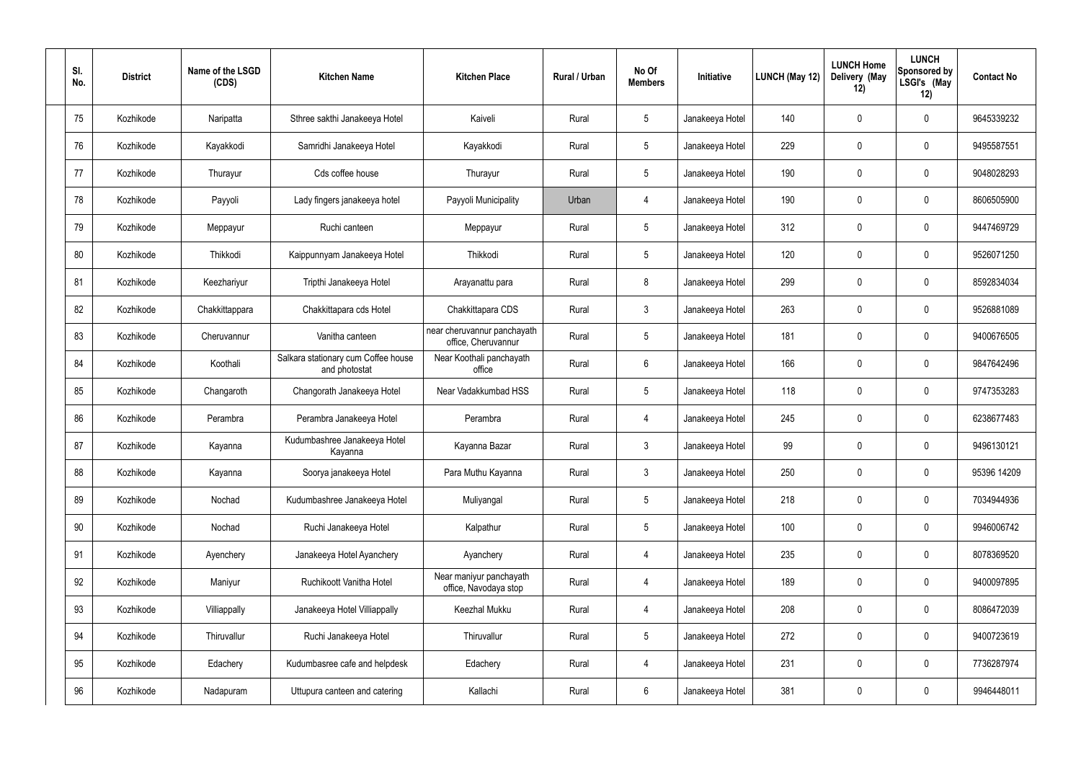| SI.<br>No. | <b>District</b> | Name of the LSGD<br>(CDS) | <b>Kitchen Name</b>                                  | <b>Kitchen Place</b>                               | Rural / Urban | No Of<br><b>Members</b> | Initiative      | LUNCH (May 12) | <b>LUNCH Home</b><br>Delivery (May<br>12) | <b>LUNCH</b><br>Sponsored by<br>LSGI's (May<br>12) | <b>Contact No</b> |
|------------|-----------------|---------------------------|------------------------------------------------------|----------------------------------------------------|---------------|-------------------------|-----------------|----------------|-------------------------------------------|----------------------------------------------------|-------------------|
| 75         | Kozhikode       | Naripatta                 | Sthree sakthi Janakeeya Hotel                        | Kaiveli                                            | Rural         | $5\,$                   | Janakeeya Hotel | 140            | 0                                         | $\boldsymbol{0}$                                   | 9645339232        |
| 76         | Kozhikode       | Kayakkodi                 | Samridhi Janakeeya Hotel                             | Kayakkodi                                          | Rural         | $5\phantom{.0}$         | Janakeeya Hotel | 229            | 0                                         | $\mathbf 0$                                        | 9495587551        |
| 77         | Kozhikode       | Thurayur                  | Cds coffee house                                     | Thurayur                                           | Rural         | $5\phantom{.0}$         | Janakeeya Hotel | 190            | 0                                         | $\boldsymbol{0}$                                   | 9048028293        |
| 78         | Kozhikode       | Payyoli                   | Lady fingers janakeeya hotel                         | Payyoli Municipality                               | Urban         | 4                       | Janakeeya Hotel | 190            | 0                                         | $\mathbf 0$                                        | 8606505900        |
| 79         | Kozhikode       | Meppayur                  | Ruchi canteen                                        | Meppayur                                           | Rural         | $5\phantom{.0}$         | Janakeeya Hotel | 312            | $\mathbf 0$                               | $\boldsymbol{0}$                                   | 9447469729        |
| 80         | Kozhikode       | Thikkodi                  | Kaippunnyam Janakeeya Hotel                          | Thikkodi                                           | Rural         | $5\phantom{.0}$         | Janakeeya Hotel | 120            | 0                                         | $\mathbf 0$                                        | 9526071250        |
| 81         | Kozhikode       | Keezhariyur               | Tripthi Janakeeya Hotel                              | Arayanattu para                                    | Rural         | 8                       | Janakeeya Hotel | 299            | $\mathbf 0$                               | $\boldsymbol{0}$                                   | 8592834034        |
| 82         | Kozhikode       | Chakkittappara            | Chakkittapara cds Hotel                              | Chakkittapara CDS                                  | Rural         | $\mathbf{3}$            | Janakeeya Hotel | 263            | 0                                         | $\boldsymbol{0}$                                   | 9526881089        |
| 83         | Kozhikode       | Cheruvannur               | Vanitha canteen                                      | near cheruvannur panchayath<br>office, Cheruvannur | Rural         | $5\phantom{.0}$         | Janakeeya Hotel | 181            | $\mathbf 0$                               | $\boldsymbol{0}$                                   | 9400676505        |
| 84         | Kozhikode       | Koothali                  | Salkara stationary cum Coffee house<br>and photostat | Near Koothali panchayath<br>office                 | Rural         | $6\phantom{.}6$         | Janakeeya Hotel | 166            | 0                                         | $\mathbf 0$                                        | 9847642496        |
| 85         | Kozhikode       | Changaroth                | Changorath Janakeeya Hotel                           | Near Vadakkumbad HSS                               | Rural         | $5\,$                   | Janakeeya Hotel | 118            | 0                                         | $\mathbf 0$                                        | 9747353283        |
| 86         | Kozhikode       | Perambra                  | Perambra Janakeeya Hotel                             | Perambra                                           | Rural         | 4                       | Janakeeya Hotel | 245            | $\mathbf 0$                               | $\mathbf 0$                                        | 6238677483        |
| 87         | Kozhikode       | Kayanna                   | Kudumbashree Janakeeya Hotel<br>Kayanna              | Kayanna Bazar                                      | Rural         | $\mathfrak{Z}$          | Janakeeya Hotel | 99             | $\mathbf 0$                               | $\boldsymbol{0}$                                   | 9496130121        |
| 88         | Kozhikode       | Kayanna                   | Soorya janakeeya Hotel                               | Para Muthu Kayanna                                 | Rural         | $\mathbf{3}$            | Janakeeya Hotel | 250            | 0                                         | $\pmb{0}$                                          | 95396 14209       |
| 89         | Kozhikode       | Nochad                    | Kudumbashree Janakeeya Hotel                         | Muliyangal                                         | Rural         | $5\phantom{.0}$         | Janakeeya Hotel | 218            | 0                                         | $\pmb{0}$                                          | 7034944936        |
| 90         | Kozhikode       | Nochad                    | Ruchi Janakeeya Hotel                                | Kalpathur                                          | Rural         | $5\phantom{.0}$         | Janakeeya Hotel | 100            | $\pmb{0}$                                 | $\pmb{0}$                                          | 9946006742        |
| 91         | Kozhikode       | Ayenchery                 | Janakeeya Hotel Ayanchery                            | Ayanchery                                          | Rural         | $\overline{4}$          | Janakeeya Hotel | 235            | 0                                         | $\pmb{0}$                                          | 8078369520        |
| 92         | Kozhikode       | Maniyur                   | Ruchikoott Vanitha Hotel                             | Near maniyur panchayath<br>office, Navodaya stop   | Rural         | $\overline{4}$          | Janakeeya Hotel | 189            | $\pmb{0}$                                 | $\pmb{0}$                                          | 9400097895        |
| 93         | Kozhikode       | Villiappally              | Janakeeya Hotel Villiappally                         | Keezhal Mukku                                      | Rural         | $\overline{4}$          | Janakeeya Hotel | 208            | $\pmb{0}$                                 | $\pmb{0}$                                          | 8086472039        |
| 94         | Kozhikode       | Thiruvallur               | Ruchi Janakeeya Hotel                                | Thiruvallur                                        | Rural         | $5\phantom{.0}$         | Janakeeya Hotel | 272            | $\pmb{0}$                                 | $\pmb{0}$                                          | 9400723619        |
| 95         | Kozhikode       | Edachery                  | Kudumbasree cafe and helpdesk                        | Edachery                                           | Rural         | $\overline{4}$          | Janakeeya Hotel | 231            | 0                                         | $\mathbf 0$                                        | 7736287974        |
| 96         | Kozhikode       | Nadapuram                 | Uttupura canteen and catering                        | Kallachi                                           | Rural         | $6\phantom{.0}$         | Janakeeya Hotel | 381            | $\pmb{0}$                                 | $\pmb{0}$                                          | 9946448011        |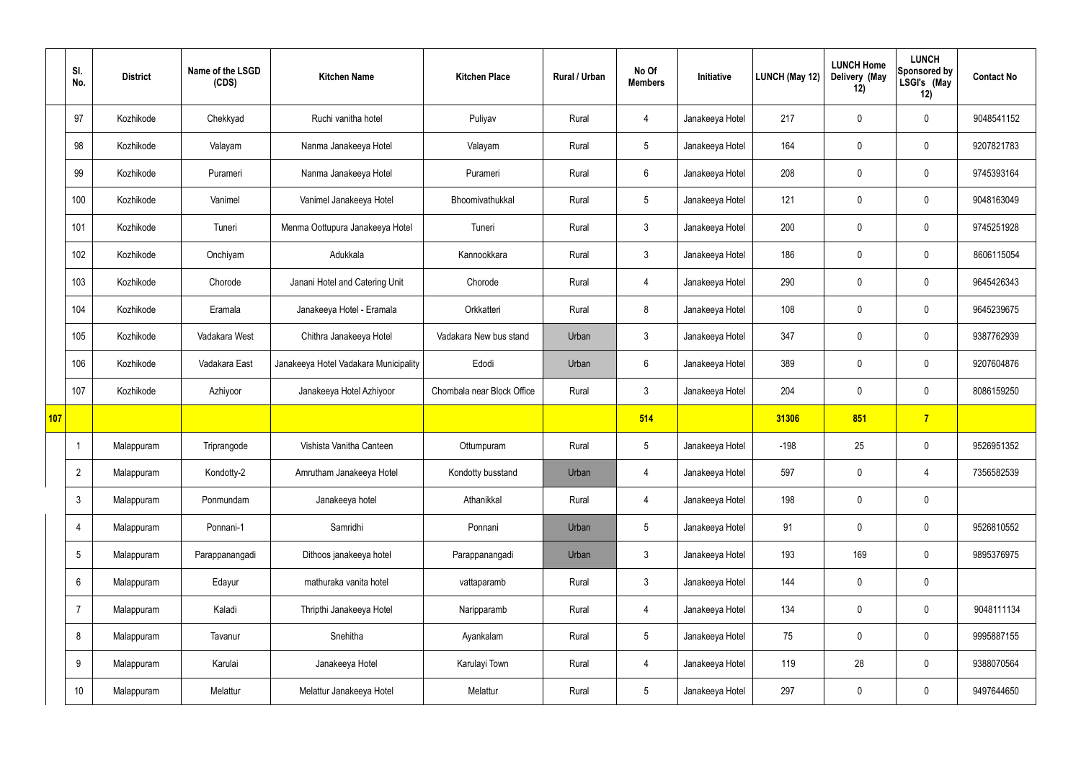|     | SI.<br>No.      | <b>District</b> | Name of the LSGD<br>(CDS) | <b>Kitchen Name</b>                   | <b>Kitchen Place</b>       | <b>Rural / Urban</b> | No Of<br><b>Members</b> | Initiative      | <b>LUNCH (May 12)</b> | <b>LUNCH Home</b><br>Delivery (May<br>12) | <b>LUNCH</b><br>Sponsored by<br>LSGI's (May<br>12) | <b>Contact No</b> |
|-----|-----------------|-----------------|---------------------------|---------------------------------------|----------------------------|----------------------|-------------------------|-----------------|-----------------------|-------------------------------------------|----------------------------------------------------|-------------------|
|     | 97              | Kozhikode       | Chekkyad                  | Ruchi vanitha hotel                   | Puliyav                    | Rural                | $\overline{4}$          | Janakeeya Hotel | 217                   | $\mathbf 0$                               | $\mathbf 0$                                        | 9048541152        |
|     | 98              | Kozhikode       | Valayam                   | Nanma Janakeeya Hotel                 | Valayam                    | Rural                | $5\phantom{.0}$         | Janakeeya Hotel | 164                   | $\mathbf 0$                               | $\mathbf 0$                                        | 9207821783        |
|     | 99              | Kozhikode       | Purameri                  | Nanma Janakeeya Hotel                 | Purameri                   | Rural                | $6\phantom{.}6$         | Janakeeya Hotel | 208                   | $\mathbf 0$                               | $\mathbf 0$                                        | 9745393164        |
|     | 100             | Kozhikode       | Vanimel                   | Vanimel Janakeeya Hotel               | Bhoomivathukkal            | Rural                | $5\phantom{.0}$         | Janakeeya Hotel | 121                   | $\mathbf 0$                               | $\mathbf 0$                                        | 9048163049        |
|     | 101             | Kozhikode       | Tuneri                    | Menma Oottupura Janakeeya Hotel       | Tuneri                     | Rural                | 3                       | Janakeeya Hotel | 200                   | $\mathbf 0$                               | $\mathbf 0$                                        | 9745251928        |
|     | 102             | Kozhikode       | Onchiyam                  | Adukkala                              | Kannookkara                | Rural                | $\mathbf{3}$            | Janakeeya Hotel | 186                   | $\mathbf 0$                               | $\mathbf 0$                                        | 8606115054        |
|     | 103             | Kozhikode       | Chorode                   | Janani Hotel and Catering Unit        | Chorode                    | Rural                | 4                       | Janakeeya Hotel | 290                   | $\mathbf 0$                               | $\mathbf 0$                                        | 9645426343        |
|     | 104             | Kozhikode       | Eramala                   | Janakeeya Hotel - Eramala             | Orkkatteri                 | Rural                | 8                       | Janakeeya Hotel | 108                   | $\mathbf 0$                               | $\mathbf 0$                                        | 9645239675        |
|     | 105             | Kozhikode       | Vadakara West             | Chithra Janakeeya Hotel               | Vadakara New bus stand     | Urban                | $\mathbf{3}$            | Janakeeya Hotel | 347                   | $\mathbf 0$                               | $\mathbf 0$                                        | 9387762939        |
|     | 106             | Kozhikode       | Vadakara East             | Janakeeya Hotel Vadakara Municipality | Edodi                      | Urban                | $6\phantom{.}6$         | Janakeeya Hotel | 389                   | $\mathbf 0$                               | $\mathbf 0$                                        | 9207604876        |
|     | 107             | Kozhikode       | Azhiyoor                  | Janakeeya Hotel Azhiyoor              | Chombala near Block Office | Rural                | $\mathbf{3}$            | Janakeeya Hotel | 204                   | $\pmb{0}$                                 | $\mathbf 0$                                        | 8086159250        |
| 107 |                 |                 |                           |                                       |                            |                      | 514                     |                 | 31306                 | 851                                       | $\overline{7}$                                     |                   |
|     |                 | Malappuram      | Triprangode               | Vishista Vanitha Canteen              | Ottumpuram                 | Rural                | $5\phantom{.0}$         | Janakeeya Hotel | $-198$                | 25                                        | $\mathbf 0$                                        | 9526951352        |
|     | $\overline{2}$  | Malappuram      | Kondotty-2                | Amrutham Janakeeya Hotel              | Kondotty busstand          | Urban                | 4                       | Janakeeya Hotel | 597                   | $\pmb{0}$                                 | 4                                                  | 7356582539        |
|     | 3               | Malappuram      | Ponmundam                 | Janakeeya hotel                       | Athanikkal                 | Rural                | $\overline{4}$          | Janakeeya Hotel | 198                   | $\pmb{0}$                                 | $\mathbf 0$                                        |                   |
|     | 4               | Malappuram      | Ponnani-1                 | Samridhi                              | Ponnani                    | Urban                | 5 <sup>5</sup>          | Janakeeya Hotel | 91                    | $\pmb{0}$                                 | $\mathbf 0$                                        | 9526810552        |
|     | 5               | Malappuram      | Parappanangadi            | Dithoos janakeeya hotel               | Parappanangadi             | Urban                | $\mathbf{3}$            | Janakeeya Hotel | 193                   | 169                                       | $\mathbf 0$                                        | 9895376975        |
|     | 6               | Malappuram      | Edayur                    | mathuraka vanita hotel                | vattaparamb                | Rural                | $\mathbf{3}$            | Janakeeya Hotel | 144                   | $\pmb{0}$                                 | $\mathbf 0$                                        |                   |
|     | $\overline{7}$  | Malappuram      | Kaladi                    | Thripthi Janakeeya Hotel              | Naripparamb                | Rural                | $\overline{4}$          | Janakeeya Hotel | 134                   | $\pmb{0}$                                 | $\mathbf 0$                                        | 9048111134        |
|     | 8               | Malappuram      | Tavanur                   | Snehitha                              | Ayankalam                  | Rural                | 5 <sub>5</sub>          | Janakeeya Hotel | 75                    | $\pmb{0}$                                 | $\mathbf 0$                                        | 9995887155        |
|     | 9               | Malappuram      | Karulai                   | Janakeeya Hotel                       | Karulayi Town              | Rural                | $\overline{4}$          | Janakeeya Hotel | 119                   | 28                                        | $\mathbf 0$                                        | 9388070564        |
|     | 10 <sup>°</sup> | Malappuram      | Melattur                  | Melattur Janakeeya Hotel              | Melattur                   | Rural                | 5 <sub>5</sub>          | Janakeeya Hotel | 297                   | $\pmb{0}$                                 | $\boldsymbol{0}$                                   | 9497644650        |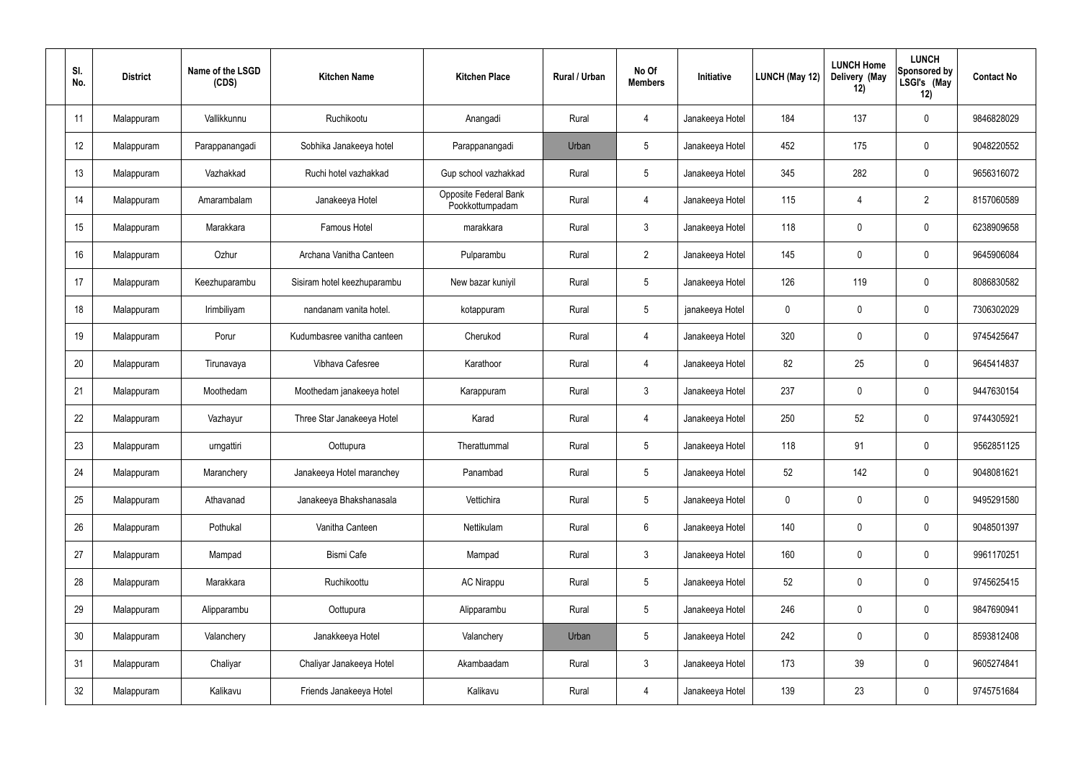| SI.<br>No.      | <b>District</b> | Name of the LSGD<br>(CDS) | <b>Kitchen Name</b>         | <b>Kitchen Place</b>                     | Rural / Urban | No Of<br><b>Members</b> | Initiative      | LUNCH (May 12) | <b>LUNCH Home</b><br>Delivery (May<br>12) | <b>LUNCH</b><br>Sponsored by<br>LSGI's (May<br>12) | <b>Contact No</b> |
|-----------------|-----------------|---------------------------|-----------------------------|------------------------------------------|---------------|-------------------------|-----------------|----------------|-------------------------------------------|----------------------------------------------------|-------------------|
| 11              | Malappuram      | Vallikkunnu               | Ruchikootu                  | Anangadi                                 | Rural         | 4                       | Janakeeya Hotel | 184            | 137                                       | $\boldsymbol{0}$                                   | 9846828029        |
| 12              | Malappuram      | Parappanangadi            | Sobhika Janakeeya hotel     | Parappanangadi                           | Urban         | $5\phantom{.0}$         | Janakeeya Hotel | 452            | 175                                       | $\pmb{0}$                                          | 9048220552        |
| 13              | Malappuram      | Vazhakkad                 | Ruchi hotel vazhakkad       | Gup school vazhakkad                     | Rural         | $5\,$                   | Janakeeya Hotel | 345            | 282                                       | $\boldsymbol{0}$                                   | 9656316072        |
| 14              | Malappuram      | Amarambalam               | Janakeeya Hotel             | Opposite Federal Bank<br>Pookkottumpadam | Rural         | $\overline{4}$          | Janakeeya Hotel | 115            | $\overline{4}$                            | $\overline{2}$                                     | 8157060589        |
| 15              | Malappuram      | Marakkara                 | Famous Hotel                | marakkara                                | Rural         | $\mathbf{3}$            | Janakeeya Hotel | 118            | $\boldsymbol{0}$                          | $\boldsymbol{0}$                                   | 6238909658        |
| 16              | Malappuram      | Ozhur                     | Archana Vanitha Canteen     | Pulparambu                               | Rural         | $\overline{2}$          | Janakeeya Hotel | 145            | 0                                         | $\boldsymbol{0}$                                   | 9645906084        |
| 17              | Malappuram      | Keezhuparambu             | Sisiram hotel keezhuparambu | New bazar kuniyil                        | Rural         | $5\,$                   | Janakeeya Hotel | 126            | 119                                       | $\boldsymbol{0}$                                   | 8086830582        |
| 18              | Malappuram      | Irimbiliyam               | nandanam vanita hotel.      | kotappuram                               | Rural         | $5\phantom{.0}$         | janakeeya Hotel | 0              | 0                                         | $\boldsymbol{0}$                                   | 7306302029        |
| 19              | Malappuram      | Porur                     | Kudumbasree vanitha canteen | Cherukod                                 | Rural         | 4                       | Janakeeya Hotel | 320            | $\boldsymbol{0}$                          | $\boldsymbol{0}$                                   | 9745425647        |
| 20              | Malappuram      | Tirunavaya                | Vibhava Cafesree            | Karathoor                                | Rural         | $\overline{4}$          | Janakeeya Hotel | 82             | 25                                        | $\boldsymbol{0}$                                   | 9645414837        |
| 21              | Malappuram      | Moothedam                 | Moothedam janakeeya hotel   | Karappuram                               | Rural         | $\mathbf{3}$            | Janakeeya Hotel | 237            | 0                                         | $\boldsymbol{0}$                                   | 9447630154        |
| 22              | Malappuram      | Vazhayur                  | Three Star Janakeeya Hotel  | Karad                                    | Rural         | $\overline{4}$          | Janakeeya Hotel | 250            | 52                                        | $\boldsymbol{0}$                                   | 9744305921        |
| 23              | Malappuram      | urngattiri                | Oottupura                   | Therattummal                             | Rural         | $5\phantom{.0}$         | Janakeeya Hotel | 118            | 91                                        | $\mathbf 0$                                        | 9562851125        |
| 24              | Malappuram      | Maranchery                | Janakeeya Hotel maranchey   | Panambad                                 | Rural         | $5\phantom{.0}$         | Janakeeya Hotel | 52             | 142                                       | $\mathbf 0$                                        | 9048081621        |
| 25              | Malappuram      | Athavanad                 | Janakeeya Bhakshanasala     | Vettichira                               | Rural         | $5\phantom{.0}$         | Janakeeya Hotel | $\pmb{0}$      | 0                                         | $\mathbf 0$                                        | 9495291580        |
| 26              | Malappuram      | Pothukal                  | Vanitha Canteen             | Nettikulam                               | Rural         | $6\,$                   | Janakeeya Hotel | 140            | 0                                         | $\mathbf 0$                                        | 9048501397        |
| 27              | Malappuram      | Mampad                    | <b>Bismi Cafe</b>           | Mampad                                   | Rural         | $\mathbf{3}$            | Janakeeya Hotel | 160            | 0                                         | $\mathbf 0$                                        | 9961170251        |
| 28              | Malappuram      | Marakkara                 | Ruchikoottu                 | <b>AC Nirappu</b>                        | Rural         | $5\phantom{.0}$         | Janakeeya Hotel | 52             | 0                                         | $\mathbf 0$                                        | 9745625415        |
| 29              | Malappuram      | Alipparambu               | Oottupura                   | Alipparambu                              | Rural         | $5\phantom{.0}$         | Janakeeya Hotel | 246            | 0                                         | $\mathbf 0$                                        | 9847690941        |
| 30 <sub>2</sub> | Malappuram      | Valanchery                | Janakkeeya Hotel            | Valanchery                               | Urban         | $5\phantom{.0}$         | Janakeeya Hotel | 242            | 0                                         | $\mathbf 0$                                        | 8593812408        |
| 31              | Malappuram      | Chaliyar                  | Chaliyar Janakeeya Hotel    | Akambaadam                               | Rural         | $\mathbf{3}$            | Janakeeya Hotel | 173            | 39                                        | $\pmb{0}$                                          | 9605274841        |
| 32              | Malappuram      | Kalikavu                  | Friends Janakeeya Hotel     | Kalikavu                                 | Rural         | $\overline{4}$          | Janakeeya Hotel | 139            | 23                                        | $\pmb{0}$                                          | 9745751684        |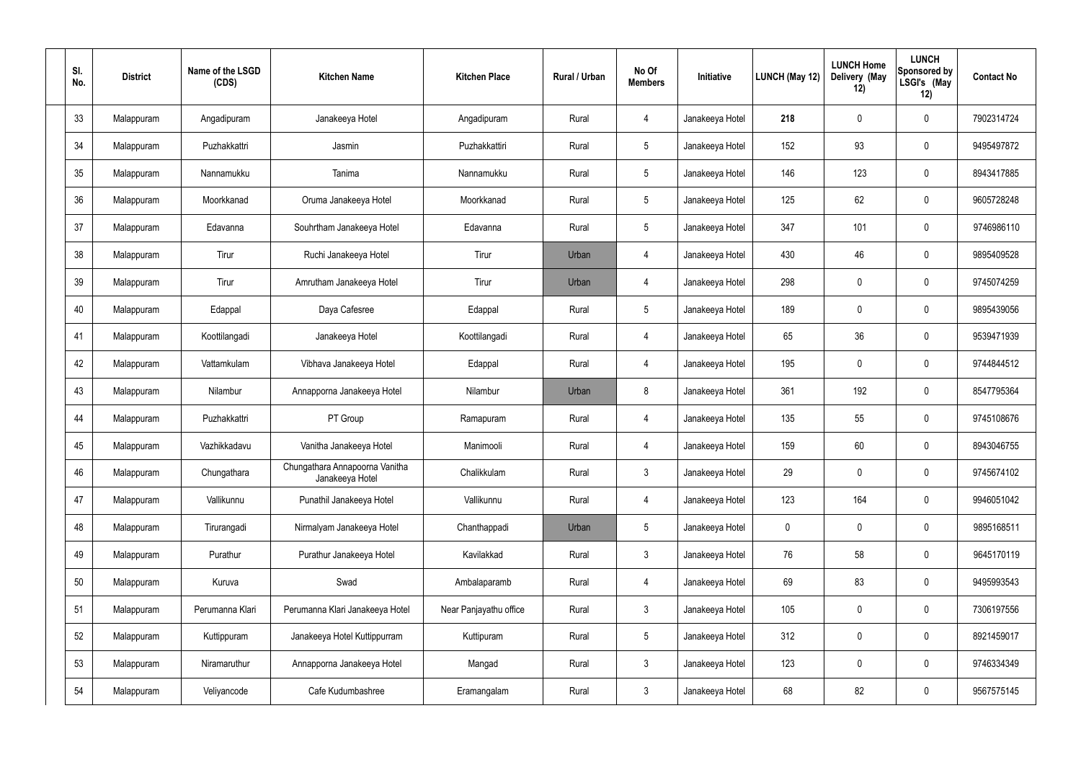| SI.<br>No. | <b>District</b> | Name of the LSGD<br>(CDS) | <b>Kitchen Name</b>                               | <b>Kitchen Place</b>   | Rural / Urban | No Of<br><b>Members</b> | Initiative      | LUNCH (May 12) | <b>LUNCH Home</b><br>Delivery (May<br>12) | <b>LUNCH</b><br><b>Sponsored by</b><br>LSGI's (May<br>12) | <b>Contact No</b> |
|------------|-----------------|---------------------------|---------------------------------------------------|------------------------|---------------|-------------------------|-----------------|----------------|-------------------------------------------|-----------------------------------------------------------|-------------------|
| 33         | Malappuram      | Angadipuram               | Janakeeya Hotel                                   | Angadipuram            | Rural         | 4                       | Janakeeya Hotel | 218            | 0                                         | 0                                                         | 7902314724        |
| 34         | Malappuram      | Puzhakkattri              | Jasmin                                            | Puzhakkattiri          | Rural         | $5\phantom{.0}$         | Janakeeya Hotel | 152            | 93                                        | 0                                                         | 9495497872        |
| 35         | Malappuram      | Nannamukku                | Tanima                                            | Nannamukku             | Rural         | $\overline{5}$          | Janakeeya Hotel | 146            | 123                                       | 0                                                         | 8943417885        |
| 36         | Malappuram      | Moorkkanad                | Oruma Janakeeya Hotel                             | Moorkkanad             | Rural         | $5\phantom{.0}$         | Janakeeya Hotel | 125            | 62                                        | $\mathbf 0$                                               | 9605728248        |
| 37         | Malappuram      | Edavanna                  | Souhrtham Janakeeya Hotel                         | Edavanna               | Rural         | $5\phantom{.0}$         | Janakeeya Hotel | 347            | 101                                       | $\mathbf 0$                                               | 9746986110        |
| 38         | Malappuram      | Tirur                     | Ruchi Janakeeya Hotel                             | Tirur                  | Urban         | 4                       | Janakeeya Hotel | 430            | 46                                        | $\mathbf 0$                                               | 9895409528        |
| 39         | Malappuram      | Tirur                     | Amrutham Janakeeya Hotel                          | Tirur                  | Urban         | 4                       | Janakeeya Hotel | 298            | 0                                         | $\mathbf 0$                                               | 9745074259        |
| 40         | Malappuram      | Edappal                   | Daya Cafesree                                     | Edappal                | Rural         | $5\phantom{.0}$         | Janakeeya Hotel | 189            | 0                                         | $\mathbf 0$                                               | 9895439056        |
| 41         | Malappuram      | Koottilangadi             | Janakeeya Hotel                                   | Koottilangadi          | Rural         | 4                       | Janakeeya Hotel | 65             | 36                                        | $\mathbf 0$                                               | 9539471939        |
| 42         | Malappuram      | Vattamkulam               | Vibhava Janakeeya Hotel                           | Edappal                | Rural         | 4                       | Janakeeya Hotel | 195            | 0                                         | $\mathbf 0$                                               | 9744844512        |
| 43         | Malappuram      | Nilambur                  | Annapporna Janakeeya Hotel                        | Nilambur               | Urban         | 8                       | Janakeeya Hotel | 361            | 192                                       | $\mathbf 0$                                               | 8547795364        |
| 44         | Malappuram      | Puzhakkattri              | PT Group                                          | Ramapuram              | Rural         | 4                       | Janakeeya Hotel | 135            | 55                                        | 0                                                         | 9745108676        |
| 45         | Malappuram      | Vazhikkadavu              | Vanitha Janakeeya Hotel                           | Manimooli              | Rural         | 4                       | Janakeeya Hotel | 159            | 60                                        | $\mathbf 0$                                               | 8943046755        |
| 46         | Malappuram      | Chungathara               | Chungathara Annapoorna Vanitha<br>Janakeeya Hotel | Chalikkulam            | Rural         | 3                       | Janakeeya Hotel | 29             | $\mathbf 0$                               | $\mathbf 0$                                               | 9745674102        |
| 47         | Malappuram      | Vallikunnu                | Punathil Janakeeya Hotel                          | Vallikunnu             | Rural         | 4                       | Janakeeya Hotel | 123            | 164                                       | $\mathsf{0}$                                              | 9946051042        |
| 48         | Malappuram      | Tirurangadi               | Nirmalyam Janakeeya Hotel                         | Chanthappadi           | Urban         | $\overline{5}$          | Janakeeya Hotel | 0              | $\mathbf 0$                               | $\mathbf 0$                                               | 9895168511        |
| 49         | Malappuram      | Purathur                  | Purathur Janakeeya Hotel                          | Kavilakkad             | Rural         | $\mathbf{3}$            | Janakeeya Hotel | 76             | 58                                        | $\mathsf{0}$                                              | 9645170119        |
| 50         | Malappuram      | Kuruva                    | Swad                                              | Ambalaparamb           | Rural         | 4                       | Janakeeya Hotel | 69             | 83                                        | $\mathsf{0}$                                              | 9495993543        |
| 51         | Malappuram      | Perumanna Klari           | Perumanna Klari Janakeeya Hotel                   | Near Panjayathu office | Rural         | $\mathfrak{Z}$          | Janakeeya Hotel | 105            | $\mathbf 0$                               | $\pmb{0}$                                                 | 7306197556        |
| 52         | Malappuram      | Kuttippuram               | Janakeeya Hotel Kuttippurram                      | Kuttipuram             | Rural         | $5\,$                   | Janakeeya Hotel | 312            | $\pmb{0}$                                 | $\mathsf{0}$                                              | 8921459017        |
| 53         | Malappuram      | Niramaruthur              | Annapporna Janakeeya Hotel                        | Mangad                 | Rural         | $\mathfrak{Z}$          | Janakeeya Hotel | 123            | $\mathbf 0$                               | $\pmb{0}$                                                 | 9746334349        |
| 54         | Malappuram      | Veliyancode               | Cafe Kudumbashree                                 | Eramangalam            | Rural         | $\mathfrak{Z}$          | Janakeeya Hotel | 68             | 82                                        | $\mathsf{0}$                                              | 9567575145        |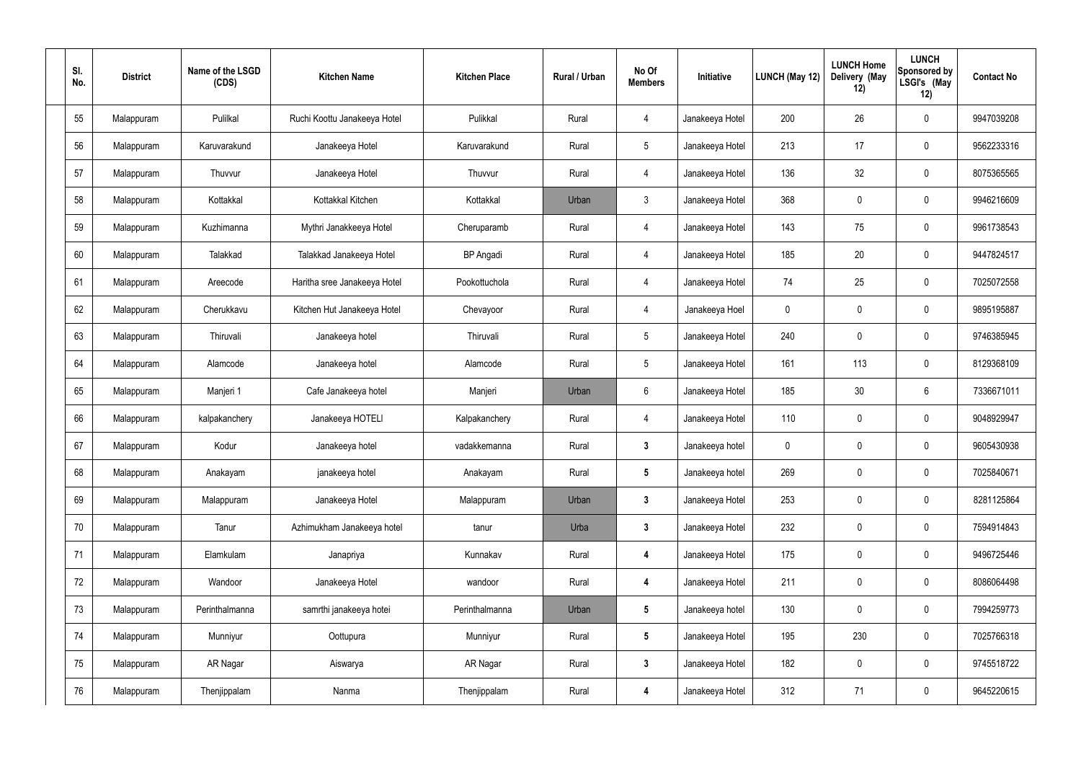| SI.<br>No. | <b>District</b> | Name of the LSGD<br>(CDS) | <b>Kitchen Name</b>          | <b>Kitchen Place</b> | Rural / Urban | No Of<br><b>Members</b> | Initiative      | LUNCH (May 12) | <b>LUNCH Home</b><br>Delivery (May<br>12) | <b>LUNCH</b><br>Sponsored by<br>LSGI's (May<br>12) | <b>Contact No</b> |
|------------|-----------------|---------------------------|------------------------------|----------------------|---------------|-------------------------|-----------------|----------------|-------------------------------------------|----------------------------------------------------|-------------------|
| 55         | Malappuram      | Pulilkal                  | Ruchi Koottu Janakeeya Hotel | Pulikkal             | Rural         | 4                       | Janakeeya Hotel | 200            | 26                                        | $\boldsymbol{0}$                                   | 9947039208        |
| 56         | Malappuram      | Karuvarakund              | Janakeeya Hotel              | Karuvarakund         | Rural         | $5\phantom{.0}$         | Janakeeya Hotel | 213            | 17                                        | $\mathbf 0$                                        | 9562233316        |
| 57         | Malappuram      | Thuvvur                   | Janakeeya Hotel              | Thuvvur              | Rural         | 4                       | Janakeeya Hotel | 136            | 32                                        | $\mathbf 0$                                        | 8075365565        |
| 58         | Malappuram      | Kottakkal                 | Kottakkal Kitchen            | Kottakkal            | Urban         | $\mathbf{3}$            | Janakeeya Hotel | 368            | $\mathbf 0$                               | $\mathbf 0$                                        | 9946216609        |
| 59         | Malappuram      | Kuzhimanna                | Mythri Janakkeeya Hotel      | Cheruparamb          | Rural         | 4                       | Janakeeya Hotel | 143            | 75                                        | $\mathbf 0$                                        | 9961738543        |
| 60         | Malappuram      | Talakkad                  | Talakkad Janakeeya Hotel     | <b>BP</b> Angadi     | Rural         | 4                       | Janakeeya Hotel | 185            | 20                                        | $\mathbf 0$                                        | 9447824517        |
| 61         | Malappuram      | Areecode                  | Haritha sree Janakeeya Hotel | Pookottuchola        | Rural         | 4                       | Janakeeya Hotel | 74             | 25                                        | $\mathbf 0$                                        | 7025072558        |
| 62         | Malappuram      | Cherukkavu                | Kitchen Hut Janakeeya Hotel  | Chevayoor            | Rural         | 4                       | Janakeeya Hoel  | $\mathbf 0$    | 0                                         | $\mathbf 0$                                        | 9895195887        |
| 63         | Malappuram      | Thiruvali                 | Janakeeya hotel              | Thiruvali            | Rural         | $5\phantom{.0}$         | Janakeeya Hotel | 240            | 0                                         | $\mathbf 0$                                        | 9746385945        |
| 64         | Malappuram      | Alamcode                  | Janakeeya hotel              | Alamcode             | Rural         | $5\phantom{.0}$         | Janakeeya Hotel | 161            | 113                                       | $\mathbf 0$                                        | 8129368109        |
| 65         | Malappuram      | Manjeri 1                 | Cafe Janakeeya hotel         | Manjeri              | Urban         | $6\phantom{.}6$         | Janakeeya Hotel | 185            | 30                                        | 6                                                  | 7336671011        |
| 66         | Malappuram      | kalpakanchery             | Janakeeya HOTELI             | Kalpakanchery        | Rural         | 4                       | Janakeeya Hotel | 110            | $\mathbf 0$                               | $\boldsymbol{0}$                                   | 9048929947        |
| 67         | Malappuram      | Kodur                     | Janakeeya hotel              | vadakkemanna         | Rural         | $\mathbf{3}$            | Janakeeya hotel | 0              | $\mathbf 0$                               | $\boldsymbol{0}$                                   | 9605430938        |
| 68         | Malappuram      | Anakayam                  | janakeeya hotel              | Anakayam             | Rural         | $5\phantom{.0}$         | Janakeeya hotel | 269            | 0                                         | $\mathbf 0$                                        | 7025840671        |
| 69         | Malappuram      | Malappuram                | Janakeeya Hotel              | Malappuram           | Urban         | $\mathbf{3}$            | Janakeeya Hotel | 253            | 0                                         | $\mathbf 0$                                        | 8281125864        |
| 70         | Malappuram      | Tanur                     | Azhimukham Janakeeya hotel   | tanur                | Urba          | $3\phantom{a}$          | Janakeeya Hotel | 232            | $\pmb{0}$                                 | $\mathbf 0$                                        | 7594914843        |
| 71         | Malappuram      | Elamkulam                 | Janapriya                    | Kunnakav             | Rural         | $\overline{\mathbf{4}}$ | Janakeeya Hotel | 175            | 0                                         | $\pmb{0}$                                          | 9496725446        |
| 72         | Malappuram      | Wandoor                   | Janakeeya Hotel              | wandoor              | Rural         | $\overline{\mathbf{4}}$ | Janakeeya Hotel | 211            | $\pmb{0}$                                 | $\mathbf 0$                                        | 8086064498        |
| 73         | Malappuram      | Perinthalmanna            | samrthi janakeeya hotei      | Perinthalmanna       | Urban         | $5\phantom{.0}$         | Janakeeya hotel | 130            | 0                                         | $\pmb{0}$                                          | 7994259773        |
| 74         | Malappuram      | Munniyur                  | Oottupura                    | Munniyur             | Rural         | $5\phantom{.0}$         | Janakeeya Hotel | 195            | 230                                       | $\pmb{0}$                                          | 7025766318        |
| 75         | Malappuram      | AR Nagar                  | Aiswarya                     | AR Nagar             | Rural         | $\mathbf{3}$            | Janakeeya Hotel | 182            | 0                                         | $\mathbf 0$                                        | 9745518722        |
| 76         | Malappuram      | Thenjippalam              | Nanma                        | Thenjippalam         | Rural         | $\boldsymbol{4}$        | Janakeeya Hotel | 312            | 71                                        | $\pmb{0}$                                          | 9645220615        |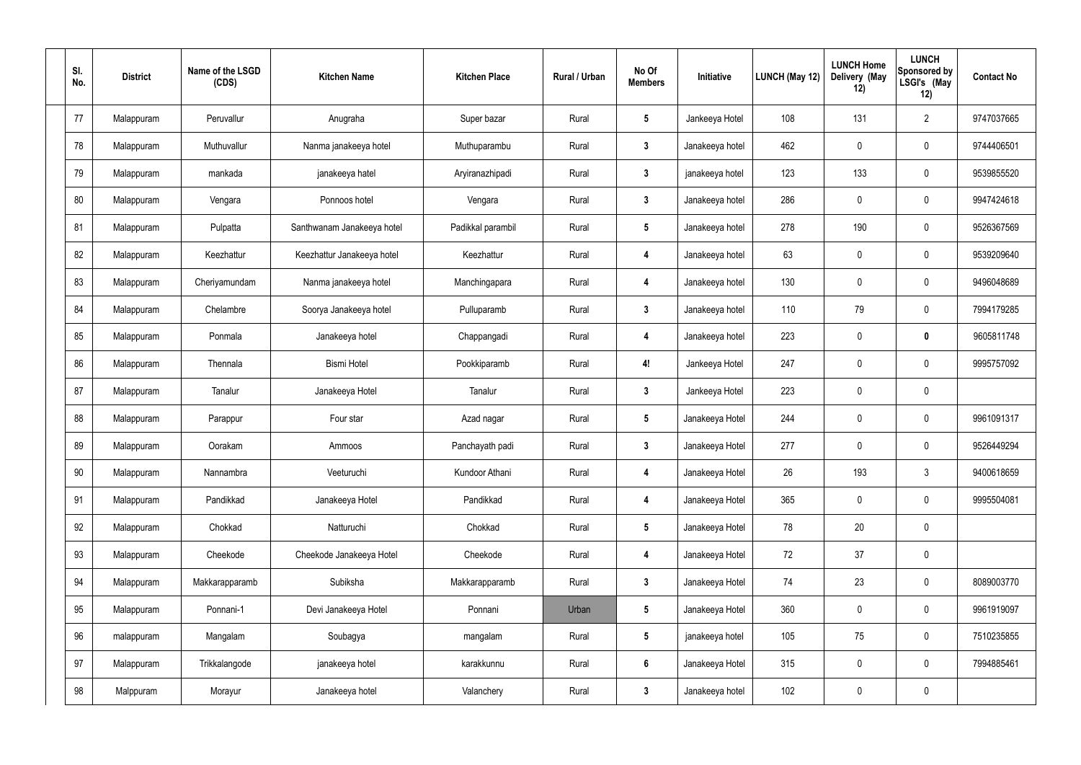| SI.<br>No. | <b>District</b> | Name of the LSGD<br>(CDS) | <b>Kitchen Name</b>        | <b>Kitchen Place</b> | Rural / Urban | No Of<br><b>Members</b> | Initiative      | <b>LUNCH (May 12)</b> | <b>LUNCH Home</b><br>Delivery (May<br>12) | <b>LUNCH</b><br><b>Sponsored by</b><br>LSGI's (May<br>12) | <b>Contact No</b> |
|------------|-----------------|---------------------------|----------------------------|----------------------|---------------|-------------------------|-----------------|-----------------------|-------------------------------------------|-----------------------------------------------------------|-------------------|
| 77         | Malappuram      | Peruvallur                | Anugraha                   | Super bazar          | Rural         | $\sqrt{5}$              | Jankeeya Hotel  | 108                   | 131                                       | $\overline{2}$                                            | 9747037665        |
| 78         | Malappuram      | Muthuvallur               | Nanma janakeeya hotel      | Muthuparambu         | Rural         | $\mathbf{3}$            | Janakeeya hotel | 462                   | $\mathbf 0$                               | 0                                                         | 9744406501        |
| 79         | Malappuram      | mankada                   | janakeeya hatel            | Aryiranazhipadi      | Rural         | $\mathbf{3}$            | janakeeya hotel | 123                   | 133                                       | 0                                                         | 9539855520        |
| 80         | Malappuram      | Vengara                   | Ponnoos hotel              | Vengara              | Rural         | $\mathbf{3}$            | Janakeeya hotel | 286                   | $\mathbf 0$                               | 0                                                         | 9947424618        |
| 81         | Malappuram      | Pulpatta                  | Santhwanam Janakeeya hotel | Padikkal parambil    | Rural         | $5\overline{)}$         | Janakeeya hotel | 278                   | 190                                       | 0                                                         | 9526367569        |
| 82         | Malappuram      | Keezhattur                | Keezhattur Janakeeya hotel | Keezhattur           | Rural         | $\overline{4}$          | Janakeeya hotel | 63                    | $\mathbf 0$                               | 0                                                         | 9539209640        |
| 83         | Malappuram      | Cheriyamundam             | Nanma janakeeya hotel      | Manchingapara        | Rural         | $\overline{4}$          | Janakeeya hotel | 130                   | 0                                         | 0                                                         | 9496048689        |
| 84         | Malappuram      | Chelambre                 | Soorya Janakeeya hotel     | Pulluparamb          | Rural         | $\mathbf{3}$            | Janakeeya hotel | 110                   | 79                                        | 0                                                         | 7994179285        |
| 85         | Malappuram      | Ponmala                   | Janakeeya hotel            | Chappangadi          | Rural         | $\boldsymbol{4}$        | Janakeeya hotel | 223                   | $\mathbf 0$                               | 0                                                         | 9605811748        |
| 86         | Malappuram      | Thennala                  | <b>Bismi Hotel</b>         | Pookkiparamb         | Rural         | 4!                      | Jankeeya Hotel  | 247                   | $\mathbf 0$                               | 0                                                         | 9995757092        |
| 87         | Malappuram      | Tanalur                   | Janakeeya Hotel            | Tanalur              | Rural         | $\mathbf{3}$            | Jankeeya Hotel  | 223                   | $\mathbf 0$                               | 0                                                         |                   |
| 88         | Malappuram      | Parappur                  | Four star                  | Azad nagar           | Rural         | $\sqrt{5}$              | Janakeeya Hotel | 244                   | $\mathbf 0$                               | 0                                                         | 9961091317        |
| 89         | Malappuram      | Oorakam                   | Ammoos                     | Panchayath padi      | Rural         | $\boldsymbol{3}$        | Janakeeya Hotel | 277                   | $\mathbf 0$                               | 0                                                         | 9526449294        |
| 90         | Malappuram      | Nannambra                 | Veeturuchi                 | Kundoor Athani       | Rural         | $\overline{4}$          | Janakeeya Hotel | 26                    | 193                                       | $\mathfrak{Z}$                                            | 9400618659        |
| 91         | Malappuram      | Pandikkad                 | Janakeeya Hotel            | Pandikkad            | Rural         | $\boldsymbol{4}$        | Janakeeya Hotel | 365                   | $\pmb{0}$                                 | $\mathbf 0$                                               | 9995504081        |
| 92         | Malappuram      | Chokkad                   | Natturuchi                 | Chokkad              | Rural         | $5\phantom{.0}$         | Janakeeya Hotel | 78                    | 20                                        | 0                                                         |                   |
| 93         | Malappuram      | Cheekode                  | Cheekode Janakeeya Hotel   | Cheekode             | Rural         | $\boldsymbol{4}$        | Janakeeya Hotel | 72                    | 37                                        | $\pmb{0}$                                                 |                   |
| 94         | Malappuram      | Makkarapparamb            | Subiksha                   | Makkarapparamb       | Rural         | $\mathbf{3}$            | Janakeeya Hotel | 74                    | 23                                        | $\mathbf 0$                                               | 8089003770        |
| 95         | Malappuram      | Ponnani-1                 | Devi Janakeeya Hotel       | Ponnani              | Urban         | $5\phantom{.0}$         | Janakeeya Hotel | 360                   | $\mathbf 0$                               | $\mathbf 0$                                               | 9961919097        |
| 96         | malappuram      | Mangalam                  | Soubagya                   | mangalam             | Rural         | $5\phantom{.0}$         | janakeeya hotel | 105                   | 75                                        | 0                                                         | 7510235855        |
| 97         | Malappuram      | Trikkalangode             | janakeeya hotel            | karakkunnu           | Rural         | $6\phantom{.}6$         | Janakeeya Hotel | 315                   | $\pmb{0}$                                 | $\mathbf 0$                                               | 7994885461        |
| 98         | Malppuram       | Morayur                   | Janakeeya hotel            | Valanchery           | Rural         | $\mathbf{3}$            | Janakeeya hotel | 102                   | $\pmb{0}$                                 | 0                                                         |                   |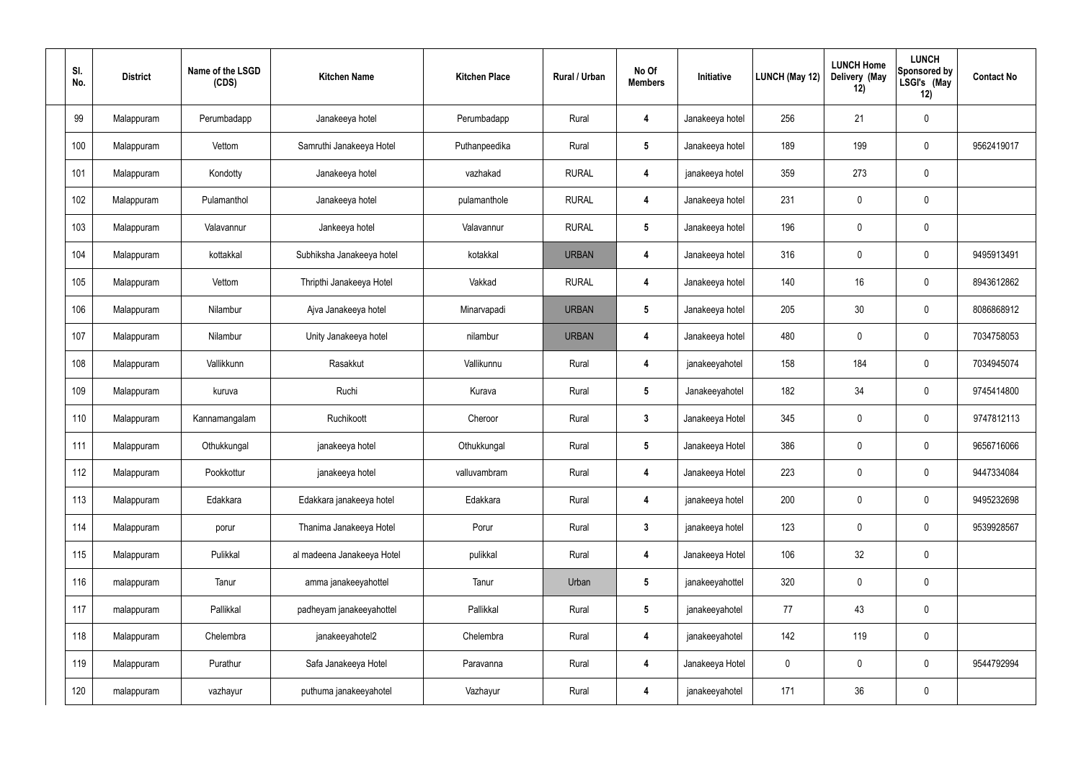| SI.<br>No. | <b>District</b> | Name of the LSGD<br>(CDS) | <b>Kitchen Name</b>        | <b>Kitchen Place</b> | Rural / Urban | No Of<br><b>Members</b> | Initiative      | LUNCH (May 12) | <b>LUNCH Home</b><br>Delivery (May<br>12) | <b>LUNCH</b><br>Sponsored by<br>LSGI's (May<br>12) | <b>Contact No</b> |
|------------|-----------------|---------------------------|----------------------------|----------------------|---------------|-------------------------|-----------------|----------------|-------------------------------------------|----------------------------------------------------|-------------------|
| 99         | Malappuram      | Perumbadapp               | Janakeeya hotel            | Perumbadapp          | Rural         | 4                       | Janakeeya hotel | 256            | 21                                        | $\pmb{0}$                                          |                   |
| 100        | Malappuram      | Vettom                    | Samruthi Janakeeya Hotel   | Puthanpeedika        | Rural         | $5\phantom{.0}$         | Janakeeya hotel | 189            | 199                                       | $\mathbf 0$                                        | 9562419017        |
| 101        | Malappuram      | Kondotty                  | Janakeeya hotel            | vazhakad             | <b>RURAL</b>  | 4                       | janakeeya hotel | 359            | 273                                       | $\pmb{0}$                                          |                   |
| 102        | Malappuram      | Pulamanthol               | Janakeeya hotel            | pulamanthole         | <b>RURAL</b>  | 4                       | Janakeeya hotel | 231            | 0                                         | $\pmb{0}$                                          |                   |
| 103        | Malappuram      | Valavannur                | Jankeeya hotel             | Valavannur           | <b>RURAL</b>  | $5\phantom{.0}$         | Janakeeya hotel | 196            | $\pmb{0}$                                 | $\pmb{0}$                                          |                   |
| 104        | Malappuram      | kottakkal                 | Subhiksha Janakeeya hotel  | kotakkal             | <b>URBAN</b>  | 4                       | Janakeeya hotel | 316            | 0                                         | $\mathbf 0$                                        | 9495913491        |
| 105        | Malappuram      | Vettom                    | Thripthi Janakeeya Hotel   | Vakkad               | <b>RURAL</b>  | 4                       | Janakeeya hotel | 140            | 16                                        | $\mathbf 0$                                        | 8943612862        |
| 106        | Malappuram      | Nilambur                  | Ajva Janakeeya hotel       | Minarvapadi          | <b>URBAN</b>  | $5\phantom{.0}$         | Janakeeya hotel | 205            | 30                                        | $\mathbf 0$                                        | 8086868912        |
| 107        | Malappuram      | Nilambur                  | Unity Janakeeya hotel      | nilambur             | <b>URBAN</b>  | 4                       | Janakeeya hotel | 480            | 0                                         | $\mathbf 0$                                        | 7034758053        |
| 108        | Malappuram      | Vallikkunn                | Rasakkut                   | Vallikunnu           | Rural         | 4                       | janakeeyahotel  | 158            | 184                                       | $\mathbf 0$                                        | 7034945074        |
| 109        | Malappuram      | kuruva                    | Ruchi                      | Kurava               | Rural         | $5\phantom{.0}$         | Janakeeyahotel  | 182            | 34                                        | $\mathbf 0$                                        | 9745414800        |
| 110        | Malappuram      | Kannamangalam             | Ruchikoott                 | Cheroor              | Rural         | $\mathbf{3}$            | Janakeeya Hotel | 345            | 0                                         | $\mathbf 0$                                        | 9747812113        |
| 111        | Malappuram      | Othukkungal               | janakeeya hotel            | Othukkungal          | Rural         | $5\phantom{.0}$         | Janakeeya Hotel | 386            | $\boldsymbol{0}$                          | $\mathbf 0$                                        | 9656716066        |
| 112        | Malappuram      | Pookkottur                | janakeeya hotel            | valluvambram         | Rural         | $\overline{\mathbf{4}}$ | Janakeeya Hotel | 223            | 0                                         | $\mathbf 0$                                        | 9447334084        |
| 113        | Malappuram      | Edakkara                  | Edakkara janakeeya hotel   | Edakkara             | Rural         | $\overline{\mathbf{4}}$ | janakeeya hotel | 200            | 0                                         | $\mathbf 0$                                        | 9495232698        |
| 114        | Malappuram      | porur                     | Thanima Janakeeya Hotel    | Porur                | Rural         | $3\phantom{a}$          | janakeeya hotel | 123            | 0                                         | $\mathbf 0$                                        | 9539928567        |
| 115        | Malappuram      | Pulikkal                  | al madeena Janakeeya Hotel | pulikkal             | Rural         | $\overline{\mathbf{4}}$ | Janakeeya Hotel | 106            | 32                                        | $\mathbf 0$                                        |                   |
| 116        | malappuram      | Tanur                     | amma janakeeyahottel       | Tanur                | Urban         | $5\phantom{.0}$         | janakeeyahottel | 320            | 0                                         | $\mathbf 0$                                        |                   |
| 117        | malappuram      | Pallikkal                 | padheyam janakeeyahottel   | Pallikkal            | Rural         | $5\phantom{.0}$         | janakeeyahotel  | 77             | 43                                        | $\mathbf 0$                                        |                   |
| 118        | Malappuram      | Chelembra                 | janakeeyahotel2            | Chelembra            | Rural         | $\overline{\mathbf{4}}$ | janakeeyahotel  | 142            | 119                                       | $\mathbf 0$                                        |                   |
| 119        | Malappuram      | Purathur                  | Safa Janakeeya Hotel       | Paravanna            | Rural         | $\overline{\mathbf{4}}$ | Janakeeya Hotel | $\pmb{0}$      | 0                                         | $\mathbf 0$                                        | 9544792994        |
| 120        | malappuram      | vazhayur                  | puthuma janakeeyahotel     | Vazhayur             | Rural         | $\boldsymbol{4}$        | janakeeyahotel  | 171            | 36                                        | $\pmb{0}$                                          |                   |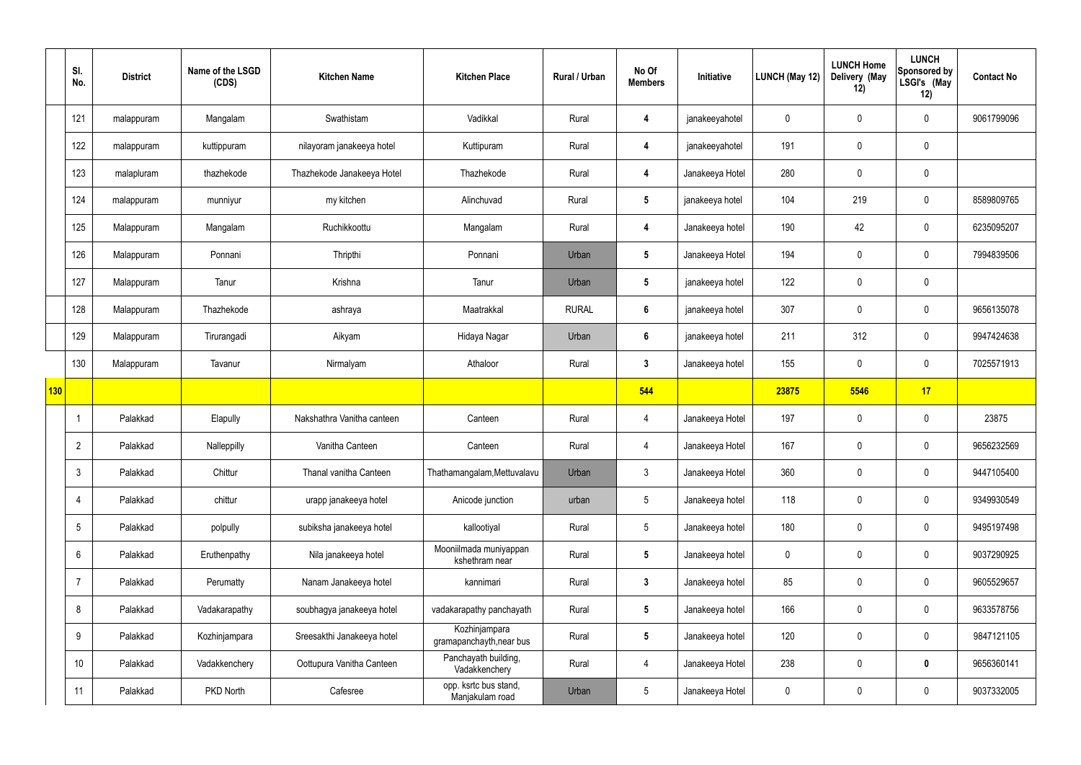|            | SI.<br>No.     | <b>District</b> | Name of the LSGD<br>(CDS) | <b>Kitchen Name</b>        | <b>Kitchen Place</b>                      | Rural / Urban | No Of<br><b>Members</b> | Initiative      | <b>LUNCH (May 12)</b> | <b>LUNCH Home</b><br>Delivery (May<br>12) | <b>LUNCH</b><br>Sponsored by<br>LSGI's (May<br>12) | <b>Contact No</b> |
|------------|----------------|-----------------|---------------------------|----------------------------|-------------------------------------------|---------------|-------------------------|-----------------|-----------------------|-------------------------------------------|----------------------------------------------------|-------------------|
|            | 121            | malappuram      | Mangalam                  | Swathistam                 | Vadikkal                                  | Rural         | 4                       | janakeeyahotel  | $\mathbf 0$           | $\mathbf 0$                               | $\mathbf 0$                                        | 9061799096        |
|            | 122            | malappuram      | kuttippuram               | nilayoram janakeeya hotel  | Kuttipuram                                | Rural         | 4                       | janakeeyahotel  | 191                   | $\mathbf 0$                               | $\mathbf 0$                                        |                   |
|            | 123            | malapluram      | thazhekode                | Thazhekode Janakeeya Hotel | Thazhekode                                | Rural         | 4                       | Janakeeya Hotel | 280                   | $\mathbf 0$                               | $\mathbf 0$                                        |                   |
|            | 124            | malappuram      | munniyur                  | my kitchen                 | Alinchuvad                                | Rural         | $5\phantom{.0}$         | janakeeya hotel | 104                   | 219                                       | $\mathbf 0$                                        | 8589809765        |
|            | 125            | Malappuram      | Mangalam                  | Ruchikkoottu               | Mangalam                                  | Rural         | 4                       | Janakeeya hotel | 190                   | 42                                        | $\mathbf 0$                                        | 6235095207        |
|            | 126            | Malappuram      | Ponnani                   | Thripthi                   | Ponnani                                   | Urban         | $5\phantom{.0}$         | Janakeeya Hotel | 194                   | $\mathbf 0$                               | $\mathbf 0$                                        | 7994839506        |
|            | 127            | Malappuram      | Tanur                     | Krishna                    | Tanur                                     | Urban         | $5\phantom{.0}$         | janakeeya hotel | 122                   | $\mathbf 0$                               | $\mathbf 0$                                        |                   |
|            | 128            | Malappuram      | Thazhekode                | ashraya                    | Maatrakkal                                | <b>RURAL</b>  | $6\phantom{.}6$         | janakeeya hotel | 307                   | $\mathbf 0$                               | $\mathbf 0$                                        | 9656135078        |
|            | 129            | Malappuram      | Tirurangadi               | Aikyam                     | Hidaya Nagar                              | Urban         | $6\overline{6}$         | janakeeya hotel | 211                   | 312                                       | $\mathbf 0$                                        | 9947424638        |
|            | 130            | Malappuram      | Tavanur                   | Nirmalyam                  | Athaloor                                  | Rural         | $3\phantom{a}$          | Janakeeya hotel | 155                   | $\mathbf 0$                               | $\mathbf 0$                                        | 7025571913        |
| <b>130</b> |                |                 |                           |                            |                                           |               | 544                     |                 | 23875                 | 5546                                      | 17                                                 |                   |
|            |                | Palakkad        | Elapully                  | Nakshathra Vanitha canteen | Canteen                                   | Rural         | 4                       | Janakeeya Hotel | 197                   | $\mathbf 0$                               | $\mathbf 0$                                        | 23875             |
|            | $\overline{2}$ | Palakkad        | Nalleppilly               | Vanitha Canteen            | Canteen                                   | Rural         | $\overline{4}$          | Janakeeya Hotel | 167                   | $\mathbf 0$                               | $\mathbf 0$                                        | 9656232569        |
|            | 3              | Palakkad        | Chittur                   | Thanal vanitha Canteen     | Thathamangalam, Mettuvalavu               | Urban         | $\mathfrak{Z}$          | Janakeeya Hotel | 360                   | $\pmb{0}$                                 | $\mathbf 0$                                        | 9447105400        |
|            | 4              | Palakkad        | chittur                   | urapp janakeeya hotel      | Anicode junction                          | urban         | 5 <sup>5</sup>          | Janakeeya hotel | 118                   | $\pmb{0}$                                 | $\mathbf 0$                                        | 9349930549        |
|            | 5              | Palakkad        | polpully                  | subiksha janakeeya hotel   | kallootiyal                               | Rural         | 5 <sub>5</sub>          | Janakeeya hotel | 180                   | $\pmb{0}$                                 | $\mathbf 0$                                        | 9495197498        |
|            | 6              | Palakkad        | Eruthenpathy              | Nila janakeeya hotel       | Mooniilmada muniyappan<br>kshethram near  | Rural         | $5\phantom{.0}$         | Janakeeya hotel | $\mathbf 0$           | $\pmb{0}$                                 | $\mathbf 0$                                        | 9037290925        |
|            | $\overline{7}$ | Palakkad        | Perumatty                 | Nanam Janakeeya hotel      | kannimari                                 | Rural         | $\mathbf{3}$            | Janakeeya hotel | 85                    | $\pmb{0}$                                 | $\mathbf 0$                                        | 9605529657        |
|            | 8              | Palakkad        | Vadakarapathy             | soubhagya janakeeya hotel  | vadakarapathy panchayath                  | Rural         | $5\phantom{.0}$         | Janakeeya hotel | 166                   | $\pmb{0}$                                 | $\mathbf 0$                                        | 9633578756        |
|            | 9              | Palakkad        | Kozhinjampara             | Sreesakthi Janakeeya hotel | Kozhinjampara<br>gramapanchayth, near bus | Rural         | $5\overline{)}$         | Janakeeya hotel | 120                   | $\mathbf 0$                               | $\mathbf 0$                                        | 9847121105        |
|            | 10             | Palakkad        | Vadakkenchery             | Oottupura Vanitha Canteen  | Panchayath building,<br>Vadakkenchery     | Rural         | $\overline{4}$          | Janakeeya Hotel | 238                   | $\pmb{0}$                                 | $\mathbf 0$                                        | 9656360141        |
|            | 11             | Palakkad        | PKD North                 | Cafesree                   | opp. ksrtc bus stand,<br>Manjakulam road  | Urban         | $5\phantom{.0}$         | Janakeeya Hotel | $\pmb{0}$             | $\mathbf 0$                               | $\mathbf 0$                                        | 9037332005        |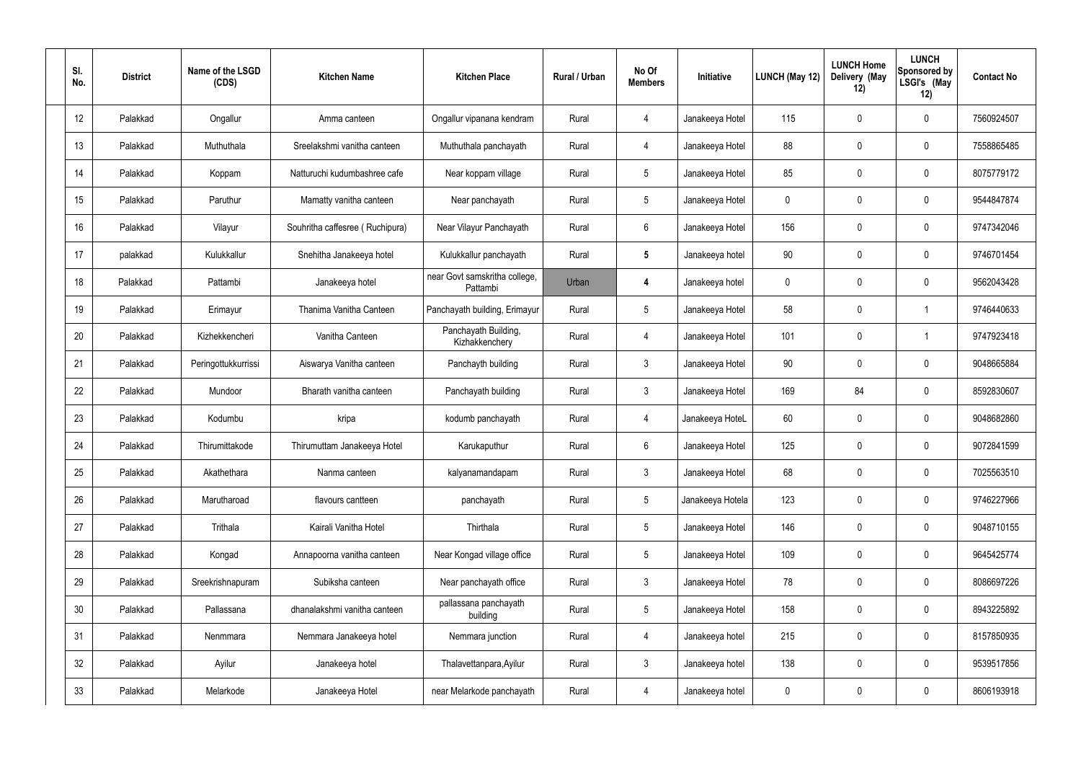| SI.<br>No. | <b>District</b> | Name of the LSGD<br>(CDS) | <b>Kitchen Name</b>             | <b>Kitchen Place</b>                      | Rural / Urban | No Of<br><b>Members</b> | Initiative       | LUNCH (May 12) | <b>LUNCH Home</b><br>Delivery (May<br>12) | <b>LUNCH</b><br>Sponsored by<br>LSGI's (May<br>12) | <b>Contact No</b> |
|------------|-----------------|---------------------------|---------------------------------|-------------------------------------------|---------------|-------------------------|------------------|----------------|-------------------------------------------|----------------------------------------------------|-------------------|
| 12         | Palakkad        | Ongallur                  | Amma canteen                    | Ongallur vipanana kendram                 | Rural         | 4                       | Janakeeya Hotel  | 115            | 0                                         | $\mathbf 0$                                        | 7560924507        |
| 13         | Palakkad        | Muthuthala                | Sreelakshmi vanitha canteen     | Muthuthala panchayath                     | Rural         | 4                       | Janakeeya Hotel  | 88             | 0                                         | $\boldsymbol{0}$                                   | 7558865485        |
| 14         | Palakkad        | Koppam                    | Natturuchi kudumbashree cafe    | Near koppam village                       | Rural         | $5\overline{)}$         | Janakeeya Hotel  | 85             | 0                                         | $\mathbf 0$                                        | 8075779172        |
| 15         | Palakkad        | Paruthur                  | Mamatty vanitha canteen         | Near panchayath                           | Rural         | $5\phantom{.0}$         | Janakeeya Hotel  | $\mathbf 0$    | $\mathbf{0}$                              | $\mathbf 0$                                        | 9544847874        |
| 16         | Palakkad        | Vilayur                   | Souhritha caffesree (Ruchipura) | Near Vilayur Panchayath                   | Rural         | 6                       | Janakeeya Hotel  | 156            | 0                                         | $\mathbf 0$                                        | 9747342046        |
| 17         | palakkad        | Kulukkallur               | Snehitha Janakeeya hotel        | Kulukkallur panchayath                    | Rural         | $5\phantom{.0}$         | Janakeeya hotel  | 90             | 0                                         | $\boldsymbol{0}$                                   | 9746701454        |
| 18         | Palakkad        | Pattambi                  | Janakeeya hotel                 | near Govt samskritha college,<br>Pattambi | Urban         | 4                       | Janakeeya hotel  | $\mathbf 0$    | 0                                         | $\mathbf 0$                                        | 9562043428        |
| 19         | Palakkad        | Erimayur                  | Thanima Vanitha Canteen         | Panchayath building, Erimayur             | Rural         | $5\phantom{.0}$         | Janakeeya Hotel  | 58             | 0                                         | -1                                                 | 9746440633        |
| 20         | Palakkad        | Kizhekkencheri            | Vanitha Canteen                 | Panchayath Building,<br>Kizhakkenchery    | Rural         | 4                       | Janakeeya Hotel  | 101            | 0                                         | -1                                                 | 9747923418        |
| 21         | Palakkad        | Peringottukkurrissi       | Aiswarya Vanitha canteen        | Panchayth building                        | Rural         | 3                       | Janakeeya Hotel  | 90             | 0                                         | $\boldsymbol{0}$                                   | 9048665884        |
| 22         | Palakkad        | Mundoor                   | Bharath vanitha canteen         | Panchayath building                       | Rural         | $\mathbf{3}$            | Janakeeya Hotel  | 169            | 84                                        | $\boldsymbol{0}$                                   | 8592830607        |
| 23         | Palakkad        | Kodumbu                   | kripa                           | kodumb panchayath                         | Rural         | 4                       | Janakeeya HoteL  | 60             | 0                                         | $\boldsymbol{0}$                                   | 9048682860        |
| 24         | Palakkad        | Thirumittakode            | Thirumuttam Janakeeya Hotel     | Karukaputhur                              | Rural         | 6                       | Janakeeya Hotel  | 125            | $\mathbf 0$                               | 0                                                  | 9072841599        |
| 25         | Palakkad        | Akathethara               | Nanma canteen                   | kalyanamandapam                           | Rural         | $\mathbf{3}$            | Janakeeya Hotel  | 68             | $\mathbf 0$                               | $\mathbf 0$                                        | 7025563510        |
| 26         | Palakkad        | Marutharoad               | flavours cantteen               | panchayath                                | Rural         | $5\phantom{.0}$         | Janakeeya Hotela | 123            | $\mathbf 0$                               | $\mathbf 0$                                        | 9746227966        |
| 27         | Palakkad        | Trithala                  | Kairali Vanitha Hotel           | Thirthala                                 | Rural         | $5\phantom{.0}$         | Janakeeya Hotel  | 146            | 0                                         | $\mathbf 0$                                        | 9048710155        |
| 28         | Palakkad        | Kongad                    | Annapoorna vanitha canteen      | Near Kongad village office                | Rural         | $5\,$                   | Janakeeya Hotel  | 109            | 0                                         | $\mathbf 0$                                        | 9645425774        |
| 29         | Palakkad        | Sreekrishnapuram          | Subiksha canteen                | Near panchayath office                    | Rural         | $\mathfrak{Z}$          | Janakeeya Hotel  | 78             | 0                                         | $\mathbf 0$                                        | 8086697226        |
| 30         | Palakkad        | Pallassana                | dhanalakshmi vanitha canteen    | pallassana panchayath<br>building         | Rural         | $5\,$                   | Janakeeya Hotel  | 158            | 0                                         | $\mathbf 0$                                        | 8943225892        |
| 31         | Palakkad        | Nenmmara                  | Nemmara Janakeeya hotel         | Nemmara junction                          | Rural         | $\overline{4}$          | Janakeeya hotel  | 215            | $\pmb{0}$                                 | $\mathbf 0$                                        | 8157850935        |
| 32         | Palakkad        | Ayilur                    | Janakeeya hotel                 | Thalavettanpara, Ayilur                   | Rural         | $\mathfrak{Z}$          | Janakeeya hotel  | 138            | 0                                         | $\mathbf 0$                                        | 9539517856        |
| 33         | Palakkad        | Melarkode                 | Janakeeya Hotel                 | near Melarkode panchayath                 | Rural         | $\overline{4}$          | Janakeeya hotel  | 0              | $\pmb{0}$                                 | $\pmb{0}$                                          | 8606193918        |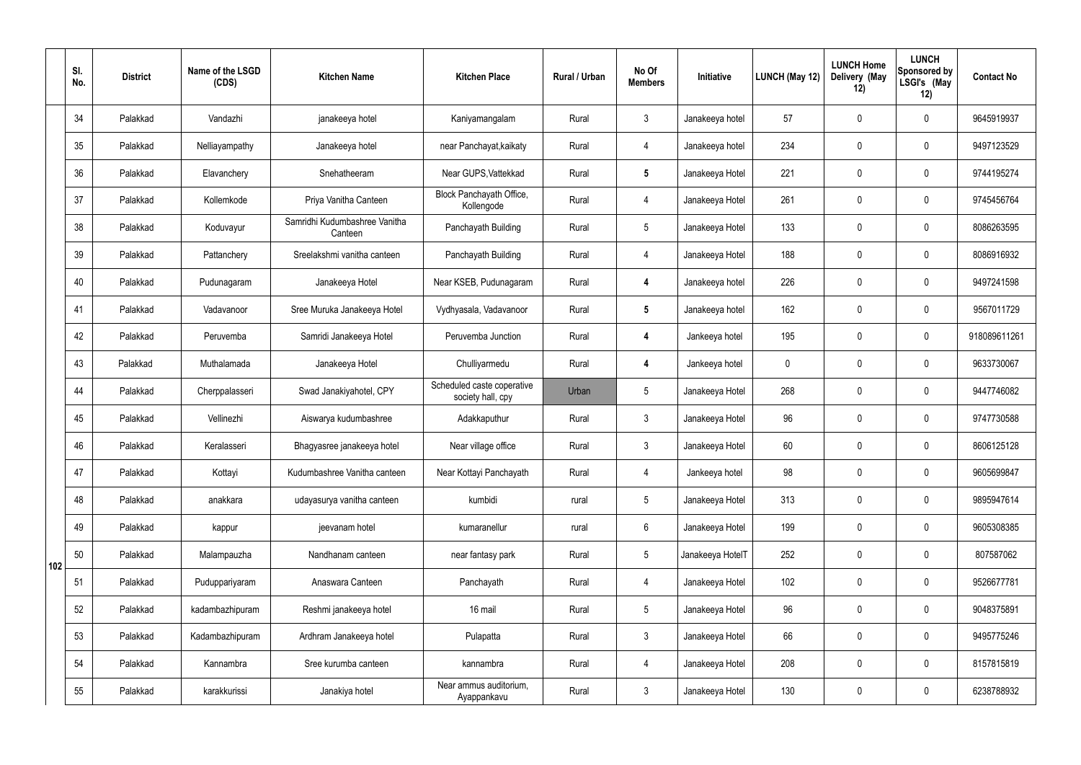|     | SI.<br>No. | <b>District</b> | Name of the LSGD<br>(CDS) | <b>Kitchen Name</b>                      | <b>Kitchen Place</b>                            | <b>Rural / Urban</b> | No Of<br><b>Members</b> | Initiative       | LUNCH (May 12) | <b>LUNCH Home</b><br>Delivery (May<br>12) | <b>LUNCH</b><br>Sponsored by<br>LSGI's (May<br>12) | <b>Contact No</b> |
|-----|------------|-----------------|---------------------------|------------------------------------------|-------------------------------------------------|----------------------|-------------------------|------------------|----------------|-------------------------------------------|----------------------------------------------------|-------------------|
|     | 34         | Palakkad        | Vandazhi                  | janakeeya hotel                          | Kaniyamangalam                                  | Rural                | $\mathbf{3}$            | Janakeeya hotel  | 57             | $\mathbf 0$                               | $\mathbf 0$                                        | 9645919937        |
|     | 35         | Palakkad        | Nelliayampathy            | Janakeeya hotel                          | near Panchayat, kaikaty                         | Rural                | 4                       | Janakeeya hotel  | 234            | $\mathbf 0$                               | $\mathbf 0$                                        | 9497123529        |
|     | 36         | Palakkad        | Elavanchery               | Snehatheeram                             | Near GUPS, Vattekkad                            | Rural                | $5\phantom{.0}$         | Janakeeya Hotel  | 221            | $\mathbf 0$                               | $\mathbf 0$                                        | 9744195274        |
|     | 37         | Palakkad        | Kollemkode                | Priya Vanitha Canteen                    | Block Panchayath Office,<br>Kollengode          | Rural                | $\overline{4}$          | Janakeeya Hotel  | 261            | $\mathbf 0$                               | $\mathbf 0$                                        | 9745456764        |
|     | 38         | Palakkad        | Koduvayur                 | Samridhi Kudumbashree Vanitha<br>Canteen | Panchayath Building                             | Rural                | $5\phantom{.0}$         | Janakeeya Hotel  | 133            | $\mathbf 0$                               | $\mathbf 0$                                        | 8086263595        |
|     | 39         | Palakkad        | Pattanchery               | Sreelakshmi vanitha canteen              | Panchayath Building                             | Rural                | $\overline{4}$          | Janakeeya Hotel  | 188            | $\mathbf 0$                               | $\mathbf 0$                                        | 8086916932        |
|     | 40         | Palakkad        | Pudunagaram               | Janakeeya Hotel                          | Near KSEB, Pudunagaram                          | Rural                | 4                       | Janakeeya hotel  | 226            | $\mathbf 0$                               | $\mathbf 0$                                        | 9497241598        |
|     | 41         | Palakkad        | Vadavanoor                | Sree Muruka Janakeeya Hotel              | Vydhyasala, Vadavanoor                          | Rural                | $5\phantom{.0}$         | Janakeeya hotel  | 162            | $\mathbf 0$                               | $\mathbf 0$                                        | 9567011729        |
|     | 42         | Palakkad        | Peruvemba                 | Samridi Janakeeya Hotel                  | Peruvemba Junction                              | Rural                | 4                       | Jankeeya hotel   | 195            | $\mathbf 0$                               | $\mathbf 0$                                        | 918089611261      |
|     | 43         | Palakkad        | Muthalamada               | Janakeeya Hotel                          | Chulliyarmedu                                   | Rural                | 4                       | Jankeeya hotel   | $\mathbf 0$    | $\mathbf 0$                               | $\mathbf 0$                                        | 9633730067        |
|     | 44         | Palakkad        | Cherppalasseri            | Swad Janakiyahotel, CPY                  | Scheduled caste coperative<br>society hall, cpy | Urban                | $5\phantom{.0}$         | Janakeeya Hotel  | 268            | $\mathbf 0$                               | $\mathbf 0$                                        | 9447746082        |
|     | 45         | Palakkad        | Vellinezhi                | Aiswarya kudumbashree                    | Adakkaputhur                                    | Rural                | $\mathfrak{Z}$          | Janakeeya Hotel  | 96             | $\mathbf 0$                               | $\mathbf 0$                                        | 9747730588        |
|     | 46         | Palakkad        | Keralasseri               | Bhagyasree janakeeya hotel               | Near village office                             | Rural                | $\mathfrak{Z}$          | Janakeeya Hotel  | 60             | $\mathbf 0$                               | $\mathbf 0$                                        | 8606125128        |
|     | 47         | Palakkad        | Kottayi                   | Kudumbashree Vanitha canteen             | Near Kottayi Panchayath                         | Rural                | 4                       | Jankeeya hotel   | 98             | $\mathbf 0$                               | $\mathbf 0$                                        | 9605699847        |
|     | 48         | Palakkad        | anakkara                  | udayasurya vanitha canteen               | kumbidi                                         | rural                | 5 <sub>5</sub>          | Janakeeya Hotel  | 313            | $\pmb{0}$                                 | $\mathbf 0$                                        | 9895947614        |
|     | 49         | Palakkad        | kappur                    | jeevanam hotel                           | kumaranellur                                    | rural                | $6\phantom{.}$          | Janakeeya Hotel  | 199            | $\pmb{0}$                                 | $\mathbf 0$                                        | 9605308385        |
| 102 | 50         | Palakkad        | Malampauzha               | Nandhanam canteen                        | near fantasy park                               | Rural                | $5\phantom{.0}$         | Janakeeya HotelT | 252            | $\pmb{0}$                                 | $\mathbf 0$                                        | 807587062         |
|     | 51         | Palakkad        | Puduppariyaram            | Anaswara Canteen                         | Panchayath                                      | Rural                | $\overline{4}$          | Janakeeya Hotel  | 102            | $\mathbf 0$                               | $\mathbf 0$                                        | 9526677781        |
|     | 52         | Palakkad        | kadambazhipuram           | Reshmi janakeeya hotel                   | 16 mail                                         | Rural                | $5\phantom{.0}$         | Janakeeya Hotel  | 96             | $\mathbf 0$                               | $\mathbf 0$                                        | 9048375891        |
|     | 53         | Palakkad        | Kadambazhipuram           | Ardhram Janakeeya hotel                  | Pulapatta                                       | Rural                | $\mathbf{3}$            | Janakeeya Hotel  | 66             | $\mathbf 0$                               | $\mathbf 0$                                        | 9495775246        |
|     | 54         | Palakkad        | Kannambra                 | Sree kurumba canteen                     | kannambra                                       | Rural                | 4                       | Janakeeya Hotel  | 208            | $\pmb{0}$                                 | $\mathbf 0$                                        | 8157815819        |
|     | 55         | Palakkad        | karakkurissi              | Janakiya hotel                           | Near ammus auditorium,<br>Ayappankavu           | Rural                | 3 <sup>1</sup>          | Janakeeya Hotel  | 130            | $\pmb{0}$                                 | $\boldsymbol{0}$                                   | 6238788932        |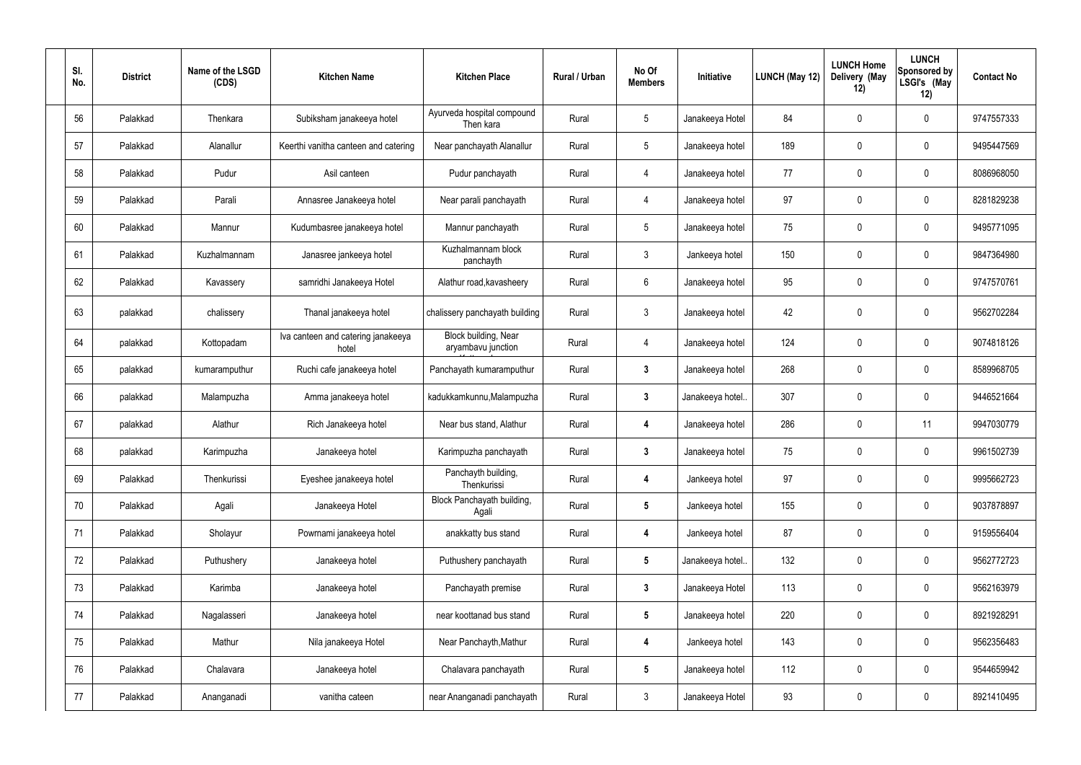| SI.<br>No. | <b>District</b> | Name of the LSGD<br>(CDS) | <b>Kitchen Name</b>                         | <b>Kitchen Place</b>                       | Rural / Urban | No Of<br><b>Members</b> | Initiative       | LUNCH (May 12) | <b>LUNCH Home</b><br>Delivery (May<br>12) | <b>LUNCH</b><br><b>Sponsored by</b><br>LSGI's (May<br>12) | <b>Contact No</b> |
|------------|-----------------|---------------------------|---------------------------------------------|--------------------------------------------|---------------|-------------------------|------------------|----------------|-------------------------------------------|-----------------------------------------------------------|-------------------|
| 56         | Palakkad        | Thenkara                  | Subiksham janakeeya hotel                   | Ayurveda hospital compound<br>Then kara    | Rural         | $5\phantom{.0}$         | Janakeeya Hotel  | 84             | 0                                         | $\boldsymbol{0}$                                          | 9747557333        |
| 57         | Palakkad        | Alanallur                 | Keerthi vanitha canteen and catering        | Near panchayath Alanallur                  | Rural         | $5\phantom{.0}$         | Janakeeya hotel  | 189            | 0                                         | $\pmb{0}$                                                 | 9495447569        |
| 58         | Palakkad        | Pudur                     | Asil canteen                                | Pudur panchayath                           | Rural         | $\overline{4}$          | Janakeeya hotel  | 77             | 0                                         | $\pmb{0}$                                                 | 8086968050        |
| 59         | Palakkad        | Parali                    | Annasree Janakeeya hotel                    | Near parali panchayath                     | Rural         | $\overline{4}$          | Janakeeya hotel  | 97             | $\mathbf 0$                               | $\pmb{0}$                                                 | 8281829238        |
| 60         | Palakkad        | Mannur                    | Kudumbasree janakeeya hotel                 | Mannur panchayath                          | Rural         | $5\,$                   | Janakeeya hotel  | 75             | 0                                         | $\pmb{0}$                                                 | 9495771095        |
| 61         | Palakkad        | Kuzhalmannam              | Janasree jankeeya hotel                     | Kuzhalmannam block<br>panchayth            | Rural         | $\mathfrak{Z}$          | Jankeeya hotel   | 150            | 0                                         | $\pmb{0}$                                                 | 9847364980        |
| 62         | Palakkad        | Kavassery                 | samridhi Janakeeya Hotel                    | Alathur road, kavasheery                   | Rural         | $6\phantom{.}$          | Janakeeya hotel  | 95             | 0                                         | $\pmb{0}$                                                 | 9747570761        |
| 63         | palakkad        | chalissery                | Thanal janakeeya hotel                      | chalissery panchayath building             | Rural         | $\mathfrak{Z}$          | Janakeeya hotel  | 42             | 0                                         | $\pmb{0}$                                                 | 9562702284        |
| 64         | palakkad        | Kottopadam                | Iva canteen and catering janakeeya<br>hotel | Block building, Near<br>aryambavu junction | Rural         | $\overline{4}$          | Janakeeya hotel  | 124            | 0                                         | $\pmb{0}$                                                 | 9074818126        |
| 65         | palakkad        | kumaramputhur             | Ruchi cafe janakeeya hotel                  | Panchayath kumaramputhur                   | Rural         | $\mathbf{3}$            | Janakeeya hotel  | 268            | $\mathbf 0$                               | $\pmb{0}$                                                 | 8589968705        |
| 66         | palakkad        | Malampuzha                | Amma janakeeya hotel                        | kadukkamkunnu, Malampuzha                  | Rural         | $\mathbf{3}$            | Janakeeya hotel. | 307            | 0                                         | $\pmb{0}$                                                 | 9446521664        |
| 67         | palakkad        | Alathur                   | Rich Janakeeya hotel                        | Near bus stand, Alathur                    | Rural         | 4                       | Janakeeya hotel  | 286            | $\mathbf 0$                               | 11                                                        | 9947030779        |
| 68         | palakkad        | Karimpuzha                | Janakeeya hotel                             | Karimpuzha panchayath                      | Rural         |                         | Janakeeya hotel  | 75             | 0                                         | 0                                                         | 9961502739        |
| 69         | Palakkad        | Thenkurissi               | Eyeshee janakeeya hotel                     | Panchayth building,<br>Thenkurissi         | Rural         | $\overline{\mathbf{4}}$ | Jankeeya hotel   | 97             | 0                                         | $\pmb{0}$                                                 | 9995662723        |
| 70         | Palakkad        | Agali                     | Janakeeya Hotel                             | Block Panchayath building,<br>Agali        | Rural         | $5\phantom{.0}$         | Jankeeya hotel   | 155            | 0                                         | $\pmb{0}$                                                 | 9037878897        |
| 71         | Palakkad        | Sholayur                  | Powrnami janakeeya hotel                    | anakkatty bus stand                        | Rural         | 4                       | Jankeeya hotel   | 87             | 0                                         | $\mathbf 0$                                               | 9159556404        |
| 72         | Palakkad        | Puthushery                | Janakeeya hotel                             | Puthushery panchayath                      | Rural         | $5\phantom{.0}$         | Janakeeya hotel  | 132            | 0                                         | $\pmb{0}$                                                 | 9562772723        |
| 73         | Palakkad        | Karimba                   | Janakeeya hotel                             | Panchayath premise                         | Rural         | $\mathbf{3}$            | Janakeeya Hotel  | 113            | 0                                         | $\mathbf 0$                                               | 9562163979        |
| 74         | Palakkad        | Nagalasseri               | Janakeeya hotel                             | near koottanad bus stand                   | Rural         | $5\phantom{.0}$         | Janakeeya hotel  | 220            | 0                                         | $\pmb{0}$                                                 | 8921928291        |
| 75         | Palakkad        | Mathur                    | Nila janakeeya Hotel                        | Near Panchayth, Mathur                     | Rural         | 4                       | Jankeeya hotel   | 143            | 0                                         | $\boldsymbol{0}$                                          | 9562356483        |
| 76         | Palakkad        | Chalavara                 | Janakeeya hotel                             | Chalavara panchayath                       | Rural         | $5\phantom{.0}$         | Janakeeya hotel  | 112            | 0                                         | $\pmb{0}$                                                 | 9544659942        |
| 77         | Palakkad        | Ananganadi                | vanitha cateen                              | near Ananganadi panchayath                 | Rural         | $\mathbf{3}$            | Janakeeya Hotel  | 93             | 0                                         | $\pmb{0}$                                                 | 8921410495        |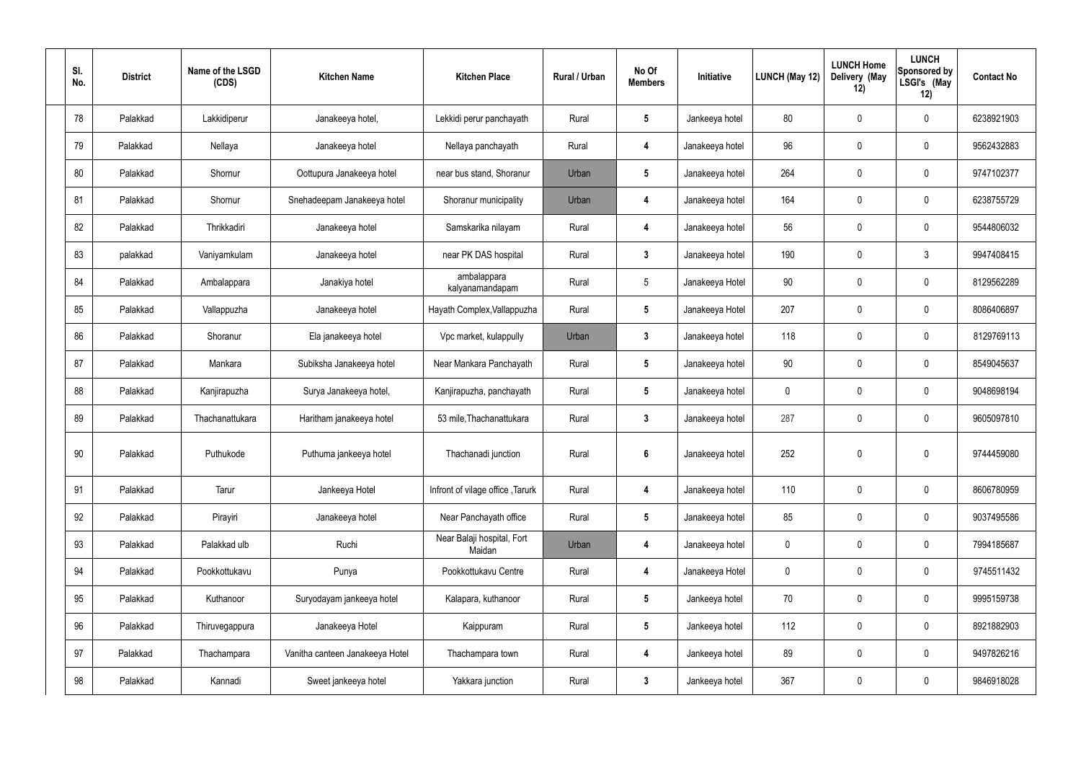| SI.<br>No. | <b>District</b> | Name of the LSGD<br>(CDS) | <b>Kitchen Name</b>             | <b>Kitchen Place</b>                 | Rural / Urban | No Of<br><b>Members</b> | Initiative      | <b>LUNCH (May 12)</b> | <b>LUNCH Home</b><br>Delivery (May<br>12) | <b>LUNCH</b><br>Sponsored by<br>LSGI's (May<br>12) | <b>Contact No</b> |
|------------|-----------------|---------------------------|---------------------------------|--------------------------------------|---------------|-------------------------|-----------------|-----------------------|-------------------------------------------|----------------------------------------------------|-------------------|
| 78         | Palakkad        | Lakkidiperur              | Janakeeya hotel,                | Lekkidi perur panchayath             | Rural         | $5\phantom{.0}$         | Jankeeya hotel  | 80                    | 0                                         | $\mathbf 0$                                        | 6238921903        |
| 79         | Palakkad        | Nellaya                   | Janakeeya hotel                 | Nellaya panchayath                   | Rural         | 4                       | Janakeeya hotel | 96                    | $\mathbf 0$                               | $\boldsymbol{0}$                                   | 9562432883        |
| 80         | Palakkad        | Shornur                   | Oottupura Janakeeya hotel       | near bus stand, Shoranur             | Urban         | $5\phantom{.0}$         | Janakeeya hotel | 264                   | 0                                         | $\mathbf 0$                                        | 9747102377        |
| 81         | Palakkad        | Shornur                   | Snehadeepam Janakeeya hotel     | Shoranur municipality                | Urban         | 4                       | Janakeeya hotel | 164                   | 0                                         | $\boldsymbol{0}$                                   | 6238755729        |
| 82         | Palakkad        | Thrikkadiri               | Janakeeya hotel                 | Samskarika nilayam                   | Rural         | 4                       | Janakeeya hotel | 56                    | 0                                         | $\mathbf 0$                                        | 9544806032        |
| 83         | palakkad        | Vaniyamkulam              | Janakeeya hotel                 | near PK DAS hospital                 | Rural         | $\mathbf{3}$            | Janakeeya hotel | 190                   | 0                                         | $\mathbf{3}$                                       | 9947408415        |
| 84         | Palakkad        | Ambalappara               | Janakiya hotel                  | ambalappara<br>kalyanamandapam       | Rural         | $5\phantom{.0}$         | Janakeeya Hotel | 90                    | 0                                         | $\mathbf 0$                                        | 8129562289        |
| 85         | Palakkad        | Vallappuzha               | Janakeeya hotel                 | Hayath Complex, Vallappuzha          | Rural         | $5\phantom{.0}$         | Janakeeya Hotel | 207                   | 0                                         | $\mathbf 0$                                        | 8086406897        |
| 86         | Palakkad        | Shoranur                  | Ela janakeeya hotel             | Vpc market, kulappully               | Urban         | $\mathbf{3}$            | Janakeeya hotel | 118                   | 0                                         | $\mathbf 0$                                        | 8129769113        |
| 87         | Palakkad        | Mankara                   | Subiksha Janakeeya hotel        | Near Mankara Panchayath              | Rural         | $5\phantom{.0}$         | Janakeeya hotel | 90                    | 0                                         | $\mathbf 0$                                        | 8549045637        |
| 88         | Palakkad        | Kanjirapuzha              | Surya Janakeeya hotel,          | Kanjirapuzha, panchayath             | Rural         | $5\phantom{.0}$         | Janakeeya hotel | 0                     | 0                                         | $\boldsymbol{0}$                                   | 9048698194        |
| 89         | Palakkad        | Thachanattukara           | Haritham janakeeya hotel        | 53 mile, Thachanattukara             | Rural         | $3\phantom{a}$          | Janakeeya hotel | 287                   | 0                                         | $\mathbf 0$                                        | 9605097810        |
| 90         | Palakkad        | Puthukode                 | Puthuma jankeeya hotel          | Thachanadi junction                  | Rural         | $6\overline{6}$         | Janakeeya hotel | 252                   | $\mathbf 0$                               | $\mathbf 0$                                        | 9744459080        |
| 91         | Palakkad        | Tarur                     | Jankeeya Hotel                  | Infront of vilage office, Tarurk     | Rural         | $\overline{\mathbf{4}}$ | Janakeeya hotel | 110                   | $\pmb{0}$                                 | $\mathbf 0$                                        | 8606780959        |
| 92         | Palakkad        | Pirayiri                  | Janakeeya hotel                 | Near Panchayath office               | Rural         | $5\phantom{.0}$         | Janakeeya hotel | 85                    | $\pmb{0}$                                 | $\mathbf 0$                                        | 9037495586        |
| 93         | Palakkad        | Palakkad ulb              | Ruchi                           | Near Balaji hospital, Fort<br>Maidan | Urban         | 4                       | Janakeeya hotel | $\pmb{0}$             | 0                                         | $\mathbf 0$                                        | 7994185687        |
| 94         | Palakkad        | Pookkottukavu             | Punya                           | Pookkottukavu Centre                 | Rural         | $\overline{\mathbf{4}}$ | Janakeeya Hotel | 0                     | 0                                         | $\mathbf 0$                                        | 9745511432        |
| 95         | Palakkad        | Kuthanoor                 | Suryodayam jankeeya hotel       | Kalapara, kuthanoor                  | Rural         | $5\phantom{.0}$         | Jankeeya hotel  | 70                    | 0                                         | $\mathbf 0$                                        | 9995159738        |
| 96         | Palakkad        | Thiruvegappura            | Janakeeya Hotel                 | Kaippuram                            | Rural         | $5\phantom{.0}$         | Jankeeya hotel  | 112                   | 0                                         | $\mathbf 0$                                        | 8921882903        |
| 97         | Palakkad        | Thachampara               | Vanitha canteen Janakeeya Hotel | Thachampara town                     | Rural         | $\overline{\mathbf{4}}$ | Jankeeya hotel  | 89                    | 0                                         | $\mathbf 0$                                        | 9497826216        |
| 98         | Palakkad        | Kannadi                   | Sweet jankeeya hotel            | Yakkara junction                     | Rural         | $\mathbf{3}$            | Jankeeya hotel  | 367                   | 0                                         | $\mathbf 0$                                        | 9846918028        |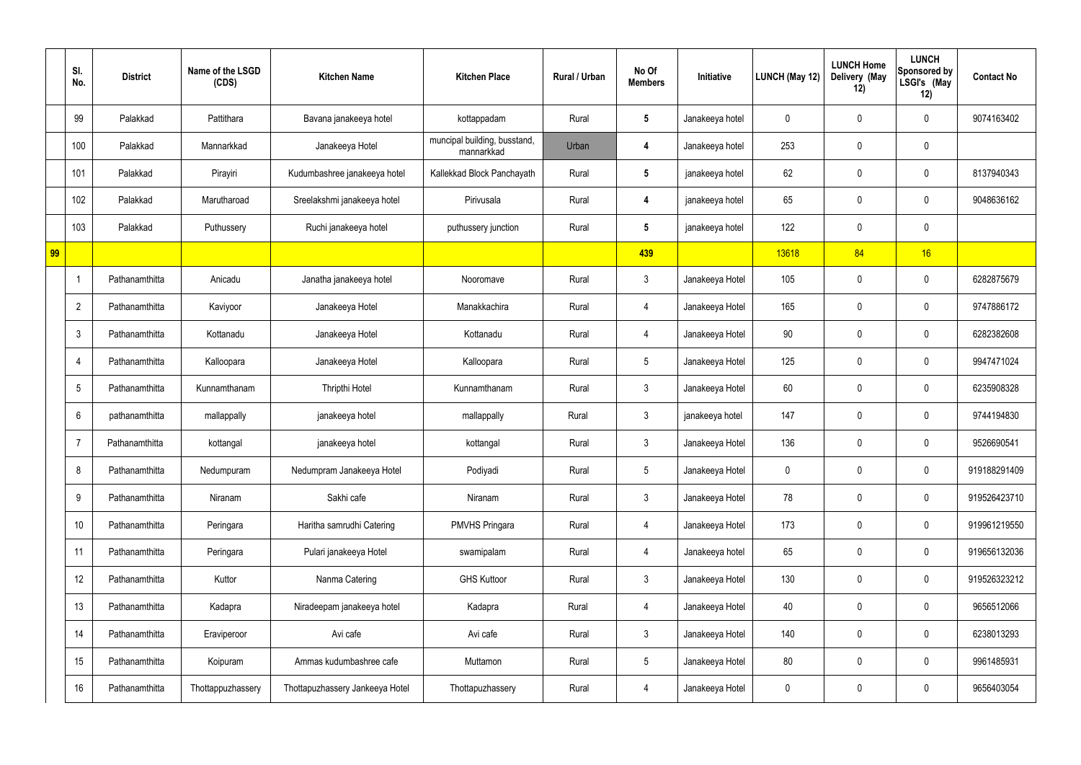|    | SI.<br>No.       | <b>District</b> | Name of the LSGD<br>(CDS) | <b>Kitchen Name</b>             | <b>Kitchen Place</b>                       | Rural / Urban | No Of<br><b>Members</b> | Initiative      | LUNCH (May 12) | <b>LUNCH Home</b><br>Delivery (May<br>12) | <b>LUNCH</b><br><b>Sponsored by</b><br>LSGI's (May<br>12) | <b>Contact No</b> |
|----|------------------|-----------------|---------------------------|---------------------------------|--------------------------------------------|---------------|-------------------------|-----------------|----------------|-------------------------------------------|-----------------------------------------------------------|-------------------|
|    | 99               | Palakkad        | Pattithara                | Bavana janakeeya hotel          | kottappadam                                | Rural         | $5\phantom{.0}$         | Janakeeya hotel | 0              | 0                                         | 0                                                         | 9074163402        |
|    | 100              | Palakkad        | Mannarkkad                | Janakeeya Hotel                 | muncipal building, busstand,<br>mannarkkad | Urban         | 4                       | Janakeeya hotel | 253            | 0                                         | $\pmb{0}$                                                 |                   |
|    | 101              | Palakkad        | Pirayiri                  | Kudumbashree janakeeya hotel    | Kallekkad Block Panchayath                 | Rural         | $5\phantom{.0}$         | janakeeya hotel | 62             | 0                                         | 0                                                         | 8137940343        |
|    | 102              | Palakkad        | Marutharoad               | Sreelakshmi janakeeya hotel     | Pirivusala                                 | Rural         | 4                       | janakeeya hotel | 65             | 0                                         | 0                                                         | 9048636162        |
|    | 103              | Palakkad        | Puthussery                | Ruchi janakeeya hotel           | puthussery junction                        | Rural         | $5\phantom{.0}$         | janakeeya hotel | 122            | 0                                         | $\pmb{0}$                                                 |                   |
| 99 |                  |                 |                           |                                 |                                            |               | 439                     |                 | 13618          | 84                                        | 16                                                        |                   |
|    | $\overline{1}$   | Pathanamthitta  | Anicadu                   | Janatha janakeeya hotel         | Nooromave                                  | Rural         | $\mathbf{3}$            | Janakeeya Hotel | 105            | 0                                         | $\pmb{0}$                                                 | 6282875679        |
|    | $\overline{2}$   | Pathanamthitta  | Kaviyoor                  | Janakeeya Hotel                 | Manakkachira                               | Rural         | 4                       | Janakeeya Hotel | 165            | $\mathbf 0$                               | $\pmb{0}$                                                 | 9747886172        |
|    | $\mathfrak{Z}$   | Pathanamthitta  | Kottanadu                 | Janakeeya Hotel                 | Kottanadu                                  | Rural         | 4                       | Janakeeya Hotel | 90             | 0                                         | $\pmb{0}$                                                 | 6282382608        |
|    | $\overline{4}$   | Pathanamthitta  | Kalloopara                | Janakeeya Hotel                 | Kalloopara                                 | Rural         | $5\phantom{.0}$         | Janakeeya Hotel | 125            | $\mathbf 0$                               | $\pmb{0}$                                                 | 9947471024        |
|    | $5\phantom{.0}$  | Pathanamthitta  | Kunnamthanam              | Thripthi Hotel                  | Kunnamthanam                               | Rural         | $\mathbf{3}$            | Janakeeya Hotel | 60             | 0                                         | $\pmb{0}$                                                 | 6235908328        |
|    | $6\phantom{1}$   | pathanamthitta  | mallappally               | janakeeya hotel                 | mallappally                                | Rural         | $\mathfrak{Z}$          | janakeeya hotel | 147            | 0                                         | $\pmb{0}$                                                 | 9744194830        |
|    | $\overline{7}$   | Pathanamthitta  | kottangal                 | janakeeya hotel                 | kottangal                                  | Rural         | $\mathbf{3}$            | Janakeeya Hotel | 136            | 0                                         | $\pmb{0}$                                                 | 9526690541        |
|    | 8                | Pathanamthitta  | Nedumpuram                | Nedumpram Janakeeya Hotel       | Podiyadi                                   | Rural         | $5\phantom{.0}$         | Janakeeya Hotel | $\mathbf 0$    | 0                                         | $\mathbf 0$                                               | 919188291409      |
|    | $\boldsymbol{9}$ | Pathanamthitta  | Niranam                   | Sakhi cafe                      | Niranam                                    | Rural         | $\mathbf{3}$            | Janakeeya Hotel | 78             | 0                                         | $\mathbf 0$                                               | 919526423710      |
|    | 10               | Pathanamthitta  | Peringara                 | Haritha samrudhi Catering       | <b>PMVHS Pringara</b>                      | Rural         | 4                       | Janakeeya Hotel | 173            | $\mathbf 0$                               | $\mathbf 0$                                               | 919961219550      |
|    | 11               | Pathanamthitta  | Peringara                 | Pulari janakeeya Hotel          | swamipalam                                 | Rural         | 4                       | Janakeeya hotel | 65             | 0                                         | $\pmb{0}$                                                 | 919656132036      |
|    | 12               | Pathanamthitta  | Kuttor                    | Nanma Catering                  | <b>GHS Kuttoor</b>                         | Rural         | $\mathfrak{Z}$          | Janakeeya Hotel | 130            | $\mathbf 0$                               | $\mathbf 0$                                               | 919526323212      |
|    | 13               | Pathanamthitta  | Kadapra                   | Niradeepam janakeeya hotel      | Kadapra                                    | Rural         | 4                       | Janakeeya Hotel | 40             | $\mathbf 0$                               | $\pmb{0}$                                                 | 9656512066        |
|    | 14               | Pathanamthitta  | Eraviperoor               | Avi cafe                        | Avi cafe                                   | Rural         | $\mathfrak{Z}$          | Janakeeya Hotel | 140            | $\mathbf 0$                               | $\pmb{0}$                                                 | 6238013293        |
|    | 15               | Pathanamthitta  | Koipuram                  | Ammas kudumbashree cafe         | Muttamon                                   | Rural         | $\overline{5}$          | Janakeeya Hotel | 80             | $\mathbf 0$                               | $\pmb{0}$                                                 | 9961485931        |
|    | 16               | Pathanamthitta  | Thottappuzhassery         | Thottapuzhassery Jankeeya Hotel | Thottapuzhassery                           | Rural         | 4                       | Janakeeya Hotel | 0              | 0                                         | $\pmb{0}$                                                 | 9656403054        |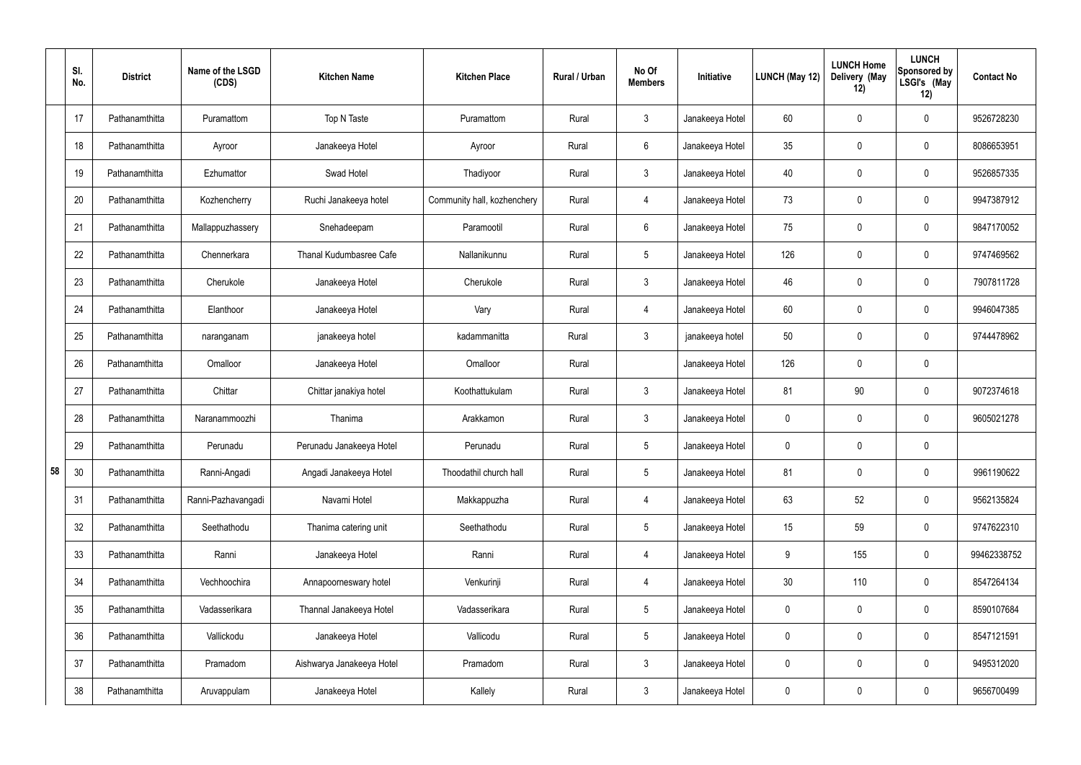|    | SI.<br>No. | <b>District</b> | Name of the LSGD<br>(CDS) | <b>Kitchen Name</b>       | <b>Kitchen Place</b>        | Rural / Urban | No Of<br><b>Members</b> | Initiative      | LUNCH (May 12)   | <b>LUNCH Home</b><br>Delivery (May<br>12) | <b>LUNCH</b><br><b>Sponsored by</b><br>LSGI's (May<br>12) | <b>Contact No</b> |
|----|------------|-----------------|---------------------------|---------------------------|-----------------------------|---------------|-------------------------|-----------------|------------------|-------------------------------------------|-----------------------------------------------------------|-------------------|
|    | 17         | Pathanamthitta  | Puramattom                | Top N Taste               | Puramattom                  | Rural         | $\mathbf{3}$            | Janakeeya Hotel | 60               | 0                                         | $\boldsymbol{0}$                                          | 9526728230        |
|    | 18         | Pathanamthitta  | Ayroor                    | Janakeeya Hotel           | Ayroor                      | Rural         | $6\overline{6}$         | Janakeeya Hotel | 35               | 0                                         | $\pmb{0}$                                                 | 8086653951        |
|    | 19         | Pathanamthitta  | Ezhumattor                | Swad Hotel                | Thadiyoor                   | Rural         | $\mathbf{3}$            | Janakeeya Hotel | 40               | 0                                         | $\pmb{0}$                                                 | 9526857335        |
|    | 20         | Pathanamthitta  | Kozhencherry              | Ruchi Janakeeya hotel     | Community hall, kozhenchery | Rural         | 4                       | Janakeeya Hotel | 73               | $\mathbf 0$                               | $\pmb{0}$                                                 | 9947387912        |
|    | 21         | Pathanamthitta  | Mallappuzhassery          | Snehadeepam               | Paramootil                  | Rural         | $6\phantom{.}6$         | Janakeeya Hotel | 75               | 0                                         | $\pmb{0}$                                                 | 9847170052        |
|    | 22         | Pathanamthitta  | Chennerkara               | Thanal Kudumbasree Cafe   | Nallanikunnu                | Rural         | $5\,$                   | Janakeeya Hotel | 126              | $\mathbf 0$                               | $\mathbf 0$                                               | 9747469562        |
|    | 23         | Pathanamthitta  | Cherukole                 | Janakeeya Hotel           | Cherukole                   | Rural         | $\mathbf{3}$            | Janakeeya Hotel | 46               | 0                                         | $\pmb{0}$                                                 | 7907811728        |
|    | 24         | Pathanamthitta  | Elanthoor                 | Janakeeya Hotel           | Vary                        | Rural         | 4                       | Janakeeya Hotel | 60               | 0                                         | $\mathbf 0$                                               | 9946047385        |
|    | 25         | Pathanamthitta  | naranganam                | janakeeya hotel           | kadammanitta                | Rural         | $\mathbf{3}$            | janakeeya hotel | 50               | 0                                         | $\mathbf 0$                                               | 9744478962        |
|    | 26         | Pathanamthitta  | Omalloor                  | Janakeeya Hotel           | Omalloor                    | Rural         |                         | Janakeeya Hotel | 126              | $\mathbf 0$                               | $\pmb{0}$                                                 |                   |
|    | 27         | Pathanamthitta  | Chittar                   | Chittar janakiya hotel    | Koothattukulam              | Rural         | $\mathbf{3}$            | Janakeeya Hotel | 81               | 90                                        | $\pmb{0}$                                                 | 9072374618        |
|    | 28         | Pathanamthitta  | Naranammoozhi             | Thanima                   | Arakkamon                   | Rural         | $\mathbf{3}$            | Janakeeya Hotel | 0                | $\mathbf 0$                               | $\pmb{0}$                                                 | 9605021278        |
|    | 29         | Pathanamthitta  | Perunadu                  | Perunadu Janakeeya Hotel  | Perunadu                    | Rural         | $5\phantom{.0}$         | Janakeeya Hotel | 0                | 0                                         | $\pmb{0}$                                                 |                   |
| 58 | 30         | Pathanamthitta  | Ranni-Angadi              | Angadi Janakeeya Hotel    | Thoodathil church hall      | Rural         | $5\phantom{.0}$         | Janakeeya Hotel | 81               | 0                                         | $\pmb{0}$                                                 | 9961190622        |
|    | 31         | Pathanamthitta  | Ranni-Pazhavangadi        | Navami Hotel              | Makkappuzha                 | Rural         | $\overline{4}$          | Janakeeya Hotel | 63               | 52                                        | $\pmb{0}$                                                 | 9562135824        |
|    | 32         | Pathanamthitta  | Seethathodu               | Thanima catering unit     | Seethathodu                 | Rural         | $5\phantom{.0}$         | Janakeeya Hotel | 15 <sub>15</sub> | 59                                        | $\mathbf 0$                                               | 9747622310        |
|    | 33         | Pathanamthitta  | Ranni                     | Janakeeya Hotel           | Ranni                       | Rural         | $\overline{4}$          | Janakeeya Hotel | 9                | 155                                       | $\pmb{0}$                                                 | 99462338752       |
|    | 34         | Pathanamthitta  | Vechhoochira              | Annapoorneswary hotel     | Venkurinji                  | Rural         | $\overline{4}$          | Janakeeya Hotel | 30 <sub>o</sub>  | 110                                       | $\mathbf 0$                                               | 8547264134        |
|    | 35         | Pathanamthitta  | Vadasserikara             | Thannal Janakeeya Hotel   | Vadasserikara               | Rural         | $5\phantom{.0}$         | Janakeeya Hotel | 0                | 0                                         | $\mathbf 0$                                               | 8590107684        |
|    | 36         | Pathanamthitta  | Vallickodu                | Janakeeya Hotel           | Vallicodu                   | Rural         | $5\phantom{.0}$         | Janakeeya Hotel | 0                | 0                                         | $\pmb{0}$                                                 | 8547121591        |
|    | 37         | Pathanamthitta  | Pramadom                  | Aishwarya Janakeeya Hotel | Pramadom                    | Rural         | $\mathbf{3}$            | Janakeeya Hotel | 0                | 0                                         | $\mathbf 0$                                               | 9495312020        |
|    | 38         | Pathanamthitta  | Aruvappulam               | Janakeeya Hotel           | Kallely                     | Rural         | $\mathbf{3}$            | Janakeeya Hotel | 0                | 0                                         | $\pmb{0}$                                                 | 9656700499        |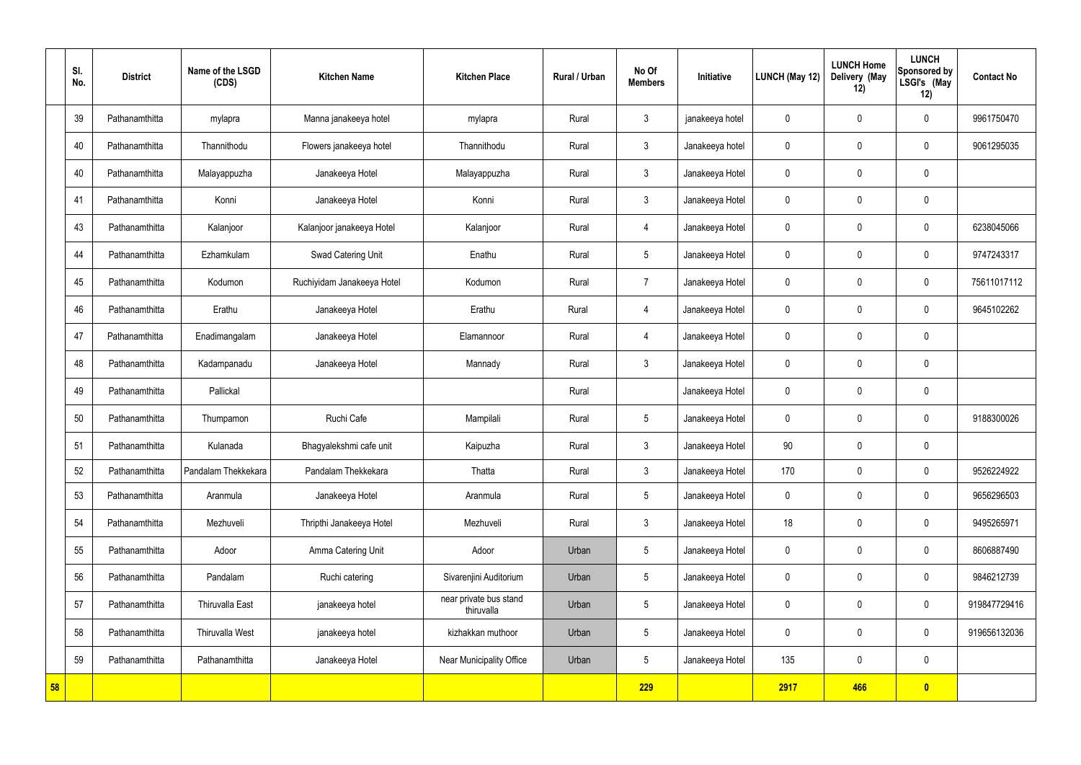| SI.<br>No. | <b>District</b> | Name of the LSGD<br>(CDS) | <b>Kitchen Name</b>        | <b>Kitchen Place</b>                 | Rural / Urban | No Of<br><b>Members</b> | Initiative      | <b>LUNCH (May 12)</b> | <b>LUNCH Home</b><br>Delivery (May<br>12) | <b>LUNCH</b><br>Sponsored by<br>LSGI's (May<br>12) | <b>Contact No</b> |
|------------|-----------------|---------------------------|----------------------------|--------------------------------------|---------------|-------------------------|-----------------|-----------------------|-------------------------------------------|----------------------------------------------------|-------------------|
| 39         | Pathanamthitta  | mylapra                   | Manna janakeeya hotel      | mylapra                              | Rural         | $\mathbf{3}$            | janakeeya hotel | 0                     | 0                                         | $\mathbf 0$                                        | 9961750470        |
| 40         | Pathanamthitta  | Thannithodu               | Flowers janakeeya hotel    | Thannithodu                          | Rural         | $\mathbf{3}$            | Janakeeya hotel | 0                     | $\mathbf 0$                               | $\mathbf 0$                                        | 9061295035        |
| 40         | Pathanamthitta  | Malayappuzha              | Janakeeya Hotel            | Malayappuzha                         | Rural         | $\mathbf{3}$            | Janakeeya Hotel | 0                     | $\mathbf 0$                               | $\mathbf 0$                                        |                   |
| 41         | Pathanamthitta  | Konni                     | Janakeeya Hotel            | Konni                                | Rural         | $\mathbf{3}$            | Janakeeya Hotel | 0                     | $\mathbf 0$                               | $\mathbf 0$                                        |                   |
| 43         | Pathanamthitta  | Kalanjoor                 | Kalanjoor janakeeya Hotel  | Kalanjoor                            | Rural         | 4                       | Janakeeya Hotel | 0                     | 0                                         | $\mathbf 0$                                        | 6238045066        |
| 44         | Pathanamthitta  | Ezhamkulam                | Swad Catering Unit         | Enathu                               | Rural         | $5\phantom{.0}$         | Janakeeya Hotel | 0                     | $\mathbf 0$                               | $\mathbf 0$                                        | 9747243317        |
| 45         | Pathanamthitta  | Kodumon                   | Ruchiyidam Janakeeya Hotel | Kodumon                              | Rural         | $\overline{7}$          | Janakeeya Hotel | 0                     | 0                                         | $\mathbf 0$                                        | 75611017112       |
| 46         | Pathanamthitta  | Erathu                    | Janakeeya Hotel            | Erathu                               | Rural         | 4                       | Janakeeya Hotel | 0                     | $\mathbf 0$                               | $\mathbf 0$                                        | 9645102262        |
| 47         | Pathanamthitta  | Enadimangalam             | Janakeeya Hotel            | Elamannoor                           | Rural         | 4                       | Janakeeya Hotel | 0                     | 0                                         | $\mathbf 0$                                        |                   |
| 48         | Pathanamthitta  | Kadampanadu               | Janakeeya Hotel            | Mannady                              | Rural         | $\mathbf{3}$            | Janakeeya Hotel | 0                     | $\mathbf 0$                               | $\mathbf 0$                                        |                   |
| 49         | Pathanamthitta  | Pallickal                 |                            |                                      | Rural         |                         | Janakeeya Hotel | 0                     | 0                                         | $\mathbf 0$                                        |                   |
| 50         | Pathanamthitta  | Thumpamon                 | Ruchi Cafe                 | Mampilali                            | Rural         | $5\overline{)}$         | Janakeeya Hotel | 0                     | $\mathbf 0$                               | $\mathbf 0$                                        | 9188300026        |
| 51         | Pathanamthitta  | Kulanada                  | Bhagyalekshmi cafe unit    | Kaipuzha                             | Rural         | $\mathbf{3}$            | Janakeeya Hotel | 90                    | $\mathbf 0$                               | $\mathbf 0$                                        |                   |
| 52         | Pathanamthitta  | Pandalam Thekkekara       | Pandalam Thekkekara        | Thatta                               | Rural         | $\mathbf{3}$            | Janakeeya Hotel | 170                   | 0                                         | $\mathbf 0$                                        | 9526224922        |
| 53         | Pathanamthitta  | Aranmula                  | Janakeeya Hotel            | Aranmula                             | Rural         | $5\phantom{.0}$         | Janakeeya Hotel | 0                     | 0                                         | $\mathbf 0$                                        | 9656296503        |
| 54         | Pathanamthitta  | Mezhuveli                 | Thripthi Janakeeya Hotel   | Mezhuveli                            | Rural         | $\mathfrak{Z}$          | Janakeeya Hotel | 18                    | 0                                         | $\mathbf 0$                                        | 9495265971        |
| 55         | Pathanamthitta  | Adoor                     | Amma Catering Unit         | Adoor                                | Urban         | $5\phantom{.0}$         | Janakeeya Hotel | 0                     | 0                                         | $\mathbf 0$                                        | 8606887490        |
| 56         | Pathanamthitta  | Pandalam                  | Ruchi catering             | Sivarenjini Auditorium               | Urban         | $5\phantom{.0}$         | Janakeeya Hotel | 0                     | 0                                         | $\mathbf 0$                                        | 9846212739        |
| 57         | Pathanamthitta  | Thiruvalla East           | janakeeya hotel            | near private bus stand<br>thiruvalla | Urban         | $5\phantom{.0}$         | Janakeeya Hotel | 0                     | 0                                         | $\mathbf 0$                                        | 919847729416      |
| 58         | Pathanamthitta  | Thiruvalla West           | janakeeya hotel            | kizhakkan muthoor                    | Urban         | $5\overline{)}$         | Janakeeya Hotel | 0                     | 0                                         | $\mathbf 0$                                        | 919656132036      |
| 59         | Pathanamthitta  | Pathanamthitta            | Janakeeya Hotel            | Near Municipality Office             | Urban         | $5\overline{)}$         | Janakeeya Hotel | 135                   | 0                                         | $\mathbf 0$                                        |                   |
| 58         |                 |                           |                            |                                      |               | 229                     |                 | 2917                  | 466                                       | $\bullet$                                          |                   |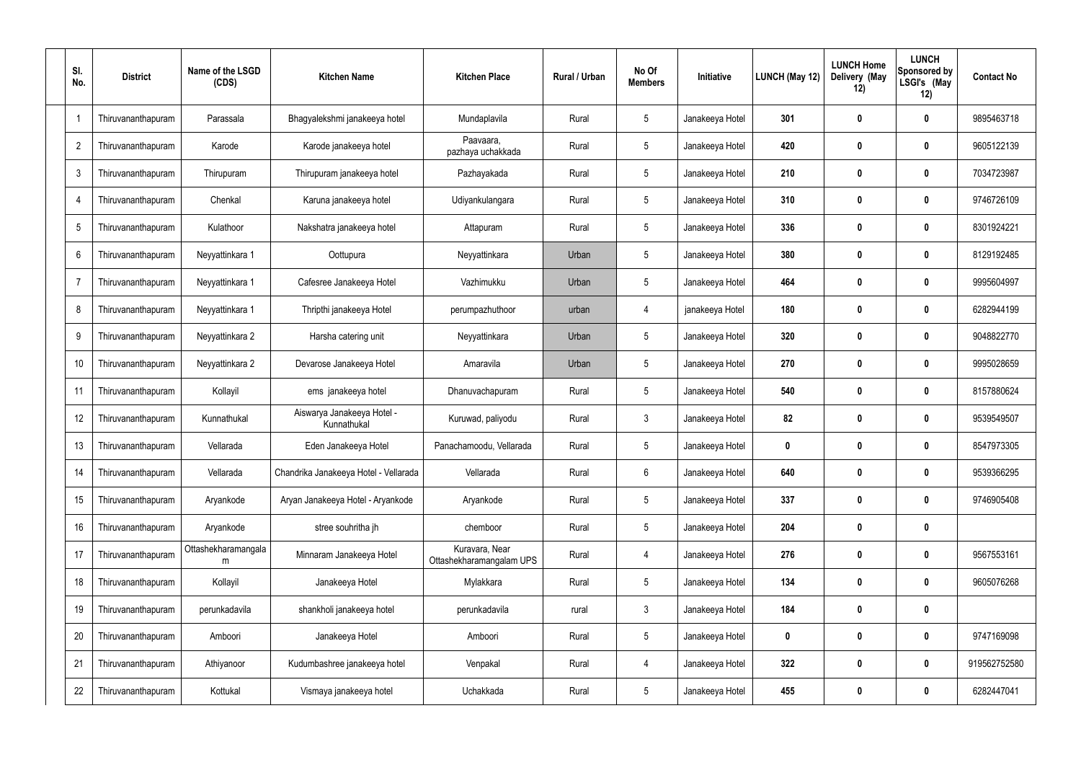| SI.<br>No.     | <b>District</b>    | Name of the LSGD<br>(CDS) | <b>Kitchen Name</b>                       | <b>Kitchen Place</b>                       | <b>Rural / Urban</b> | No Of<br><b>Members</b> | Initiative      | LUNCH (May 12) | <b>LUNCH Home</b><br>Delivery (May<br>12) | <b>LUNCH</b><br>Sponsored by<br>LSGI's (May<br>12) | <b>Contact No</b> |
|----------------|--------------------|---------------------------|-------------------------------------------|--------------------------------------------|----------------------|-------------------------|-----------------|----------------|-------------------------------------------|----------------------------------------------------|-------------------|
|                | Thiruvananthapuram | Parassala                 | Bhagyalekshmi janakeeya hotel             | Mundaplavila                               | Rural                | $5\phantom{.0}$         | Janakeeya Hotel | 301            | 0                                         | $\boldsymbol{0}$                                   | 9895463718        |
| $\overline{2}$ | Thiruvananthapuram | Karode                    | Karode janakeeya hotel                    | Paavaara,<br>pazhaya uchakkada             | Rural                | $5\phantom{.0}$         | Janakeeya Hotel | 420            | 0                                         | $\mathbf 0$                                        | 9605122139        |
| $\mathbf{3}$   | Thiruvananthapuram | Thirupuram                | Thirupuram janakeeya hotel                | Pazhayakada                                | Rural                | $5\phantom{.0}$         | Janakeeya Hotel | 210            | 0                                         | $\mathbf 0$                                        | 7034723987        |
|                | Thiruvananthapuram | Chenkal                   | Karuna janakeeya hotel                    | Udiyankulangara                            | Rural                | $5\phantom{.0}$         | Janakeeya Hotel | 310            | 0                                         | $\mathbf 0$                                        | 9746726109        |
| 5              | Thiruvananthapuram | Kulathoor                 | Nakshatra janakeeya hotel                 | Attapuram                                  | Rural                | $5\phantom{.0}$         | Janakeeya Hotel | 336            | 0                                         | $\mathbf 0$                                        | 8301924221        |
| 6              | Thiruvananthapuram | Neyyattinkara 1           | Oottupura                                 | Neyyattinkara                              | Urban                | $5\phantom{.0}$         | Janakeeya Hotel | 380            | 0                                         | $\mathbf 0$                                        | 8129192485        |
| $\overline{7}$ | Thiruvananthapuram | Neyyattinkara 1           | Cafesree Janakeeya Hotel                  | Vazhimukku                                 | Urban                | $5\phantom{.0}$         | Janakeeya Hotel | 464            | 0                                         | $\mathbf 0$                                        | 9995604997        |
| 8              | Thiruvananthapuram | Neyyattinkara 1           | Thripthi janakeeya Hotel                  | perumpazhuthoor                            | urban                | 4                       | janakeeya Hotel | 180            | 0                                         | $\mathbf 0$                                        | 6282944199        |
| 9              | Thiruvananthapuram | Neyyattinkara 2           | Harsha catering unit                      | Neyyattinkara                              | Urban                | $5\phantom{.0}$         | Janakeeya Hotel | 320            | 0                                         | $\mathbf 0$                                        | 9048822770        |
| 10             | Thiruvananthapuram | Neyyattinkara 2           | Devarose Janakeeya Hotel                  | Amaravila                                  | Urban                | $5\phantom{.0}$         | Janakeeya Hotel | 270            | 0                                         | $\mathbf 0$                                        | 9995028659        |
| 11             | Thiruvananthapuram | Kollayil                  | ems janakeeya hotel                       | Dhanuvachapuram                            | Rural                | $5\phantom{.0}$         | Janakeeya Hotel | 540            | $\boldsymbol{0}$                          | $\mathbf 0$                                        | 8157880624        |
| 12             | Thiruvananthapuram | Kunnathukal               | Aiswarya Janakeeya Hotel -<br>Kunnathukal | Kuruwad, paliyodu                          | Rural                | $\mathbf{3}$            | Janakeeya Hotel | 82             | 0                                         | $\mathbf 0$                                        | 9539549507        |
| 13             | Thiruvananthapuram | Vellarada                 | Eden Janakeeya Hotel                      | Panachamoodu, Vellarada                    | Rural                | $5\phantom{.0}$         | Janakeeya Hotel | 0              | 0                                         | 0                                                  | 8547973305        |
| 14             | Thiruvananthapuram | Vellarada                 | Chandrika Janakeeya Hotel - Vellarada     | Vellarada                                  | Rural                | 6                       | Janakeeya Hotel | 640            | $\boldsymbol{0}$                          | $\mathbf 0$                                        | 9539366295        |
| 15             | Thiruvananthapuram | Aryankode                 | Aryan Janakeeya Hotel - Aryankode         | Aryankode                                  | Rural                | $5\phantom{.0}$         | Janakeeya Hotel | 337            | $\boldsymbol{0}$                          | $\mathbf 0$                                        | 9746905408        |
| 16             | Thiruvananthapuram | Aryankode                 | stree souhritha jh                        | chemboor                                   | Rural                | $5\phantom{.0}$         | Janakeeya Hotel | 204            | $\boldsymbol{0}$                          | $\pmb{0}$                                          |                   |
| 17             | Thiruvananthapuram | Ottashekharamangala<br>m  | Minnaram Janakeeya Hotel                  | Kuravara, Near<br>Ottashekharamangalam UPS | Rural                | $\overline{4}$          | Janakeeya Hotel | 276            | $\boldsymbol{0}$                          | $\pmb{0}$                                          | 9567553161        |
| 18             | Thiruvananthapuram | Kollayil                  | Janakeeya Hotel                           | Mylakkara                                  | Rural                | $\sqrt{5}$              | Janakeeya Hotel | 134            | $\boldsymbol{0}$                          | $\pmb{0}$                                          | 9605076268        |
| 19             | Thiruvananthapuram | perunkadavila             | shankholi janakeeya hotel                 | perunkadavila                              | rural                | $\mathbf{3}$            | Janakeeya Hotel | 184            | $\boldsymbol{0}$                          | $\pmb{0}$                                          |                   |
| 20             | Thiruvananthapuram | Amboori                   | Janakeeya Hotel                           | Amboori                                    | Rural                | $\sqrt{5}$              | Janakeeya Hotel | 0              | $\boldsymbol{0}$                          | $\pmb{0}$                                          | 9747169098        |
| 21             | Thiruvananthapuram | Athiyanoor                | Kudumbashree janakeeya hotel              | Venpakal                                   | Rural                | $\overline{4}$          | Janakeeya Hotel | 322            | $\boldsymbol{0}$                          | $\mathbf 0$                                        | 919562752580      |
| 22             | Thiruvananthapuram | Kottukal                  | Vismaya janakeeya hotel                   | Uchakkada                                  | Rural                | $5\,$                   | Janakeeya Hotel | 455            | $\boldsymbol{0}$                          | $\pmb{0}$                                          | 6282447041        |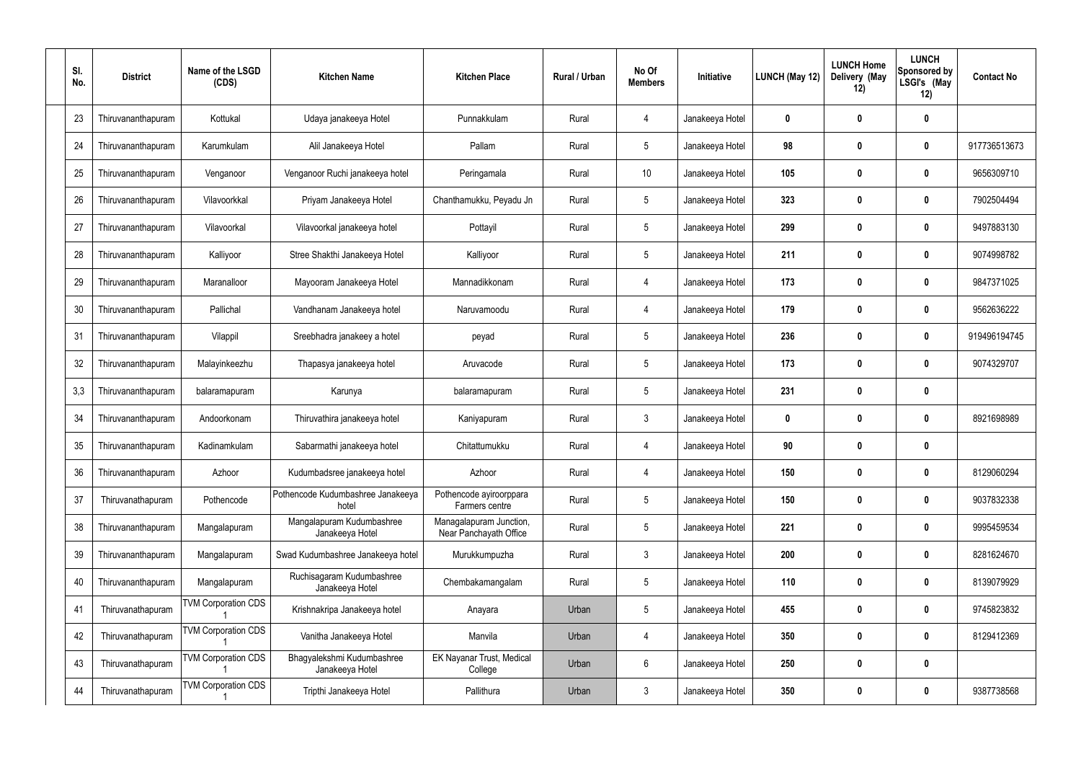| SI.<br>No. | <b>District</b>    | Name of the LSGD<br>(CDS)  | <b>Kitchen Name</b>                           | <b>Kitchen Place</b>                              | Rural / Urban | No Of<br><b>Members</b> | Initiative      | <b>LUNCH (May 12)</b> | <b>LUNCH Home</b><br>Delivery (May<br>12) | <b>LUNCH</b><br><b>Sponsored by</b><br>LSGI's (May<br>12) | <b>Contact No</b> |
|------------|--------------------|----------------------------|-----------------------------------------------|---------------------------------------------------|---------------|-------------------------|-----------------|-----------------------|-------------------------------------------|-----------------------------------------------------------|-------------------|
| 23         | Thiruvananthapuram | Kottukal                   | Udaya janakeeya Hotel                         | Punnakkulam                                       | Rural         | $\overline{4}$          | Janakeeya Hotel | 0                     | $\boldsymbol{0}$                          | $\boldsymbol{0}$                                          |                   |
| 24         | Thiruvananthapuram | Karumkulam                 | Alil Janakeeya Hotel                          | Pallam                                            | Rural         | $5\phantom{.0}$         | Janakeeya Hotel | 98                    | $\mathbf{0}$                              | $\boldsymbol{0}$                                          | 917736513673      |
| 25         | Thiruvananthapuram | Venganoor                  | Venganoor Ruchi janakeeya hotel               | Peringamala                                       | Rural         | 10 <sup>°</sup>         | Janakeeya Hotel | 105                   | $\boldsymbol{0}$                          | 0                                                         | 9656309710        |
| 26         | Thiruvananthapuram | Vilavoorkkal               | Priyam Janakeeya Hotel                        | Chanthamukku, Peyadu Jn                           | Rural         | $5\phantom{.0}$         | Janakeeya Hotel | 323                   | $\boldsymbol{0}$                          | 0                                                         | 7902504494        |
| 27         | Thiruvananthapuram | Vilavoorkal                | Vilavoorkal janakeeya hotel                   | Pottayil                                          | Rural         | $5\phantom{.0}$         | Janakeeya Hotel | 299                   | $\boldsymbol{0}$                          | $\mathbf 0$                                               | 9497883130        |
| 28         | Thiruvananthapuram | Kalliyoor                  | Stree Shakthi Janakeeya Hotel                 | Kalliyoor                                         | Rural         | $5\phantom{.0}$         | Janakeeya Hotel | 211                   | $\mathbf 0$                               | 0                                                         | 9074998782        |
| 29         | Thiruvananthapuram | Maranalloor                | Mayooram Janakeeya Hotel                      | Mannadikkonam                                     | Rural         | $\overline{4}$          | Janakeeya Hotel | 173                   | $\boldsymbol{0}$                          | 0                                                         | 9847371025        |
| 30         | Thiruvananthapuram | Pallichal                  | Vandhanam Janakeeya hotel                     | Naruvamoodu                                       | Rural         | 4                       | Janakeeya Hotel | 179                   | $\boldsymbol{0}$                          | 0                                                         | 9562636222        |
| 31         | Thiruvananthapuram | Vilappil                   | Sreebhadra janakeey a hotel                   | peyad                                             | Rural         | $5\phantom{.0}$         | Janakeeya Hotel | 236                   | $\boldsymbol{0}$                          | $\mathbf 0$                                               | 919496194745      |
| 32         | Thiruvananthapuram | Malayinkeezhu              | Thapasya janakeeya hotel                      | Aruvacode                                         | Rural         | $5\phantom{.0}$         | Janakeeya Hotel | 173                   | $\mathbf 0$                               | $\boldsymbol{0}$                                          | 9074329707        |
| 3,3        | Thiruvananthapuram | balaramapuram              | Karunya                                       | balaramapuram                                     | Rural         | 5                       | Janakeeya Hotel | 231                   | $\boldsymbol{0}$                          | $\boldsymbol{0}$                                          |                   |
| 34         | Thiruvananthapuram | Andoorkonam                | Thiruvathira janakeeya hotel                  | Kaniyapuram                                       | Rural         | $\mathbf{3}$            | Janakeeya Hotel | $\mathbf{0}$          | $\boldsymbol{0}$                          | 0                                                         | 8921698989        |
| 35         | Thiruvananthapuram | Kadinamkulam               | Sabarmathi janakeeya hotel                    | Chitattumukku                                     | Rural         | 4                       | Janakeeya Hotel | 90                    | $\boldsymbol{0}$                          | 0                                                         |                   |
| 36         | Thiruvananthapuram | Azhoor                     | Kudumbadsree janakeeya hotel                  | Azhoor                                            | Rural         | $\overline{4}$          | Janakeeya Hotel | 150                   | $\boldsymbol{0}$                          | $\mathbf 0$                                               | 8129060294        |
| 37         | Thiruvanathapuram  | Pothencode                 | Pothencode Kudumbashree Janakeeya<br>hotel    | Pothencode ayiroorppara<br>Farmers centre         | Rural         | $5\phantom{.0}$         | Janakeeya Hotel | 150                   | $\mathbf 0$                               | $\pmb{0}$                                                 | 9037832338        |
| 38         | Thiruvananthapuram | Mangalapuram               | Mangalapuram Kudumbashree<br>Janakeeya Hotel  | Managalapuram Junction,<br>Near Panchayath Office | Rural         | $\overline{5}$          | Janakeeya Hotel | 221                   | $\boldsymbol{0}$                          | $\pmb{0}$                                                 | 9995459534        |
| 39         | Thiruvananthapuram | Mangalapuram               | Swad Kudumbashree Janakeeya hotel             | Murukkumpuzha                                     | Rural         | $\mathbf{3}$            | Janakeeya Hotel | 200                   | $\mathbf 0$                               | $\pmb{0}$                                                 | 8281624670        |
| 40         | Thiruvananthapuram | Mangalapuram               | Ruchisagaram Kudumbashree<br>Janakeeya Hotel  | Chembakamangalam                                  | Rural         | $5\phantom{.0}$         | Janakeeya Hotel | 110                   | $\boldsymbol{0}$                          | $\pmb{0}$                                                 | 8139079929        |
| 41         | Thiruvanathapuram  | <b>TVM Corporation CDS</b> | Krishnakripa Janakeeya hotel                  | Anayara                                           | Urban         | $5\phantom{.0}$         | Janakeeya Hotel | 455                   | $\boldsymbol{0}$                          | $\pmb{0}$                                                 | 9745823832        |
| 42         | Thiruvanathapuram  | <b>TVM Corporation CDS</b> | Vanitha Janakeeya Hotel                       | Manvila                                           | Urban         | $\overline{4}$          | Janakeeya Hotel | 350                   | $\boldsymbol{0}$                          | $\pmb{0}$                                                 | 8129412369        |
| 43         | Thiruvanathapuram  | <b>TVM Corporation CDS</b> | Bhagyalekshmi Kudumbashree<br>Janakeeya Hotel | <b>EK Nayanar Trust, Medical</b><br>College       | Urban         | $6\phantom{.}6$         | Janakeeya Hotel | 250                   | $\boldsymbol{0}$                          | $\pmb{0}$                                                 |                   |
| 44         | Thiruvanathapuram  | <b>TVM Corporation CDS</b> | Tripthi Janakeeya Hotel                       | Pallithura                                        | Urban         | $\mathfrak{Z}$          | Janakeeya Hotel | 350                   | $\boldsymbol{0}$                          | $\boldsymbol{0}$                                          | 9387738568        |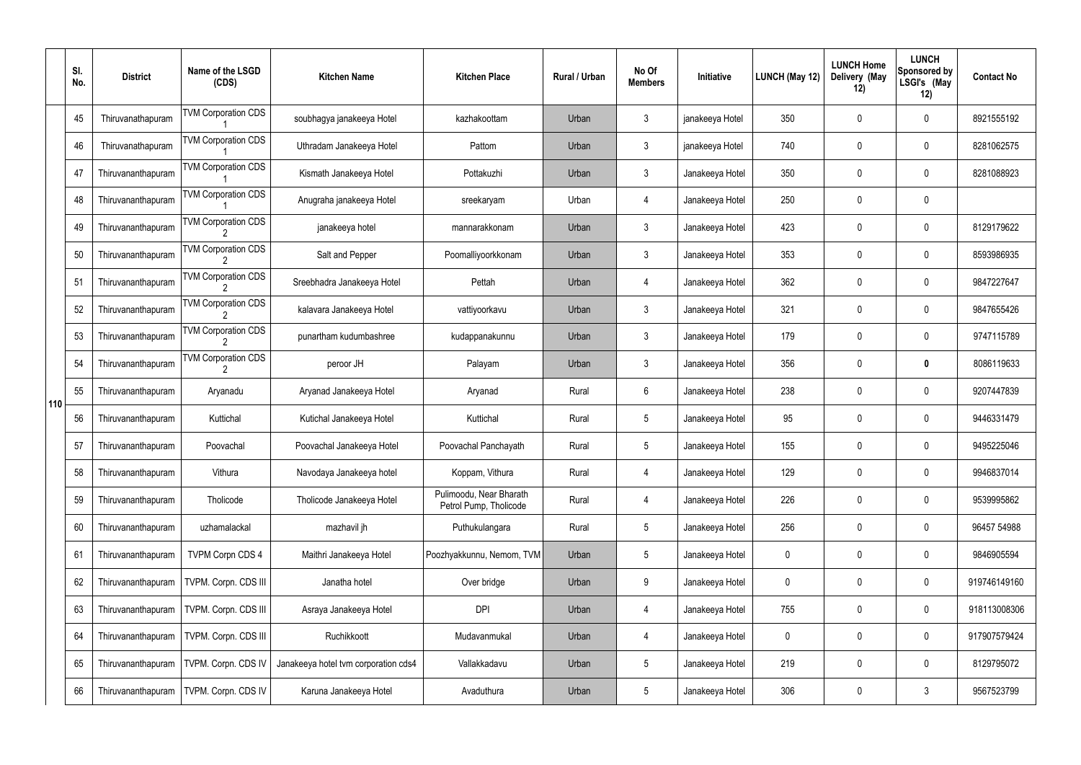|     | SI.<br>No. | <b>District</b>    | Name of the LSGD<br>(CDS)  | <b>Kitchen Name</b>                  | <b>Kitchen Place</b>                              | Rural / Urban | No Of<br><b>Members</b> | Initiative      | LUNCH (May 12) | <b>LUNCH Home</b><br>Delivery (May<br>12) | <b>LUNCH</b><br><b>Sponsored by</b><br>LSGI's (May<br>12) | <b>Contact No</b> |
|-----|------------|--------------------|----------------------------|--------------------------------------|---------------------------------------------------|---------------|-------------------------|-----------------|----------------|-------------------------------------------|-----------------------------------------------------------|-------------------|
|     | 45         | Thiruvanathapuram  | <b>TVM Corporation CDS</b> | soubhagya janakeeya Hotel            | kazhakoottam                                      | Urban         | $\mathbf{3}$            | janakeeya Hotel | 350            | 0                                         | $\mathbf 0$                                               | 8921555192        |
|     | 46         | Thiruvanathapuram  | <b>TVM Corporation CDS</b> | Uthradam Janakeeya Hotel             | Pattom                                            | Urban         | $\mathbf{3}$            | janakeeya Hotel | 740            | 0                                         | $\boldsymbol{0}$                                          | 8281062575        |
|     | 47         | Thiruvananthapuram | <b>TVM Corporation CDS</b> | Kismath Janakeeya Hotel              | Pottakuzhi                                        | Urban         | $\mathbf{3}$            | Janakeeya Hotel | 350            | 0                                         | $\mathbf 0$                                               | 8281088923        |
|     | 48         | Thiruvananthapuram | <b>TVM Corporation CDS</b> | Anugraha janakeeya Hotel             | sreekaryam                                        | Urban         | 4                       | Janakeeya Hotel | 250            | 0                                         | $\mathbf 0$                                               |                   |
|     | 49         | Thiruvananthapuram | <b>TVM Corporation CDS</b> | janakeeya hotel                      | mannarakkonam                                     | Urban         | $\mathbf{3}$            | Janakeeya Hotel | 423            | 0                                         | $\mathbf 0$                                               | 8129179622        |
|     | 50         | Thiruvananthapuram | <b>TVM Corporation CDS</b> | Salt and Pepper                      | Poomalliyoorkkonam                                | Urban         | $\mathbf{3}$            | Janakeeya Hotel | 353            | 0                                         | $\mathbf 0$                                               | 8593986935        |
|     | 51         | Thiruvananthapuram | <b>TVM Corporation CDS</b> | Sreebhadra Janakeeya Hotel           | Pettah                                            | Urban         | 4                       | Janakeeya Hotel | 362            | 0                                         | $\mathbf 0$                                               | 9847227647        |
|     | 52         | Thiruvananthapuram | <b>TVM Corporation CDS</b> | kalavara Janakeeya Hotel             | vattiyoorkavu                                     | Urban         | $\mathbf{3}$            | Janakeeya Hotel | 321            | 0                                         | $\mathbf 0$                                               | 9847655426        |
|     | 53         | Thiruvananthapuram | <b>TVM Corporation CDS</b> | punartham kudumbashree               | kudappanakunnu                                    | Urban         | $\mathbf{3}$            | Janakeeya Hotel | 179            | 0                                         | $\mathbf 0$                                               | 9747115789        |
|     | 54         | Thiruvananthapuram | <b>TVM Corporation CDS</b> | peroor JH                            | Palayam                                           | Urban         | $\mathbf{3}$            | Janakeeya Hotel | 356            | 0                                         | $\bm{0}$                                                  | 8086119633        |
| 110 | 55         | Thiruvananthapuram | Aryanadu                   | Aryanad Janakeeya Hotel              | Aryanad                                           | Rural         | 6                       | Janakeeya Hotel | 238            | 0                                         | $\mathbf 0$                                               | 9207447839        |
|     | 56         | Thiruvananthapuram | Kuttichal                  | Kutichal Janakeeya Hotel             | Kuttichal                                         | Rural         | $5\overline{)}$         | Janakeeya Hotel | 95             | 0                                         | $\mathbf 0$                                               | 9446331479        |
|     | 57         | Thiruvananthapuram | Poovachal                  | Poovachal Janakeeya Hotel            | Poovachal Panchayath                              | Rural         | $5\phantom{.0}$         | Janakeeya Hotel | 155            | 0                                         | 0                                                         | 9495225046        |
|     | 58         | Thiruvananthapuram | Vithura                    | Navodaya Janakeeya hotel             | Koppam, Vithura                                   | Rural         | $\overline{4}$          | Janakeeya Hotel | 129            | 0                                         | $\pmb{0}$                                                 | 9946837014        |
|     | 59         | Thiruvananthapuram | Tholicode                  | Tholicode Janakeeya Hotel            | Pulimoodu, Near Bharath<br>Petrol Pump, Tholicode | Rural         | 4                       | Janakeeya Hotel | 226            | 0                                         | $\pmb{0}$                                                 | 9539995862        |
|     | 60         | Thiruvananthapuram | uzhamalackal               | mazhavil jh                          | Puthukulangara                                    | Rural         | $5\,$                   | Janakeeya Hotel | 256            | 0                                         | $\pmb{0}$                                                 | 96457 54988       |
|     | 61         | Thiruvananthapuram | <b>TVPM Corpn CDS 4</b>    | Maithri Janakeeya Hotel              | Poozhyakkunnu, Nemom, TVM                         | Urban         | $5\phantom{.0}$         | Janakeeya Hotel | 0              | $\mathbf 0$                               | $\pmb{0}$                                                 | 9846905594        |
|     | 62         | Thiruvananthapuram | TVPM. Corpn. CDS III       | Janatha hotel                        | Over bridge                                       | Urban         | $9\,$                   | Janakeeya Hotel | 0              | 0                                         | $\pmb{0}$                                                 | 919746149160      |
|     | 63         | Thiruvananthapuram | TVPM. Corpn. CDS III       | Asraya Janakeeya Hotel               | <b>DPI</b>                                        | Urban         | 4                       | Janakeeya Hotel | 755            | $\mathbf 0$                               | $\pmb{0}$                                                 | 918113008306      |
|     | 64         | Thiruvananthapuram | TVPM. Corpn. CDS III       | Ruchikkoott                          | Mudavanmukal                                      | Urban         | $\overline{4}$          | Janakeeya Hotel | 0              | 0                                         | $\pmb{0}$                                                 | 917907579424      |
|     | 65         | Thiruvananthapuram | TVPM. Corpn. CDS IV        | Janakeeya hotel tvm corporation cds4 | Vallakkadavu                                      | Urban         | $5\phantom{.0}$         | Janakeeya Hotel | 219            | $\mathbf 0$                               | $\pmb{0}$                                                 | 8129795072        |
|     | 66         | Thiruvananthapuram | TVPM. Corpn. CDS IV        | Karuna Janakeeya Hotel               | Avaduthura                                        | Urban         | $\sqrt{5}$              | Janakeeya Hotel | 306            | 0                                         | $\mathfrak{Z}$                                            | 9567523799        |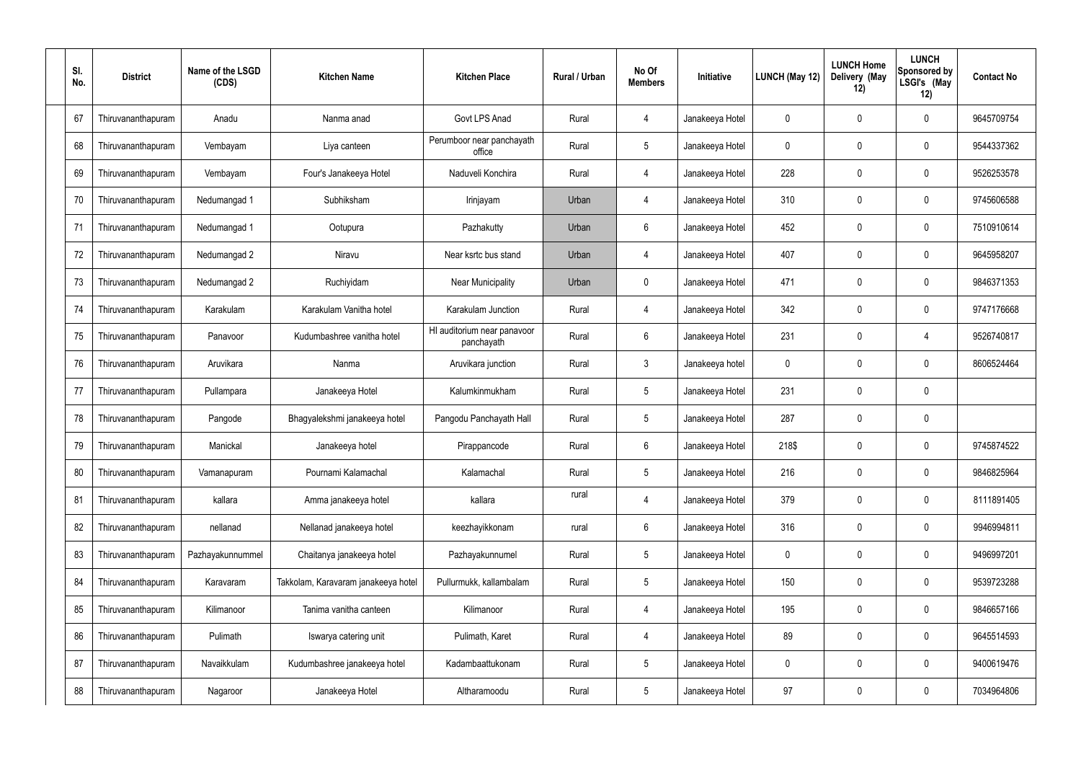| SI.<br>No. | <b>District</b>    | Name of the LSGD<br>(CDS) | <b>Kitchen Name</b>                 | <b>Kitchen Place</b>                      | Rural / Urban | No Of<br><b>Members</b> | <b>Initiative</b> | LUNCH (May 12) | <b>LUNCH Home</b><br>Delivery (May<br>12) | <b>LUNCH</b><br><b>Sponsored by</b><br>LSGI's (May<br>12) | <b>Contact No</b> |
|------------|--------------------|---------------------------|-------------------------------------|-------------------------------------------|---------------|-------------------------|-------------------|----------------|-------------------------------------------|-----------------------------------------------------------|-------------------|
| 67         | Thiruvananthapuram | Anadu                     | Nanma anad                          | Govt LPS Anad                             | Rural         | -4                      | Janakeeya Hotel   | 0              | 0                                         | 0                                                         | 9645709754        |
| 68         | Thiruvananthapuram | Vembayam                  | Liya canteen                        | Perumboor near panchayath<br>office       | Rural         | $5\phantom{.0}$         | Janakeeya Hotel   | 0              | 0                                         | 0                                                         | 9544337362        |
| 69         | Thiruvananthapuram | Vembayam                  | Four's Janakeeya Hotel              | Naduveli Konchira                         | Rural         | $\overline{4}$          | Janakeeya Hotel   | 228            | 0                                         | 0                                                         | 9526253578        |
| 70         | Thiruvananthapuram | Nedumangad 1              | Subhiksham                          | Irinjayam                                 | Urban         | $\overline{4}$          | Janakeeya Hotel   | 310            | 0                                         | 0                                                         | 9745606588        |
| 71         | Thiruvananthapuram | Nedumangad 1              | Ootupura                            | Pazhakutty                                | Urban         | 6                       | Janakeeya Hotel   | 452            | 0                                         | 0                                                         | 7510910614        |
| 72         | Thiruvananthapuram | Nedumangad 2              | Niravu                              | Near ksrtc bus stand                      | Urban         | $\overline{4}$          | Janakeeya Hotel   | 407            | 0                                         | 0                                                         | 9645958207        |
| 73         | Thiruvananthapuram | Nedumangad 2              | Ruchiyidam                          | Near Municipality                         | Urban         | $\mathbf 0$             | Janakeeya Hotel   | 471            | 0                                         | 0                                                         | 9846371353        |
| 74         | Thiruvananthapuram | Karakulam                 | Karakulam Vanitha hotel             | Karakulam Junction                        | Rural         | $\overline{4}$          | Janakeeya Hotel   | 342            | $\overline{0}$                            | 0                                                         | 9747176668        |
| 75         | Thiruvananthapuram | Panavoor                  | Kudumbashree vanitha hotel          | HI auditorium near panavoor<br>panchayath | Rural         | 6                       | Janakeeya Hotel   | 231            | 0                                         | $\overline{4}$                                            | 9526740817        |
| 76         | Thiruvananthapuram | Aruvikara                 | Nanma                               | Aruvikara junction                        | Rural         | $\mathbf{3}$            | Janakeeya hotel   | 0              | 0                                         | 0                                                         | 8606524464        |
| 77         | Thiruvananthapuram | Pullampara                | Janakeeya Hotel                     | Kalumkinmukham                            | Rural         | $\overline{5}$          | Janakeeya Hotel   | 231            | $\mathbf 0$                               | 0                                                         |                   |
| 78         | Thiruvananthapuram | Pangode                   | Bhagyalekshmi janakeeya hotel       | Pangodu Panchayath Hall                   | Rural         | $5\phantom{.0}$         | Janakeeya Hotel   | 287            | $\overline{0}$                            | 0                                                         |                   |
| 79         | Thiruvananthapuram | Manickal                  | Janakeeya hotel                     | Pirappancode                              | Rural         | 6                       | Janakeeya Hotel   | 218\$          | 0                                         | 0                                                         | 9745874522        |
| 80         | Thiruvananthapuram | Vamanapuram               | Pournami Kalamachal                 | Kalamachal                                | Rural         | $\overline{5}$          | Janakeeya Hotel   | 216            | $\mathbf 0$                               | 0                                                         | 9846825964        |
| 81         | Thiruvananthapuram | kallara                   | Amma janakeeya hotel                | kallara                                   | rural         | $\overline{4}$          | Janakeeya Hotel   | 379            | $\mathbf 0$                               | 0                                                         | 8111891405        |
| 82         | Thiruvananthapuram | nellanad                  | Nellanad janakeeya hotel            | keezhayikkonam                            | rural         | $6\,$                   | Janakeeya Hotel   | 316            | $\mathbf 0$                               | 0                                                         | 9946994811        |
| 83         | Thiruvananthapuram | Pazhayakunnummel          | Chaitanya janakeeya hotel           | Pazhayakunnumel                           | Rural         | $5\phantom{.0}$         | Janakeeya Hotel   | $\mathbf 0$    | $\mathbf 0$                               | 0                                                         | 9496997201        |
| 84         | Thiruvananthapuram | Karavaram                 | Takkolam, Karavaram janakeeya hotel | Pullurmukk, kallambalam                   | Rural         | $\overline{5}$          | Janakeeya Hotel   | 150            | $\mathbf 0$                               | 0                                                         | 9539723288        |
| 85         | Thiruvananthapuram | Kilimanoor                | Tanima vanitha canteen              | Kilimanoor                                | Rural         | $\overline{4}$          | Janakeeya Hotel   | 195            | $\mathbf 0$                               | 0                                                         | 9846657166        |
| 86         | Thiruvananthapuram | Pulimath                  | Iswarya catering unit               | Pulimath, Karet                           | Rural         | 4                       | Janakeeya Hotel   | 89             | $\mathbf 0$                               | 0                                                         | 9645514593        |
| 87         | Thiruvananthapuram | Navaikkulam               | Kudumbashree janakeeya hotel        | Kadambaattukonam                          | Rural         | $\overline{5}$          | Janakeeya Hotel   | 0              | $\mathbf 0$                               | 0                                                         | 9400619476        |
| 88         | Thiruvananthapuram | Nagaroor                  | Janakeeya Hotel                     | Altharamoodu                              | Rural         | $\overline{5}$          | Janakeeya Hotel   | 97             | $\boldsymbol{0}$                          | 0                                                         | 7034964806        |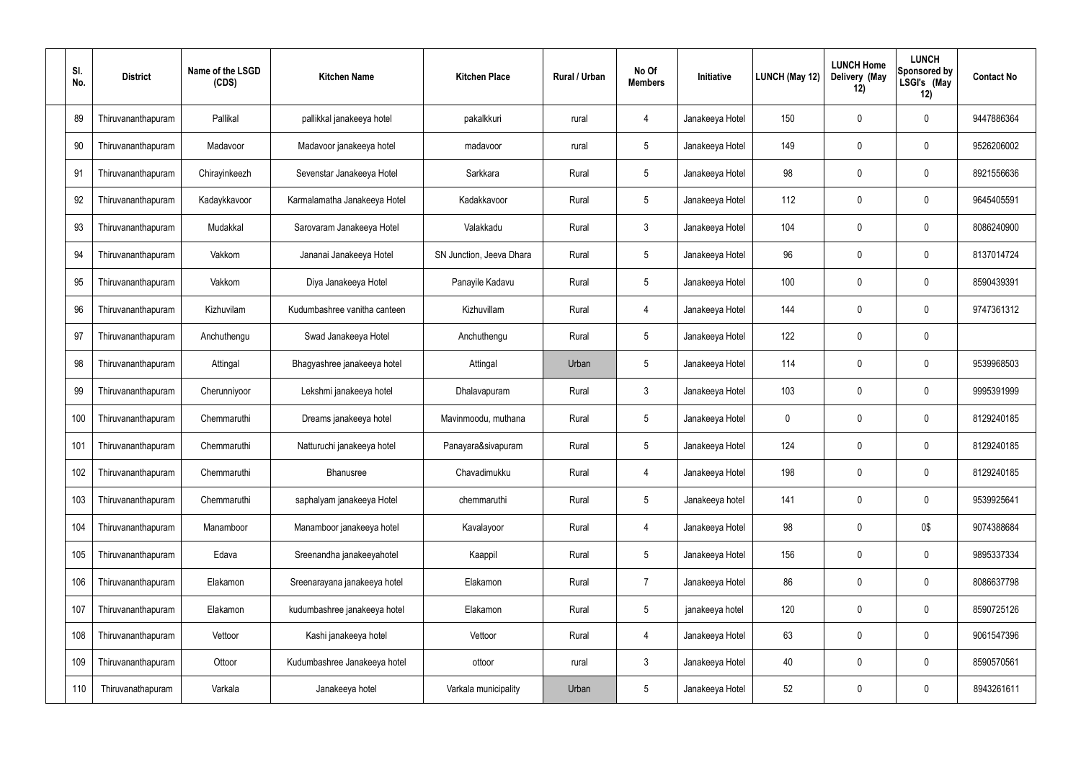| SI.<br>No. | <b>District</b>    | Name of the LSGD<br>(CDS) | <b>Kitchen Name</b>          | <b>Kitchen Place</b>     | Rural / Urban | No Of<br><b>Members</b> | Initiative      | LUNCH (May 12) | <b>LUNCH Home</b><br>Delivery (May<br>12) | <b>LUNCH</b><br>Sponsored by<br>LSGI's (May<br>12) | <b>Contact No</b> |
|------------|--------------------|---------------------------|------------------------------|--------------------------|---------------|-------------------------|-----------------|----------------|-------------------------------------------|----------------------------------------------------|-------------------|
| 89         | Thiruvananthapuram | Pallikal                  | pallikkal janakeeya hotel    | pakalkkuri               | rural         | 4                       | Janakeeya Hotel | 150            | 0                                         | $\mathbf 0$                                        | 9447886364        |
| 90         | Thiruvananthapuram | Madavoor                  | Madavoor janakeeya hotel     | madavoor                 | rural         | $5\phantom{.0}$         | Janakeeya Hotel | 149            | $\mathbf 0$                               | $\boldsymbol{0}$                                   | 9526206002        |
| 91         | Thiruvananthapuram | Chirayinkeezh             | Sevenstar Janakeeya Hotel    | Sarkkara                 | Rural         | $5\phantom{.0}$         | Janakeeya Hotel | 98             | 0                                         | $\mathbf 0$                                        | 8921556636        |
| 92         | Thiruvananthapuram | Kadaykkavoor              | Karmalamatha Janakeeya Hotel | Kadakkavoor              | Rural         | $5\phantom{.0}$         | Janakeeya Hotel | 112            | 0                                         | $\overline{0}$                                     | 9645405591        |
| 93         | Thiruvananthapuram | Mudakkal                  | Sarovaram Janakeeya Hotel    | Valakkadu                | Rural         | $\mathbf{3}$            | Janakeeya Hotel | 104            | 0                                         | $\mathbf 0$                                        | 8086240900        |
| 94         | Thiruvananthapuram | Vakkom                    | Jananai Janakeeya Hotel      | SN Junction, Jeeva Dhara | Rural         | 5                       | Janakeeya Hotel | 96             | $\boldsymbol{0}$                          | $\overline{0}$                                     | 8137014724        |
| 95         | Thiruvananthapuram | Vakkom                    | Diya Janakeeya Hotel         | Panayile Kadavu          | Rural         | $5\phantom{.0}$         | Janakeeya Hotel | 100            | 0                                         | $\mathbf 0$                                        | 8590439391        |
| 96         | Thiruvananthapuram | Kizhuvilam                | Kudumbashree vanitha canteen | Kizhuvillam              | Rural         | 4                       | Janakeeya Hotel | 144            | $\boldsymbol{0}$                          | $\mathbf 0$                                        | 9747361312        |
| 97         | Thiruvananthapuram | Anchuthengu               | Swad Janakeeya Hotel         | Anchuthengu              | Rural         | $5\phantom{.0}$         | Janakeeya Hotel | 122            | 0                                         | $\mathbf 0$                                        |                   |
| 98         | Thiruvananthapuram | Attingal                  | Bhagyashree janakeeya hotel  | Attingal                 | Urban         | 5                       | Janakeeya Hotel | 114            | $\boldsymbol{0}$                          | $\pmb{0}$                                          | 9539968503        |
| 99         | Thiruvananthapuram | Cherunniyoor              | Lekshmi janakeeya hotel      | Dhalavapuram             | Rural         | $\mathbf{3}$            | Janakeeya Hotel | 103            | $\boldsymbol{0}$                          | $\pmb{0}$                                          | 9995391999        |
| 100        | Thiruvananthapuram | Chemmaruthi               | Dreams janakeeya hotel       | Mavinmoodu, muthana      | Rural         | $5\phantom{.0}$         | Janakeeya Hotel | 0              | $\boldsymbol{0}$                          | $\mathbf 0$                                        | 8129240185        |
| 101        | Thiruvananthapuram | Chemmaruthi               | Natturuchi janakeeya hotel   | Panayara&sivapuram       | Rural         | 5                       | Janakeeya Hotel | 124            | 0                                         | 0                                                  | 8129240185        |
| 102        | Thiruvananthapuram | Chemmaruthi               | Bhanusree                    | Chavadimukku             | Rural         | $\overline{4}$          | Janakeeya Hotel | 198            | 0                                         | $\mathbf 0$                                        | 8129240185        |
| 103        | Thiruvananthapuram | Chemmaruthi               | saphalyam janakeeya Hotel    | chemmaruthi              | Rural         | $5\phantom{.0}$         | Janakeeya hotel | 141            | 0                                         | $\mathbf 0$                                        | 9539925641        |
| 104        | Thiruvananthapuram | Manamboor                 | Manamboor janakeeya hotel    | Kavalayoor               | Rural         | $\overline{4}$          | Janakeeya Hotel | 98             | 0                                         | 0\$                                                | 9074388684        |
| 105        | Thiruvananthapuram | Edava                     | Sreenandha janakeeyahotel    | Kaappil                  | Rural         | $5\phantom{.0}$         | Janakeeya Hotel | 156            | 0                                         | $\mathbf 0$                                        | 9895337334        |
| 106        | Thiruvananthapuram | Elakamon                  | Sreenarayana janakeeya hotel | Elakamon                 | Rural         | $\overline{7}$          | Janakeeya Hotel | 86             | 0                                         | $\mathbf 0$                                        | 8086637798        |
| 107        | Thiruvananthapuram | Elakamon                  | kudumbashree janakeeya hotel | Elakamon                 | Rural         | $5\phantom{.0}$         | janakeeya hotel | 120            | 0                                         | $\mathbf 0$                                        | 8590725126        |
| 108        | Thiruvananthapuram | Vettoor                   | Kashi janakeeya hotel        | Vettoor                  | Rural         | $\overline{4}$          | Janakeeya Hotel | 63             | 0                                         | $\mathbf 0$                                        | 9061547396        |
| 109        | Thiruvananthapuram | Ottoor                    | Kudumbashree Janakeeya hotel | ottoor                   | rural         | $\mathbf{3}$            | Janakeeya Hotel | 40             | 0                                         | $\mathbf 0$                                        | 8590570561        |
| 110        | Thiruvanathapuram  | Varkala                   | Janakeeya hotel              | Varkala municipality     | Urban         | $5\phantom{.0}$         | Janakeeya Hotel | 52             | 0                                         | $\boldsymbol{0}$                                   | 8943261611        |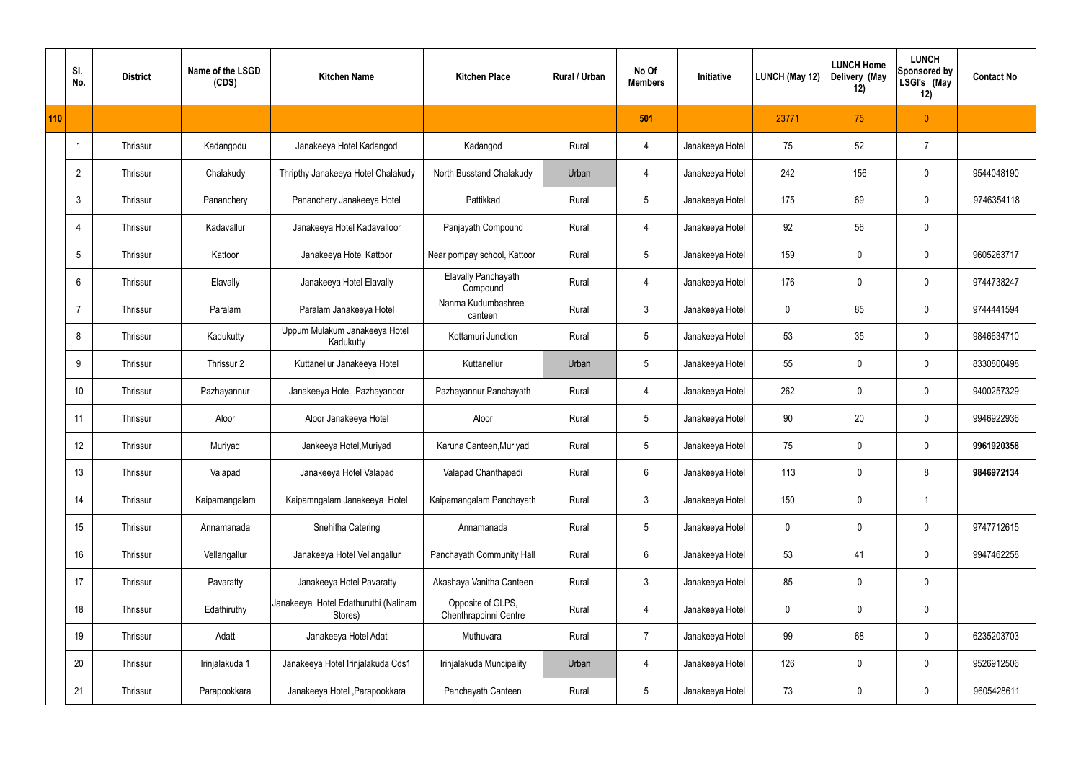|     | SI.<br>No.      | <b>District</b> | Name of the LSGD<br>(CDS) | <b>Kitchen Name</b>                             | <b>Kitchen Place</b>                       | Rural / Urban | No Of<br><b>Members</b> | Initiative      | <b>LUNCH (May 12)</b> | <b>LUNCH Home</b><br>Delivery (May<br>12) | <b>LUNCH</b><br>Sponsored by<br>LSGI's (May<br>12) | <b>Contact No</b> |
|-----|-----------------|-----------------|---------------------------|-------------------------------------------------|--------------------------------------------|---------------|-------------------------|-----------------|-----------------------|-------------------------------------------|----------------------------------------------------|-------------------|
| 110 |                 |                 |                           |                                                 |                                            |               | 501                     |                 | 23771                 | 75                                        | $\theta$                                           |                   |
|     |                 | Thrissur        | Kadangodu                 | Janakeeya Hotel Kadangod                        | Kadangod                                   | Rural         | 4                       | Janakeeya Hotel | 75                    | 52                                        | $\overline{7}$                                     |                   |
|     | $\overline{2}$  | Thrissur        | Chalakudy                 | Thripthy Janakeeya Hotel Chalakudy              | North Busstand Chalakudy                   | Urban         | 4                       | Janakeeya Hotel | 242                   | 156                                       | $\mathbf 0$                                        | 9544048190        |
|     | $\mathbf{3}$    | Thrissur        | Pananchery                | Pananchery Janakeeya Hotel                      | Pattikkad                                  | Rural         | $5\phantom{.0}$         | Janakeeya Hotel | 175                   | 69                                        | $\mathbf 0$                                        | 9746354118        |
|     | $\overline{4}$  | Thrissur        | Kadavallur                | Janakeeya Hotel Kadavalloor                     | Panjayath Compound                         | Rural         | 4                       | Janakeeya Hotel | 92                    | 56                                        | $\mathbf 0$                                        |                   |
|     | $5\phantom{.0}$ | Thrissur        | Kattoor                   | Janakeeya Hotel Kattoor                         | Near pompay school, Kattoor                | Rural         | $5\phantom{.0}$         | Janakeeya Hotel | 159                   | 0                                         | $\mathbf 0$                                        | 9605263717        |
|     | 6               | Thrissur        | Elavally                  | Janakeeya Hotel Elavally                        | Elavally Panchayath<br>Compound            | Rural         | 4                       | Janakeeya Hotel | 176                   | $\mathbf 0$                               | $\mathbf 0$                                        | 9744738247        |
|     | -7              | Thrissur        | Paralam                   | Paralam Janakeeya Hotel                         | Nanma Kudumbashree<br>canteen              | Rural         | $\mathbf{3}$            | Janakeeya Hotel | $\mathbf 0$           | 85                                        | $\mathbf 0$                                        | 9744441594        |
|     | 8               | Thrissur        | Kadukutty                 | Uppum Mulakum Janakeeya Hotel<br>Kadukutty      | Kottamuri Junction                         | Rural         | $5\phantom{.0}$         | Janakeeya Hotel | 53                    | 35                                        | $\mathbf 0$                                        | 9846634710        |
|     | 9               | Thrissur        | Thrissur 2                | Kuttanellur Janakeeya Hotel                     | Kuttanellur                                | Urban         | $5\phantom{.0}$         | Janakeeya Hotel | 55                    | 0                                         | $\mathbf 0$                                        | 8330800498        |
|     | 10              | Thrissur        | Pazhayannur               | Janakeeya Hotel, Pazhayanoor                    | Pazhayannur Panchayath                     | Rural         | $\overline{4}$          | Janakeeya Hotel | 262                   | $\mathbf 0$                               | $\mathbf 0$                                        | 9400257329        |
|     | 11              | Thrissur        | Aloor                     | Aloor Janakeeya Hotel                           | Aloor                                      | Rural         | $5\phantom{.0}$         | Janakeeya Hotel | 90                    | 20                                        | $\mathbf 0$                                        | 9946922936        |
|     | 12              | Thrissur        | Muriyad                   | Jankeeya Hotel, Muriyad                         | Karuna Canteen, Muriyad                    | Rural         | $5\phantom{.0}$         | Janakeeya Hotel | 75                    | $\mathbf 0$                               | $\mathbf 0$                                        | 9961920358        |
|     | 13              | Thrissur        | Valapad                   | Janakeeya Hotel Valapad                         | Valapad Chanthapadi                        | Rural         | $6\phantom{.}6$         | Janakeeya Hotel | 113                   | 0                                         | 8                                                  | 9846972134        |
|     | 14              | Thrissur        | Kaipamangalam             | Kaipamngalam Janakeeya Hotel                    | Kaipamangalam Panchayath                   | Rural         | $\mathbf{3}$            | Janakeeya Hotel | 150                   | 0                                         | $\overline{\phantom{a}}$                           |                   |
|     | 15              | Thrissur        | Annamanada                | Snehitha Catering                               | Annamanada                                 | Rural         | $5\phantom{.0}$         | Janakeeya Hotel | $\mathbf 0$           | 0                                         | $\mathbf 0$                                        | 9747712615        |
|     | 16              | Thrissur        | Vellangallur              | Janakeeya Hotel Vellangallur                    | Panchayath Community Hall                  | Rural         | $6\,$                   | Janakeeya Hotel | 53                    | 41                                        | $\mathbf 0$                                        | 9947462258        |
|     | 17              | Thrissur        | Pavaratty                 | Janakeeya Hotel Pavaratty                       | Akashaya Vanitha Canteen                   | Rural         | $\mathfrak{Z}$          | Janakeeya Hotel | 85                    | $\pmb{0}$                                 | $\pmb{0}$                                          |                   |
|     | 18              | Thrissur        | Edathiruthy               | Janakeeya Hotel Edathuruthi (Nalinam<br>Stores) | Opposite of GLPS,<br>Chenthrappinni Centre | Rural         | $\overline{4}$          | Janakeeya Hotel | $\pmb{0}$             | 0                                         | $\mathbf 0$                                        |                   |
|     | 19              | Thrissur        | Adatt                     | Janakeeya Hotel Adat                            | Muthuvara                                  | Rural         | $\overline{7}$          | Janakeeya Hotel | 99                    | 68                                        | $\mathbf 0$                                        | 6235203703        |
|     | 20              | Thrissur        | Irinjalakuda 1            | Janakeeya Hotel Irinjalakuda Cds1               | Irinjalakuda Muncipality                   | Urban         | $\overline{4}$          | Janakeeya Hotel | 126                   | 0                                         | $\mathbf 0$                                        | 9526912506        |
|     | 21              | Thrissur        | Parapookkara              | Janakeeya Hotel , Parapookkara                  | Panchayath Canteen                         | Rural         | $5\phantom{.0}$         | Janakeeya Hotel | 73                    | $\pmb{0}$                                 | $\mathbf 0$                                        | 9605428611        |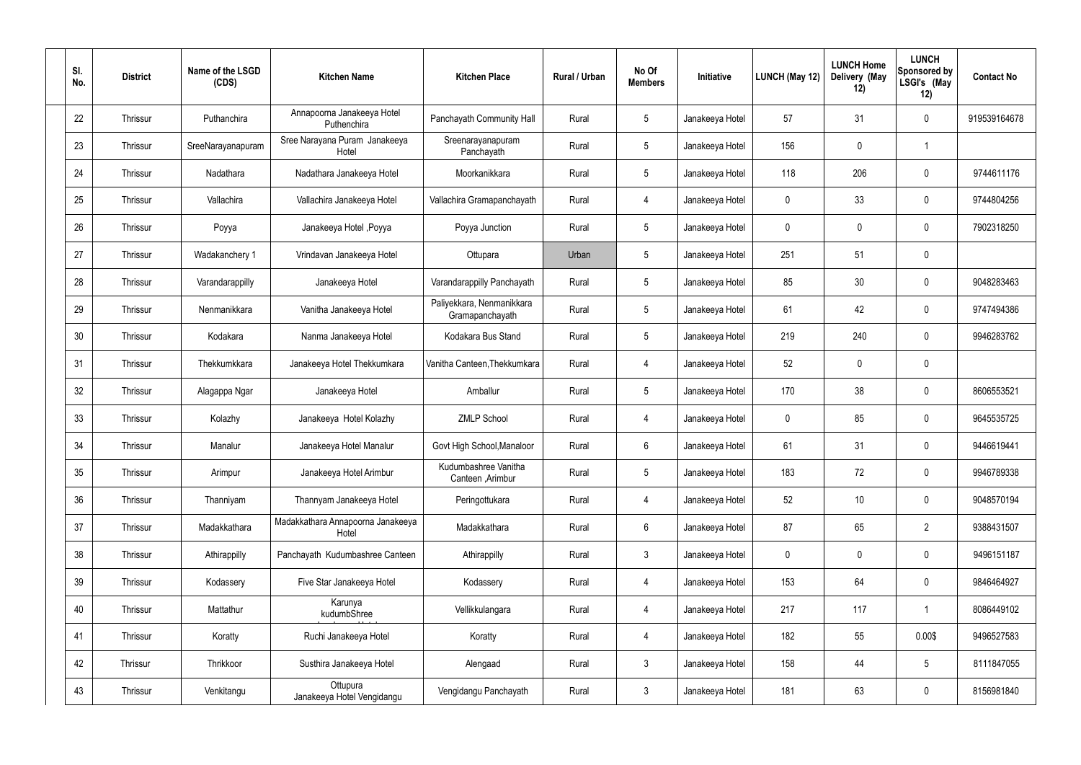| SI.<br>No. | <b>District</b> | Name of the LSGD<br>(CDS) | <b>Kitchen Name</b>                        | <b>Kitchen Place</b>                         | Rural / Urban | No Of<br><b>Members</b> | Initiative      | <b>LUNCH (May 12)</b> | <b>LUNCH Home</b><br>Delivery (May<br>12) | <b>LUNCH</b><br>Sponsored by<br>LSGI's (May<br>12) | <b>Contact No</b> |
|------------|-----------------|---------------------------|--------------------------------------------|----------------------------------------------|---------------|-------------------------|-----------------|-----------------------|-------------------------------------------|----------------------------------------------------|-------------------|
| 22         | Thrissur        | Puthanchira               | Annapoorna Janakeeya Hotel<br>Puthenchira  | Panchayath Community Hall                    | Rural         | $5\phantom{.0}$         | Janakeeya Hotel | 57                    | 31                                        | $\mathbf 0$                                        | 919539164678      |
| 23         | Thrissur        | SreeNarayanapuram         | Sree Narayana Puram Janakeeya<br>Hotel     | Sreenarayanapuram<br>Panchayath              | Rural         | $5\phantom{.0}$         | Janakeeya Hotel | 156                   | $\mathbf 0$                               |                                                    |                   |
| 24         | Thrissur        | Nadathara                 | Nadathara Janakeeya Hotel                  | Moorkanikkara                                | Rural         | $5\phantom{.0}$         | Janakeeya Hotel | 118                   | 206                                       | $\mathbf 0$                                        | 9744611176        |
| 25         | Thrissur        | Vallachira                | Vallachira Janakeeya Hotel                 | Vallachira Gramapanchayath                   | Rural         | 4                       | Janakeeya Hotel | $\mathbf 0$           | 33                                        | $\pmb{0}$                                          | 9744804256        |
| 26         | Thrissur        | Poyya                     | Janakeeya Hotel , Poyya                    | Poyya Junction                               | Rural         | $5\,$                   | Janakeeya Hotel | 0                     | $\boldsymbol{0}$                          | $\mathbf 0$                                        | 7902318250        |
| 27         | Thrissur        | Wadakanchery 1            | Vrindavan Janakeeya Hotel                  | Ottupara                                     | Urban         | $5\phantom{.0}$         | Janakeeya Hotel | 251                   | 51                                        | $\pmb{0}$                                          |                   |
| 28         | Thrissur        | Varandarappilly           | Janakeeya Hotel                            | Varandarappilly Panchayath                   | Rural         | $5\phantom{.0}$         | Janakeeya Hotel | 85                    | 30                                        | $\mathbf 0$                                        | 9048283463        |
| 29         | Thrissur        | Nenmanikkara              | Vanitha Janakeeya Hotel                    | Paliyekkara, Nenmanikkara<br>Gramapanchayath | Rural         | $5\phantom{.0}$         | Janakeeya Hotel | 61                    | 42                                        | $\mathbf 0$                                        | 9747494386        |
| 30         | Thrissur        | Kodakara                  | Nanma Janakeeya Hotel                      | Kodakara Bus Stand                           | Rural         | $5\phantom{.0}$         | Janakeeya Hotel | 219                   | 240                                       | $\mathbf 0$                                        | 9946283762        |
| 31         | Thrissur        | Thekkumkkara              | Janakeeya Hotel Thekkumkara                | Vanitha Canteen, Thekkumkara                 | Rural         | 4                       | Janakeeya Hotel | 52                    | $\boldsymbol{0}$                          | $\mathbf 0$                                        |                   |
| 32         | Thrissur        | Alagappa Ngar             | Janakeeya Hotel                            | Amballur                                     | Rural         | $5\,$                   | Janakeeya Hotel | 170                   | 38                                        | $\pmb{0}$                                          | 8606553521        |
| 33         | Thrissur        | Kolazhy                   | Janakeeya Hotel Kolazhy                    | <b>ZMLP School</b>                           | Rural         | $\overline{4}$          | Janakeeya Hotel | $\mathbf 0$           | 85                                        | $\mathbf 0$                                        | 9645535725        |
| 34         | Thrissur        | Manalur                   | Janakeeya Hotel Manalur                    | Govt High School, Manaloor                   | Rural         | 6                       | Janakeeya Hotel | 61                    | 31                                        | 0                                                  | 9446619441        |
| 35         | Thrissur        | Arimpur                   | Janakeeya Hotel Arimbur                    | Kudumbashree Vanitha<br>Canteen , Arimbur    | Rural         | $5\phantom{.0}$         | Janakeeya Hotel | 183                   | 72                                        | $\mathbf 0$                                        | 9946789338        |
| 36         | Thrissur        | Thanniyam                 | Thannyam Janakeeya Hotel                   | Peringottukara                               | Rural         | $\overline{4}$          | Janakeeya Hotel | 52                    | 10                                        | $\mathbf 0$                                        | 9048570194        |
| 37         | Thrissur        | Madakkathara              | Madakkathara Annapoorna Janakeeya<br>Hotel | Madakkathara                                 | Rural         | $6\overline{6}$         | Janakeeya Hotel | 87                    | 65                                        | $\overline{2}$                                     | 9388431507        |
| 38         | Thrissur        | Athirappilly              | Panchayath Kudumbashree Canteen            | Athirappilly                                 | Rural         | 3 <sup>1</sup>          | Janakeeya Hotel | $\mathbf 0$           | 0                                         | $\mathbf 0$                                        | 9496151187        |
| 39         | Thrissur        | Kodassery                 | Five Star Janakeeya Hotel                  | Kodassery                                    | Rural         | $\overline{4}$          | Janakeeya Hotel | 153                   | 64                                        | $\mathbf 0$                                        | 9846464927        |
| 40         | Thrissur        | Mattathur                 | Karunya<br>kudumbShree                     | Vellikkulangara                              | Rural         | $\overline{4}$          | Janakeeya Hotel | 217                   | 117                                       | $\overline{1}$                                     | 8086449102        |
| 41         | Thrissur        | Koratty                   | Ruchi Janakeeya Hotel                      | Koratty                                      | Rural         | $\overline{4}$          | Janakeeya Hotel | 182                   | 55                                        | 0.00\$                                             | 9496527583        |
| 42         | Thrissur        | Thrikkoor                 | Susthira Janakeeya Hotel                   | Alengaad                                     | Rural         | $\mathbf{3}$            | Janakeeya Hotel | 158                   | 44                                        | $5\phantom{.0}$                                    | 8111847055        |
| 43         | Thrissur        | Venkitangu                | Ottupura<br>Janakeeya Hotel Vengidangu     | Vengidangu Panchayath                        | Rural         | $\mathfrak{Z}$          | Janakeeya Hotel | 181                   | 63                                        | $\mathbf 0$                                        | 8156981840        |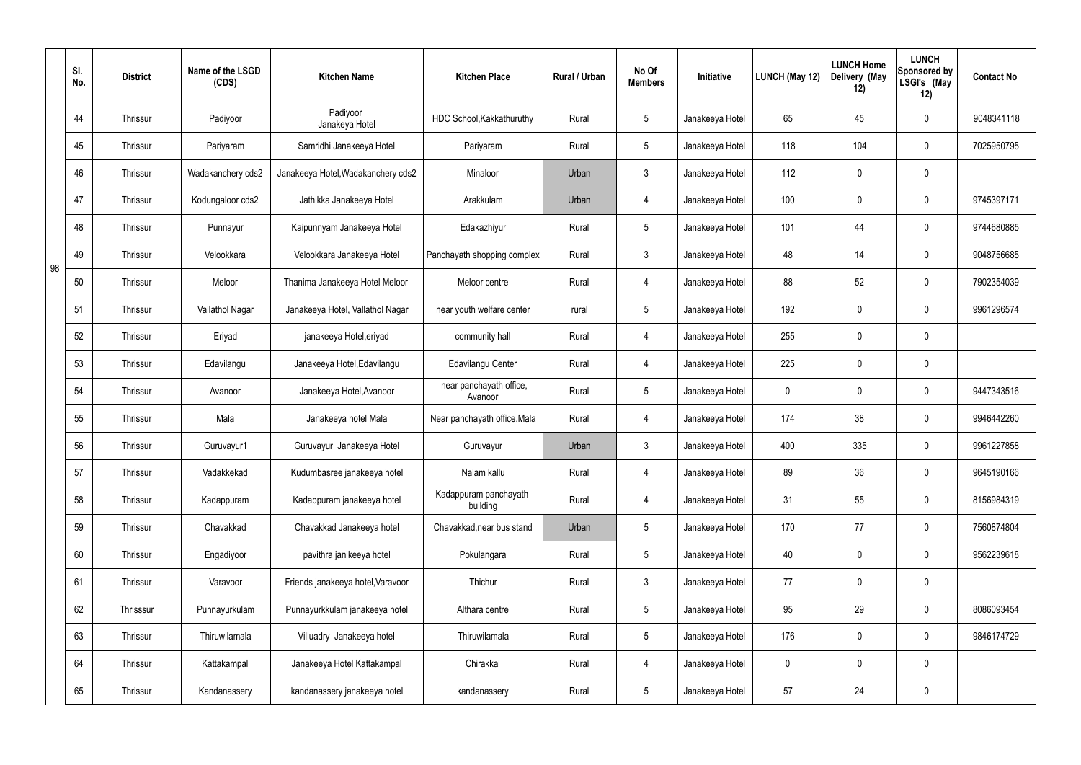|    | SI.<br>No. | <b>District</b> | Name of the LSGD<br>(CDS) | <b>Kitchen Name</b>                | <b>Kitchen Place</b>               | <b>Rural / Urban</b> | No Of<br><b>Members</b> | Initiative      | LUNCH (May 12) | <b>LUNCH Home</b><br>Delivery (May<br>12) | <b>LUNCH</b><br>Sponsored by<br>LSGI's (May<br>12) | <b>Contact No</b> |
|----|------------|-----------------|---------------------------|------------------------------------|------------------------------------|----------------------|-------------------------|-----------------|----------------|-------------------------------------------|----------------------------------------------------|-------------------|
|    | 44         | Thrissur        | Padiyoor                  | Padiyoor<br>Janakeya Hotel         | HDC School, Kakkathuruthy          | Rural                | 5                       | Janakeeya Hotel | 65             | 45                                        | $\pmb{0}$                                          | 9048341118        |
|    | 45         | Thrissur        | Pariyaram                 | Samridhi Janakeeya Hotel           | Pariyaram                          | Rural                | $5\overline{)}$         | Janakeeya Hotel | 118            | 104                                       | $\pmb{0}$                                          | 7025950795        |
|    | 46         | Thrissur        | Wadakanchery cds2         | Janakeeya Hotel, Wadakanchery cds2 | Minaloor                           | Urban                | $\mathbf{3}$            | Janakeeya Hotel | 112            | 0                                         | $\pmb{0}$                                          |                   |
|    | 47         | Thrissur        | Kodungaloor cds2          | Jathikka Janakeeya Hotel           | Arakkulam                          | Urban                | $\overline{4}$          | Janakeeya Hotel | 100            | 0                                         | $\pmb{0}$                                          | 9745397171        |
|    | 48         | Thrissur        | Punnayur                  | Kaipunnyam Janakeeya Hotel         | Edakazhiyur                        | Rural                | $5\overline{)}$         | Janakeeya Hotel | 101            | 44                                        | $\pmb{0}$                                          | 9744680885        |
| 98 | 49         | Thrissur        | Velookkara                | Velookkara Janakeeya Hotel         | Panchayath shopping complex        | Rural                | $\mathbf{3}$            | Janakeeya Hotel | 48             | 14                                        | $\pmb{0}$                                          | 9048756685        |
|    | 50         | Thrissur        | Meloor                    | Thanima Janakeeya Hotel Meloor     | Meloor centre                      | Rural                | 4                       | Janakeeya Hotel | 88             | 52                                        | $\pmb{0}$                                          | 7902354039        |
|    | 51         | Thrissur        | Vallathol Nagar           | Janakeeya Hotel, Vallathol Nagar   | near youth welfare center          | rural                | 5                       | Janakeeya Hotel | 192            | 0                                         | $\pmb{0}$                                          | 9961296574        |
|    | 52         | Thrissur        | Eriyad                    | janakeeya Hotel, eriyad            | community hall                     | Rural                | 4                       | Janakeeya Hotel | 255            | 0                                         | $\pmb{0}$                                          |                   |
|    | 53         | Thrissur        | Edavilangu                | Janakeeya Hotel, Edavilangu        | Edavilangu Center                  | Rural                | 4                       | Janakeeya Hotel | 225            | 0                                         | $\pmb{0}$                                          |                   |
|    | 54         | Thrissur        | Avanoor                   | Janakeeya Hotel, Avanoor           | near panchayath office,<br>Avanoor | Rural                | $5\overline{)}$         | Janakeeya Hotel | 0              | 0                                         | $\mathbf 0$                                        | 9447343516        |
|    | 55         | Thrissur        | Mala                      | Janakeeya hotel Mala               | Near panchayath office, Mala       | Rural                | 4                       | Janakeeya Hotel | 174            | 38                                        | $\pmb{0}$                                          | 9946442260        |
|    | 56         | Thrissur        | Guruvayur1                | Guruvayur Janakeeya Hotel          | Guruvayur                          | Urban                | 3                       | Janakeeya Hotel | 400            | 335                                       | $\mathbf 0$                                        | 9961227858        |
|    | 57         | Thrissur        | Vadakkekad                | Kudumbasree janakeeya hotel        | Nalam kallu                        | Rural                | $\overline{4}$          | Janakeeya Hotel | 89             | 36                                        | $\pmb{0}$                                          | 9645190166        |
|    | 58         | Thrissur        | Kadappuram                | Kadappuram janakeeya hotel         | Kadappuram panchayath<br>building  | Rural                | $\overline{4}$          | Janakeeya Hotel | 31             | 55                                        | $\mathbf 0$                                        | 8156984319        |
|    | 59         | Thrissur        | Chavakkad                 | Chavakkad Janakeeya hotel          | Chavakkad, near bus stand          | Urban                | $5\phantom{.0}$         | Janakeeya Hotel | 170            | 77                                        | $\mathbf 0$                                        | 7560874804        |
|    | 60         | Thrissur        | Engadiyoor                | pavithra janikeeya hotel           | Pokulangara                        | Rural                | $5\phantom{.0}$         | Janakeeya Hotel | 40             | 0                                         | $\pmb{0}$                                          | 9562239618        |
|    | 61         | Thrissur        | Varavoor                  | Friends janakeeya hotel, Varavoor  | Thichur                            | Rural                | $\mathbf{3}$            | Janakeeya Hotel | 77             | 0                                         | $\pmb{0}$                                          |                   |
|    | 62         | Thrisssur       | Punnayurkulam             | Punnayurkkulam janakeeya hotel     | Althara centre                     | Rural                | $5\phantom{.0}$         | Janakeeya Hotel | 95             | 29                                        | $\pmb{0}$                                          | 8086093454        |
|    | 63         | Thrissur        | Thiruwilamala             | Villuadry Janakeeya hotel          | Thiruwilamala                      | Rural                | $5\phantom{.0}$         | Janakeeya Hotel | 176            | 0                                         | $\mathbf 0$                                        | 9846174729        |
|    | 64         | Thrissur        | Kattakampal               | Janakeeya Hotel Kattakampal        | Chirakkal                          | Rural                | $\overline{4}$          | Janakeeya Hotel | $\mathbf 0$    | $\mathbf 0$                               | $\mathbf 0$                                        |                   |
|    | 65         | Thrissur        | Kandanassery              | kandanassery janakeeya hotel       | kandanassery                       | Rural                | $5\phantom{.0}$         | Janakeeya Hotel | 57             | 24                                        | $\pmb{0}$                                          |                   |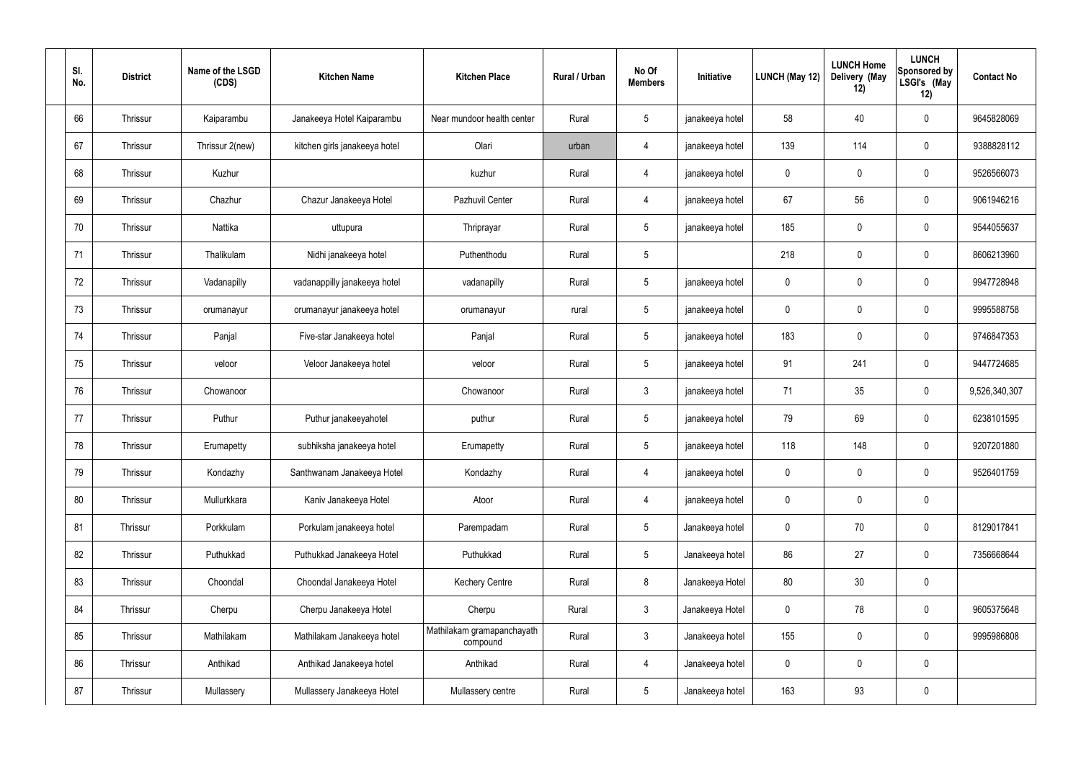| SI.<br>No. | <b>District</b> | Name of the LSGD<br>(CDS) | <b>Kitchen Name</b>           | <b>Kitchen Place</b>                   | Rural / Urban | No Of<br><b>Members</b> | Initiative      | <b>LUNCH (May 12)</b> | <b>LUNCH Home</b><br>Delivery (May<br>12) | <b>LUNCH</b><br>Sponsored by<br>LSGI's (May<br>12) | <b>Contact No</b> |
|------------|-----------------|---------------------------|-------------------------------|----------------------------------------|---------------|-------------------------|-----------------|-----------------------|-------------------------------------------|----------------------------------------------------|-------------------|
| 66         | Thrissur        | Kaiparambu                | Janakeeya Hotel Kaiparambu    | Near mundoor health center             | Rural         | $5\,$                   | janakeeya hotel | 58                    | 40                                        | $\mathbf 0$                                        | 9645828069        |
| 67         | Thrissur        | Thrissur 2(new)           | kitchen girls janakeeya hotel | Olari                                  | urban         | $\overline{4}$          | janakeeya hotel | 139                   | 114                                       | $\mathbf 0$                                        | 9388828112        |
| 68         | Thrissur        | Kuzhur                    |                               | kuzhur                                 | Rural         | 4                       | janakeeya hotel | $\mathbf 0$           | $\mathbf 0$                               | $\mathbf 0$                                        | 9526566073        |
| 69         | Thrissur        | Chazhur                   | Chazur Janakeeya Hotel        | Pazhuvil Center                        | Rural         | 4                       | janakeeya hotel | 67                    | 56                                        | $\mathbf 0$                                        | 9061946216        |
| 70         | Thrissur        | Nattika                   | uttupura                      | Thriprayar                             | Rural         | $5\phantom{.0}$         | janakeeya hotel | 185                   | $\mathbf 0$                               | $\mathbf 0$                                        | 9544055637        |
| 71         | Thrissur        | Thalikulam                | Nidhi janakeeya hotel         | Puthenthodu                            | Rural         | $5\phantom{.0}$         |                 | 218                   | $\mathbf 0$                               | $\mathbf 0$                                        | 8606213960        |
| 72         | Thrissur        | Vadanapilly               | vadanappilly janakeeya hotel  | vadanapilly                            | Rural         | $5\phantom{.0}$         | janakeeya hotel | $\mathbf 0$           | $\mathbf 0$                               | $\mathbf 0$                                        | 9947728948        |
| 73         | Thrissur        | orumanayur                | orumanayur janakeeya hotel    | orumanayur                             | rural         | $5\phantom{.0}$         | janakeeya hotel | $\mathbf 0$           | 0                                         | $\mathbf 0$                                        | 9995588758        |
| 74         | Thrissur        | Panjal                    | Five-star Janakeeya hotel     | Panjal                                 | Rural         | $5\phantom{.0}$         | janakeeya hotel | 183                   | 0                                         | $\mathbf 0$                                        | 9746847353        |
| 75         | Thrissur        | veloor                    | Veloor Janakeeya hotel        | veloor                                 | Rural         | $5\phantom{.0}$         | janakeeya hotel | 91                    | 241                                       | $\mathbf 0$                                        | 9447724685        |
| 76         | Thrissur        | Chowanoor                 |                               | Chowanoor                              | Rural         | $\mathbf{3}$            | janakeeya hotel | 71                    | 35                                        | $\mathbf 0$                                        | 9,526,340,307     |
| 77         | Thrissur        | Puthur                    | Puthur janakeeyahotel         | puthur                                 | Rural         | $5\phantom{.0}$         | janakeeya hotel | 79                    | 69                                        | $\mathbf 0$                                        | 6238101595        |
| 78         | Thrissur        | Erumapetty                | subhiksha janakeeya hotel     | Erumapetty                             | Rural         | $5\phantom{.0}$         | janakeeya hotel | 118                   | 148                                       | $\mathbf 0$                                        | 9207201880        |
| 79         | Thrissur        | Kondazhy                  | Santhwanam Janakeeya Hotel    | Kondazhy                               | Rural         | 4                       | janakeeya hotel | $\mathbf 0$           | $\mathsf{0}$                              | $\mathbf 0$                                        | 9526401759        |
| 80         | Thrissur        | Mullurkkara               | Kaniv Janakeeya Hotel         | Atoor                                  | Rural         | $\overline{4}$          | janakeeya hotel | $\mathbf 0$           | 0                                         | $\mathbf 0$                                        |                   |
| 81         | Thrissur        | Porkkulam                 | Porkulam janakeeya hotel      | Parempadam                             | Rural         | $5\overline{)}$         | Janakeeya hotel | $\pmb{0}$             | 70                                        | $\mathbf 0$                                        | 8129017841        |
| 82         | Thrissur        | Puthukkad                 | Puthukkad Janakeeya Hotel     | Puthukkad                              | Rural         | $5\phantom{.0}$         | Janakeeya hotel | 86                    | 27                                        | $\mathbf 0$                                        | 7356668644        |
| 83         | Thrissur        | Choondal                  | Choondal Janakeeya Hotel      | <b>Kechery Centre</b>                  | Rural         | $\bf 8$                 | Janakeeya Hotel | 80                    | 30                                        | $\mathbf 0$                                        |                   |
| 84         | Thrissur        | Cherpu                    | Cherpu Janakeeya Hotel        | Cherpu                                 | Rural         | $\mathfrak{Z}$          | Janakeeya Hotel | $\pmb{0}$             | 78                                        | $\mathbf 0$                                        | 9605375648        |
| 85         | Thrissur        | Mathilakam                | Mathilakam Janakeeya hotel    | Mathilakam gramapanchayath<br>compound | Rural         | $\mathfrak{Z}$          | Janakeeya hotel | 155                   | $\pmb{0}$                                 | $\mathbf 0$                                        | 9995986808        |
| 86         | Thrissur        | Anthikad                  | Anthikad Janakeeya hotel      | Anthikad                               | Rural         | $\overline{4}$          | Janakeeya hotel | $\mathbf 0$           | 0                                         | $\mathbf 0$                                        |                   |
| 87         | Thrissur        | Mullassery                | Mullassery Janakeeya Hotel    | Mullassery centre                      | Rural         | $5\phantom{.0}$         | Janakeeya hotel | 163                   | 93                                        | $\mathbf 0$                                        |                   |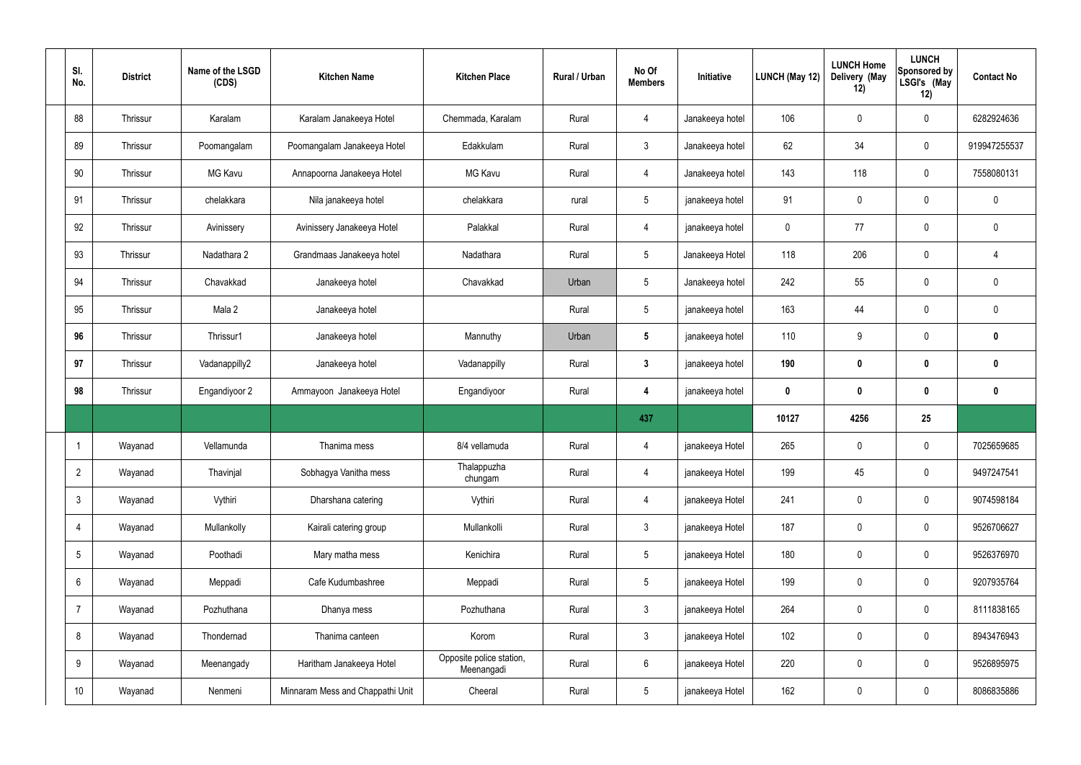| SI.<br>No.      | <b>District</b> | Name of the LSGD<br>(CDS) | <b>Kitchen Name</b>              | <b>Kitchen Place</b>                   | Rural / Urban | No Of<br><b>Members</b> | Initiative      | <b>LUNCH (May 12)</b> | <b>LUNCH Home</b><br>Delivery (May<br>12) | <b>LUNCH</b><br>Sponsored by<br>LSGI's (May<br>12) | <b>Contact No</b> |
|-----------------|-----------------|---------------------------|----------------------------------|----------------------------------------|---------------|-------------------------|-----------------|-----------------------|-------------------------------------------|----------------------------------------------------|-------------------|
| 88              | Thrissur        | Karalam                   | Karalam Janakeeya Hotel          | Chemmada, Karalam                      | Rural         | 4                       | Janakeeya hotel | 106                   | $\mathbf 0$                               | $\mathbf 0$                                        | 6282924636        |
| 89              | Thrissur        | Poomangalam               | Poomangalam Janakeeya Hotel      | Edakkulam                              | Rural         | $\mathbf{3}$            | Janakeeya hotel | 62                    | 34                                        | $\mathbf 0$                                        | 919947255537      |
| 90              | Thrissur        | <b>MG Kavu</b>            | Annapoorna Janakeeya Hotel       | <b>MG Kavu</b>                         | Rural         | 4                       | Janakeeya hotel | 143                   | 118                                       | $\mathbf 0$                                        | 7558080131        |
| 91              | Thrissur        | chelakkara                | Nila janakeeya hotel             | chelakkara                             | rural         | $5\overline{)}$         | janakeeya hotel | 91                    | 0                                         | $\pmb{0}$                                          | $\mathbf 0$       |
| 92              | Thrissur        | Avinissery                | Avinissery Janakeeya Hotel       | Palakkal                               | Rural         | 4                       | janakeeya hotel | 0                     | 77                                        | $\pmb{0}$                                          | $\mathbf 0$       |
| 93              | Thrissur        | Nadathara 2               | Grandmaas Janakeeya hotel        | Nadathara                              | Rural         | $5\overline{)}$         | Janakeeya Hotel | 118                   | 206                                       | $\mathbf 0$                                        | 4                 |
| 94              | Thrissur        | Chavakkad                 | Janakeeya hotel                  | Chavakkad                              | Urban         | $5\phantom{.0}$         | Janakeeya hotel | 242                   | 55                                        | $\mathbf 0$                                        | $\mathbf 0$       |
| 95              | Thrissur        | Mala 2                    | Janakeeya hotel                  |                                        | Rural         | $5\overline{)}$         | janakeeya hotel | 163                   | 44                                        | $\mathbf 0$                                        | $\mathbf 0$       |
| 96              | Thrissur        | Thrissur1                 | Janakeeya hotel                  | Mannuthy                               | Urban         | $5\phantom{.0}$         | janakeeya hotel | 110                   | 9                                         | $\mathbf 0$                                        | $\mathbf 0$       |
| 97              | Thrissur        | Vadanappilly2             | Janakeeya hotel                  | Vadanappilly                           | Rural         | $3\phantom{a}$          | janakeeya hotel | 190                   | $\boldsymbol{0}$                          | $\bm{0}$                                           | $\mathbf{0}$      |
| 98              | Thrissur        | Engandiyoor 2             | Ammayoon Janakeeya Hotel         | Engandiyoor                            | Rural         | 4                       | janakeeya hotel | $\mathbf 0$           | $\boldsymbol{0}$                          | $\bm{0}$                                           | $\mathbf 0$       |
|                 |                 |                           |                                  |                                        |               | 437                     |                 | 10127                 | 4256                                      | 25                                                 |                   |
|                 | Wayanad         | Vellamunda                | Thanima mess                     | 8/4 vellamuda                          | Rural         | 4                       | janakeeya Hotel | 265                   | $\mathbf 0$                               | $\mathbf 0$                                        | 7025659685        |
| $\overline{2}$  | Wayanad         | Thavinjal                 | Sobhagya Vanitha mess            | Thalappuzha<br>chungam                 | Rural         | $\overline{4}$          | janakeeya Hotel | 199                   | 45                                        | $\mathbf 0$                                        | 9497247541        |
| 3               | Wayanad         | Vythiri                   | Dharshana catering               | Vythiri                                | Rural         | $\overline{4}$          | janakeeya Hotel | 241                   | 0                                         | $\pmb{0}$                                          | 9074598184        |
| 4               | Wayanad         | Mullankolly               | Kairali catering group           | Mullankolli                            | Rural         | $\mathbf{3}$            | janakeeya Hotel | 187                   | $\pmb{0}$                                 | $\pmb{0}$                                          | 9526706627        |
| 5               | Wayanad         | Poothadi                  | Mary matha mess                  | Kenichira                              | Rural         | $5\overline{)}$         | janakeeya Hotel | 180                   | $\pmb{0}$                                 | $\pmb{0}$                                          | 9526376970        |
| 6               | Wayanad         | Meppadi                   | Cafe Kudumbashree                | Meppadi                                | Rural         | $5\phantom{.0}$         | janakeeya Hotel | 199                   | $\pmb{0}$                                 | $\mathbf 0$                                        | 9207935764        |
| $\overline{7}$  | Wayanad         | Pozhuthana                | Dhanya mess                      | Pozhuthana                             | Rural         | $\mathbf{3}$            | janakeeya Hotel | 264                   | 0                                         | $\mathbf 0$                                        | 8111838165        |
| 8               | Wayanad         | Thondernad                | Thanima canteen                  | Korom                                  | Rural         | $3\phantom{a}$          | janakeeya Hotel | 102                   | 0                                         | $\mathbf 0$                                        | 8943476943        |
| 9               | Wayanad         | Meenangady                | Haritham Janakeeya Hotel         | Opposite police station,<br>Meenangadi | Rural         | $6\overline{6}$         | janakeeya Hotel | 220                   | $\pmb{0}$                                 | $\pmb{0}$                                          | 9526895975        |
| 10 <sup>°</sup> | Wayanad         | Nenmeni                   | Minnaram Mess and Chappathi Unit | Cheeral                                | Rural         | 5 <sub>5</sub>          | janakeeya Hotel | 162                   | $\pmb{0}$                                 | $\pmb{0}$                                          | 8086835886        |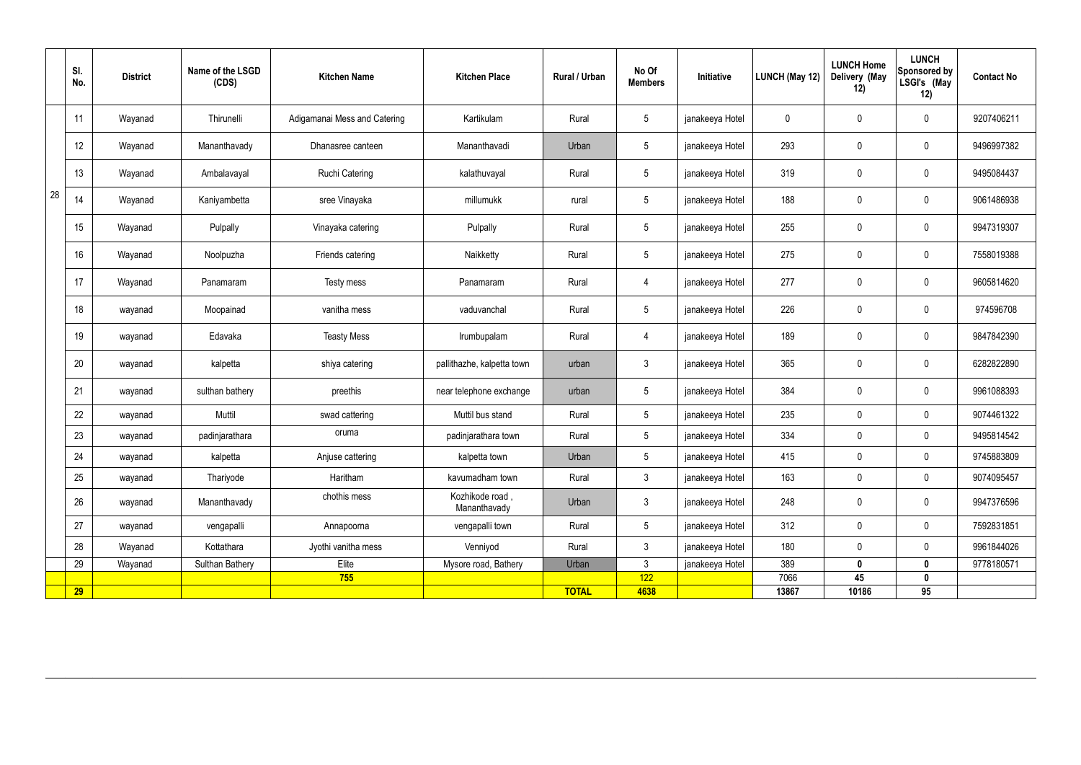|    | SI.<br>No. | <b>District</b> | Name of the LSGD<br>(CDS) | <b>Kitchen Name</b>          | <b>Kitchen Place</b>            | Rural / Urban | No Of<br><b>Members</b> | Initiative      | LUNCH (May 12) | <b>LUNCH Home</b><br>Delivery (May<br>12) | <b>LUNCH</b><br>Sponsored by<br>LSGI's (May<br>12) | <b>Contact No</b> |
|----|------------|-----------------|---------------------------|------------------------------|---------------------------------|---------------|-------------------------|-----------------|----------------|-------------------------------------------|----------------------------------------------------|-------------------|
|    | 11         | Wayanad         | Thirunelli                | Adigamanai Mess and Catering | Kartikulam                      | Rural         | $5\phantom{.0}$         | janakeeya Hotel | 0              | 0                                         | $\overline{0}$                                     | 9207406211        |
|    | 12         | Wayanad         | Mananthavady              | Dhanasree canteen            | Mananthavadi                    | Urban         | $5\phantom{.0}$         | janakeeya Hotel | 293            | 0                                         | $\mathbf 0$                                        | 9496997382        |
|    | 13         | Wayanad         | Ambalavayal               | Ruchi Catering               | kalathuvayal                    | Rural         | $5\overline{)}$         | janakeeya Hotel | 319            | 0                                         | $\mathbf 0$                                        | 9495084437        |
| 28 | 14         | Wayanad         | Kaniyambetta              | sree Vinayaka                | millumukk                       | rural         | $5\phantom{.0}$         | janakeeya Hotel | 188            | 0                                         | $\mathbf 0$                                        | 9061486938        |
|    | 15         | Wayanad         | Pulpally                  | Vinayaka catering            | Pulpally                        | Rural         | $5\overline{)}$         | janakeeya Hotel | 255            | 0                                         | $\overline{0}$                                     | 9947319307        |
|    | 16         | Wayanad         | Noolpuzha                 | Friends catering             | Naikketty                       | Rural         | $5\phantom{.0}$         | janakeeya Hotel | 275            | 0                                         | $\mathbf 0$                                        | 7558019388        |
|    | 17         | Wayanad         | Panamaram                 | Testy mess                   | Panamaram                       | Rural         | 4                       | janakeeya Hotel | 277            | 0                                         | $\mathbf 0$                                        | 9605814620        |
|    | 18         | wayanad         | Moopainad                 | vanitha mess                 | vaduvanchal                     | Rural         | $5\phantom{.0}$         | janakeeya Hotel | 226            | 0                                         | $\mathbf 0$                                        | 974596708         |
|    | 19         | wayanad         | Edavaka                   | <b>Teasty Mess</b>           | Irumbupalam                     | Rural         | 4                       | janakeeya Hotel | 189            | 0                                         | $\overline{0}$                                     | 9847842390        |
|    | 20         | wayanad         | kalpetta                  | shiya catering               | pallithazhe, kalpetta town      | urban         | $\mathbf{3}$            | janakeeya Hotel | 365            | 0                                         | $\overline{0}$                                     | 6282822890        |
|    | 21         | wayanad         | sulthan bathery           | preethis                     | near telephone exchange         | urban         | $5\overline{)}$         | janakeeya Hotel | 384            | 0                                         | $\overline{0}$                                     | 9961088393        |
|    | 22         | wayanad         | Muttil                    | swad cattering               | Muttil bus stand                | Rural         | $5\phantom{.0}$         | janakeeya Hotel | 235            | $\mathbf 0$                               | $\mathbf 0$                                        | 9074461322        |
|    | 23         | wayanad         | padinjarathara            | oruma                        | padinjarathara town             | Rural         | $5\overline{)}$         | janakeeya Hotel | 334            | $\mathbf 0$                               | $\mathbf 0$                                        | 9495814542        |
|    | 24         | wayanad         | kalpetta                  | Anjuse cattering             | kalpetta town                   | Urban         | $5\phantom{.0}$         | janakeeya Hotel | 415            | $\mathbf 0$                               | $\mathbf 0$                                        | 9745883809        |
|    | 25         | wayanad         | Thariyode                 | Haritham                     | kavumadham town                 | Rural         | 3 <sup>1</sup>          | janakeeya Hotel | 163            | $\pmb{0}$                                 | $\mathbf 0$                                        | 9074095457        |
|    | 26         | wayanad         | Mananthavady              | chothis mess                 | Kozhikode road,<br>Mananthavady | Urban         | $\mathbf{3}$            | janakeeya Hotel | 248            | $\pmb{0}$                                 | $\mathbf 0$                                        | 9947376596        |
|    | 27         | wayanad         | vengapalli                | Annapoorna                   | vengapalli town                 | Rural         | $5\phantom{.0}$         | janakeeya Hotel | 312            | 0                                         | $\mathbf 0$                                        | 7592831851        |
|    | 28         | Wayanad         | Kottathara                | Jyothi vanitha mess          | Venniyod                        | Rural         | 3 <sup>1</sup>          | janakeeya Hotel | 180            | 0                                         | $\mathbf 0$                                        | 9961844026        |
|    | 29         | Wayanad         | <b>Sulthan Bathery</b>    | Elite                        | Mysore road, Bathery            | Urban         | $\mathbf{3}$            | janakeeya Hotel | 389            | $\mathbf 0$                               | $\mathbf 0$                                        | 9778180571        |
|    |            |                 |                           | 755                          |                                 |               | 122                     |                 | 7066           | 45                                        | $\pmb{0}$                                          |                   |
|    | <b>29</b>  |                 |                           |                              |                                 | <b>TOTAL</b>  | 4638                    |                 | 13867          | 10186                                     | 95                                                 |                   |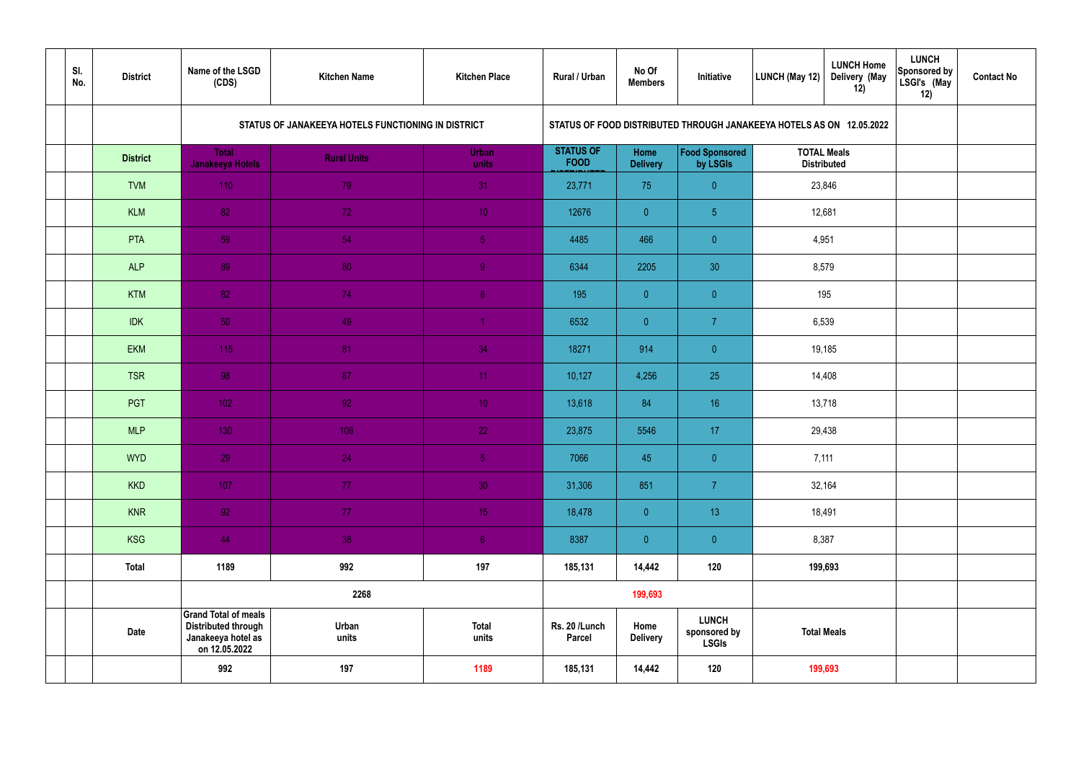| SI.<br>No. | <b>District</b> | Name of the LSGD<br>(CDS)                                                                        | <b>Kitchen Name</b>                                | <b>Kitchen Place</b>  | Rural / Urban                   | No Of<br><b>Members</b> | Initiative                                                           | LUNCH (May 12)                           | <b>LUNCH Home</b><br>Delivery (May<br>12) | <b>LUNCH</b><br>Sponsored by<br>LSGI's (May<br>12) | <b>Contact No</b> |
|------------|-----------------|--------------------------------------------------------------------------------------------------|----------------------------------------------------|-----------------------|---------------------------------|-------------------------|----------------------------------------------------------------------|------------------------------------------|-------------------------------------------|----------------------------------------------------|-------------------|
|            |                 |                                                                                                  | STATUS OF JANAKEEYA HOTELS FUNCTIONING IN DISTRICT |                       |                                 |                         | STATUS OF FOOD DISTRIBUTED THROUGH JANAKEEYA HOTELS AS ON 12.05.2022 |                                          |                                           |                                                    |                   |
|            | <b>District</b> | <b>Total</b><br><b>Janakeeya Hotels</b>                                                          | <b>Rural Units</b>                                 | <b>Urban</b><br>units | <b>STATUS OF</b><br><b>FOOD</b> | Home<br><b>Delivery</b> | Food Sponsored<br>by LSGIs                                           | <b>TOTAL Meals</b><br><b>Distributed</b> |                                           |                                                    |                   |
|            | <b>TVM</b>      | 110                                                                                              | 79                                                 | 31                    | 23,771                          | 75                      | $\overline{0}$                                                       | 23,846                                   |                                           |                                                    |                   |
|            | <b>KLM</b>      | 82                                                                                               | 72                                                 | 10 <sup>°</sup>       | 12676                           | $\overline{0}$          | 5 <sub>5</sub>                                                       | 12,681                                   |                                           |                                                    |                   |
|            | PTA             | 59                                                                                               | 54                                                 | 5 <sub>1</sub>        | 4485                            | 466                     | $\overline{0}$                                                       | 4,951                                    |                                           |                                                    |                   |
|            | <b>ALP</b>      | 89                                                                                               | 80                                                 | 9                     | 6344                            | 2205                    | 30                                                                   | 8,579                                    |                                           |                                                    |                   |
|            | <b>KTM</b>      | 82                                                                                               | 74                                                 | $\boldsymbol{8}$      | 195                             | $\overline{0}$          | $\overline{0}$                                                       |                                          | 195                                       |                                                    |                   |
|            | <b>IDK</b>      | 50                                                                                               | 49                                                 | -1                    | 6532                            | $\overline{0}$          | $\overline{7}$                                                       | 6,539                                    |                                           |                                                    |                   |
|            | <b>EKM</b>      | 115                                                                                              | 81                                                 | 34                    | 18271                           | 914                     | $\overline{0}$                                                       |                                          | 19,185                                    |                                                    |                   |
|            | <b>TSR</b>      | 98                                                                                               | 87                                                 | 11                    | 10,127                          | 4,256                   | 25                                                                   |                                          | 14,408                                    |                                                    |                   |
|            | <b>PGT</b>      | 102                                                                                              | 92                                                 | 10 <sup>°</sup>       | 13,618                          | 84                      | 16                                                                   |                                          | 13,718                                    |                                                    |                   |
|            | <b>MLP</b>      | 130                                                                                              | 108                                                | 22                    | 23,875                          | 5546                    | 17                                                                   |                                          | 29,438                                    |                                                    |                   |
|            | <b>WYD</b>      | 29                                                                                               | 24                                                 | 5 <sub>1</sub>        | 7066                            | 45                      | $\overline{0}$                                                       | 7,111                                    |                                           |                                                    |                   |
|            | <b>KKD</b>      | 107                                                                                              | 77                                                 | 30 <sup>°</sup>       | 31,306                          | 851                     | $\overline{7}$                                                       | 32,164                                   |                                           |                                                    |                   |
|            | <b>KNR</b>      | 92                                                                                               | 77                                                 | 15 <sub>1</sub>       | 18,478                          | $\overline{0}$          | 13 <sup>°</sup>                                                      |                                          | 18,491                                    |                                                    |                   |
|            | <b>KSG</b>      | 44                                                                                               | $38\,$                                             | 6 <sub>1</sub>        | 8387                            | $\overline{0}$          | $\pmb{0}$                                                            | 8,387                                    |                                           |                                                    |                   |
|            | <b>Total</b>    | 1189                                                                                             | 992                                                | 197                   | 185,131                         | 14,442                  | 120                                                                  |                                          | 199,693                                   |                                                    |                   |
|            |                 |                                                                                                  | 2268                                               |                       |                                 | 199,693                 |                                                                      |                                          |                                           |                                                    |                   |
|            | <b>Date</b>     | <b>Grand Total of meals</b><br><b>Distributed through</b><br>Janakeeya hotel as<br>on 12.05.2022 | Urban<br>units                                     | <b>Total</b><br>units | Rs. 20 /Lunch<br><b>Parcel</b>  | Home<br><b>Delivery</b> | <b>LUNCH</b><br>sponsored by<br><b>LSGIs</b>                         |                                          | <b>Total Meals</b>                        |                                                    |                   |
|            |                 | 992                                                                                              | 197                                                | 1189                  | 185,131                         | 14,442                  | 120                                                                  |                                          | 199,693                                   |                                                    |                   |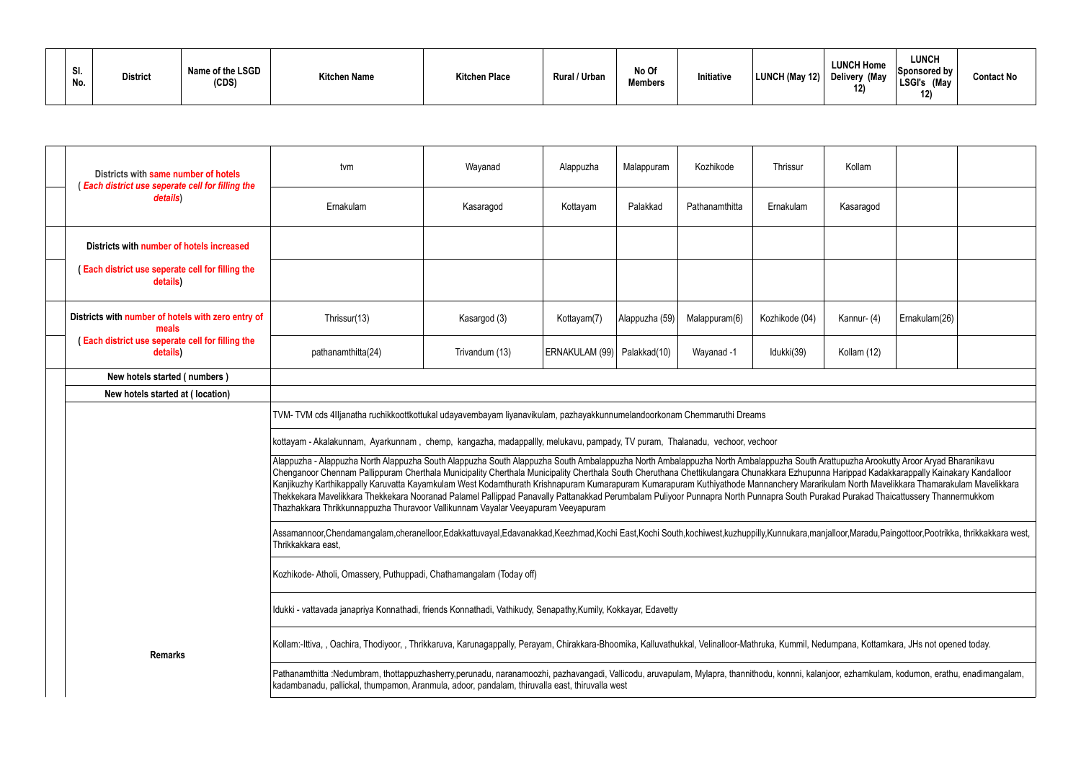| SI.<br>No. | <b>District</b> | Name of the LSGD<br>(CDS) | <b>Kitchen Name</b> | <b>Kitchen Place</b> | Rural / Urban | No Of<br><b>Members</b> | Initiative | LUNCH (May 12) Delivery (May | <b>LUNCH Home</b><br>12) | <b>LUNCH</b><br>Sponsored by<br><b>LSGI's</b><br>(May<br>12) | <b>Contact No</b> |
|------------|-----------------|---------------------------|---------------------|----------------------|---------------|-------------------------|------------|------------------------------|--------------------------|--------------------------------------------------------------|-------------------|
|------------|-----------------|---------------------------|---------------------|----------------------|---------------|-------------------------|------------|------------------------------|--------------------------|--------------------------------------------------------------|-------------------|

| Districts with same number of hotels<br>Each district use seperate cell for filling the                                                                                                                                                                                                           | tvm                                                                                                                                                                                                                                                                                                                                                                                                                                                                                                                                                                                                                                                                                                                                                                                                                                                            | Wayanad                                                                                                      | Alappuzha                     | Malappuram     | Kozhikode      | Thrissur       | Kollam      |               |  |
|---------------------------------------------------------------------------------------------------------------------------------------------------------------------------------------------------------------------------------------------------------------------------------------------------|----------------------------------------------------------------------------------------------------------------------------------------------------------------------------------------------------------------------------------------------------------------------------------------------------------------------------------------------------------------------------------------------------------------------------------------------------------------------------------------------------------------------------------------------------------------------------------------------------------------------------------------------------------------------------------------------------------------------------------------------------------------------------------------------------------------------------------------------------------------|--------------------------------------------------------------------------------------------------------------|-------------------------------|----------------|----------------|----------------|-------------|---------------|--|
| details)                                                                                                                                                                                                                                                                                          | Ernakulam                                                                                                                                                                                                                                                                                                                                                                                                                                                                                                                                                                                                                                                                                                                                                                                                                                                      | Kasaragod                                                                                                    | Kottayam                      | Palakkad       | Pathanamthitta | Ernakulam      | Kasaragod   |               |  |
| Districts with number of hotels increased                                                                                                                                                                                                                                                         |                                                                                                                                                                                                                                                                                                                                                                                                                                                                                                                                                                                                                                                                                                                                                                                                                                                                |                                                                                                              |                               |                |                |                |             |               |  |
| <b>Each district use seperate cell for filling the</b><br>details)                                                                                                                                                                                                                                |                                                                                                                                                                                                                                                                                                                                                                                                                                                                                                                                                                                                                                                                                                                                                                                                                                                                |                                                                                                              |                               |                |                |                |             |               |  |
| Districts with number of hotels with zero entry of<br>meals                                                                                                                                                                                                                                       | Thrissur(13)                                                                                                                                                                                                                                                                                                                                                                                                                                                                                                                                                                                                                                                                                                                                                                                                                                                   | Kasargod (3)                                                                                                 | Kottayam(7)                   | Alappuzha (59) | Malappuram(6)  | Kozhikode (04) | Kannur- (4) | Ernakulam(26) |  |
| Each district use seperate cell for filling the<br>details)                                                                                                                                                                                                                                       | pathanamthitta(24)                                                                                                                                                                                                                                                                                                                                                                                                                                                                                                                                                                                                                                                                                                                                                                                                                                             | Trivandum (13)                                                                                               | ERNAKULAM (99)   Palakkad(10) |                | Wayanad -1     | Idukki(39)     | Kollam (12) |               |  |
| New hotels started (numbers)                                                                                                                                                                                                                                                                      |                                                                                                                                                                                                                                                                                                                                                                                                                                                                                                                                                                                                                                                                                                                                                                                                                                                                |                                                                                                              |                               |                |                |                |             |               |  |
| New hotels started at (location)                                                                                                                                                                                                                                                                  |                                                                                                                                                                                                                                                                                                                                                                                                                                                                                                                                                                                                                                                                                                                                                                                                                                                                |                                                                                                              |                               |                |                |                |             |               |  |
|                                                                                                                                                                                                                                                                                                   | TVM-TVM cds 4IIjanatha ruchikkoottkottukal udayavembayam liyanavikulam, pazhayakkunnumelandoorkonam Chemmaruthi Dreams                                                                                                                                                                                                                                                                                                                                                                                                                                                                                                                                                                                                                                                                                                                                         |                                                                                                              |                               |                |                |                |             |               |  |
|                                                                                                                                                                                                                                                                                                   | kottayam - Akalakunnam, Ayarkunnam, chemp, kangazha, madappallly, melukavu, pampady, TV puram, Thalanadu, vechoor, vechoor                                                                                                                                                                                                                                                                                                                                                                                                                                                                                                                                                                                                                                                                                                                                     |                                                                                                              |                               |                |                |                |             |               |  |
|                                                                                                                                                                                                                                                                                                   | Alappuzha - Alappuzha North Alappuzha South Alappuzha South Alappuzha South Ambalappuzha North Ambalappuzha South Arattupuzha Arookutty Aroor Aryad Bharanikavu<br>Chenganoor Chennam Pallippuram Cherthala Municipality Cherthala Municipality Cherthala South Cheruthana Chettikulangara Chunakkara Ezhupunna Harippad Kadakkarappally Kainakary Kandalloor<br>Kanjikuzhy Karthikappally Karuvatta Kayamkulam West Kodamthurath Krishnapuram Kumarapuram Kuthiwathode Mannanchery Mararikulam North Mavelikkara Thamarakulam Mavelikkara Mavelikkara Mavelikkara Mavelikkara Kutara<br>Thekkekara Mavelikkara Thekkekara Nooranad Palamel Pallippad Panavally Pattanakkad Perumbalam Puliyoor Punnapra North Punnapra South Purakad Purakad Thaicattussery Thannermukkom<br>Thazhakkara Thrikkunnappuzha Thuravoor Vallikunnam Vayalar Veeyapuram Veeyapuram |                                                                                                              |                               |                |                |                |             |               |  |
|                                                                                                                                                                                                                                                                                                   | Assamannoor,Chendamangalam,cheranelloor,Edakkattuvayal,Edavanakkad,Keezhmad,Kochi East,Kochi South,kochiwest,kuzhuppilly,Kunnukara,manjalloor,Maradu,Paingottoor,Pootrikka, thrikkakkara west,<br>Thrikkakkara east.                                                                                                                                                                                                                                                                                                                                                                                                                                                                                                                                                                                                                                           |                                                                                                              |                               |                |                |                |             |               |  |
|                                                                                                                                                                                                                                                                                                   | Kozhikode-Atholi, Omassery, Puthuppadi, Chathamangalam (Today off)                                                                                                                                                                                                                                                                                                                                                                                                                                                                                                                                                                                                                                                                                                                                                                                             |                                                                                                              |                               |                |                |                |             |               |  |
|                                                                                                                                                                                                                                                                                                   |                                                                                                                                                                                                                                                                                                                                                                                                                                                                                                                                                                                                                                                                                                                                                                                                                                                                | Idukki - vattavada janapriya Konnathadi, friends Konnathadi, Vathikudy, Senapathy,Kumily, Kokkayar, Edavetty |                               |                |                |                |             |               |  |
| <b>Remarks</b>                                                                                                                                                                                                                                                                                    | Kollam:-Ittiva, , Oachira, Thodiyoor, , Thrikkaruva, Karunagappally, Perayam, Chirakkara-Bhoomika, Kalluvathukkal, Velinalloor-Mathruka, Kummil, Nedumpana, Kottamkara, JHs not opened today.                                                                                                                                                                                                                                                                                                                                                                                                                                                                                                                                                                                                                                                                  |                                                                                                              |                               |                |                |                |             |               |  |
| Pathanamthitta :Nedumbram, thottappuzhasherry,perunadu, naranamoozhi, pazhavangadi, Vallicodu, aruvapulam, Mylapra, thannithodu, konnni, kalanjoor, ezhamkulam, kodumon, erathu, enadimangalam,<br>kadambanadu, pallickal, thumpamon, Aranmula, adoor, pandalam, thiruvalla east, thiruvalla west |                                                                                                                                                                                                                                                                                                                                                                                                                                                                                                                                                                                                                                                                                                                                                                                                                                                                |                                                                                                              |                               |                |                |                |             |               |  |